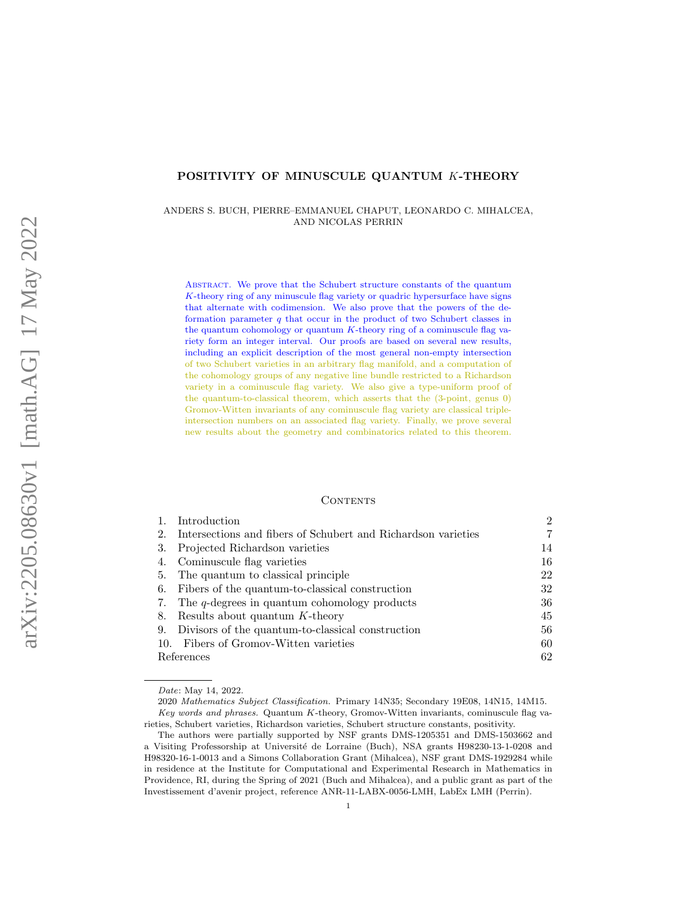# POSITIVITY OF MINUSCULE QUANTUM K-THEORY

ANDERS S. BUCH, PIERRE–EMMANUEL CHAPUT, LEONARDO C. MIHALCEA, AND NICOLAS PERRIN

ABSTRACT. We prove that the Schubert structure constants of the quantum K-theory ring of any minuscule flag variety or quadric hypersurface have signs that alternate with codimension. We also prove that the powers of the deformation parameter  $q$  that occur in the product of two Schubert classes in the quantum cohomology or quantum  $K$ -theory ring of a cominuscule flag variety form an integer interval. Our proofs are based on several new results, including an explicit description of the most general non-empty intersection of two Schubert varieties in an arbitrary flag manifold, and a computation of the cohomology groups of any negative line bundle restricted to a Richardson variety in a cominuscule flag variety. We also give a type-uniform proof of the quantum-to-classical theorem, which asserts that the (3-point, genus 0) Gromov-Witten invariants of any cominuscule flag variety are classical tripleintersection numbers on an associated flag variety. Finally, we prove several new results about the geometry and combinatorics related to this theorem.

#### **CONTENTS**

| 1. | Introduction                                                     | $\overline{2}$ |
|----|------------------------------------------------------------------|----------------|
|    | 2. Intersections and fibers of Schubert and Richardson varieties | 7              |
|    | 3. Projected Richardson varieties                                | 14             |
|    | 4. Cominuscule flag varieties                                    | 16             |
|    | 5. The quantum to classical principle                            | 22             |
|    | 6. Fibers of the quantum-to-classical construction               | 32             |
|    | 7. The q-degrees in quantum cohomology products                  | 36             |
|    | 8. Results about quantum $K$ -theory                             | 45             |
|    | 9. Divisors of the quantum-to-classical construction             | 56             |
|    | 10. Fibers of Gromov-Witten varieties                            | 60             |
|    | References                                                       | 62             |

Date: May 14, 2022.

<sup>2020</sup> Mathematics Subject Classification. Primary 14N35; Secondary 19E08, 14N15, 14M15. Key words and phrases. Quantum K-theory, Gromov-Witten invariants, cominuscule flag varieties, Schubert varieties, Richardson varieties, Schubert structure constants, positivity.

The authors were partially supported by NSF grants DMS-1205351 and DMS-1503662 and a Visiting Professorship at Université de Lorraine (Buch), NSA grants H98230-13-1-0208 and H98320-16-1-0013 and a Simons Collaboration Grant (Mihalcea), NSF grant DMS-1929284 while in residence at the Institute for Computational and Experimental Research in Mathematics in Providence, RI, during the Spring of 2021 (Buch and Mihalcea), and a public grant as part of the Investissement d'avenir project, reference ANR-11-LABX-0056-LMH, LabEx LMH (Perrin).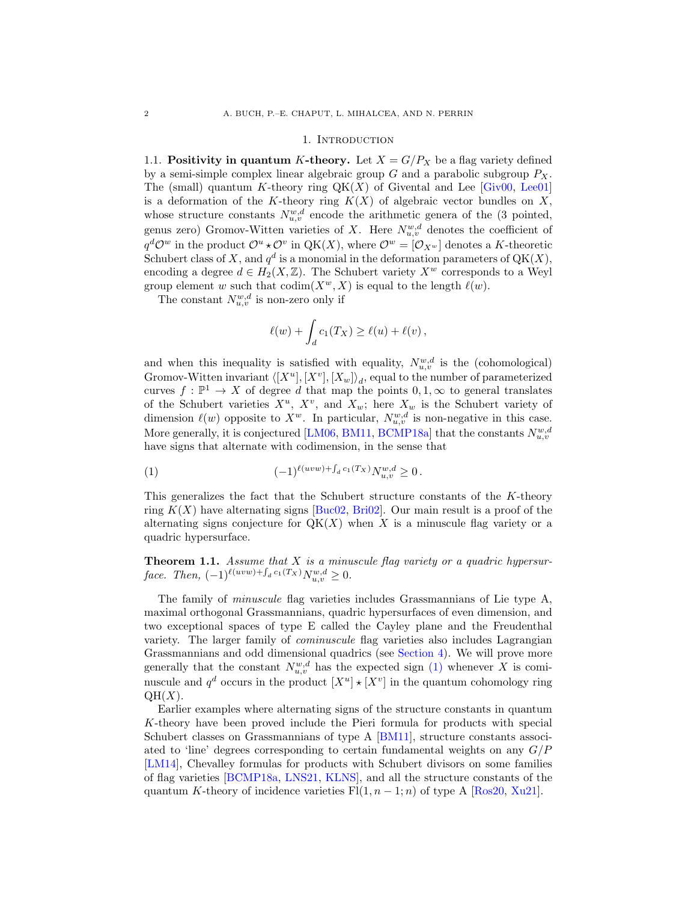#### 1. Introduction

<span id="page-1-0"></span>1.1. Positivity in quantum K-theory. Let  $X = G/P_X$  be a flag variety defined by a semi-simple complex linear algebraic group  $G$  and a parabolic subgroup  $P_X$ . The (small) quantum K-theory ring  $QK(X)$  of Givental and Lee [\[Giv00,](#page-63-0) [Lee01\]](#page-63-1) is a deformation of the K-theory ring  $K(X)$  of algebraic vector bundles on X, whose structure constants  $N_{u,v}^{w,d}$  encode the arithmetic genera of the (3 pointed, genus zero) Gromov-Witten varieties of X. Here  $N_{u,v}^{w,d}$  denotes the coefficient of  $q^d \mathcal{O}^w$  in the product  $\mathcal{O}^u * \mathcal{O}^v$  in  $QK(X)$ , where  $\mathcal{O}^w = [\mathcal{O}_{X^w}]$  denotes a K-theoretic Schubert class of X, and  $q^d$  is a monomial in the deformation parameters of  $QK(X)$ , encoding a degree  $d \in H_2(X, \mathbb{Z})$ . The Schubert variety  $X^w$  corresponds to a Weyl group element w such that  $\text{codim}(X^w, X)$  is equal to the length  $\ell(w)$ .

The constant  $N_{u,v}^{w,d}$  is non-zero only if

$$
\ell(w) + \int_d c_1(T_X) \ge \ell(u) + \ell(v),
$$

and when this inequality is satisfied with equality,  $N_{u,v}^{w,d}$  is the (cohomological) Gromov-Witten invariant  $\langle [X^u], [X^v], [X_w] \rangle_d$ , equal to the number of parameterized curves  $f: \mathbb{P}^1 \to X$  of degree d that map the points  $0, 1, \infty$  to general translates of the Schubert varieties  $X^u$ ,  $X^v$ , and  $X_w$ ; here  $X_w$  is the Schubert variety of dimension  $\ell(w)$  opposite to  $X^w$ . In particular,  $N_{u,v}^{w,d}$  is non-negative in this case. More generally, it is conjectured [\[LM06,](#page-63-2) [BM11,](#page-62-0) [BCMP18a\]](#page-62-1) that the constants  $N_{u,v}^{w,d}$ have signs that alternate with codimension, in the sense that

<span id="page-1-1"></span>(1) 
$$
(-1)^{\ell(uvw) + \int_d c_1(T_X)} N_{u,v}^{w,d} \ge 0.
$$

This generalizes the fact that the Schubert structure constants of the K-theory ring  $K(X)$  have alternating signs [\[Buc02,](#page-62-2) [Bri02\]](#page-62-3). Our main result is a proof of the alternating signs conjecture for  $QK(X)$  when X is a minuscule flag variety or a quadric hypersurface.

<span id="page-1-2"></span>**Theorem 1.1.** Assume that  $X$  is a minuscule flag variety or a quadric hypersurface. Then,  $(-1)^{\ell(uvw) + \int_d c_1(T_X)} N_{u,v}^{w,d} \ge 0$ .

The family of minuscule flag varieties includes Grassmannians of Lie type A, maximal orthogonal Grassmannians, quadric hypersurfaces of even dimension, and two exceptional spaces of type E called the Cayley plane and the Freudenthal variety. The larger family of cominuscule flag varieties also includes Lagrangian Grassmannians and odd dimensional quadrics (see [Section 4\)](#page-15-0). We will prove more generally that the constant  $N_{u,v}^{w,d}$  has the expected sign [\(1\)](#page-1-1) whenever X is cominuscule and  $q^d$  occurs in the product  $[X^u] \star [X^v]$  in the quantum cohomology ring  $QH(X)$ .

Earlier examples where alternating signs of the structure constants in quantum K-theory have been proved include the Pieri formula for products with special Schubert classes on Grassmannians of type A [\[BM11\]](#page-62-0), structure constants associated to 'line' degrees corresponding to certain fundamental weights on any  $G/P$ [\[LM14\]](#page-63-3), Chevalley formulas for products with Schubert divisors on some families of flag varieties [\[BCMP18a,](#page-62-1) [LNS21,](#page-63-4) [KLNS\]](#page-63-5), and all the structure constants of the quantum K-theory of incidence varieties  $Fl(1, n - 1; n)$  of type A [\[Ros20,](#page-63-6) [Xu21\]](#page-64-0).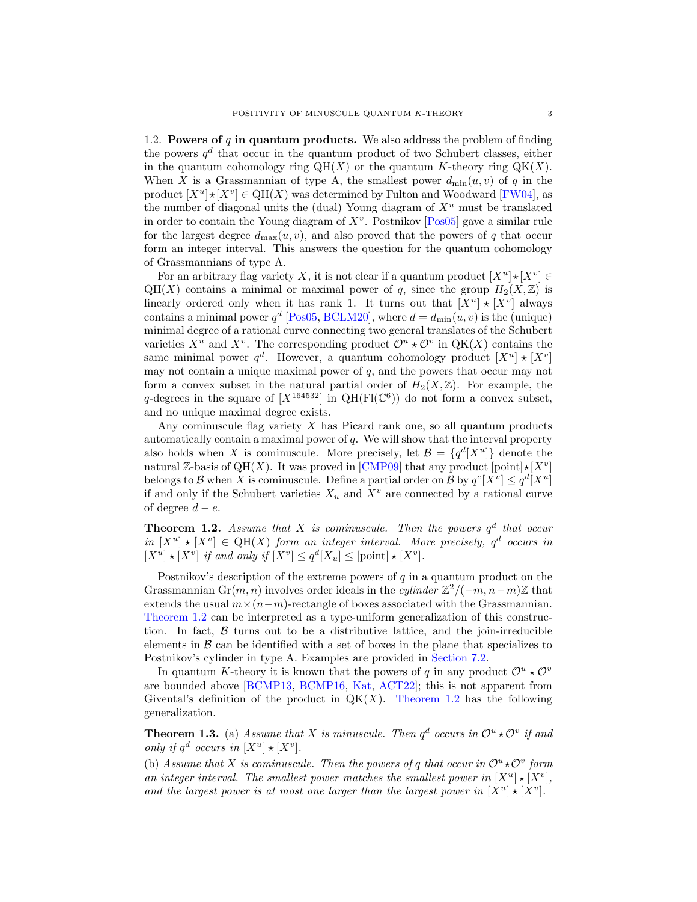1.2. Powers of  $q$  in quantum products. We also address the problem of finding the powers  $q<sup>d</sup>$  that occur in the quantum product of two Schubert classes, either in the quantum cohomology ring  $QH(X)$  or the quantum K-theory ring  $QK(X)$ . When X is a Grassmannian of type A, the smallest power  $d_{\min}(u, v)$  of q in the product  $[X^u] \star [X^v] \in QH(X)$  was determined by Fulton and Woodward [\[FW04\]](#page-63-7), as the number of diagonal units the (dual) Young diagram of  $X^u$  must be translated in order to contain the Young diagram of  $X^v$ . Postnikov  $[Pos05]$  gave a similar rule for the largest degree  $d_{\text{max}}(u, v)$ , and also proved that the powers of q that occur form an integer interval. This answers the question for the quantum cohomology of Grassmannians of type A.

For an arbitrary flag variety X, it is not clear if a quantum product  $[X^u] \star [X^v] \in$  $QH(X)$  contains a minimal or maximal power of q, since the group  $H_2(X,\mathbb{Z})$  is linearly ordered only when it has rank 1. It turns out that  $[X^u] \star [X^v]$  always contains a minimal power  $q^d$  [\[Pos05,](#page-63-8) [BCLM20\]](#page-61-1), where  $d = d_{\min}(u, v)$  is the (unique) minimal degree of a rational curve connecting two general translates of the Schubert varieties  $X^u$  and  $X^v$ . The corresponding product  $\mathcal{O}^u \star \mathcal{O}^v$  in QK(X) contains the same minimal power  $q^d$ . However, a quantum cohomology product  $[X^u] \star [X^v]$ may not contain a unique maximal power of  $q$ , and the powers that occur may not form a convex subset in the natural partial order of  $H_2(X,\mathbb{Z})$ . For example, the q-degrees in the square of  $[X^{164532}]$  in QH(Fl(C<sup>6</sup>)) do not form a convex subset, and no unique maximal degree exists.

Any cominuscule flag variety  $X$  has Picard rank one, so all quantum products automatically contain a maximal power of  $q$ . We will show that the interval property also holds when X is cominuscule. More precisely, let  $\mathcal{B} = \{q^d[X^u]\}\$  denote the natural Z-basis of QH(X). It was proved in [\[CMP09\]](#page-62-4) that any product  $[point] \star [X^v]$ belongs to B when X is cominuscule. Define a partial order on B by  $q^e[X^v] \leq q^d[X^u]$ if and only if the Schubert varieties  $X_u$  and  $X^v$  are connected by a rational curve of degree  $d - e$ .

<span id="page-2-0"></span>**Theorem 1.2.** Assume that X is cominuscule. Then the powers  $q^d$  that occur in  $[X^u] \star [X^v] \in QH(X)$  form an integer interval. More precisely,  $q^d$  occurs in  $[X^u] \star [X^v]$  if and only if  $[X^v] \leq q^d [X_u] \leq [\text{point}] \star [X^v]$ .

Postnikov's description of the extreme powers of  $q$  in a quantum product on the Grassmannian Gr $(m, n)$  involves order ideals in the *cylinder*  $\mathbb{Z}^2/(-m, n-m)\mathbb{Z}$  that extends the usual  $m \times (n-m)$ -rectangle of boxes associated with the Grassmannian. [Theorem 1.2](#page-2-0) can be interpreted as a type-uniform generalization of this construction. In fact,  $\beta$  turns out to be a distributive lattice, and the join-irreducible elements in  $\beta$  can be identified with a set of boxes in the plane that specializes to Postnikov's cylinder in type A. Examples are provided in [Section 7.2.](#page-36-0)

In quantum K-theory it is known that the powers of q in any product  $\mathcal{O}^u \star \mathcal{O}^v$ are bounded above [\[BCMP13,](#page-61-2) [BCMP16,](#page-61-3) [Kat,](#page-63-9) [ACT22\]](#page-61-4); this is not apparent from Givental's definition of the product in  $QK(X)$ . [Theorem 1.2](#page-2-0) has the following generalization.

**Theorem 1.3.** (a) Assume that X is minuscule. Then  $q^d$  occurs in  $\mathcal{O}^u * \mathcal{O}^v$  if and only if  $q^d$  occurs in  $[X^u] \star [X^v]$ .

(b) Assume that X is cominuscule. Then the powers of q that occur in  $\mathcal{O}^u * \mathcal{O}^v$  form an integer interval. The smallest power matches the smallest power in  $[X^u] \star [X^v]$ , and the largest power is at most one larger than the largest power in  $[X^u] \star [X^v]$ .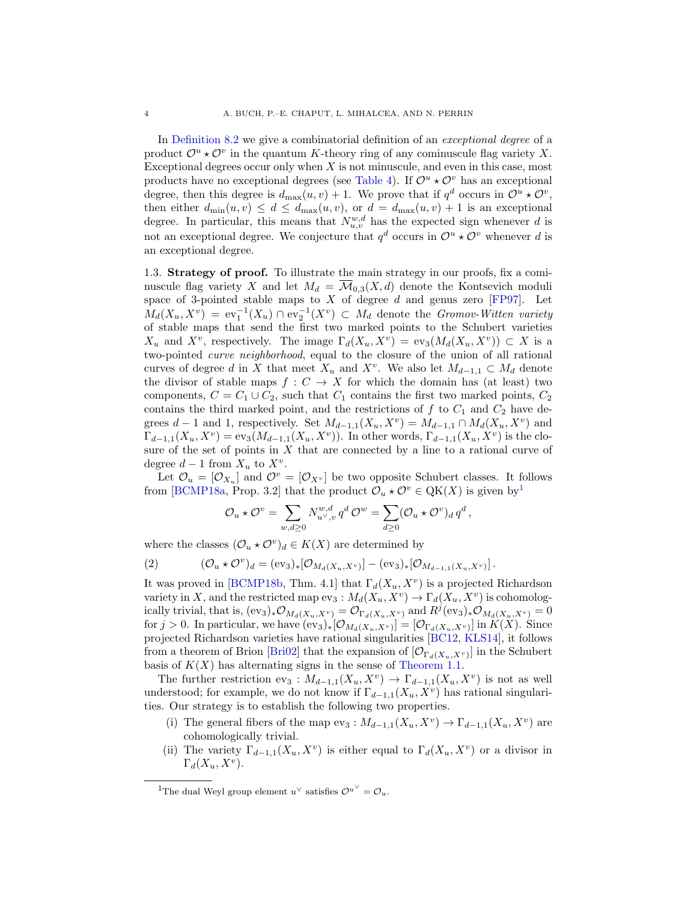In [Definition 8.2](#page-45-0) we give a combinatorial definition of an exceptional degree of a product  $\mathcal{O}^u \star \mathcal{O}^v$  in the quantum K-theory ring of any cominuscule flag variety X. Exceptional degrees occur only when  $X$  is not minuscule, and even in this case, most products have no exceptional degrees (see [Table 4\)](#page-46-0). If  $\mathcal{O}^u \star \mathcal{O}^v$  has an exceptional degree, then this degree is  $d_{\max}(u, v) + 1$ . We prove that if  $q^d$  occurs in  $\mathcal{O}^u \star \mathcal{O}^v$ , then either  $d_{\min}(u, v) \leq d \leq d_{\max}(u, v)$ , or  $d = d_{\max}(u, v) + 1$  is an exceptional degree. In particular, this means that  $N_{u,v}^{w,d}$  has the expected sign whenever d is not an exceptional degree. We conjecture that  $q^d$  occurs in  $\mathcal{O}^u \star \mathcal{O}^v$  whenever d is an exceptional degree.

1.3. Strategy of proof. To illustrate the main strategy in our proofs, fix a cominuscule flag variety X and let  $M_d = \overline{\mathcal{M}}_{0,3}(X, d)$  denote the Kontsevich moduli space of 3-pointed stable maps to  $X$  of degree  $d$  and genus zero [\[FP97\]](#page-62-5). Let  $M_d(X_u, X^v) = \text{ev}_1^{-1}(X_u) \cap \text{ev}_2^{-1}(X^v) \subset M_d$  denote the Gromov-Witten variety of stable maps that send the first two marked points to the Schubert varieties  $X_u$  and  $X^v$ , respectively. The image  $\Gamma_d(X_u, X^v) = \text{ev}_3(M_d(X_u, X^v)) \subset X$  is a two-pointed curve neighborhood, equal to the closure of the union of all rational curves of degree d in X that meet  $X_u$  and  $X^v$ . We also let  $M_{d-1,1} \subset M_d$  denote the divisor of stable maps  $f: C \to X$  for which the domain has (at least) two components,  $C = C_1 \cup C_2$ , such that  $C_1$  contains the first two marked points,  $C_2$ contains the third marked point, and the restrictions of  $f$  to  $C_1$  and  $C_2$  have degrees  $d-1$  and 1, respectively. Set  $M_{d-1,1}(X_u, X_v) = M_{d-1,1} \cap M_d(X_u, X_v)$  and  $\Gamma_{d-1,1}(X_u, X^v) = \text{ev}_3(M_{d-1,1}(X_u, X^v)).$  In other words,  $\Gamma_{d-1,1}(X_u, X^v)$  is the closure of the set of points in  $X$  that are connected by a line to a rational curve of degree  $d-1$  from  $X_u$  to  $X^v$ .

Let  $\mathcal{O}_u = [\mathcal{O}_{X_u}]$  and  $\mathcal{O}^v = [\mathcal{O}_{X_v}]$  be two opposite Schubert classes. It follows from [\[BCMP18a,](#page-62-1) Prop. 3.2] that the product  $\mathcal{O}_u \star \mathcal{O}^v \in QK(X)$  is given by<sup>[1](#page-3-0)</sup>

<span id="page-3-1"></span>
$$
\mathcal{O}_u\star\mathcal{O}^v=\sum_{w,d\geq 0}N_{u^\vee,v}^{w,d}\,q^d\,\mathcal{O}^w=\sum_{d\geq 0}(\mathcal{O}_u\star\mathcal{O}^v)_d\,q^d\,,
$$

where the classes  $(\mathcal{O}_u \star \mathcal{O}^v)_d \in K(X)$  are determined by

(2) 
$$
(\mathcal{O}_u \star \mathcal{O}^v)_d = (\text{ev}_3)_* [\mathcal{O}_{M_d(X_u, X^v)}] - (\text{ev}_3)_* [\mathcal{O}_{M_{d-1,1}(X_u, X^v)}].
$$

It was proved in [\[BCMP18b,](#page-62-6) Thm. 4.1] that  $\Gamma_d(X_u, X_v)$  is a projected Richardson variety in X, and the restricted map  $ev_3: M_d(X_u, X^v) \to \Gamma_d(X_u, X^v)$  is cohomologically trivial, that is,  $(\text{ev}_3)_*\mathcal{O}_{M_d(X_u,X_v)} = \mathcal{O}_{\Gamma_d(X_u,X_v)}$  and  $R^j(\text{ev}_3)_*\mathcal{O}_{M_d(X_u,X_v)} = 0$ for  $j > 0$ . In particular, we have  $(\text{ev}_3)_*[\mathcal{O}_{M_d(X_u, X_v)}] = [\mathcal{O}_{\Gamma_d(X_u, X_v)}]$  in  $K(X)$ . Since projected Richardson varieties have rational singularities [\[BC12,](#page-61-5) [KLS14\]](#page-63-10), it follows from a theorem of Brion [Brio2] that the expansion of  $[\mathcal{O}_{\Gamma_d(X_u,X_v)}]$  in the Schubert basis of  $K(X)$  has alternating signs in the sense of [Theorem 1.1.](#page-1-2)

The further restriction  $ev_3: M_{d-1,1}(X_u, X_v) \to \Gamma_{d-1,1}(X_u, X_v)$  is not as well understood; for example, we do not know if  $\Gamma_{d-1,1}(X_u, X_v)$  has rational singularities. Our strategy is to establish the following two properties.

- (i) The general fibers of the map  $ev_3: M_{d-1,1}(X_u, X^v) \to \Gamma_{d-1,1}(X_u, X^v)$  are cohomologically trivial.
- (ii) The variety  $\Gamma_{d-1,1}(X_u,X_v)$  is either equal to  $\Gamma_d(X_u,X_v)$  or a divisor in  $\Gamma_d(X_u, X^v)$ .

<span id="page-3-0"></span><sup>&</sup>lt;sup>1</sup>The dual Weyl group element  $u^{\vee}$  satisfies  $\mathcal{O}^{u^{\vee}} = \mathcal{O}_u$ .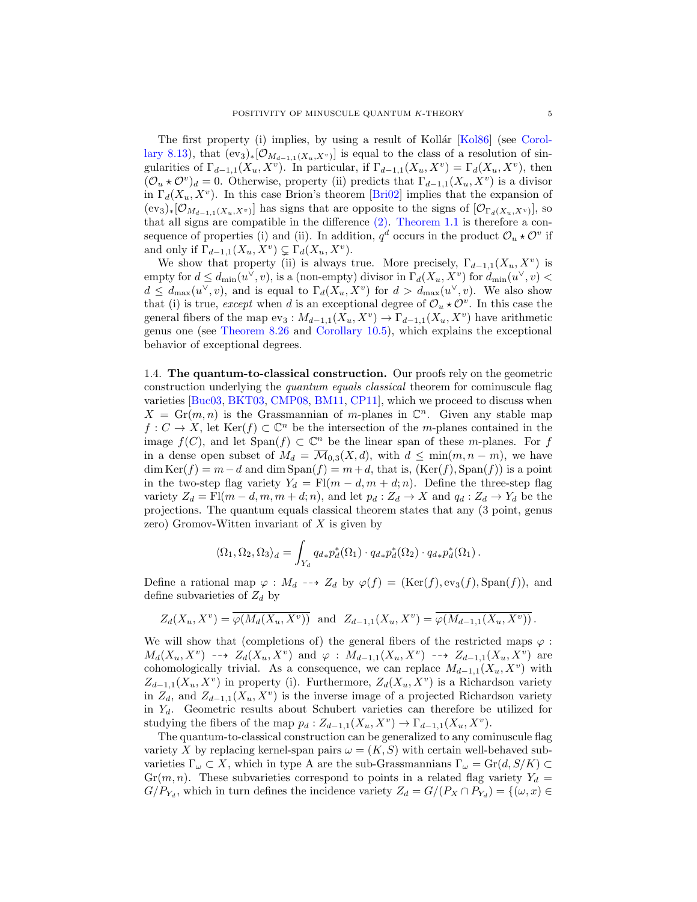The first property (i) implies, by using a result of Kollár [\[Kol86\]](#page-63-11) (see [Corol](#page-48-0)[lary 8.13\)](#page-48-0), that  $(ev_3)_*[\mathcal{O}_{M_{d-1,1}(X_u,X^v)}]$  is equal to the class of a resolution of singularities of  $\Gamma_{d-1,1}(X_u, X^v)$ . In particular, if  $\Gamma_{d-1,1}(X_u, X^v) = \Gamma_d(X_u, X^v)$ , then  $(\mathcal{O}_u \star \mathcal{O}^v)_d = 0$ . Otherwise, property (ii) predicts that  $\Gamma_{d-1,1}(X_u, X^v)$  is a divisor in  $\Gamma_d(X_u, X^v)$ . In this case Brion's theorem [\[Bri02\]](#page-62-3) implies that the expansion of  $(\text{ev}_3)_*[\mathcal{O}_{M_{d-1,1}(X_u,X^v)}]$  has signs that are opposite to the signs of  $[\mathcal{O}_{\Gamma_d(X_u,X^v)}]$ , so that all signs are compatible in the difference [\(2\).](#page-3-1) [Theorem 1.1](#page-1-2) is therefore a consequence of properties (i) and (ii). In addition,  $q^d$  occurs in the product  $\mathcal{O}_u \star \mathcal{O}^v$  if and only if  $\Gamma_{d-1,1}(X_u, X^v) \subsetneq \Gamma_d(X_u, X^v)$ .

We show that property (ii) is always true. More precisely,  $\Gamma_{d-1,1}(X_u, X_v)$  is empty for  $d \leq d_{\min}(u^{\vee}, v)$ , is a (non-empty) divisor in  $\Gamma_d(X_u, X^v)$  for  $d_{\min}(u^{\vee}, v)$  $d \leq d_{\max}(u^{\vee}, v)$ , and is equal to  $\Gamma_d(X_u, X^v)$  for  $d > d_{\max}(u^{\vee}, v)$ . We also show that (i) is true, except when d is an exceptional degree of  $\mathcal{O}_u \star \mathcal{O}^v$ . In this case the general fibers of the map  $ev_3: M_{d-1,1}(X_u, X_v) \to \Gamma_{d-1,1}(X_u, X_v)$  have arithmetic genus one (see [Theorem 8.26](#page-53-0) and [Corollary 10.5\)](#page-61-6), which explains the exceptional behavior of exceptional degrees.

1.4. The quantum-to-classical construction. Our proofs rely on the geometric construction underlying the quantum equals classical theorem for cominuscule flag varieties [\[Buc03,](#page-62-7) [BKT03,](#page-62-8) [CMP08,](#page-62-9) [BM11,](#page-62-0) [CP11\]](#page-62-10), which we proceed to discuss when  $X = \text{Gr}(m, n)$  is the Grassmannian of m-planes in  $\mathbb{C}^n$ . Given any stable map  $f: C \to X$ , let  $\text{Ker}(f) \subset \mathbb{C}^n$  be the intersection of the *m*-planes contained in the image  $f(C)$ , and let  $Span(f) \subset \mathbb{C}^n$  be the linear span of these *m*-planes. For f in a dense open subset of  $M_d = \overline{\mathcal{M}}_{0,3}(X, d)$ , with  $d \leq \min(m, n - m)$ , we have  $\dim \text{Ker}(f) = m - d$  and  $\dim \text{Span}(f) = m + d$ , that is,  $(\text{Ker}(f), \text{Span}(f))$  is a point in the two-step flag variety  $Y_d = \text{Fl}(m - d, m + d; n)$ . Define the three-step flag variety  $Z_d = \mathrm{Fl}(m-d, m, m+d; n)$ , and let  $p_d : Z_d \to X$  and  $q_d : Z_d \to Y_d$  be the projections. The quantum equals classical theorem states that any (3 point, genus zero) Gromov-Witten invariant of  $X$  is given by

$$
\langle \Omega_1, \Omega_2, \Omega_3 \rangle_d = \int_{Y_d} q_{d*} p_d^* (\Omega_1) \cdot q_{d*} p_d^* (\Omega_2) \cdot q_{d*} p_d^* (\Omega_1).
$$

Define a rational map  $\varphi : M_d \dashrightarrow Z_d$  by  $\varphi(f) = (\text{Ker}(f), \text{ev}_3(f), \text{Span}(f)),$  and define subvarieties of  $Z_d$  by

$$
Z_d(X_u, X^v) = \overline{\varphi(M_d(X_u, X^v))} \text{ and } Z_{d-1,1}(X_u, X^v) = \overline{\varphi(M_{d-1,1}(X_u, X^v))}.
$$

We will show that (completions of) the general fibers of the restricted maps  $\varphi$ :  $M_d(X_u, X^v) \dashrightarrow Z_d(X_u, X^v)$  and  $\varphi: M_{d-1,1}(X_u, X^v) \dashrightarrow Z_{d-1,1}(X_u, X^v)$  are cohomologically trivial. As a consequence, we can replace  $M_{d-1,1}(X_u, X_v)$  with  $Z_{d-1,1}(X_u, X^v)$  in property (i). Furthermore,  $Z_d(X_u, X^v)$  is a Richardson variety in  $Z_d$ , and  $Z_{d-1,1}(X_u, X_v)$  is the inverse image of a projected Richardson variety in  $Y_d$ . Geometric results about Schubert varieties can therefore be utilized for studying the fibers of the map  $p_d: Z_{d-1,1}(X_u, X^v) \to \Gamma_{d-1,1}(X_u, X^v)$ .

The quantum-to-classical construction can be generalized to any cominuscule flag variety X by replacing kernel-span pairs  $\omega = (K, S)$  with certain well-behaved subvarieties  $\Gamma_{\omega} \subset X$ , which in type A are the sub-Grassmannians  $\Gamma_{\omega} = \text{Gr}(d, S/K) \subset$  $Gr(m, n)$ . These subvarieties correspond to points in a related flag variety  $Y_d =$  $G/P_{Y_d}$ , which in turn defines the incidence variety  $Z_d = G/(P_X \cap P_{Y_d}) = \{(\omega, x) \in$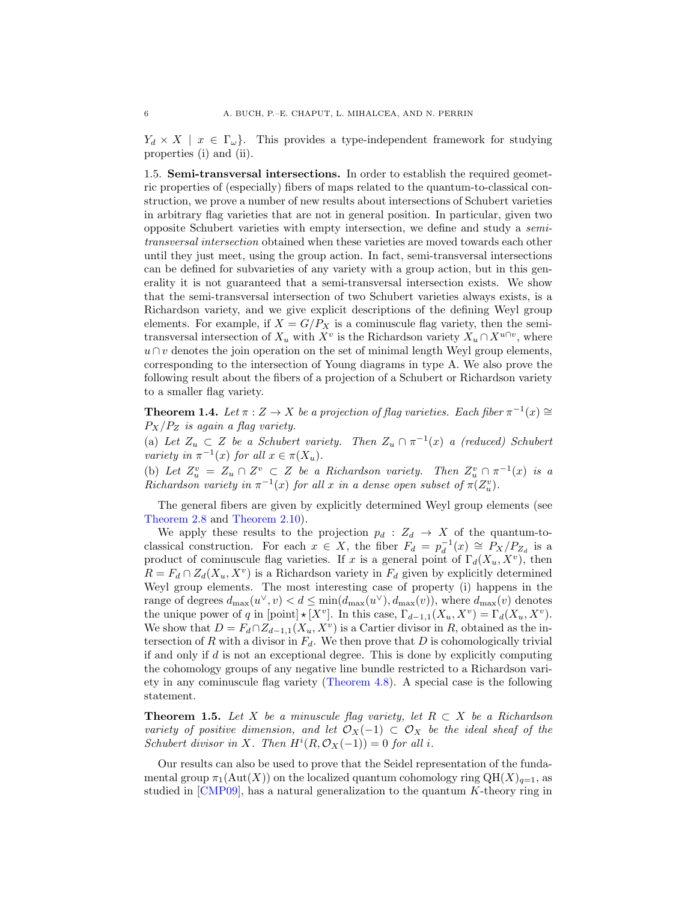$Y_d \times X \mid x \in \Gamma_\omega$ . This provides a type-independent framework for studying properties (i) and (ii).

1.5. Semi-transversal intersections. In order to establish the required geometric properties of (especially) fibers of maps related to the quantum-to-classical construction, we prove a number of new results about intersections of Schubert varieties in arbitrary flag varieties that are not in general position. In particular, given two opposite Schubert varieties with empty intersection, we define and study a semitransversal intersection obtained when these varieties are moved towards each other until they just meet, using the group action. In fact, semi-transversal intersections can be defined for subvarieties of any variety with a group action, but in this generality it is not guaranteed that a semi-transversal intersection exists. We show that the semi-transversal intersection of two Schubert varieties always exists, is a Richardson variety, and we give explicit descriptions of the defining Weyl group elements. For example, if  $X = G/P_X$  is a cominuscule flag variety, then the semitransversal intersection of  $X_u$  with  $X^v$  is the Richardson variety  $X_u \cap X^{u \cap v}$ , where  $u \cap v$  denotes the join operation on the set of minimal length Weyl group elements, corresponding to the intersection of Young diagrams in type A. We also prove the following result about the fibers of a projection of a Schubert or Richardson variety to a smaller flag variety.

**Theorem 1.4.** Let  $\pi : Z \to X$  be a projection of flag varieties. Each fiber  $\pi^{-1}(x) \cong$  $P_X/P_Z$  is again a flag variety.

(a) Let  $Z_u \subset Z$  be a Schubert variety. Then  $Z_u \cap \pi^{-1}(x)$  a (reduced) Schubert variety in  $\pi^{-1}(x)$  for all  $x \in \pi(X_u)$ .

(b) Let  $Z_u^v = Z_u \cap Z^v \subset Z$  be a Richardson variety. Then  $Z_u^v \cap \pi^{-1}(x)$  is a Richardson variety in  $\pi^{-1}(x)$  for all x in a dense open subset of  $\pi(Z_u^v)$ .

The general fibers are given by explicitly determined Weyl group elements (see [Theorem 2.8](#page-11-0) and [Theorem 2.10\)](#page-12-0).

We apply these results to the projection  $p_d : Z_d \to X$  of the quantum-toclassical construction. For each  $x \in X$ , the fiber  $F_d = p_d^{-1}(x) \cong \overline{P}_X/P_{Z_d}$  is a product of cominuscule flag varieties. If x is a general point of  $\Gamma_d(X_u, X_v)$ , then  $R = F_d \cap Z_d(X_u, X_v)$  is a Richardson variety in  $F_d$  given by explicitly determined Weyl group elements. The most interesting case of property (i) happens in the range of degrees  $d_{\max}(u^{\vee}, v) < d \leq \min(d_{\max}(u^{\vee}), d_{\max}(v))$ , where  $d_{\max}(v)$  denotes the unique power of q in [point]  $\star [X^v]$ . In this case,  $\Gamma_{d-1,1}(X_u, X^v) = \Gamma_d(X_u, X^v)$ . We show that  $D = F_d \cap Z_{d-1,1}(X_u, X^v)$  is a Cartier divisor in R, obtained as the intersection of R with a divisor in  $F_d$ . We then prove that D is cohomologically trivial if and only if d is not an exceptional degree. This is done by explicitly computing the cohomology groups of any negative line bundle restricted to a Richardson variety in any cominuscule flag variety [\(Theorem 4.8\)](#page-20-0). A special case is the following statement.

**Theorem 1.5.** Let X be a minuscule flag variety, let  $R \subset X$  be a Richardson variety of positive dimension, and let  $\mathcal{O}_X(-1) \subset \mathcal{O}_X$  be the ideal sheaf of the Schubert divisor in X. Then  $H^{i}(R, \mathcal{O}_X(-1)) = 0$  for all i.

Our results can also be used to prove that the Seidel representation of the fundamental group  $\pi_1(\text{Aut}(X))$  on the localized quantum cohomology ring  $\text{QH}(X)_{q=1}$ , as studied in [\[CMP09\]](#page-62-4), has a natural generalization to the quantum K-theory ring in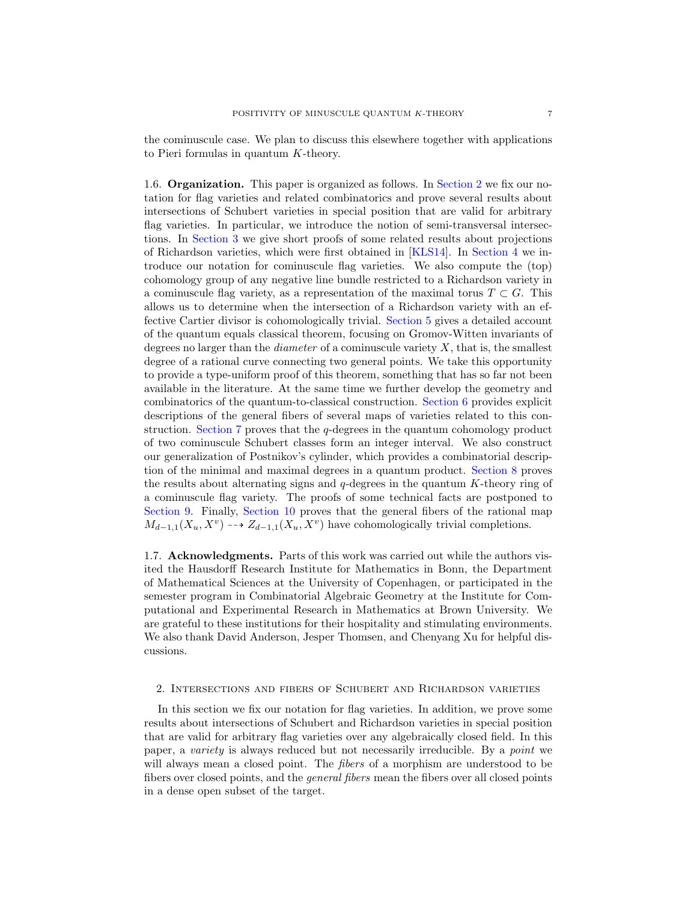the cominuscule case. We plan to discuss this elsewhere together with applications to Pieri formulas in quantum K-theory.

1.6. Organization. This paper is organized as follows. In [Section 2](#page-6-0) we fix our notation for flag varieties and related combinatorics and prove several results about intersections of Schubert varieties in special position that are valid for arbitrary flag varieties. In particular, we introduce the notion of semi-transversal intersections. In [Section 3](#page-13-0) we give short proofs of some related results about projections of Richardson varieties, which were first obtained in [\[KLS14\]](#page-63-10). In [Section 4](#page-15-0) we introduce our notation for cominuscule flag varieties. We also compute the (top) cohomology group of any negative line bundle restricted to a Richardson variety in a cominuscule flag variety, as a representation of the maximal torus  $T \subset G$ . This allows us to determine when the intersection of a Richardson variety with an effective Cartier divisor is cohomologically trivial. [Section 5](#page-21-0) gives a detailed account of the quantum equals classical theorem, focusing on Gromov-Witten invariants of degrees no larger than the *diameter* of a cominuscule variety  $X$ , that is, the smallest degree of a rational curve connecting two general points. We take this opportunity to provide a type-uniform proof of this theorem, something that has so far not been available in the literature. At the same time we further develop the geometry and combinatorics of the quantum-to-classical construction. [Section 6](#page-31-0) provides explicit descriptions of the general fibers of several maps of varieties related to this construction. [Section 7](#page-35-0) proves that the q-degrees in the quantum cohomology product of two cominuscule Schubert classes form an integer interval. We also construct our generalization of Postnikov's cylinder, which provides a combinatorial description of the minimal and maximal degrees in a quantum product. [Section 8](#page-44-0) proves the results about alternating signs and  $q$ -degrees in the quantum  $K$ -theory ring of a cominuscule flag variety. The proofs of some technical facts are postponed to [Section 9.](#page-55-0) Finally, [Section 10](#page-59-0) proves that the general fibers of the rational map  $M_{d-1,1}(X_u, X_v) \dashrightarrow Z_{d-1,1}(X_u, X_v)$  have cohomologically trivial completions.

1.7. Acknowledgments. Parts of this work was carried out while the authors visited the Hausdorff Research Institute for Mathematics in Bonn, the Department of Mathematical Sciences at the University of Copenhagen, or participated in the semester program in Combinatorial Algebraic Geometry at the Institute for Computational and Experimental Research in Mathematics at Brown University. We are grateful to these institutions for their hospitality and stimulating environments. We also thank David Anderson, Jesper Thomsen, and Chenyang Xu for helpful discussions.

# <span id="page-6-0"></span>2. Intersections and fibers of Schubert and Richardson varieties

In this section we fix our notation for flag varieties. In addition, we prove some results about intersections of Schubert and Richardson varieties in special position that are valid for arbitrary flag varieties over any algebraically closed field. In this paper, a variety is always reduced but not necessarily irreducible. By a point we will always mean a closed point. The *fibers* of a morphism are understood to be fibers over closed points, and the general fibers mean the fibers over all closed points in a dense open subset of the target.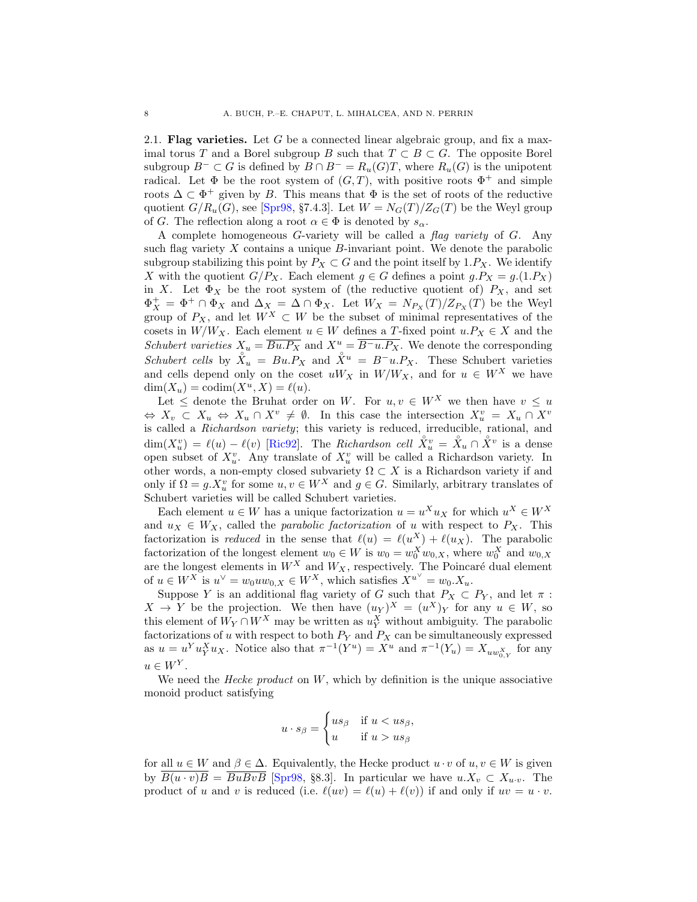<span id="page-7-0"></span>2.1. Flag varieties. Let G be a connected linear algebraic group, and fix a maximal torus T and a Borel subgroup B such that  $T \subset B \subset G$ . The opposite Borel subgroup  $B^- \subset G$  is defined by  $B \cap B^- = R_u(G)T$ , where  $R_u(G)$  is the unipotent radical. Let  $\Phi$  be the root system of  $(G, T)$ , with positive roots  $\Phi^+$  and simple roots  $\Delta \subset \Phi^+$  given by B. This means that  $\Phi$  is the set of roots of the reductive quotient  $G/R_u(G)$ , see [\[Spr98,](#page-63-12) §7.4.3]. Let  $W = N_G(T)/Z_G(T)$  be the Weyl group of G. The reflection along a root  $\alpha \in \Phi$  is denoted by  $s_{\alpha}$ .

A complete homogeneous G-variety will be called a flag variety of G. Any such flag variety  $X$  contains a unique  $B$ -invariant point. We denote the parabolic subgroup stabilizing this point by  $P_X \subset G$  and the point itself by 1. $P_X$ . We identify X with the quotient  $G/P_X$ . Each element  $g \in G$  defines a point  $g.P_X = g.(1.P_X)$ in X. Let  $\Phi_X$  be the root system of (the reductive quotient of)  $P_X$ , and set  $\Phi_X^+ = \Phi^+ \cap \Phi_X$  and  $\Delta_X^- = \Delta \cap \Phi_X$ . Let  $W_X = N_{P_X}(T)/Z_{P_X}(T)$  be the Weyl group of  $P_X$ , and let  $W^X \subset W$  be the subset of minimal representatives of the cosets in  $W/W_X$ . Each element  $u \in W$  defines a T-fixed point  $u.P_X \in X$  and the Schubert varieties  $X_u = \overline{Bu.P_X}$  and  $X_u = \overline{B-u.P_X}$ . We denote the corresponding Schubert cells by  $\overline{X}_u = Bu.P_X$  and  $\overline{X}^u = B^-u.P_X$ . These Schubert varieties and cells depend only on the coset  $uW_X$  in  $W/W_X$ , and for  $u \in W^X$  we have  $dim(X_u) = codim(X^u, X) = \ell(u).$ 

Let  $\leq$  denote the Bruhat order on W. For  $u, v \in W^X$  we then have  $v \leq u$  $\Leftrightarrow X_v \subset X_u \Leftrightarrow X_u \cap X^v \neq \emptyset$ . In this case the intersection  $X_u^v = X_u \cap X^v$ is called a Richardson variety; this variety is reduced, irreducible, rational, and  $\dim(X_u^v) = \ell(u) - \ell(v)$  [\[Ric92\]](#page-63-13). The *Richardson cell*  $\mathring{X}_u^v = \mathring{X}_u \cap \mathring{X}^v$  is a dense open subset of  $X_u^v$ . Any translate of  $X_u^v$  will be called a Richardson variety. In other words, a non-empty closed subvariety  $\Omega\subset X$  is a Richardson variety if and only if  $\Omega = g.X_u^v$  for some  $u, v \in W^X$  and  $g \in G$ . Similarly, arbitrary translates of Schubert varieties will be called Schubert varieties.

Each element  $u \in W$  has a unique factorization  $u = u^X u_X$  for which  $u^X \in W^X$ and  $u_X \in W_X$ , called the *parabolic factorization* of u with respect to  $P_X$ . This factorization is *reduced* in the sense that  $\ell(u) = \ell(u^X) + \ell(u_X)$ . The parabolic factorization of the longest element  $w_0 \in W$  is  $w_0 = w_0^X w_{0,X}$ , where  $w_0^X$  and  $w_{0,X}$ are the longest elements in  $W^X$  and  $W_X$ , respectively. The Poincaré dual element of  $u \in W^X$  is  $u^{\vee} = w_0 u w_{0,X} \in W^X$ , which satisfies  $X^{u^{\vee}} = w_0 X_u$ .

Suppose Y is an additional flag variety of G such that  $P_X \subset P_Y$ , and let  $\pi$ :  $X \to Y$  be the projection. We then have  $(u_Y)^X = (u^X)_Y$  for any  $u \in W$ , so this element of  $W_Y \cap W^X$  may be written as  $u_Y^X$  without ambiguity. The parabolic factorizations of u with respect to both  $P_Y$  and  $P_X$  can be simultaneously expressed as  $u = u^Y u_Y^X u_X$ . Notice also that  $\pi^{-1}(Y^u) = X^u$  and  $\pi^{-1}(Y_u) = X_{uw_{0,Y}^X}$  for any  $u \in W^Y$ .

We need the *Hecke product* on  $W$ , which by definition is the unique associative monoid product satisfying

$$
u \cdot s_{\beta} = \begin{cases} us_{\beta} & \text{if } u < us_{\beta}, \\ u & \text{if } u > us_{\beta} \end{cases}
$$

for all  $u \in W$  and  $\beta \in \Delta$ . Equivalently, the Hecke product  $u \cdot v$  of  $u, v \in W$  is given by  $\overline{B(u \cdot v)B} = \overline{B u B v B}$  [\[Spr98,](#page-63-12) §8.3]. In particular we have  $u.X_v \subset X_{u.v.}$  The product of u and v is reduced (i.e.  $\ell(uv) = \ell(u) + \ell(v)$ ) if and only if  $uv = u \cdot v$ .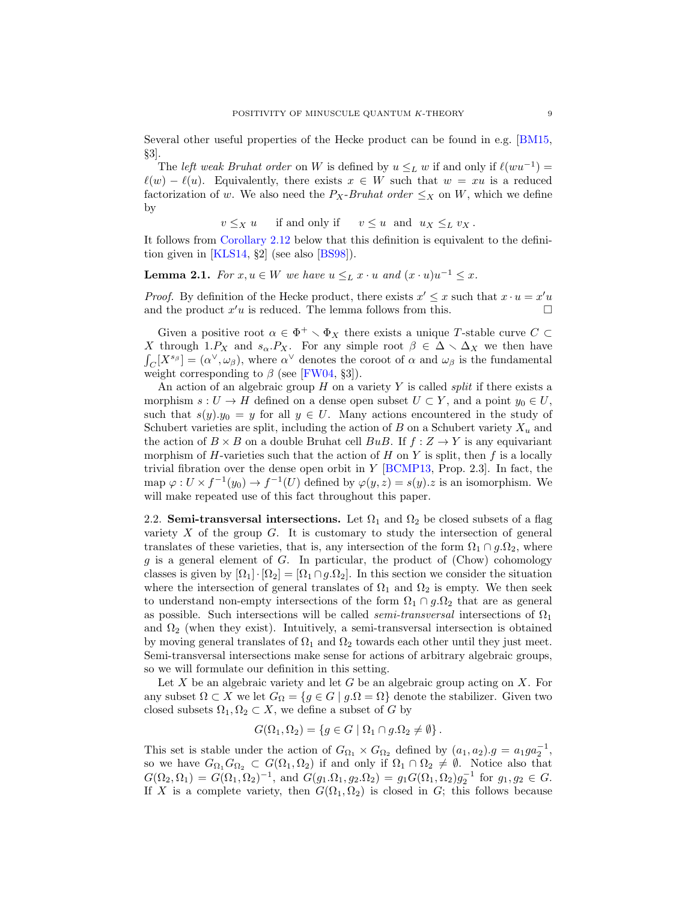Several other useful properties of the Hecke product can be found in e.g. [\[BM15,](#page-62-11) §3].

The *left weak Bruhat order* on W is defined by  $u \leq_L w$  if and only if  $\ell(wu^{-1}) =$  $\ell(w) - \ell(u)$ . Equivalently, there exists  $x \in W$  such that  $w = xu$  is a reduced factorization of w. We also need the  $P_X$ -Bruhat order  $\leq_X$  on W, which we define by

 $v \leq_X u$  if and only if  $v \leq u$  and  $u_X \leq_L v_X$ .

It follows from [Corollary 2.12](#page-13-1) below that this definition is equivalent to the definition given in  $[KLS14, §2]$  (see also  $[BS98]$ ).

<span id="page-8-0"></span>**Lemma 2.1.** For  $x, u \in W$  we have  $u \leq_L x \cdot u$  and  $(x \cdot u)u^{-1} \leq x$ .

*Proof.* By definition of the Hecke product, there exists  $x' \leq x$  such that  $x \cdot u = x'u$ and the product  $x'u$  is reduced. The lemma follows from this.  $\Box$ 

Given a positive root  $\alpha \in \Phi^+ \setminus \Phi_X$  there exists a unique T-stable curve  $C \subset$ X through 1. $P_X$  and  $s_\alpha.P_X$ . For any simple root  $\beta \in \Delta \setminus \Delta_X$  we then have  $\int_C [X^{s_{\beta}}] = (\alpha^{\vee}, \omega_{\beta}),$  where  $\alpha^{\vee}$  denotes the coroot of  $\alpha$  and  $\omega_{\beta}$  is the fundamental weight corresponding to  $\beta$  (see [\[FW04,](#page-63-7) §3]).

An action of an algebraic group  $H$  on a variety Y is called *split* if there exists a morphism  $s: U \to H$  defined on a dense open subset  $U \subset Y$ , and a point  $y_0 \in U$ , such that  $s(y).y_0 = y$  for all  $y \in U$ . Many actions encountered in the study of Schubert varieties are split, including the action of B on a Schubert variety  $X_u$  and the action of  $B \times B$  on a double Bruhat cell  $BuB$ . If  $f : Z \rightarrow Y$  is any equivariant morphism of  $H$ -varieties such that the action of  $H$  on  $Y$  is split, then  $f$  is a locally trivial fibration over the dense open orbit in  $Y$  [\[BCMP13,](#page-61-2) Prop. 2.3]. In fact, the map  $\varphi: U \times f^{-1}(y_0) \to f^{-1}(U)$  defined by  $\varphi(y, z) = s(y).z$  is an isomorphism. We will make repeated use of this fact throughout this paper.

<span id="page-8-1"></span>2.2. Semi-transversal intersections. Let  $\Omega_1$  and  $\Omega_2$  be closed subsets of a flag variety  $X$  of the group  $G$ . It is customary to study the intersection of general translates of these varieties, that is, any intersection of the form  $\Omega_1 \cap g.\Omega_2$ , where  $g$  is a general element of  $G$ . In particular, the product of (Chow) cohomology classes is given by  $[\Omega_1] \cdot [\Omega_2] = [\Omega_1 \cap g \cdot \Omega_2]$ . In this section we consider the situation where the intersection of general translates of  $\Omega_1$  and  $\Omega_2$  is empty. We then seek to understand non-empty intersections of the form  $\Omega_1 \cap g.\Omega_2$  that are as general as possible. Such intersections will be called *semi-transversal* intersections of  $\Omega_1$ and  $\Omega_2$  (when they exist). Intuitively, a semi-transversal intersection is obtained by moving general translates of  $\Omega_1$  and  $\Omega_2$  towards each other until they just meet. Semi-transversal intersections make sense for actions of arbitrary algebraic groups, so we will formulate our definition in this setting.

Let  $X$  be an algebraic variety and let  $G$  be an algebraic group acting on  $X$ . For any subset  $\Omega \subset X$  we let  $G_{\Omega} = \{g \in G \mid g.\Omega = \Omega\}$  denote the stabilizer. Given two closed subsets  $\Omega_1, \Omega_2 \subset X$ , we define a subset of G by

$$
G(\Omega_1, \Omega_2) = \{ g \in G \mid \Omega_1 \cap g.\Omega_2 \neq \emptyset \}.
$$

This set is stable under the action of  $G_{\Omega_1} \times G_{\Omega_2}$  defined by  $(a_1, a_2)$ .  $g = a_1 g a_2^{-1}$ , so we have  $G_{\Omega_1}G_{\Omega_2} \subset G(\Omega_1, \Omega_2)$  if and only if  $\Omega_1 \cap \Omega_2 \neq \emptyset$ . Notice also that  $G(\Omega_2, \Omega_1) = G(\Omega_1, \Omega_2)^{-1}$ , and  $G(g_1 \Omega_1, g_2 \Omega_2) = g_1 G(\Omega_1, \Omega_2) g_2^{-1}$  for  $g_1, g_2 \in G$ . If X is a complete variety, then  $G(\Omega_1, \Omega_2)$  is closed in G; this follows because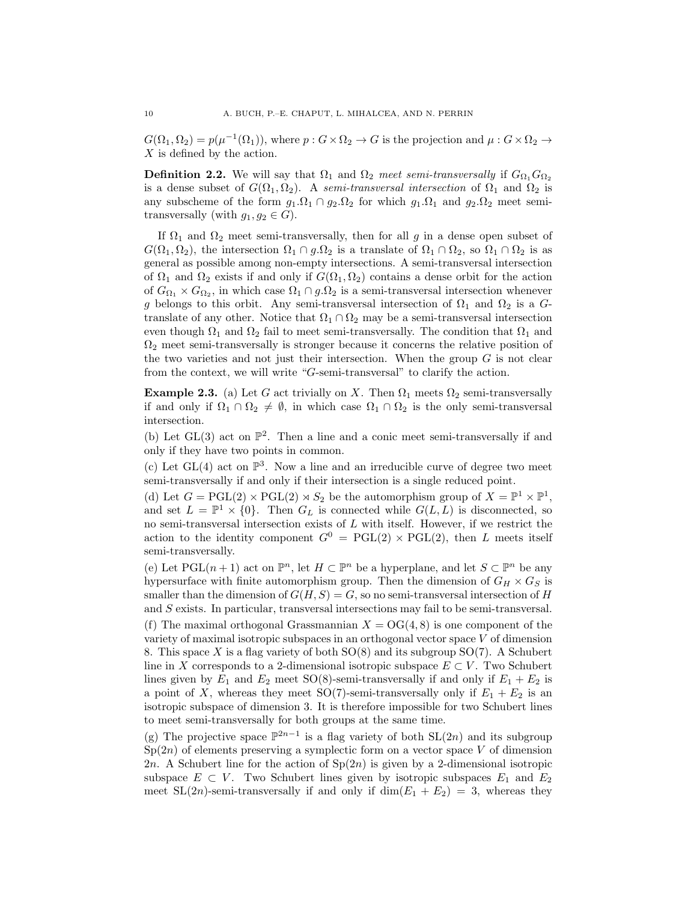$G(\Omega_1, \Omega_2) = p(\mu^{-1}(\Omega_1)),$  where  $p: G \times \Omega_2 \to G$  is the projection and  $\mu: G \times \Omega_2 \to G$ X is defined by the action.

**Definition 2.2.** We will say that  $\Omega_1$  and  $\Omega_2$  meet semi-transversally if  $G_{\Omega_1}G_{\Omega_2}$ is a dense subset of  $G(\Omega_1, \Omega_2)$ . A semi-transversal intersection of  $\Omega_1$  and  $\Omega_2$  is any subscheme of the form  $g_1.\Omega_1 \cap g_2.\Omega_2$  for which  $g_1.\Omega_1$  and  $g_2.\Omega_2$  meet semitransversally (with  $g_1, g_2 \in G$ ).

If  $\Omega_1$  and  $\Omega_2$  meet semi-transversally, then for all g in a dense open subset of  $G(\Omega_1, \Omega_2)$ , the intersection  $\Omega_1 \cap g.\Omega_2$  is a translate of  $\Omega_1 \cap \Omega_2$ , so  $\Omega_1 \cap \Omega_2$  is as general as possible among non-empty intersections. A semi-transversal intersection of  $\Omega_1$  and  $\Omega_2$  exists if and only if  $G(\Omega_1, \Omega_2)$  contains a dense orbit for the action of  $G_{\Omega_1} \times G_{\Omega_2}$ , in which case  $\Omega_1 \cap g.\Omega_2$  is a semi-transversal intersection whenever g belongs to this orbit. Any semi-transversal intersection of  $\Omega_1$  and  $\Omega_2$  is a Gtranslate of any other. Notice that  $\Omega_1 \cap \Omega_2$  may be a semi-transversal intersection even though  $\Omega_1$  and  $\Omega_2$  fail to meet semi-transversally. The condition that  $\Omega_1$  and  $\Omega_2$  meet semi-transversally is stronger because it concerns the relative position of the two varieties and not just their intersection. When the group  $G$  is not clear from the context, we will write "G-semi-transversal" to clarify the action.

**Example 2.3.** (a) Let G act trivially on X. Then  $\Omega_1$  meets  $\Omega_2$  semi-transversally if and only if  $\Omega_1 \cap \Omega_2 \neq \emptyset$ , in which case  $\Omega_1 \cap \Omega_2$  is the only semi-transversal intersection.

(b) Let  $GL(3)$  act on  $\mathbb{P}^2$ . Then a line and a conic meet semi-transversally if and only if they have two points in common.

(c) Let  $GL(4)$  act on  $\mathbb{P}^3$ . Now a line and an irreducible curve of degree two meet semi-transversally if and only if their intersection is a single reduced point.

(d) Let  $G = \text{PGL}(2) \times \text{PGL}(2) \rtimes S_2$  be the automorphism group of  $X = \mathbb{P}^1 \times \mathbb{P}^1$ , and set  $L = \mathbb{P}^1 \times \{0\}$ . Then  $G_L$  is connected while  $G(L, L)$  is disconnected, so no semi-transversal intersection exists of L with itself. However, if we restrict the action to the identity component  $G^0 = \text{PGL}(2) \times \text{PGL}(2)$ , then L meets itself semi-transversally.

(e) Let  $PGL(n+1)$  act on  $\mathbb{P}^n$ , let  $H \subset \mathbb{P}^n$  be a hyperplane, and let  $S \subset \mathbb{P}^n$  be any hypersurface with finite automorphism group. Then the dimension of  $G_H \times G_S$  is smaller than the dimension of  $G(H, S) = G$ , so no semi-transversal intersection of H and S exists. In particular, transversal intersections may fail to be semi-transversal.

(f) The maximal orthogonal Grassmannian  $X = \text{OG}(4, 8)$  is one component of the variety of maximal isotropic subspaces in an orthogonal vector space V of dimension 8. This space X is a flag variety of both  $SO(8)$  and its subgroup  $SO(7)$ . A Schubert line in X corresponds to a 2-dimensional isotropic subspace  $E \subset V$ . Two Schubert lines given by  $E_1$  and  $E_2$  meet SO(8)-semi-transversally if and only if  $E_1 + E_2$  is a point of X, whereas they meet SO(7)-semi-transversally only if  $E_1 + E_2$  is an isotropic subspace of dimension 3. It is therefore impossible for two Schubert lines to meet semi-transversally for both groups at the same time.

(g) The projective space  $\mathbb{P}^{2n-1}$  is a flag variety of both SL(2n) and its subgroup  $Sp(2n)$  of elements preserving a symplectic form on a vector space V of dimension 2n. A Schubert line for the action of  $Sp(2n)$  is given by a 2-dimensional isotropic subspace  $E \subset V$ . Two Schubert lines given by isotropic subspaces  $E_1$  and  $E_2$ meet  $SL(2n)$ -semi-transversally if and only if  $dim(E_1 + E_2) = 3$ , whereas they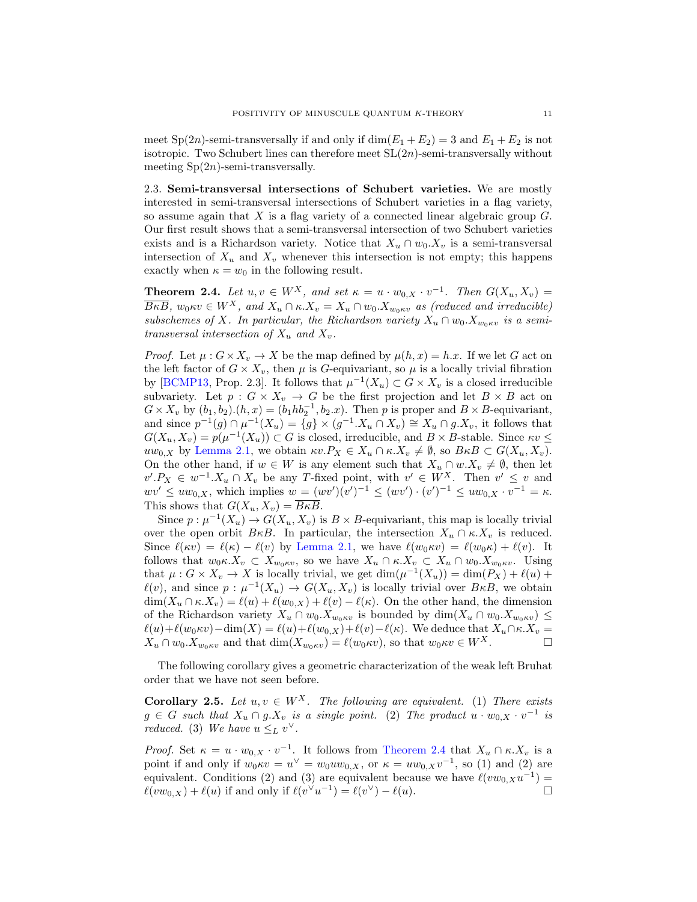meet Sp(2n)-semi-transversally if and only if  $\dim(E_1 + E_2) = 3$  and  $E_1 + E_2$  is not isotropic. Two Schubert lines can therefore meet  $SL(2n)$ -semi-transversally without meeting  $Sp(2n)$ -semi-transversally.

2.3. Semi-transversal intersections of Schubert varieties. We are mostly interested in semi-transversal intersections of Schubert varieties in a flag variety, so assume again that  $X$  is a flag variety of a connected linear algebraic group  $G$ . Our first result shows that a semi-transversal intersection of two Schubert varieties exists and is a Richardson variety. Notice that  $X_u \cap w_0.X_v$  is a semi-transversal intersection of  $X_u$  and  $X_v$  whenever this intersection is not empty; this happens exactly when  $\kappa = w_0$  in the following result.

<span id="page-10-0"></span>**Theorem 2.4.** Let  $u, v \in W^X$ , and set  $\kappa = u \cdot w_{0,X} \cdot v^{-1}$ . Then  $G(X_u, X_v) =$  $\overline{B\kappa B}$ ,  $w_0\kappa v \in W^X$ , and  $X_u \cap \kappa X_v = X_u \cap w_0 X_{w_0\kappa v}$  as (reduced and irreducible) subschemes of X. In particular, the Richardson variety  $X_u \cap w_0$ . $X_{w_0 \kappa v}$  is a semitransversal intersection of  $X_u$  and  $X_v$ .

*Proof.* Let  $\mu: G \times X_v \to X$  be the map defined by  $\mu(h, x) = h.x$ . If we let G act on the left factor of  $G \times X_v$ , then  $\mu$  is G-equivariant, so  $\mu$  is a locally trivial fibration by [\[BCMP13,](#page-61-2) Prop. 2.3]. It follows that  $\mu^{-1}(X_u) \subset G \times X_v$  is a closed irreducible subvariety. Let  $p : G \times X_p \to G$  be the first projection and let  $B \times B$  act on  $G \times X_v$  by  $(b_1, b_2) \cdot (h, x) = (b_1 h b_2^{-1}, b_2 \cdot x)$ . Then p is proper and  $B \times B$ -equivariant, and since  $p^{-1}(g) \cap \mu^{-1}(X_u) = \{g\} \times (g^{-1}X_u \cap X_v) \cong X_u \cap g.X_v$ , it follows that  $G(X_u, X_v) = p(\mu^{-1}(X_u)) \subset G$  is closed, irreducible, and  $B \times B$ -stable. Since  $\kappa v \leq$ uw<sub>0,X</sub> by [Lemma 2.1,](#page-8-0) we obtain  $\kappa v.P_X \in X_u \cap \kappa.X_v \neq \emptyset$ , so  $B \kappa B \subset G(X_u, X_v)$ . On the other hand, if  $w \in W$  is any element such that  $X_u \cap w.X_v \neq \emptyset$ , then let  $v'.P_X \in w^{-1}.X_u \cap X_v$  be any T-fixed point, with  $v' \in W^X$ . Then  $v' \leq v$  and  $wv' \leq uw_{0,X}$ , which implies  $w = (wv')(v')^{-1} \leq (wv') \cdot (v')^{-1} \leq uw_{0,X} \cdot v^{-1} = \kappa$ . This shows that  $G(X_u, X_v) = \overline{B\kappa B}$ .

Since  $p: \mu^{-1}(X_u) \to G(X_u, X_v)$  is  $B \times B$ -equivariant, this map is locally trivial over the open orbit  $B\kappa B$ . In particular, the intersection  $X_u \cap \kappa X_v$  is reduced. Since  $\ell(\kappa v) = \ell(\kappa) - \ell(v)$  by [Lemma 2.1,](#page-8-0) we have  $\ell(w_0 \kappa v) = \ell(w_0 \kappa) + \ell(v)$ . It follows that  $w_0 \kappa. X_v \subset X_{w_0 \kappa v}$ , so we have  $X_u \cap \kappa. X_v \subset X_u \cap w_0. X_{w_0 \kappa v}$ . Using that  $\mu: G \times X_v \to X$  is locally trivial, we get  $\dim(\mu^{-1}(X_u)) = \dim(P_X) + \ell(u) +$  $\ell(v)$ , and since  $p : \mu^{-1}(X_u) \to G(X_u, X_v)$  is locally trivial over  $B \kappa B$ , we obtain  $\dim(X_u \cap \kappa X_v) = \ell(u) + \ell(w_{0,X}) + \ell(v) - \ell(\kappa)$ . On the other hand, the dimension of the Richardson variety  $X_u \cap w_0.X_{w_0\kappa v}$  is bounded by  $\dim(X_u \cap w_0.X_{w_0\kappa v}) \leq$  $\ell(u)+\ell(w_0\kappa v)-\dim(X) = \ell(u)+\ell(w_{0,X})+\ell(v)-\ell(\kappa)$ . We deduce that  $X_u\cap \kappa$ . $X_v$  =  $X_u \cap w_0.X_{w_0\kappa v}$  and that  $\dim(X_{w_0\kappa v}) = \ell(w_0\kappa v)$ , so that  $w_0\kappa v \in W^X$ .

The following corollary gives a geometric characterization of the weak left Bruhat order that we have not seen before.

<span id="page-10-1"></span>Corollary 2.5. Let  $u, v \in W^X$ . The following are equivalent. (1) There exists  $g \in G$  such that  $X_u \cap g.X_v$  is a single point. (2) The product  $u \cdot w_{0,X} \cdot v^{-1}$  is reduced. (3) We have  $u \leq_L v^{\vee}$ .

*Proof.* Set  $\kappa = u \cdot w_{0,X} \cdot v^{-1}$ . It follows from [Theorem 2.4](#page-10-0) that  $X_u \cap \kappa X_v$  is a point if and only if  $w_0 \kappa v = u^{\vee} = w_0 u w_{0,X}$ , or  $\kappa = u w_{0,X} v^{-1}$ , so (1) and (2) are equivalent. Conditions (2) and (3) are equivalent because we have  $\ell(vw_{0,X}u^{-1}) =$  $\ell(vw_{0,X}) + \ell(u)$  if and only if  $\ell(v^{\vee}u^{-1}) = \ell(v^{\vee}) - \ell(u)$ .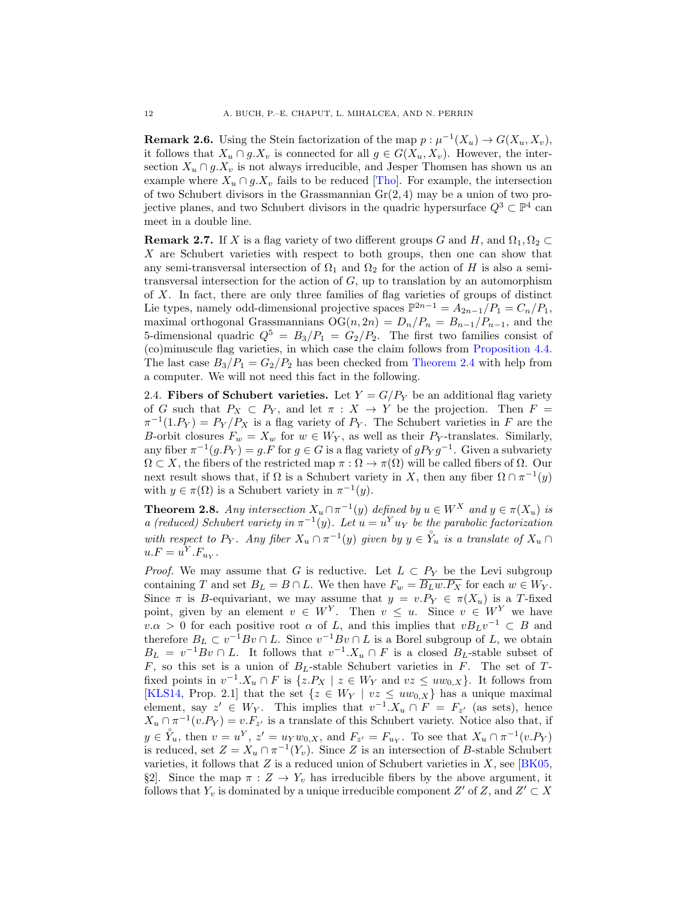**Remark 2.6.** Using the Stein factorization of the map  $p : \mu^{-1}(X_u) \to G(X_u, X_v)$ , it follows that  $X_u \cap g.X_v$  is connected for all  $g \in G(X_u, X_v)$ . However, the intersection  $X_u \cap g.X_v$  is not always irreducible, and Jesper Thomsen has shown us an example where  $X_u \cap g.X_v$  fails to be reduced [\[Tho\]](#page-64-1). For example, the intersection of two Schubert divisors in the Grassmannian  $Gr(2, 4)$  may be a union of two projective planes, and two Schubert divisors in the quadric hypersurface  $Q^3 \subset \mathbb{P}^4$  can meet in a double line.

**Remark 2.7.** If X is a flag variety of two different groups G and H, and  $\Omega_1, \Omega_2 \subset$ X are Schubert varieties with respect to both groups, then one can show that any semi-transversal intersection of  $\Omega_1$  and  $\Omega_2$  for the action of H is also a semitransversal intersection for the action of  $G$ , up to translation by an automorphism of X. In fact, there are only three families of flag varieties of groups of distinct Lie types, namely odd-dimensional projective spaces  $\mathbb{P}^{2n-1} = A_{2n-1}/P_1 = C_n/P_1$ , maximal orthogonal Grassmannians  $\mathrm{OG}(n, 2n) = D_n/P_n = B_{n-1}/P_{n-1}$ , and the 5-dimensional quadric  $Q^5 = B_3/P_1 = G_2/P_2$ . The first two families consist of (co)minuscule flag varieties, in which case the claim follows from [Proposition 4.4.](#page-18-0) The last case  $B_3/P_1 = G_2/P_2$  has been checked from [Theorem 2.4](#page-10-0) with help from a computer. We will not need this fact in the following.

2.4. Fibers of Schubert varieties. Let  $Y = G/P<sub>Y</sub>$  be an additional flag variety of G such that  $P_X \subset P_Y$ , and let  $\pi : X \to Y$  be the projection. Then  $F =$  $\pi^{-1}(1.P_Y) = P_Y/P_X$  is a flag variety of  $P_Y$ . The Schubert varieties in F are the B-orbit closures  $F_w = X_w$  for  $w \in W_Y$ , as well as their  $P_Y$ -translates. Similarly, any fiber  $\pi^{-1}(g.P_Y) = g.F$  for  $g \in G$  is a flag variety of  $gP_Yg^{-1}$ . Given a subvariety  $\Omega \subset X$ , the fibers of the restricted map  $\pi : \Omega \to \pi(\Omega)$  will be called fibers of  $\Omega$ . Our next result shows that, if  $\Omega$  is a Schubert variety in X, then any fiber  $\Omega \cap \pi^{-1}(y)$ with  $y \in \pi(\Omega)$  is a Schubert variety in  $\pi^{-1}(y)$ .

<span id="page-11-0"></span>**Theorem 2.8.** Any intersection  $X_u \cap \pi^{-1}(y)$  defined by  $u \in W^X$  and  $y \in \pi(X_u)$  is a (reduced) Schubert variety in  $\pi^{-1}(y)$ . Let  $u = u^Y u_Y$  be the parabolic factorization with respect to  $P_Y$ . Any fiber  $X_u \cap \pi^{-1}(y)$  given by  $y \in Y_u$  is a translate of  $X_u \cap$  $u.F = u<sup>Y</sup>.F<sub>u<sub>Y</sub></sub>$ .

*Proof.* We may assume that G is reductive. Let  $L \subset P_Y$  be the Levi subgroup containing T and set  $B_L = B \cap L$ . We then have  $F_w = \overline{B_L w P_X}$  for each  $w \in W_Y$ . Since  $\pi$  is B-equivariant, we may assume that  $y = v.P_Y \in \pi(X_u)$  is a T-fixed point, given by an element  $v \in W^Y$ . Then  $v \leq u$ . Since  $v \in W^Y$  we have  $v.\alpha > 0$  for each positive root  $\alpha$  of L, and this implies that  $vB_Lv^{-1} \subset B$  and therefore  $B_L \subset v^{-1}Bv \cap L$ . Since  $v^{-1}Bv \cap L$  is a Borel subgroup of L, we obtain  $B_L = v^{-1}Bv \cap L$ . It follows that  $v^{-1}.X_u \cap F$  is a closed  $B_L$ -stable subset of  $F$ , so this set is a union of  $B_L$ -stable Schubert varieties in  $F$ . The set of  $T$ fixed points in  $v^{-1}.X_u \cap F$  is  $\{z.P_X \mid z \in W_Y \text{ and } vz \leq uw_{0,X}\}.$  It follows from [\[KLS14,](#page-63-10) Prop. 2.1] that the set  $\{z \in W_Y \mid vz \leq uw_{0,X}\}\$  has a unique maximal element, say  $z' \in W_Y$ . This implies that  $v^{-1} \cdot X_u \cap F = F_{z'}$  (as sets), hence  $X_u \cap \pi^{-1}(v.P_Y) = v.F_{z'}$  is a translate of this Schubert variety. Notice also that, if  $y \in \overset{\circ}{Y}_u$ , then  $v = u^Y$ ,  $z' = u_Y w_{0,X}$ , and  $F_{z'} = F_{u_Y}$ . To see that  $X_u \cap \pi^{-1}(v.P_Y)$ is reduced, set  $Z = X_u \cap \pi^{-1}(Y_v)$ . Since Z is an intersection of B-stable Schubert varieties, it follows that  $Z$  is a reduced union of Schubert varieties in  $X$ , see [\[BK05,](#page-62-13)] §2]. Since the map  $\pi : Z \to Y_\nu$  has irreducible fibers by the above argument, it follows that  $Y_v$  is dominated by a unique irreducible component  $Z'$  of  $Z$ , and  $Z' \subset X$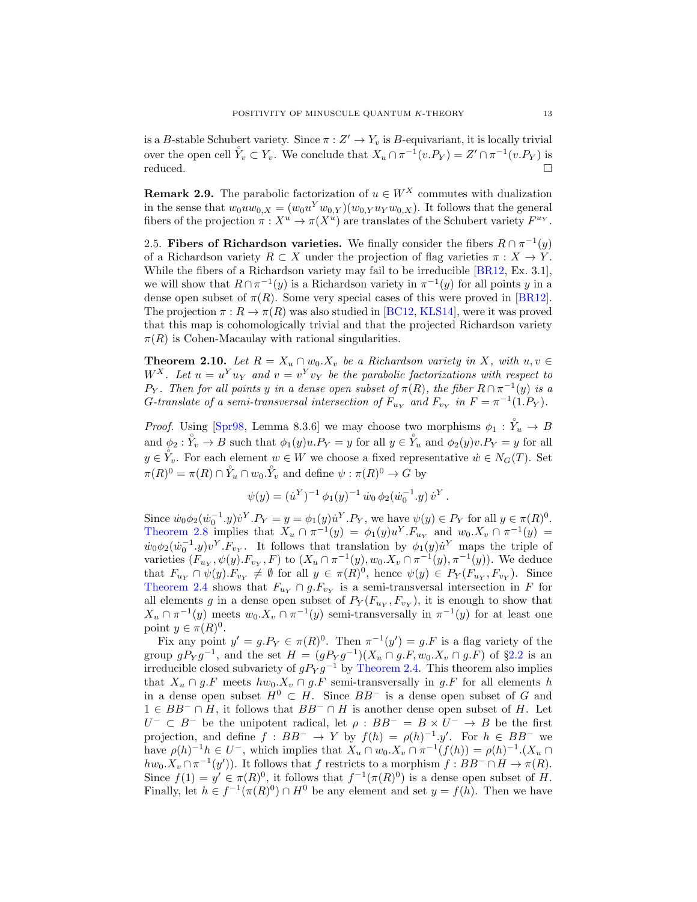is a B-stable Schubert variety. Since  $\pi : Z' \to Y_v$  is B-equivariant, it is locally trivial over the open cell  $\mathring{Y}_v \subset Y_v$ . We conclude that  $X_u \cap \pi^{-1}(v.P_Y) = Z' \cap \pi^{-1}(v.P_Y)$  is  $reduced.$ 

<span id="page-12-1"></span>**Remark 2.9.** The parabolic factorization of  $u \in W^X$  commutes with dualization in the sense that  $w_0 u w_{0,X} = (w_0 u^Y w_{0,Y})(w_{0,Y} u_Y w_{0,X})$ . It follows that the general fibers of the projection  $\pi : X^u \to \pi(X^u)$  are translates of the Schubert variety  $F^{u_Y}$ .

2.5. Fibers of Richardson varieties. We finally consider the fibers  $R \cap \pi^{-1}(y)$ of a Richardson variety  $R \subset X$  under the projection of flag varieties  $\pi : X \to Y$ . While the fibers of a Richardson variety may fail to be irreducible [\[BR12,](#page-62-14) Ex. 3.1], we will show that  $R \cap \pi^{-1}(y)$  is a Richardson variety in  $\pi^{-1}(y)$  for all points y in a dense open subset of  $\pi(R)$ . Some very special cases of this were proved in [\[BR12\]](#page-62-14). The projection  $\pi : R \to \pi(R)$  was also studied in [\[BC12,](#page-61-5) [KLS14\]](#page-63-10), were it was proved that this map is cohomologically trivial and that the projected Richardson variety  $\pi(R)$  is Cohen-Macaulay with rational singularities.

<span id="page-12-0"></span>**Theorem 2.10.** Let  $R = X_u \cap w_0.X_v$  be a Richardson variety in X, with  $u, v \in$  $W^X$ . Let  $u = u^Y u_Y$  and  $v = v^Y v_Y$  be the parabolic factorizations with respect to P<sub>Y</sub>. Then for all points y in a dense open subset of  $\pi(R)$ , the fiber  $R \cap \pi^{-1}(y)$  is a G-translate of a semi-transversal intersection of  $F_{u_Y}$  and  $F_{v_Y}$  in  $F = \pi^{-1}(1.P_Y)$ .

*Proof.* Using [\[Spr98,](#page-63-12) Lemma 8.3.6] we may choose two morphisms  $\phi_1 : \overset{\circ}{Y}_u \to B$ and  $\phi_2 : \overset{\circ}{Y}_v \to B$  such that  $\phi_1(y)u.P_Y = y$  for all  $y \in \overset{\circ}{Y}_u$  and  $\phi_2(y)v.P_Y = y$  for all  $y \in Y_v$ . For each element  $w \in W$  we choose a fixed representative  $\dot{w} \in N_G(T)$ . Set  $\pi(R)^0 = \pi(R) \cap Y_u \cap w_0.\overset{\circ}{Y_v}$  and define  $\psi : \pi(R)^0 \to G$  by

$$
\psi(y) = (\dot{u}^Y)^{-1} \phi_1(y)^{-1} \dot{w}_0 \phi_2(\dot{w}_0^{-1}.y) \dot{v}^Y.
$$

Since  $\dot{w}_0 \phi_2(\dot{w}_0^{-1} \cdot y) \dot{v}^Y P_Y = y = \phi_1(y) \dot{u}^Y P_Y$ , we have  $\psi(y) \in P_Y$  for all  $y \in \pi(R)^0$ . [Theorem 2.8](#page-11-0) implies that  $X_u \cap \pi^{-1}(y) = \phi_1(y)u^Y.F_{u_Y}$  and  $w_0.X_v \cap \pi^{-1}(y) =$  $\dot{w}_0\phi_2(\dot{w}_0^{-1}.y)v^Y.F_{v_Y}$ . It follows that translation by  $\phi_1(y)\dot{u}^Y$  maps the triple of varieties  $(F_{u_Y}, \psi(y). F_{v_Y}, F)$  to  $(X_u \cap \pi^{-1}(y), w_0.X_v \cap \pi^{-1}(y), \pi^{-1}(y))$ . We deduce that  $F_{u_Y} \cap \psi(y) \cdot F_{v_Y} \neq \emptyset$  for all  $y \in \pi(R)^0$ , hence  $\psi(y) \in P_Y(F_{u_Y}, F_{v_Y})$ . Since [Theorem 2.4](#page-10-0) shows that  $F_{u_Y} \cap g.F_{v_Y}$  is a semi-transversal intersection in F for all elements g in a dense open subset of  $P_Y(F_{u_Y}, F_{v_Y})$ , it is enough to show that  $X_u \cap \pi^{-1}(y)$  meets  $w_0.X_v \cap \pi^{-1}(y)$  semi-transversally in  $\pi^{-1}(y)$  for at least one point  $y \in \pi(R)^0$ .

Fix any point  $y' = g.P_Y \in \pi(R)^0$ . Then  $\pi^{-1}(y') = g.F$  is a flag variety of the group  $gPyg^{-1}$ , and the set  $H = (gPyg^{-1})(X_u \cap g.F, w_0.X_v \cap g.F)$  of §[2.2](#page-8-1) is an irreducible closed subvariety of  $gP_Y g^{-1}$  by [Theorem 2.4.](#page-10-0) This theorem also implies that  $X_u \cap g.F$  meets  $hw_0.X_v \cap g.F$  semi-transversally in  $g.F$  for all elements h in a dense open subset  $H^0 \subset H$ . Since  $BB^-$  is a dense open subset of G and  $1 \in BB^- \cap H$ , it follows that  $BB^- \cap H$  is another dense open subset of H. Let  $U^- \subset B^-$  be the unipotent radical, let  $\rho : BB^- = B \times U^- \rightarrow B$  be the first projection, and define  $f : BB^- \to Y$  by  $f(h) = \rho(h)^{-1} \cdot y'$ . For  $h \in BB^-$  we have  $\rho(h)^{-1}h \in U^-$ , which implies that  $X_u \cap w_0.X_v \cap \pi^{-1}(f(h)) = \rho(h)^{-1}X_u \cap$  $hw_0.X_v \cap \pi^{-1}(y')$ . It follows that f restricts to a morphism  $f : BB^- \cap H \to \pi(R)$ . Since  $f(1) = y' \in \pi(R)^0$ , it follows that  $f^{-1}(\pi(R)^0)$  is a dense open subset of H. Finally, let  $h \in f^{-1}(\pi(R)^0) \cap H^0$  be any element and set  $y = f(h)$ . Then we have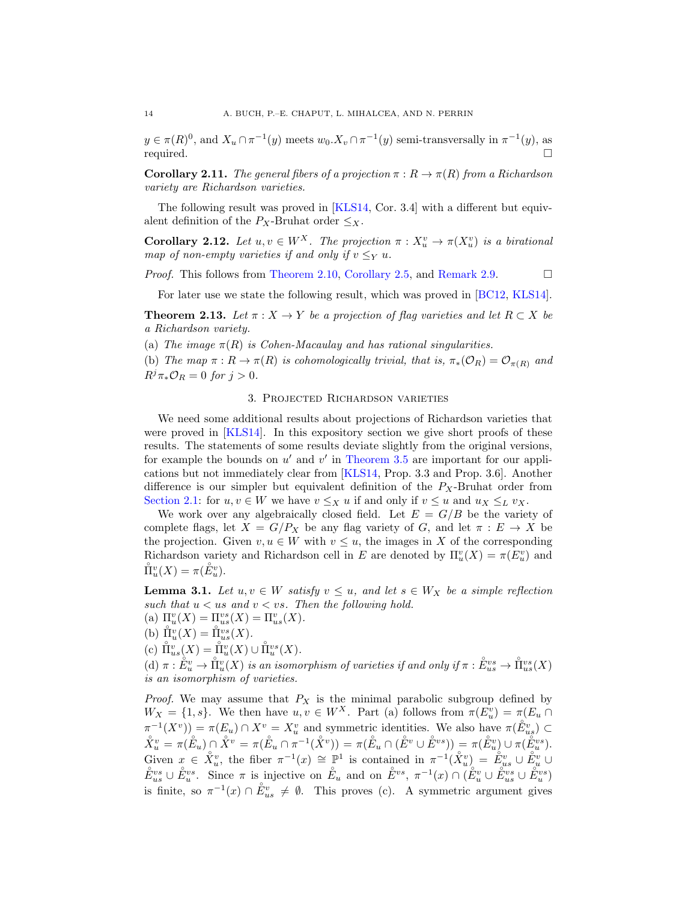$y \in \pi(R)^0$ , and  $X_u \cap \pi^{-1}(y)$  meets  $w_0 \cdot X_v \cap \pi^{-1}(y)$  semi-transversally in  $\pi^{-1}(y)$ , as required.

<span id="page-13-4"></span>**Corollary 2.11.** The general fibers of a projection  $\pi : R \to \pi(R)$  from a Richardson variety are Richardson varieties.

The following result was proved in [\[KLS14,](#page-63-10) Cor. 3.4] with a different but equivalent definition of the  $P_X$ -Bruhat order  $\leq_X$ .

<span id="page-13-1"></span>**Corollary 2.12.** Let  $u, v \in W^X$ . The projection  $\pi : X_u^v \to \pi(X_u^v)$  is a birational map of non-empty varieties if and only if  $v \leq_Y u$ .

*Proof.* This follows from [Theorem 2.10,](#page-12-0) [Corollary 2.5,](#page-10-1) and [Remark 2.9.](#page-12-1)  $\Box$ 

For later use we state the following result, which was proved in [\[BC12,](#page-61-5) [KLS14\]](#page-63-10).

<span id="page-13-3"></span>**Theorem 2.13.** Let  $\pi$  :  $X \to Y$  be a projection of flag varieties and let  $R \subset X$  be a Richardson variety.

(a) The image  $\pi(R)$  is Cohen-Macaulay and has rational singularities.

(b) The map  $\pi : R \to \pi(R)$  is cohomologically trivial, that is,  $\pi_*(\mathcal{O}_R) = \mathcal{O}_{\pi(R)}$  and  $R^j\pi_*\mathcal{O}_R=0$  for  $j>0$ .

#### 3. Projected Richardson varieties

<span id="page-13-0"></span>We need some additional results about projections of Richardson varieties that were proved in [\[KLS14\]](#page-63-10). In this expository section we give short proofs of these results. The statements of some results deviate slightly from the original versions, for example the bounds on  $u'$  and  $v'$  in [Theorem 3.5](#page-15-1) are important for our applications but not immediately clear from [\[KLS14,](#page-63-10) Prop. 3.3 and Prop. 3.6]. Another difference is our simpler but equivalent definition of the  $P_X$ -Bruhat order from [Section 2.1:](#page-7-0) for  $u, v \in W$  we have  $v \leq_X u$  if and only if  $v \leq u$  and  $u_X \leq_L v_X$ .

We work over any algebraically closed field. Let  $E = G/B$  be the variety of complete flags, let  $X = G/P_X$  be any flag variety of G, and let  $\pi : E \to X$  be the projection. Given  $v, u \in W$  with  $v \leq u$ , the images in X of the corresponding Richardson variety and Richardson cell in E are denoted by  $\Pi_u^v(X) = \pi(E_u^v)$  and  $\mathring{\Pi}_{u}^{v}(X) = \pi(\mathring{E}_{u}^{v}).$ 

<span id="page-13-2"></span>**Lemma 3.1.** Let  $u, v \in W$  satisfy  $v \leq u$ , and let  $s \in W_X$  be a simple reflection such that  $u < us$  and  $v < vs.$  Then the following hold.

- (a)  $\Pi_{u}^{v}(X) = \Pi_{us}^{vs}(X) = \Pi_{us}^{v}(X)$ .
- (b)  $\prod_{u=1}^{\infty} X(u) = \prod_{u=1}^{\infty} Y(u)$ .
- (c)  $\mathring{\Pi}_{us}^{v}(X) = \mathring{\Pi}_{u}^{v}(X) \cup \mathring{\Pi}_{u}^{vs}(X).$

(d)  $\pi : \overset{\circ}{E}_{u}^{v} \to \overset{\circ}{\Pi}_{u}^{v}(X)$  is an isomorphism of varieties if and only if  $\pi : \overset{\circ}{E}_{us}^{vs} \to \overset{\circ}{\Pi}_{us}^{vs}(X)$ is an isomorphism of varieties.

*Proof.* We may assume that  $P_X$  is the minimal parabolic subgroup defined by  $W_X = \{1, s\}$ . We then have  $u, v \in W^X$ . Part (a) follows from  $\pi(E_u^v) = \pi(E_u \cap$  $\pi^{-1}(X^v) = \pi(E_u) \cap X^v = X_u^v$  and symmetric identities. We also have  $\pi(\mathring{E}_{us}^v) \subset$  $\mathring{X}^v_u = \pi(\mathring{E}_u) \cap \mathring{X}^v = \pi(\mathring{E}_u \cap \pi^{-1}(\mathring{X}^v)) = \pi(\mathring{E}_u \cap (\mathring{E}^v \cup \mathring{E}^{vs})) = \pi(\mathring{E}^v_u) \cup \pi(\mathring{E}^{vs}_u).$ Given  $x \in \mathring{X}_u^v$ , the fiber  $\pi^{-1}(x) \cong \mathbb{P}^1$  is contained in  $\pi^{-1}(\mathring{X}_u^v) = \mathring{E}_{us}^v \cup \mathring{E}_u^v \cup$  $\mathring{E}_{us}^{vs} \cup \mathring{E}_{u}^{vs}$ . Since  $\pi$  is injective on  $\mathring{E}_{u}$  and on  $\mathring{E}_{v}^{vs}$ ,  $\pi^{-1}(x) \cap (\mathring{E}_{u}^{v} \cup \mathring{E}_{us}^{vs} \cup \mathring{E}_{u}^{vs})$ is finite, so  $\pi^{-1}(x) \cap \mathring{E}_{us}^v \neq \emptyset$ . This proves (c). A symmetric argument gives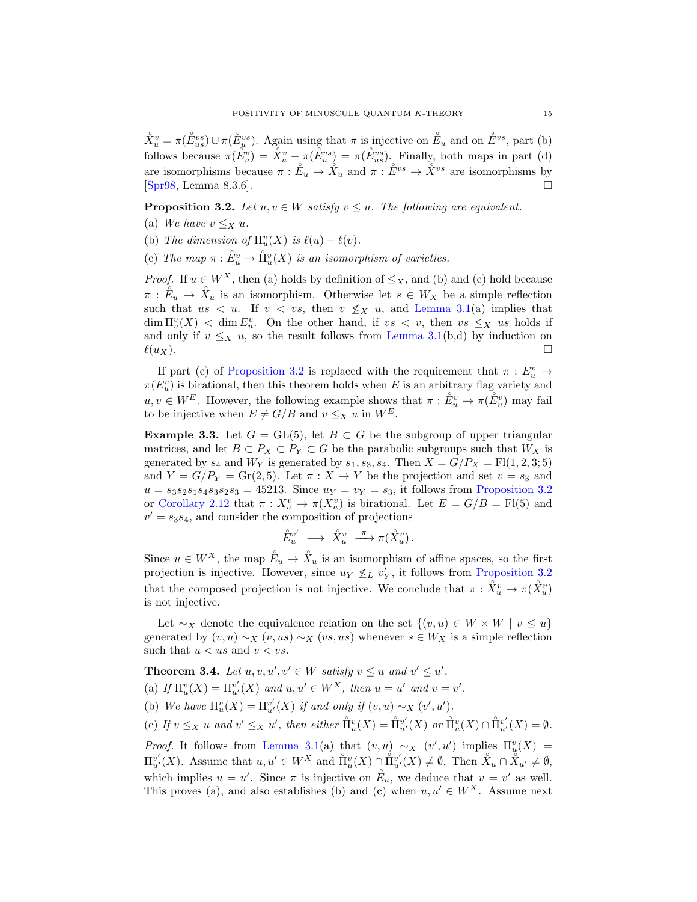$\mathring{X}_u^v = \pi(\mathring{E}_{us}^{vs}) \cup \pi(\mathring{E}_{u}^{vs})$ . Again using that  $\pi$  is injective on  $\mathring{E}_u$  and on  $\mathring{E}^{vs}$ , part (b) follows because  $\pi(\tilde{E}_u^v) = \tilde{X}_u^v - \pi(\tilde{E}_u^{vs}) = \pi(\tilde{E}_{us}^{vs})$ . Finally, both maps in part (d) are isomorphisms because  $\pi : \mathring{E}_u \to \mathring{X}_u$  and  $\pi : \mathring{E}^{vs} \to \mathring{X}^{vs}$  are isomorphisms by [\[Spr98,](#page-63-12) Lemma 8.3.6].

<span id="page-14-0"></span>**Proposition 3.2.** Let  $u, v \in W$  satisfy  $v \leq u$ . The following are equivalent.

- (a) We have  $v \leq_X u$ .
- (b) The dimension of  $\Pi_u^v(X)$  is  $\ell(u) \ell(v)$ .
- (c) The map  $\pi : \overset{\circ}{E}^v_u \to \overset{\circ}{\Pi}^v_u(X)$  is an isomorphism of varieties.

*Proof.* If  $u \in W^X$ , then (a) holds by definition of  $\leq_X$ , and (b) and (c) hold because  $\pi : \mathring{E}_u \to \mathring{X}_u$  is an isomorphism. Otherwise let  $s \in W_X$  be a simple reflection such that  $us < u$ . If  $v < vs$ , then  $v \nleq_X u$ , and [Lemma 3.1\(](#page-13-2)a) implies that  $\dim \Pi_u^v(X) < \dim E_u^v$ . On the other hand, if  $vs < v$ , then  $vs \leq_X us$  holds if and only if  $v \leq_X u$ , so the result follows from [Lemma 3.1\(](#page-13-2)b,d) by induction on  $\ell(u_X)$ .

If part (c) of [Proposition 3.2](#page-14-0) is replaced with the requirement that  $\pi : E_u^v \to$  $\pi(E_u^v)$  is birational, then this theorem holds when E is an arbitrary flag variety and  $u, v \in W^E$ . However, the following example shows that  $\pi : \overset{\circ}{E_u^v} \to \pi(\overset{\circ}{E_u^v})$  may fail to be injective when  $E \neq G/B$  and  $v \leq_X u$  in  $W^E$ .

**Example 3.3.** Let  $G = GL(5)$ , let  $B \subset G$  be the subgroup of upper triangular matrices, and let  $B \subset P_X \subset P_Y \subset G$  be the parabolic subgroups such that  $W_X$  is generated by  $s_4$  and  $W_Y$  is generated by  $s_1, s_3, s_4$ . Then  $X = G/P_X = \text{Fl}(1, 2, 3; 5)$ and  $Y = G/P_Y = \text{Gr}(2, 5)$ . Let  $\pi : X \to Y$  be the projection and set  $v = s_3$  and  $u = s_3 s_2 s_1 s_4 s_3 s_2 s_3 = 45213$ . Since  $u_Y = v_Y = s_3$ , it follows from [Proposition 3.2](#page-14-0) or [Corollary 2.12](#page-13-1) that  $\pi: X_u^v \to \pi(X_u^v)$  is birational. Let  $E = G/B = \text{Fl}(5)$  and  $v' = s_3s_4$ , and consider the composition of projections

$$
\hat{E}_u^{v'} \longrightarrow \overset{\circ}{X}_u^v \longrightarrow \pi(\overset{\circ}{X}_u^v).
$$

Since  $u \in W^X$ , the map  $\overset{\circ}{E}_u \to \overset{\circ}{X}_u$  is an isomorphism of affine spaces, so the first projection is injective. However, since  $u_Y \nleq_L v'_Y$ , it follows from [Proposition 3.2](#page-14-0) that the composed projection is not injective. We conclude that  $\pi : \overset{\circ}{X_u^v} \to \pi(\overset{\circ}{X_u^v})$ is not injective.

Let  $\sim_X$  denote the equivalence relation on the set  $\{(v, u) \in W \times W \mid v \leq u\}$ generated by  $(v, u) \sim_X (v, us) \sim_X (vs, us)$  whenever  $s \in W_X$  is a simple reflection such that  $u < us$  and  $v < vs$ .

<span id="page-14-1"></span>**Theorem 3.4.** Let  $u, v, u', v' \in W$  satisfy  $v \leq u$  and  $v' \leq u'$ . (a) If  $\Pi_u^v(X) = \Pi_{u'}^{v'}(X)$  and  $u, u' \in W^X$ , then  $u = u'$  and  $v = v'$ . (b) We have  $\Pi_u^v(X) = \Pi_{u'}^{v'}(X)$  if and only if  $(v, u) \sim_X (v', u')$ .

(c) If  $v \leq_X u$  and  $v' \leq_X u'$ , then either  $\mathring{\Pi}_u^v(X) = \mathring{\Pi}_{u'}^{v'}(X)$  or  $\mathring{\Pi}_u^v(X) \cap \mathring{\Pi}_{u'}^{v'}(X) = \emptyset$ .

*Proof.* It follows from [Lemma 3.1\(](#page-13-2)a) that  $(v, u) \sim_X (v', u')$  implies  $\Pi_u^v(X) =$  $\Pi_{u'}^{v'}(X)$ . Assume that  $u, u' \in W^X$  and  $\mathring{\Pi}_{u}^{v}(X) \cap \mathring{\Pi}_{u'}^{v'}(X) \neq \emptyset$ . Then  $\mathring{X}_u \cap \mathring{X}_{u'} \neq \emptyset$ , which implies  $u = u'$ . Since  $\pi$  is injective on  $\mathring{E}_u$ , we deduce that  $v = v'$  as well. This proves (a), and also establishes (b) and (c) when  $u, u' \in W^X$ . Assume next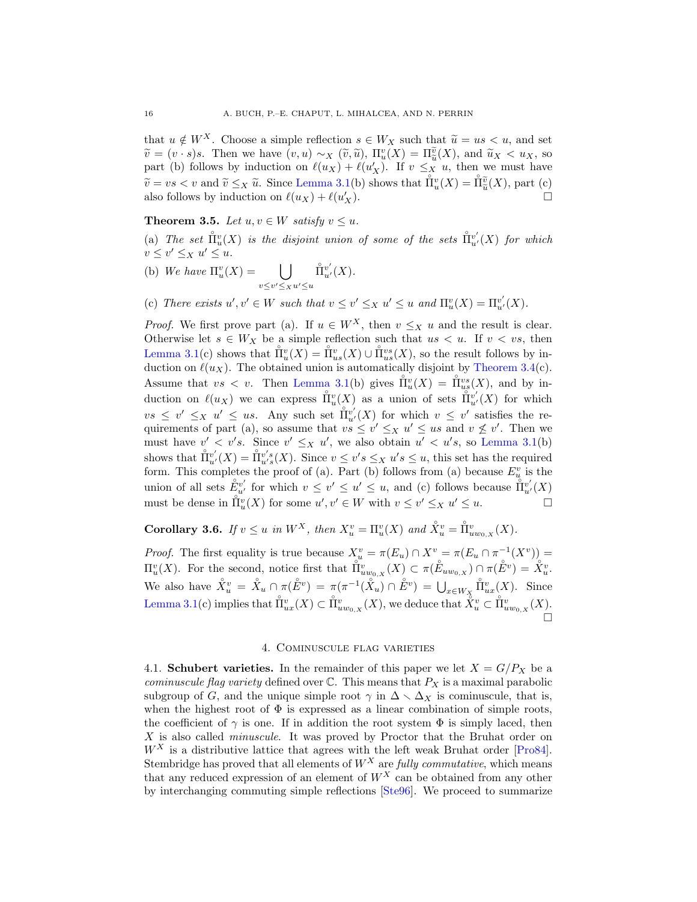that  $u \notin W^X$ . Choose a simple reflection  $s \in W_X$  such that  $\tilde{u} = us < u$ , and set  $\widetilde{v} = (v \cdot s)s$ . Then we have  $(v, u) \sim_X (\widetilde{v}, \widetilde{u})$ ,  $\Pi_u^v(X) = \Pi_u^{\widetilde{u}}(X)$ , and  $\widetilde{u}_X < u_X$ , so next (b) follows by induction on  $\ell(u_X)$ ,  $\ell(u_X)$ , If  $v \leq u$ , then we must have  $v = (v \cdot s)s$ . Then we have  $(v, u) \sim_X (v, u)$ ,  $\Pi_u(X) = \Pi_{\tilde{u}}(X)$ , and  $u_X \le u_X$ , so<br>part (b) follows by induction on  $\ell(u_X) + \ell(u'_X)$ . If  $v \leq_X u$ , then we must have  $\widetilde{v} = vs < v$  and  $\widetilde{v} \leq_X \widetilde{u}$ . Since [Lemma 3.1\(](#page-13-2)b) shows that  $\check{\Pi}_u^v(X) = \check{\Pi}_u^{\widetilde{v}}(X)$ , part (c) also follows by induction on  $\ell(ux) + \ell(u')$ also follows by induction on  $\ell(u_X) + \ell(u'_X)$  $\frac{d}{dx}$ ).

# <span id="page-15-1"></span>**Theorem 3.5.** Let  $u, v \in W$  satisfy  $v \leq u$ .

(a) The set  $\mathring{\Pi}_{u}^{v}(X)$  is the disjoint union of some of the sets  $\mathring{\Pi}_{u'}^{v'}(X)$  for which  $v \leq v' \leq_X u' \leq u.$ 

- (b) We have  $\Pi_u^v(X) = \bigcup$  $v \leq v' \leq x u' \leq u$  $\mathring{\Pi}_{u'}^{v'}(X)$ .
- (c) There exists  $u', v' \in W$  such that  $v \leq v' \leq_X u' \leq u$  and  $\Pi_u^v(X) = \Pi_{u'}^{v'}(X)$ .

*Proof.* We first prove part (a). If  $u \in W^X$ , then  $v \leq_X u$  and the result is clear. Otherwise let  $s \in W_X$  be a simple reflection such that  $us < u$ . If  $v < vs$ , then [Lemma 3.1\(](#page-13-2)c) shows that  $\mathring{\Pi}_{u}^{v}(X) = \mathring{\Pi}_{us}^{v}(X) \cup \mathring{\Pi}_{us}^{vs}(X)$ , so the result follows by induction on  $\ell(u_X)$ . The obtained union is automatically disjoint by [Theorem 3.4\(](#page-14-1)c). Assume that  $vs < v$ . Then [Lemma 3.1\(](#page-13-2)b) gives  $\mathring{\Pi}_{u}^{v}(X) = \mathring{\Pi}_{us}^{vs}(X)$ , and by induction on  $\ell(u_X)$  we can express  $\prod_{u=1}^{\infty} (X)$  as a union of sets  $\prod_{u=1}^{\infty} v'_X(x)$  for which  $vs \leq v' \leq_X u' \leq us$ . Any such set  $\mathring{\Pi}_{u'}^{v'}(X)$  for which  $v \leq v'$  satisfies the requirements of part (a), so assume that  $vs \leq v' \leq_X u' \leq us$  and  $v \nleq v'$ . Then we must have  $v' < v's$ . Since  $v' \leq_X u'$ , we also obtain  $u' < u's$ , so [Lemma 3.1\(](#page-13-2)b) shows that  $\mathring{\Pi}_{u'}^{v'}(X) = \mathring{\Pi}_{u's}^{v's}(X)$ . Since  $v \leq v's \leq_X u's \leq u$ , this set has the required form. This completes the proof of (a). Part (b) follows from (a) because  $E_u^v$  is the union of all sets  $\mathring{E}_{u'}^{v'}$  for which  $v \leq v' \leq u' \leq u$ , and (c) follows because  $\mathring{\Pi}_{u'}^{v'}(X)$ must be dense in  $\Pi_u^v(X)$  for some  $u', v' \in W$  with  $v \leq v' \leq_X u' \leq u$ .

<span id="page-15-2"></span>Corollary 3.6. If  $v \leq u$  in  $W^X$ , then  $X_u^v = \Pi_u^v(X)$  and  $\overset{\circ}{X}_u^v = \overset{\circ}{\Pi}_{uw_{0,X}}^v(X)$ .

*Proof.* The first equality is true because  $X_u^v = \pi(E_u) \cap X^v = \pi(E_u \cap \pi^{-1}(X^v)) =$  $\Pi_u^v(X)$ . For the second, notice first that  $\tilde{\Pi}_{uw_0,x}^v(X) \subset \pi(\mathring{E}_{uw_0,x}) \cap \pi(\mathring{E}^v) = \mathring{X}_u^v$ . We also have  $\mathring{X}_u^v = \mathring{X}_u \cap \pi(\mathring{E}^v) = \pi(\pi^{-1}(\mathring{X}_u) \cap \mathring{E}^v) = \bigcup_{x \in W_X}$  $\mathring{\Pi}_{ux}^v(X)$ . Since [Lemma 3.1\(](#page-13-2)c) implies that  $\mathring{\Pi}_{ux}^v(X) \subset \mathring{\Pi}_{uw_0, X}^v(X)$ , we deduce that  $\mathring{\widetilde{X}}_u^v \subset \mathring{\Pi}_{uw_0, X}^v(X)$ . 'n

### 4. Cominuscule flag varieties

<span id="page-15-0"></span>4.1. **Schubert varieties.** In the remainder of this paper we let  $X = G/P_X$  be a cominuscule flag variety defined over  $\mathbb C$ . This means that  $P_X$  is a maximal parabolic subgroup of G, and the unique simple root  $\gamma$  in  $\Delta \setminus \Delta_X$  is cominuscule, that is, when the highest root of  $\Phi$  is expressed as a linear combination of simple roots, the coefficient of  $\gamma$  is one. If in addition the root system  $\Phi$  is simply laced, then X is also called *minuscule*. It was proved by Proctor that the Bruhat order on  $W^X$  is a distributive lattice that agrees with the left weak Bruhat order [\[Pro84\]](#page-63-14). Stembridge has proved that all elements of  $W^X$  are *fully commutative*, which means that any reduced expression of an element of  $W^X$  can be obtained from any other by interchanging commuting simple reflections [\[Ste96\]](#page-64-2). We proceed to summarize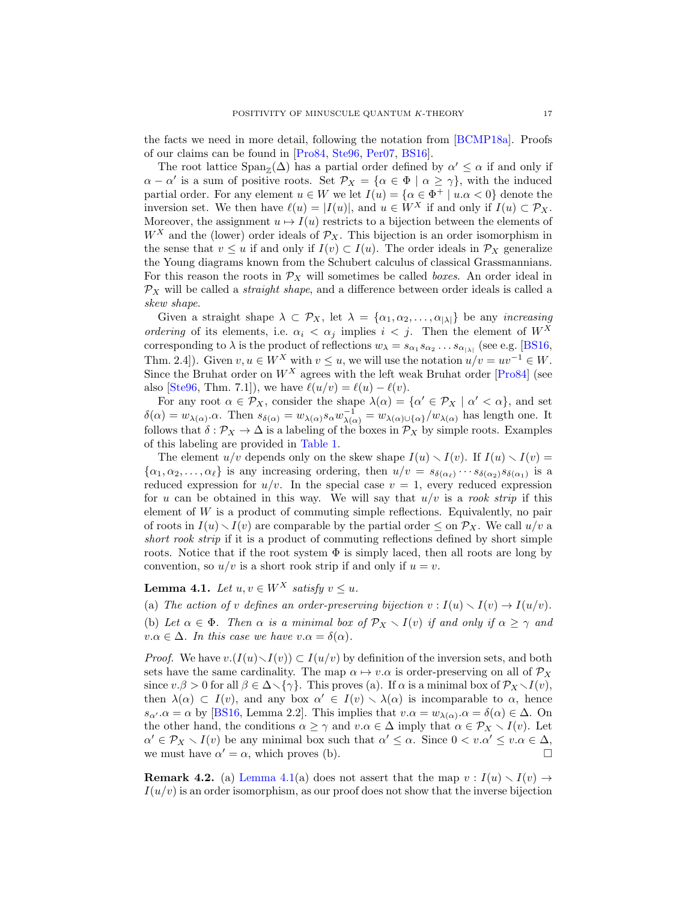the facts we need in more detail, following the notation from [\[BCMP18a\]](#page-62-1). Proofs of our claims can be found in [\[Pro84,](#page-63-14) [Ste96,](#page-64-2) [Per07,](#page-63-15) [BS16\]](#page-62-15).

The root lattice  $\text{Span}_{\mathbb{Z}}(\Delta)$  has a partial order defined by  $\alpha' \leq \alpha$  if and only if  $\alpha - \alpha'$  is a sum of positive roots. Set  $\mathcal{P}_X = {\alpha \in \Phi \mid \alpha \geq \gamma}$ , with the induced partial order. For any element  $u \in W$  we let  $I(u) = \{ \alpha \in \Phi^+ \mid u.\alpha < 0 \}$  denote the inversion set. We then have  $\ell(u) = |I(u)|$ , and  $u \in W^X$  if and only if  $I(u) \subset \mathcal{P}_X$ . Moreover, the assignment  $u \mapsto I(u)$  restricts to a bijection between the elements of  $W^X$  and the (lower) order ideals of  $\mathcal{P}_X$ . This bijection is an order isomorphism in the sense that  $v \leq u$  if and only if  $I(v) \subset I(u)$ . The order ideals in  $\mathcal{P}_X$  generalize the Young diagrams known from the Schubert calculus of classical Grassmannians. For this reason the roots in  $\mathcal{P}_X$  will sometimes be called *boxes*. An order ideal in  $\mathcal{P}_X$  will be called a *straight shape*, and a difference between order ideals is called a skew shape.

Given a straight shape  $\lambda \subset \mathcal{P}_X$ , let  $\lambda = {\alpha_1, \alpha_2, ..., \alpha_{|\lambda|}}$  be any *increasing* ordering of its elements, i.e.  $\alpha_i < \alpha_j$  implies  $i < j$ . Then the element of  $W^X$ corresponding to  $\lambda$  is the product of reflections  $w_{\lambda} = s_{\alpha_1} s_{\alpha_2} \dots s_{\alpha_{|\lambda|}}$  (see e.g. [\[BS16,](#page-62-15) Thm. 2.4]). Given  $v, u \in W^X$  with  $v \leq u$ , we will use the notation  $u/v = uv^{-1} \in W$ . Since the Bruhat order on  $W^X$  agrees with the left weak Bruhat order [\[Pro84\]](#page-63-14) (see also [\[Ste96,](#page-64-2) Thm. 7.1]), we have  $\ell(u/v) = \ell(u) - \ell(v)$ .

For any root  $\alpha \in \mathcal{P}_X$ , consider the shape  $\lambda(\alpha) = {\alpha' \in \mathcal{P}_X \mid \alpha' < \alpha}$ , and set  $\delta(\alpha) = w_{\lambda(\alpha)} \cdot \alpha$ . Then  $s_{\delta(\alpha)} = w_{\lambda(\alpha)} s_{\alpha} w_{\lambda(\alpha)}^{-1} = w_{\lambda(\alpha) \cup {\alpha}} / w_{\lambda(\alpha)}$  has length one. It follows that  $\delta : \mathcal{P}_X \to \Delta$  is a labeling of the boxes in  $\mathcal{P}_X$  by simple roots. Examples of this labeling are provided in [Table 1.](#page-17-0)

The element  $u/v$  depends only on the skew shape  $I(u) \setminus I(v)$ . If  $I(u) \setminus I(v) =$  $\{\alpha_1, \alpha_2, \ldots, \alpha_\ell\}$  is any increasing ordering, then  $u/v = s_{\delta(\alpha_\ell)} \cdots s_{\delta(\alpha_2)} s_{\delta(\alpha_1)}$  is a reduced expression for  $u/v$ . In the special case  $v = 1$ , every reduced expression for u can be obtained in this way. We will say that  $u/v$  is a rook strip if this element of W is a product of commuting simple reflections. Equivalently, no pair of roots in  $I(u) \setminus I(v)$  are comparable by the partial order  $\leq$  on  $\mathcal{P}_X$ . We call  $u/v$  a short rook strip if it is a product of commuting reflections defined by short simple roots. Notice that if the root system  $\Phi$  is simply laced, then all roots are long by convention, so  $u/v$  is a short rook strip if and only if  $u = v$ .

<span id="page-16-0"></span>**Lemma 4.1.** Let  $u, v \in W^X$  satisfy  $v \leq u$ .

(a) The action of v defines an order-preserving bijection  $v : I(u) \setminus I(v) \to I(u/v)$ . (b) Let  $\alpha \in \Phi$ . Then  $\alpha$  is a minimal box of  $\mathcal{P}_X \setminus I(v)$  if and only if  $\alpha \geq \gamma$  and  $v.\alpha \in \Delta$ . In this case we have  $v.\alpha = \delta(\alpha)$ .

*Proof.* We have  $v(I(u)\setminus I(v)) \subset I(u/v)$  by definition of the inversion sets, and both sets have the same cardinality. The map  $\alpha \mapsto v.\alpha$  is order-preserving on all of  $\mathcal{P}_X$ since  $v.\beta > 0$  for all  $\beta \in \Delta \setminus {\gamma}$ . This proves (a). If  $\alpha$  is a minimal box of  $\mathcal{P}_X \setminus I(v)$ , then  $\lambda(\alpha) \subset I(v)$ , and any box  $\alpha' \in I(v) \setminus \lambda(\alpha)$  is incomparable to  $\alpha$ , hence  $s_{\alpha'} \cdot \alpha = \alpha$  by [\[BS16,](#page-62-15) Lemma 2.2]. This implies that  $v \cdot \alpha = w_{\lambda(\alpha)} \cdot \alpha = \delta(\alpha) \in \Delta$ . On the other hand, the conditions  $\alpha \geq \gamma$  and  $v.\alpha \in \Delta$  imply that  $\alpha \in \mathcal{P}_X \setminus I(v)$ . Let  $\alpha' \in \mathcal{P}_X \setminus I(v)$  be any minimal box such that  $\alpha' \leq \alpha$ . Since  $0 < v.\alpha' \leq v.\alpha \in \Delta$ , we must have  $\alpha' = \alpha$ , which proves (b).

<span id="page-16-1"></span>**Remark 4.2.** (a) [Lemma 4.1\(](#page-16-0)a) does not assert that the map  $v : I(u) \setminus I(v) \rightarrow$  $I(u/v)$  is an order isomorphism, as our proof does not show that the inverse bijection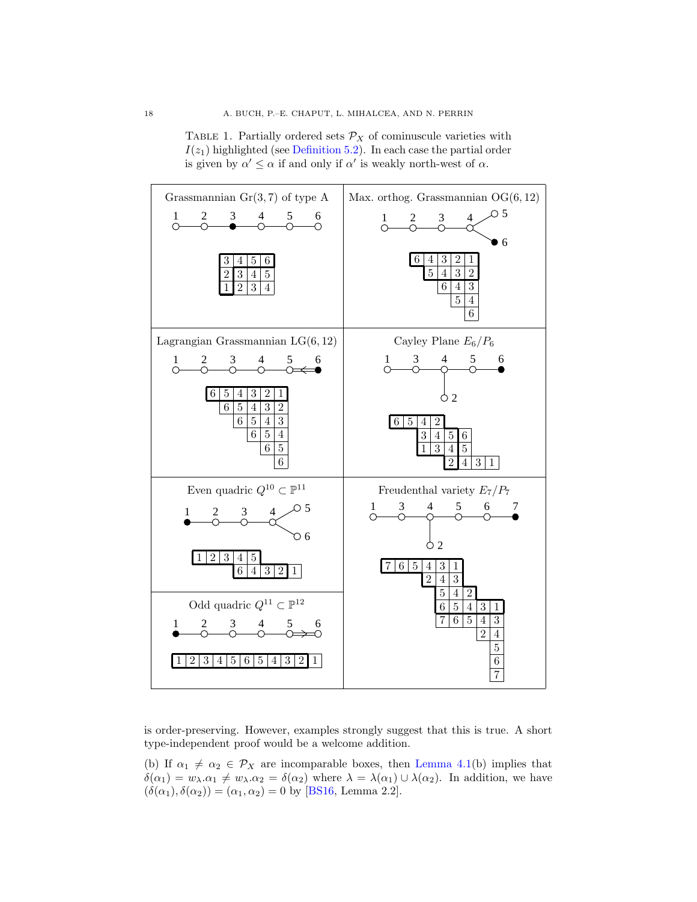<span id="page-17-0"></span>



is order-preserving. However, examples strongly suggest that this is true. A short type-independent proof would be a welcome addition.

(b) If  $\alpha_1 \neq \alpha_2 \in \mathcal{P}_X$  are incomparable boxes, then [Lemma 4.1\(](#page-16-0)b) implies that  $\delta(\alpha_1) = w_\lambda \cdot \alpha_1 \neq w_\lambda \cdot \alpha_2 = \delta(\alpha_2)$  where  $\lambda = \lambda(\alpha_1) \cup \lambda(\alpha_2)$ . In addition, we have  $(\delta(\alpha_1), \delta(\alpha_2)) = (\alpha_1, \alpha_2) = 0$  by [\[BS16,](#page-62-15) Lemma 2.2].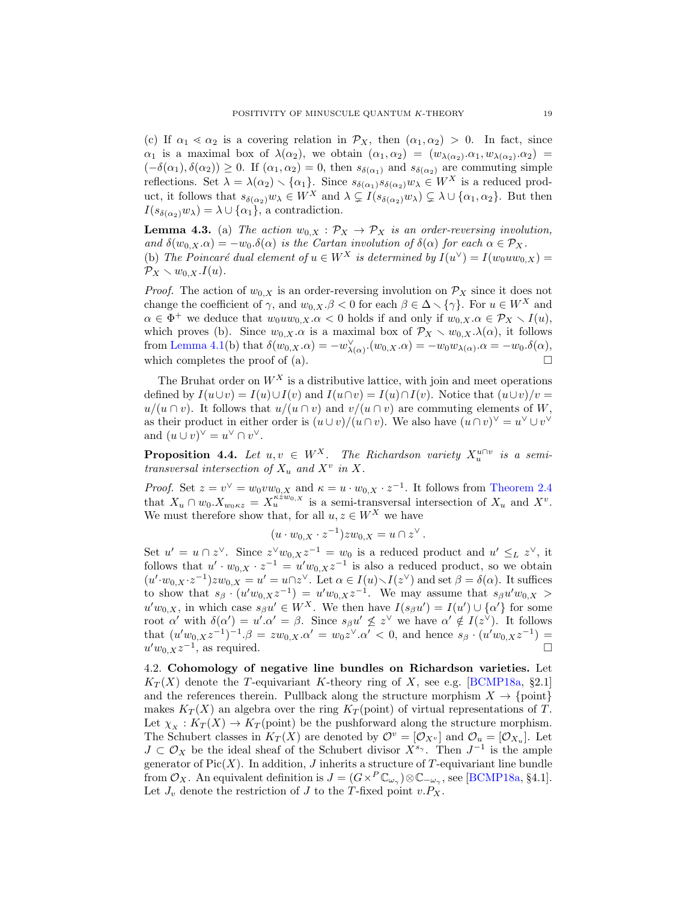(c) If  $\alpha_1 \ll \alpha_2$  is a covering relation in  $\mathcal{P}_X$ , then  $(\alpha_1, \alpha_2) > 0$ . In fact, since  $\alpha_1$  is a maximal box of  $\lambda(\alpha_2)$ , we obtain  $(\alpha_1, \alpha_2) = (w_{\lambda(\alpha_2)} \ldots w_{\lambda(\alpha_2)} \ldots \alpha_2) =$  $(-\delta(\alpha_1), \delta(\alpha_2)) \geq 0$ . If  $(\alpha_1, \alpha_2) = 0$ , then  $s_{\delta(\alpha_1)}$  and  $s_{\delta(\alpha_2)}$  are commuting simple reflections. Set  $\lambda = \lambda(\alpha_2) \setminus {\alpha_1}$ . Since  $s_{\delta(\alpha_1)} s_{\delta(\alpha_2)} w_\lambda \in W^X$  is a reduced product, it follows that  $s_{\delta(\alpha_2)}w_\lambda \in W^X$  and  $\lambda \subsetneq I(s_{\delta(\alpha_2)}w_\lambda) \subsetneq \lambda \cup \{\alpha_1,\alpha_2\}$ . But then  $I(s_{\delta(\alpha_2)}w_\lambda) = \lambda \cup \{\alpha_1\}$ , a contradiction.

<span id="page-18-2"></span>**Lemma 4.3.** (a) The action  $w_{0,X} : \mathcal{P}_X \to \mathcal{P}_X$  is an order-reversing involution, and  $\delta(w_{0,X}.\alpha) = -w_0.\delta(\alpha)$  is the Cartan involution of  $\delta(\alpha)$  for each  $\alpha \in \mathcal{P}_X$ . (b) The Poincaré dual element of  $u \in W^X$  is determined by  $I(u^{\vee}) = I(w_0uw_{0,X}) =$  $\mathcal{P}_X \setminus w_{0,X}.I(u).$ 

*Proof.* The action of  $w_{0,X}$  is an order-reversing involution on  $\mathcal{P}_X$  since it does not change the coefficient of  $\gamma$ , and  $w_{0,X}$ . $\beta < 0$  for each  $\beta \in \Delta \setminus {\gamma}$ . For  $u \in W^X$  and  $\alpha \in \Phi^+$  we deduce that  $w_0uw_{0,X}.\alpha < 0$  holds if and only if  $w_{0,X}.\alpha \in \mathcal{P}_X \setminus I(u)$ , which proves (b). Since  $w_{0,X} \alpha$  is a maximal box of  $\mathcal{P}_X \setminus w_{0,X}.\lambda(\alpha)$ , it follows from [Lemma 4.1\(](#page-16-0)b) that  $\delta(w_{0,X} \cdot \alpha) = -w_{\lambda(\alpha)}^{\vee} \cdot (w_{0,X} \cdot \alpha) = -w_0 w_{\lambda(\alpha)} \cdot \alpha = -w_0 \cdot \delta(\alpha),$ which completes the proof of (a).  $\Box$ 

The Bruhat order on  $W^X$  is a distributive lattice, with join and meet operations defined by  $I(u\cup v) = I(u)\cup I(v)$  and  $I(u\cap v) = I(u)\cap I(v)$ . Notice that  $(u\cup v)/v =$  $u/(u \cap v)$ . It follows that  $u/(u \cap v)$  and  $v/(u \cap v)$  are commuting elements of W, as their product in either order is  $(u\cup v)/(u\cap v)$ . We also have  $(u\cap v)^{\vee}=u^{\vee}\cup v^{\vee}$ and  $(u \cup v)^{\vee} = u^{\vee} \cap v^{\vee}$ .

<span id="page-18-0"></span>**Proposition 4.4.** Let  $u, v \in W^X$ . The Richardson variety  $X_u^{u \cap v}$  is a semitransversal intersection of  $X_u$  and  $X^v$  in X.

*Proof.* Set  $z = v^{\vee} = w_0 v w_{0,X}$  and  $\kappa = u \cdot w_{0,X} \cdot z^{-1}$ . It follows from [Theorem 2.4](#page-10-0) that  $X_u \cap w_0 \cdot X_{w_0 \kappa z} = X_u^{\kappa z w_0, x}$  is a semi-transversal intersection of  $X_u$  and  $X^v$ . We must therefore show that, for all  $u, z \in W^X$  we have

$$
(u \cdot w_{0,X} \cdot z^{-1})zw_{0,X} = u \cap z^{\vee}.
$$

Set  $u' = u \cap z^{\vee}$ . Since  $z^{\vee}w_{0,X}z^{-1} = w_0$  is a reduced product and  $u' \leq_L z^{\vee}$ , it follows that  $u' \cdot w_{0,X} \cdot z^{-1} = u'w_{0,X}z^{-1}$  is also a reduced product, so we obtain  $(u' \cdot w_{0,X} \cdot z^{-1})zw_{0,X} = u' = u \cap z^{\vee}$ . Let  $\alpha \in I(u) \setminus I(z^{\vee})$  and set  $\beta = \delta(\alpha)$ . It suffices to show that  $s_{\beta} \cdot (u'w_{0,X}z^{-1}) = u'w_{0,X}z^{-1}$ . We may assume that  $s_{\beta}u'w_{0,X} >$  $u'w_{0,X}$ , in which case  $s_{\beta}u' \in W^X$ . We then have  $I(s_{\beta}u') = I(u') \cup {\alpha'}$  for some root  $\alpha'$  with  $\delta(\alpha') = u'.\alpha' = \beta$ . Since  $s_{\beta}u' \not\leq z^{\vee}$  we have  $\alpha' \notin I(z^{\vee})$ . It follows that  $(u'w_{0,X}z^{-1})^{-1}.\beta = zw_{0,X}.\alpha' = w_0z^{\vee}.\alpha' < 0$ , and hence  $s_{\beta} \cdot (u'w_{0,X}z^{-1}) =$  $u'w_{0,X}z^{-1}$ , as required.

<span id="page-18-1"></span>4.2. Cohomology of negative line bundles on Richardson varieties. Let  $K_T(X)$  denote the T-equivariant K-theory ring of X, see e.g. [\[BCMP18a,](#page-62-1) §2.1] and the references therein. Pullback along the structure morphism  $X \to \{\text{point}\}\$ makes  $K_T(X)$  an algebra over the ring  $K_T$  (point) of virtual representations of T. Let  $\chi_X : K_T(X) \to K_T$  (point) be the pushforward along the structure morphism. The Schubert classes in  $K_T(X)$  are denoted by  $\mathcal{O}^v = [\mathcal{O}_{X_v}]$  and  $\mathcal{O}_u = [\mathcal{O}_{X_u}]$ . Let  $J \subset \mathcal{O}_X$  be the ideal sheaf of the Schubert divisor  $X^{s_{\gamma}}$ . Then  $J^{-1}$  is the ample generator of  $Pic(X)$ . In addition, J inherits a structure of T-equivariant line bundle from  $\mathcal{O}_X$ . An equivalent definition is  $J = (G \times^P \mathbb{C}_{\omega_\gamma}) \otimes \mathbb{C}_{-\omega_\gamma}$ , see [\[BCMP18a,](#page-62-1) §4.1]. Let  $J_v$  denote the restriction of  $J$  to the T-fixed point  $v.P_X$ .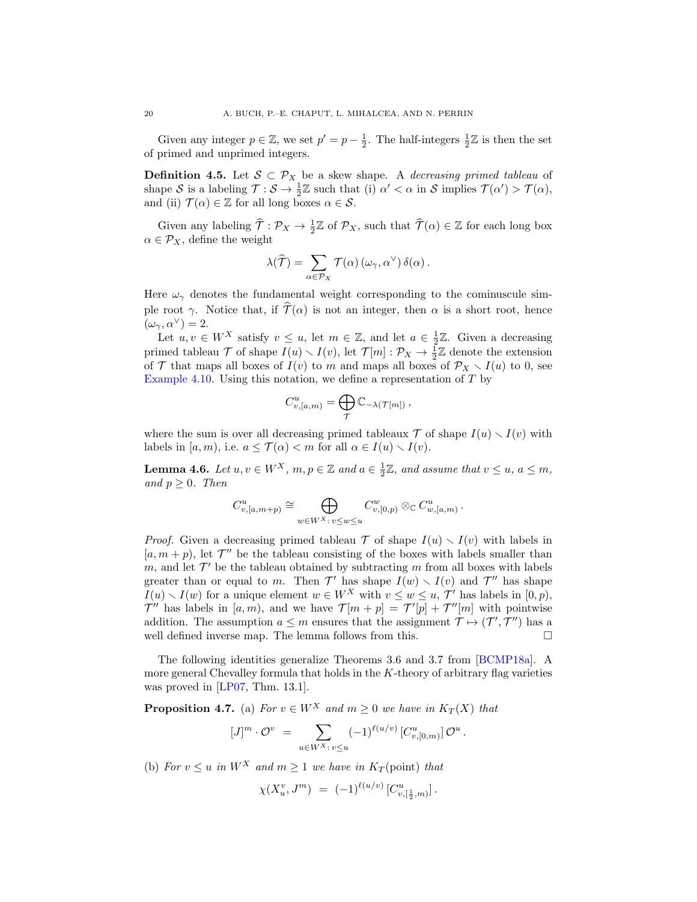Given any integer  $p \in \mathbb{Z}$ , we set  $p' = p - \frac{1}{2}$ . The half-integers  $\frac{1}{2}\mathbb{Z}$  is then the set of primed and unprimed integers.

**Definition 4.5.** Let  $S \subset \mathcal{P}_X$  be a skew shape. A decreasing primed tableau of shape S is a labeling  $\mathcal{T}: \mathcal{S} \to \frac{1}{2}\mathbb{Z}$  such that (i)  $\alpha' < \alpha$  in S implies  $\mathcal{T}(\alpha') > \mathcal{T}(\alpha)$ , and (ii)  $\mathcal{T}(\alpha) \in \mathbb{Z}$  for all long boxes  $\alpha \in \mathcal{S}$ .

Given any labeling  $\hat{\mathcal{T}} : \mathcal{P}_X \to \frac{1}{2}\mathbb{Z}$  of  $\mathcal{P}_X$ , such that  $\hat{\mathcal{T}}(\alpha) \in \mathbb{Z}$  for each long box  $\alpha \in \mathcal{P}_X$ , define the weight

$$
\lambda(\widehat{\mathcal{T}}) = \sum_{\alpha \in \mathcal{P}_X} \mathcal{T}(\alpha) \left( \omega_\gamma, \alpha^\vee \right) \delta(\alpha).
$$

Here  $\omega_{\gamma}$  denotes the fundamental weight corresponding to the cominuscule simple root  $\gamma$ . Notice that, if  $\widehat{\mathcal{T}}(\alpha)$  is not an integer, then  $\alpha$  is a short root, hence  $(\omega_{\gamma}, \alpha^{\vee}) = 2.$ 

Let  $u, v \in W^X$  satisfy  $v \leq u$ , let  $m \in \mathbb{Z}$ , and let  $a \in \frac{1}{2}\mathbb{Z}$ . Given a decreasing primed tableau  $\mathcal T$  of shape  $I(u) \setminus I(v)$ , let  $\mathcal T[m] : \mathcal P_X \to \frac{1}{2}\mathbb Z$  denote the extension of T that maps all boxes of  $I(v)$  to m and maps all boxes of  $\mathcal{P}_X \setminus I(u)$  to 0, see [Example 4.10.](#page-20-1) Using this notation, we define a representation of  $T$  by

$$
C_{v,[a,m)}^u = \bigoplus_{\mathcal{T}} \mathbb{C}_{-\lambda(\mathcal{T}[m])},
$$

where the sum is over all decreasing primed tableaux  $\mathcal T$  of shape  $I(u) \setminus I(v)$  with labels in  $[a, m)$ , i.e.  $a \leq \mathcal{T}(\alpha) < m$  for all  $\alpha \in I(u) \setminus I(v)$ .

<span id="page-19-0"></span>**Lemma 4.6.** Let  $u, v \in W^X$ ,  $m, p \in \mathbb{Z}$  and  $a \in \frac{1}{2}\mathbb{Z}$ , and assume that  $v \le u, a \le m$ , and  $p \geq 0$ . Then

$$
C_{v,[a,m+p)}^u \cong \bigoplus_{w \in W^X : v \leq w \leq u} C_{v,[0,p)}^w \otimes_{\mathbb{C}} C_{w,[a,m)}^u.
$$

*Proof.* Given a decreasing primed tableau  $\mathcal{T}$  of shape  $I(u) \setminus I(v)$  with labels in  $[a, m + p)$ , let  $\mathcal{T}''$  be the tableau consisting of the boxes with labels smaller than m, and let  $\mathcal{T}'$  be the tableau obtained by subtracting m from all boxes with labels greater than or equal to m. Then  $\mathcal{T}'$  has shape  $I(w) \setminus I(v)$  and  $\mathcal{T}''$  has shape  $I(u) \setminus I(w)$  for a unique element  $w \in W^X$  with  $v \leq w \leq u, \mathcal{T}'$  has labels in  $[0, p)$ ,  $\mathcal{T}''$  has labels in [a, m), and we have  $\mathcal{T}[m + p] = \mathcal{T}'[p] + \mathcal{T}''[m]$  with pointwise addition. The assumption  $a \leq m$  ensures that the assignment  $\mathcal{T} \mapsto (\mathcal{T}', \mathcal{T}'')$  has a well defined inverse map. The lemma follows from this.  $\square$ 

The following identities generalize Theorems 3.6 and 3.7 from [\[BCMP18a\]](#page-62-1). A more general Chevalley formula that holds in the K-theory of arbitrary flag varieties was proved in [\[LP07,](#page-63-16) Thm. 13.1].

<span id="page-19-1"></span>**Proposition 4.7.** (a) For  $v \in W^X$  and  $m \geq 0$  we have in  $K_T(X)$  that

$$
[J]^m \cdot \mathcal{O}^v \ = \ \sum_{u \in W^X : \, v \le u} (-1)^{\ell(u/v)} \, [C^u_{v,[0,m)}] \, \mathcal{O}^u \, .
$$

(b) For  $v \leq u$  in  $W^X$  and  $m \geq 1$  we have in  $K_T$  (point) that

$$
\chi(X_u^v, J^m) \ = \ (-1)^{\ell(u/v)} \left[ C_{v, \left[\frac{1}{2}, m\right]}^u \right].
$$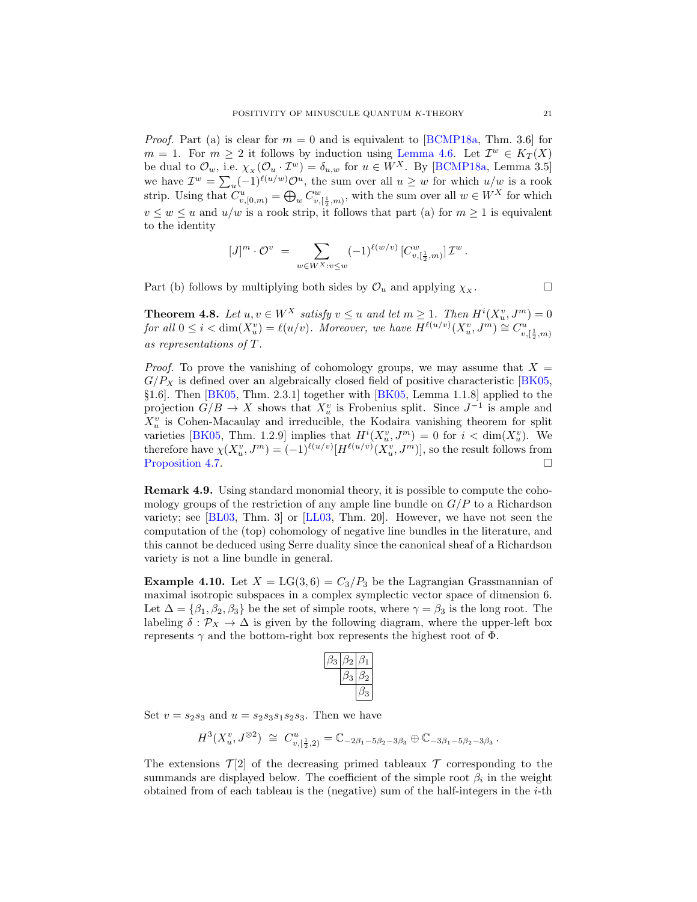*Proof.* Part (a) is clear for  $m = 0$  and is equivalent to [\[BCMP18a,](#page-62-1) Thm. 3.6] for  $m = 1$ . For  $m \geq 2$  it follows by induction using [Lemma 4.6.](#page-19-0) Let  $\mathcal{I}^w \in K_T(X)$ be dual to  $\mathcal{O}_w$ , i.e.  $\chi_X(\mathcal{O}_u \cdot \mathcal{I}^w) = \delta_{u,w}$  for  $u \in W^X$ . By [\[BCMP18a,](#page-62-1) Lemma 3.5] we have  $\mathcal{I}^w = \sum_u (-1)^{\ell(u/w)} \mathcal{O}^u$ , the sum over all  $u \geq w$  for which  $u/w$  is a rook strip. Using that  $C_{v,[0,m)}^u = \bigoplus_w C_{v,[\frac{1}{2},m)}^w$ , with the sum over all  $w \in W^X$  for which  $v \leq w \leq u$  and  $u/w$  is a rook strip, it follows that part (a) for  $m \geq 1$  is equivalent to the identity

$$
[J]^m\cdot{\mathcal O}^v\;=\;\sum_{w\in W^X:v\leq w}(-1)^{\ell(w/v)}\,[C^w_{v,[\frac{1}{2},m)}]\,{\mathcal I}^w\,.
$$

Part (b) follows by multiplying both sides by  $\mathcal{O}_u$  and applying  $\chi_x$ .

<span id="page-20-0"></span>**Theorem 4.8.** Let  $u, v \in W^X$  satisfy  $v \leq u$  and let  $m \geq 1$ . Then  $H^i(X_u^v, J^m) = 0$ for all  $0 \leq i < \dim(X_u^v) = \ell(u/v)$ . Moreover, we have  $H^{\ell(u/v)}(X_u^v, J^m) \cong C_{v, \lfloor \frac{1}{2}, m \rfloor}^{u'}$ as representations of T.

*Proof.* To prove the vanishing of cohomology groups, we may assume that  $X =$  $G/P_X$  is defined over an algebraically closed field of positive characteristic [\[BK05,](#page-62-13) §1.6]. Then [\[BK05,](#page-62-13) Thm. 2.3.1] together with [\[BK05,](#page-62-13) Lemma 1.1.8] applied to the projection  $G/B \to X$  shows that  $X_u^v$  is Frobenius split. Since  $J^{-1}$  is ample and  $X_u^v$  is Cohen-Macaulay and irreducible, the Kodaira vanishing theorem for split varieties [\[BK05,](#page-62-13) Thm. 1.2.9] implies that  $H^{i}(X_{u}^{v}, J^{m}) = 0$  for  $i < \dim(X_{u}^{v})$ . We therefore have  $\chi(X_u^v, J^m) = (-1)^{\ell(u/v)} [H^{\ell(u/v)}(X_u^v, J^m)]$ , so the result follows from [Proposition 4.7.](#page-19-1)

Remark 4.9. Using standard monomial theory, it is possible to compute the cohomology groups of the restriction of any ample line bundle on  $G/P$  to a Richardson variety; see [\[BL03,](#page-62-16) Thm. 3] or [\[LL03,](#page-63-17) Thm. 20]. However, we have not seen the computation of the (top) cohomology of negative line bundles in the literature, and this cannot be deduced using Serre duality since the canonical sheaf of a Richardson variety is not a line bundle in general.

<span id="page-20-1"></span>**Example 4.10.** Let  $X = LG(3, 6) = C_3/P_3$  be the Lagrangian Grassmannian of maximal isotropic subspaces in a complex symplectic vector space of dimension 6. Let  $\Delta = {\beta_1, \beta_2, \beta_3}$  be the set of simple roots, where  $\gamma = \beta_3$  is the long root. The labeling  $\delta : \mathcal{P}_X \to \Delta$  is given by the following diagram, where the upper-left box represents  $\gamma$  and the bottom-right box represents the highest root of  $\Phi$ .

Set  $v = s_2 s_3$  and  $u = s_2 s_3 s_1 s_2 s_3$ . Then we have

$$
H^3(X_u^v,J^{\otimes 2})\;\cong\;C^u_{v,[\frac{1}{2},2)}=\mathbb{C}_{-2\beta_1-5\beta_2-3\beta_3}\oplus\mathbb{C}_{-3\beta_1-5\beta_2-3\beta_3}\,.
$$

The extensions  $\mathcal{T}[2]$  of the decreasing primed tableaux  $\mathcal T$  corresponding to the summands are displayed below. The coefficient of the simple root  $\beta_i$  in the weight obtained from of each tableau is the (negative) sum of the half-integers in the  $i$ -th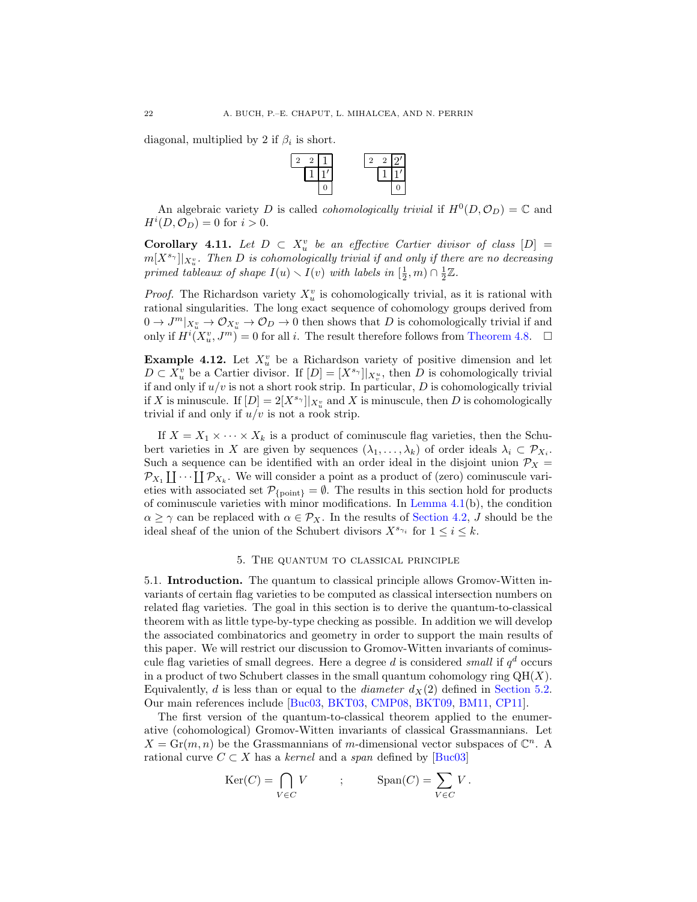diagonal, multiplied by 2 if  $\beta_i$  is short.



An algebraic variety D is called *cohomologically trivial* if  $H^0(D, \mathcal{O}_D) = \mathbb{C}$  and  $H^i(D, \mathcal{O}_D) = 0$  for  $i > 0$ .

<span id="page-21-1"></span>**Corollary 4.11.** Let  $D \subset X_u^v$  be an effective Cartier divisor of class  $[D] =$  $m[X^{s_{\gamma}}]|_{X^{v}_{u}}.$  Then D is cohomologically trivial if and only if there are no decreasing primed tableaux of shape  $I(u) \setminus I(v)$  with labels in  $[\frac{1}{2}, m) \cap \frac{1}{2}\mathbb{Z}$ .

*Proof.* The Richardson variety  $X_u^v$  is cohomologically trivial, as it is rational with rational singularities. The long exact sequence of cohomology groups derived from  $0 \to J^m|_{X_u^v} \to \mathcal{O}_{X_u^v} \to \mathcal{O}_D \to 0$  then shows that D is cohomologically trivial if and only if  $H^{i}(X_{u}^{v}, J^{m}) = 0$  for all i. The result therefore follows from [Theorem 4.8.](#page-20-0)  $\Box$ 

**Example 4.12.** Let  $X_u^v$  be a Richardson variety of positive dimension and let  $D \subset X_u^v$  be a Cartier divisor. If  $[D] = [X^{s_{\gamma}}]|_{X_v^u}$ , then D is cohomologically trivial if and only if  $u/v$  is not a short rook strip. In particular,  $D$  is cohomologically trivial if X is minuscule. If  $[D] = 2[X^{s_{\gamma}}]|_{X_u^v}$  and X is minuscule, then D is cohomologically trivial if and only if  $u/v$  is not a rook strip.

If  $X = X_1 \times \cdots \times X_k$  is a product of cominuscule flag varieties, then the Schubert varieties in X are given by sequences  $(\lambda_1, \ldots, \lambda_k)$  of order ideals  $\lambda_i \subset \mathcal{P}_{X_i}$ . Such a sequence can be identified with an order ideal in the disjoint union  $\mathcal{P}_X$  =  $\mathcal{P}_{X_1} \coprod \cdots \coprod \mathcal{P}_{X_k}$ . We will consider a point as a product of (zero) cominuscule varieties with associated set  $\mathcal{P}_{\{\text{point}\}} = \emptyset$ . The results in this section hold for products of cominuscule varieties with minor modifications. In Lemma  $4.1(b)$ , the condition  $\alpha \geq \gamma$  can be replaced with  $\alpha \in \mathcal{P}_X$ . In the results of [Section 4.2,](#page-18-1) J should be the ideal sheaf of the union of the Schubert divisors  $X^{s_{\gamma_i}}$  for  $1 \leq i \leq k$ .

### 5. The quantum to classical principle

<span id="page-21-0"></span>5.1. Introduction. The quantum to classical principle allows Gromov-Witten invariants of certain flag varieties to be computed as classical intersection numbers on related flag varieties. The goal in this section is to derive the quantum-to-classical theorem with as little type-by-type checking as possible. In addition we will develop the associated combinatorics and geometry in order to support the main results of this paper. We will restrict our discussion to Gromov-Witten invariants of cominuscule flag varieties of small degrees. Here a degree d is considered *small* if  $q<sup>d</sup>$  occurs in a product of two Schubert classes in the small quantum cohomology ring  $QH(X)$ . Equivalently, d is less than or equal to the diameter  $d_X(2)$  defined in [Section 5.2.](#page-22-0) Our main references include [\[Buc03,](#page-62-7) [BKT03,](#page-62-8) [CMP08,](#page-62-9) [BKT09,](#page-62-17) [BM11,](#page-62-0) [CP11\]](#page-62-10).

The first version of the quantum-to-classical theorem applied to the enumerative (cohomological) Gromov-Witten invariants of classical Grassmannians. Let  $X = \text{Gr}(m, n)$  be the Grassmannians of m-dimensional vector subspaces of  $\mathbb{C}^n$ . A rational curve  $C \subset X$  has a kernel and a span defined by [\[Buc03\]](#page-62-7)

$$
Ker(C) = \bigcap_{V \in C} V \qquad ; \qquad \text{Span}(C) = \sum_{V \in C} V \, .
$$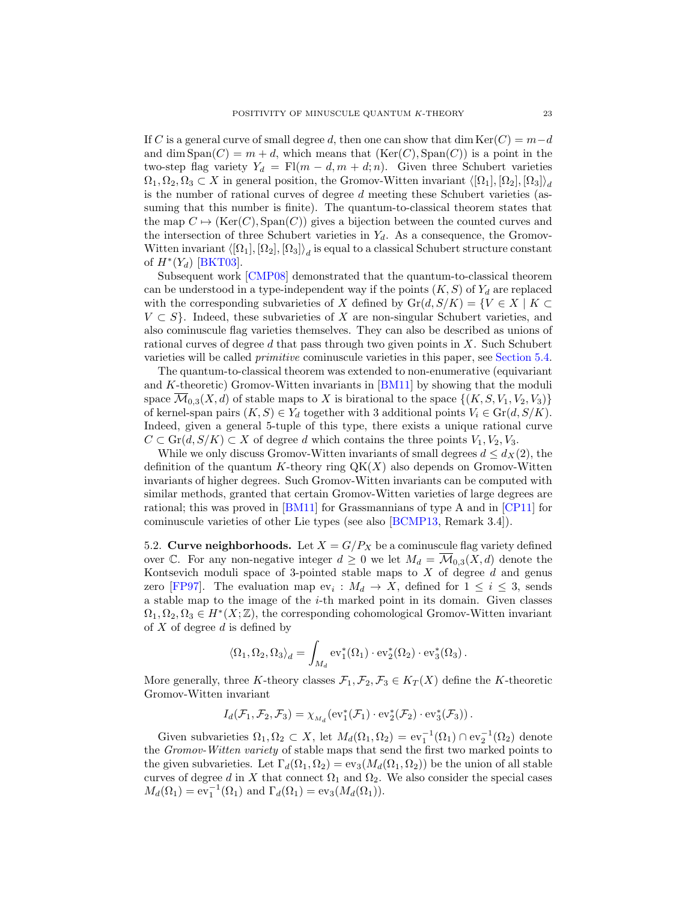If C is a general curve of small degree d, then one can show that dim Ker(C) =  $m-d$ and dim  $Span(C) = m + d$ , which means that  $(Ker(C), Span(C))$  is a point in the two-step flag variety  $Y_d = F[(m - d, m + d; n)$ . Given three Schubert varieties  $\Omega_1, \Omega_2, \Omega_3 \subset X$  in general position, the Gromov-Witten invariant  $\langle [\Omega_1], [\Omega_2], [\Omega_3] \rangle_d$ is the number of rational curves of degree d meeting these Schubert varieties (assuming that this number is finite). The quantum-to-classical theorem states that the map  $C \mapsto (\text{Ker}(C), \text{Span}(C))$  gives a bijection between the counted curves and the intersection of three Schubert varieties in  $Y_d$ . As a consequence, the Gromov-Witten invariant  $\langle [\Omega_1], [\Omega_2], [\Omega_3] \rangle_d$  is equal to a classical Schubert structure constant of  $H^*(Y_d)$  [\[BKT03\]](#page-62-8).

Subsequent work [\[CMP08\]](#page-62-9) demonstrated that the quantum-to-classical theorem can be understood in a type-independent way if the points  $(K, S)$  of  $Y_d$  are replaced with the corresponding subvarieties of X defined by  $\text{Gr}(d, S/K) = \{V \in X \mid K \subset$  $V \subset S$ . Indeed, these subvarieties of X are non-singular Schubert varieties, and also cominuscule flag varieties themselves. They can also be described as unions of rational curves of degree  $d$  that pass through two given points in  $X$ . Such Schubert varieties will be called primitive cominuscule varieties in this paper, see [Section 5.4.](#page-26-0)

The quantum-to-classical theorem was extended to non-enumerative (equivariant and  $K$ -theoretic) Gromov-Witten invariants in  $[BM11]$  by showing that the moduli space  $\mathcal{M}_{0,3}(X,d)$  of stable maps to X is birational to the space  $\{(K, S, V_1, V_2, V_3)\}\$ of kernel-span pairs  $(K, S) \in Y_d$  together with 3 additional points  $V_i \in \text{Gr}(d, S/K)$ . Indeed, given a general 5-tuple of this type, there exists a unique rational curve  $C \subset \text{Gr}(d, S/K) \subset X$  of degree d which contains the three points  $V_1, V_2, V_3$ .

While we only discuss Gromov-Witten invariants of small degrees  $d \leq d_X(2)$ , the definition of the quantum K-theory ring  $QK(X)$  also depends on Gromov-Witten invariants of higher degrees. Such Gromov-Witten invariants can be computed with similar methods, granted that certain Gromov-Witten varieties of large degrees are rational; this was proved in [\[BM11\]](#page-62-0) for Grassmannians of type A and in [\[CP11\]](#page-62-10) for cominuscule varieties of other Lie types (see also [\[BCMP13,](#page-61-2) Remark 3.4]).

<span id="page-22-0"></span>5.2. Curve neighborhoods. Let  $X = G/P_X$  be a cominuscule flag variety defined over C. For any non-negative integer  $d \geq 0$  we let  $M_d = \overline{\mathcal{M}}_{0,3}(X, d)$  denote the Kontsevich moduli space of 3-pointed stable maps to  $X$  of degree  $d$  and genus zero [\[FP97\]](#page-62-5). The evaluation map  $ev_i: M_d \to X$ , defined for  $1 \leq i \leq 3$ , sends a stable map to the image of the i-th marked point in its domain. Given classes  $\Omega_1, \Omega_2, \Omega_3 \in H^*(X;\mathbb{Z})$ , the corresponding cohomological Gromov-Witten invariant of  $X$  of degree  $d$  is defined by

$$
\langle \Omega_1, \Omega_2, \Omega_3 \rangle_d = \int_{M_d} \mathrm{ev}_1^*(\Omega_1) \cdot \mathrm{ev}_2^*(\Omega_2) \cdot \mathrm{ev}_3^*(\Omega_3).
$$

More generally, three K-theory classes  $\mathcal{F}_1, \mathcal{F}_2, \mathcal{F}_3 \in K_T(X)$  define the K-theoretic Gromov-Witten invariant

$$
I_d(\mathcal{F}_1,\mathcal{F}_2,\mathcal{F}_3)=\chi_{M_d}(\mathrm{ev}_1^*(\mathcal{F}_1)\cdot \mathrm{ev}_2^*(\mathcal{F}_2)\cdot \mathrm{ev}_3^*(\mathcal{F}_3))\,.
$$

Given subvarieties  $\Omega_1, \Omega_2 \subset X$ , let  $M_d(\Omega_1, \Omega_2) = \text{ev}_1^{-1}(\Omega_1) \cap \text{ev}_2^{-1}(\Omega_2)$  denote the Gromov-Witten variety of stable maps that send the first two marked points to the given subvarieties. Let  $\Gamma_d(\Omega_1, \Omega_2) = \text{ev}_3(M_d(\Omega_1, \Omega_2))$  be the union of all stable curves of degree d in X that connect  $\Omega_1$  and  $\Omega_2$ . We also consider the special cases  $M_d(\Omega_1) = \text{ev}_1^{-1}(\Omega_1)$  and  $\Gamma_d(\Omega_1) = \text{ev}_3(M_d(\Omega_1)).$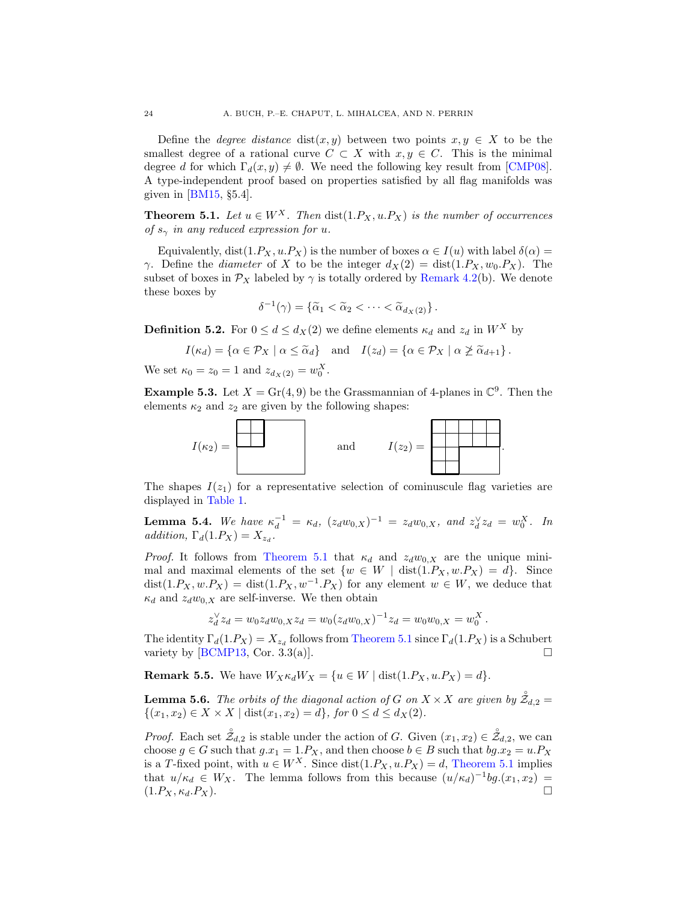Define the *degree distance* dist(x, y) between two points  $x, y \in X$  to be the smallest degree of a rational curve  $C \subset X$  with  $x, y \in C$ . This is the minimal degree d for which  $\Gamma_d(x, y) \neq \emptyset$ . We need the following key result from [\[CMP08\]](#page-62-9). A type-independent proof based on properties satisfied by all flag manifolds was given in [\[BM15,](#page-62-11) §5.4].

<span id="page-23-1"></span>**Theorem 5.1.** Let  $u \in W^X$ . Then  $dist(1.P_X, u.P_X)$  is the number of occurrences of  $s_\gamma$  in any reduced expression for u.

Equivalently, dist(1. $P_X$ , u. $P_X$ ) is the number of boxes  $\alpha \in I(u)$  with label  $\delta(\alpha) =$ γ. Define the *diameter* of X to be the integer  $d_X(2) = \text{dist}(1.P_X, w_0.P_X)$ . The subset of boxes in  $\mathcal{P}_X$  labeled by  $\gamma$  is totally ordered by [Remark 4.2\(](#page-16-1)b). We denote these boxes by

$$
\delta^{-1}(\gamma) = \left\{ \widetilde{\alpha}_1 < \widetilde{\alpha}_2 < \cdots < \widetilde{\alpha}_{d_X(2)} \right\}.
$$

<span id="page-23-0"></span>**Definition 5.2.** For  $0 \le d \le d_X(2)$  we define elements  $\kappa_d$  and  $z_d$  in  $W^X$  by

$$
I(\kappa_d) = \{ \alpha \in \mathcal{P}_X \mid \alpha \leq \widetilde{\alpha}_d \} \quad \text{and} \quad I(z_d) = \{ \alpha \in \mathcal{P}_X \mid \alpha \ngeq \widetilde{\alpha}_{d+1} \}.
$$

We set  $\kappa_0 = z_0 = 1$  and  $z_{d_X(2)} = w_0^X$ .

**Example 5.3.** Let  $X = Gr(4, 9)$  be the Grassmannian of 4-planes in  $\mathbb{C}^9$ . Then the elements  $\kappa_2$  and  $z_2$  are given by the following shapes:



The shapes  $I(z_1)$  for a representative selection of cominuscule flag varieties are displayed in [Table 1.](#page-17-0)

<span id="page-23-2"></span>**Lemma 5.4.** We have  $\kappa_d^{-1} = \kappa_d$ ,  $(z_d w_{0,X})^{-1} = z_d w_{0,X}$ , and  $z_d^{\vee} z_d = w_0^X$ . In addition,  $\Gamma_d(1.P_X) = X_{z_d}$ .

*Proof.* It follows from [Theorem 5.1](#page-23-1) that  $\kappa_d$  and  $z_d w_{0,X}$  are the unique minimal and maximal elements of the set  $\{w \in W \mid \text{dist}(1.P_X, w.P_X) = d\}.$  Since  $dist(1.P_X, w.P_X) = dist(1.P_X, w^{-1}.P_X)$  for any element  $w \in W$ , we deduce that  $\kappa_d$  and  $z_d w_{0,X}$  are self-inverse. We then obtain

$$
z_d^{\vee} z_d = w_0 z_d w_{0,X} z_d = w_0 (z_d w_{0,X})^{-1} z_d = w_0 w_{0,X} = w_0^X.
$$

The identity  $\Gamma_d(1.P_X) = X_{z_d}$  follows from [Theorem 5.1](#page-23-1) since  $\Gamma_d(1.P_X)$  is a Schubert variety by [\[BCMP13,](#page-61-2) Cor. 3.3(a)].  $\square$ 

**Remark 5.5.** We have  $W_X \kappa_d W_X = \{u \in W \mid \text{dist}(1.P_X, u.P_X) = d\}.$ 

<span id="page-23-3"></span>**Lemma 5.6.** The orbits of the diagonal action of G on  $X \times X$  are given by  $\overset{\circ}{Z}_{d,2} =$  $\{(x_1, x_2) \in X \times X \mid \text{dist}(x_1, x_2) = d\}, \text{ for } 0 \leq d \leq d_X(2).$ 

*Proof.* Each set  $\mathring{\mathcal{Z}}_{d,2}$  is stable under the action of G. Given  $(x_1, x_2) \in \mathring{\mathcal{Z}}_{d,2}$ , we can choose  $g \in G$  such that  $g.x_1 = 1.P_X$ , and then choose  $b \in B$  such that  $bg.x_2 = u.P_X$ is a T-fixed point, with  $u \in W^X$ . Since dist $(1.P_X, u.P_X) = d$ , [Theorem 5.1](#page-23-1) implies that  $u/\kappa_d \in W_X$ . The lemma follows from this because  $(u/\kappa_d)^{-1}bg.(x_1,x_2)$  $(1.P_X, \kappa_d.P_X).$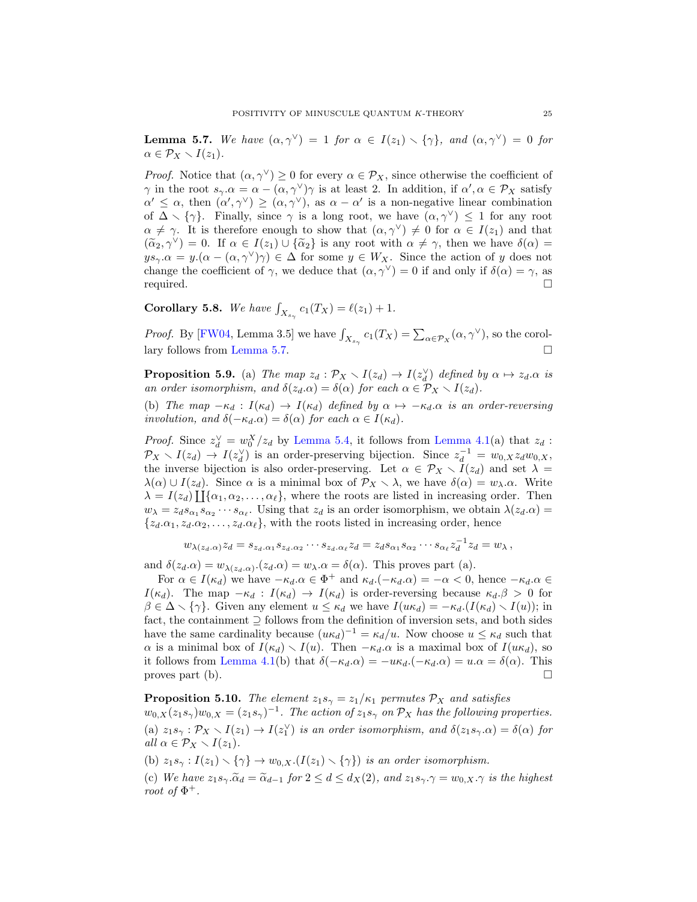<span id="page-24-0"></span>**Lemma 5.7.** We have  $(\alpha, \gamma^{\vee}) = 1$  for  $\alpha \in I(z_1) \setminus {\gamma}$ , and  $(\alpha, \gamma^{\vee}) = 0$  for  $\alpha \in \mathcal{P}_X \setminus I(z_1).$ 

*Proof.* Notice that  $(\alpha, \gamma^{\vee}) \geq 0$  for every  $\alpha \in \mathcal{P}_X$ , since otherwise the coefficient of  $\gamma$  in the root  $s_{\gamma}.\alpha = \alpha - (\alpha, \gamma^{\vee})\gamma$  is at least 2. In addition, if  $\alpha', \alpha \in \mathcal{P}_X$  satisfy  $\alpha' \leq \alpha$ , then  $(\alpha', \gamma^{\vee}) \geq (\alpha, \gamma^{\vee})$ , as  $\alpha - \alpha'$  is a non-negative linear combination of  $\Delta \setminus {\gamma}$ . Finally, since  $\gamma$  is a long root, we have  $(\alpha, \gamma^{\vee}) \leq 1$  for any root  $\alpha \neq \gamma$ . It is therefore enough to show that  $(\alpha, \gamma^{\vee}) \neq 0$  for  $\alpha \in I(z_1)$  and that  $(\widetilde{\alpha}_2, \gamma^{\vee}) = 0$ . If  $\alpha \in I(z_1) \cup \{\widetilde{\alpha}_2\}$  is any root with  $\alpha \neq \gamma$ , then we have  $\delta(\alpha) =$  $ys_\gamma.\alpha = y.(\alpha - (\alpha, \gamma^\vee)\gamma) \in \Delta$  for some  $y \in W_X$ . Since the action of y does not change the coefficient of  $\gamma$ , we deduce that  $(\alpha, \gamma^{\vee}) = 0$  if and only if  $\delta(\alpha) = \gamma$ , as required.

<span id="page-24-3"></span>**Corollary 5.8.** We have  $\int_{X_{s_\gamma}} c_1(T_X) = \ell(z_1) + 1$ .

*Proof.* By [\[FW04,](#page-63-7) Lemma 3.5] we have  $\int_{X_{s_\gamma}} c_1(T_X) = \sum_{\alpha \in \mathcal{P}_X} (\alpha, \gamma^{\vee})$ , so the corollary follows from [Lemma 5.7.](#page-24-0)

<span id="page-24-1"></span>**Proposition 5.9.** (a) The map  $z_d : \mathcal{P}_X \setminus I(z_d) \to I(z_d^{\vee})$  defined by  $\alpha \mapsto z_d \alpha$  is an order isomorphism, and  $\delta(z_d.\alpha) = \delta(\alpha)$  for each  $\alpha \in \mathcal{P}_X \setminus I(z_d)$ .

(b) The map  $-\kappa_d : I(\kappa_d) \to I(\kappa_d)$  defined by  $\alpha \mapsto -\kappa_d \alpha$  is an order-reversing involution, and  $\delta(-\kappa_d \alpha) = \delta(\alpha)$  for each  $\alpha \in I(\kappa_d)$ .

*Proof.* Since  $z_d^{\vee} = w_0^X/z_d$  by [Lemma 5.4,](#page-23-2) it follows from [Lemma 4.1\(](#page-16-0)a) that  $z_d$ :  $\mathcal{P}_X \setminus I(z_d) \to I(z_d^{\vee})$  is an order-preserving bijection. Since  $z_d^{-1} = w_{0,X} z_d w_{0,X}$ , the inverse bijection is also order-preserving. Let  $\alpha \in \mathcal{P}_X \setminus I(z_d)$  and set  $\lambda =$  $\lambda(\alpha) \cup I(z_d)$ . Since  $\alpha$  is a minimal box of  $\mathcal{P}_X \setminus \lambda$ , we have  $\delta(\alpha) = w_\lambda \ldots$  Write  $\lambda = I(z_d) \prod{\{\alpha_1, \alpha_2, \ldots, \alpha_\ell\}}$ , where the roots are listed in increasing order. Then  $w_{\lambda} = z_d s_{\alpha_1} s_{\alpha_2} \cdots s_{\alpha_\ell}$ . Using that  $z_d$  is an order isomorphism, we obtain  $\lambda(z_d \cdot \alpha) =$  ${z_d.\alpha_1, z_d.\alpha_2, \ldots, z_d.\alpha_\ell}$ , with the roots listed in increasing order, hence

$$
w_{\lambda(z_d,\alpha)}z_d=s_{z_d,\alpha_1}s_{z_d,\alpha_2}\cdots s_{z_d,\alpha_\ell}z_d=z_d s_{\alpha_1}s_{\alpha_2}\cdots s_{\alpha_\ell}z_d^{-1}z_d=w_\lambda\,,
$$

and  $\delta(z_d.\alpha) = w_{\lambda(z_d.\alpha)}.(z_d.\alpha) = w_{\lambda}.\alpha = \delta(\alpha)$ . This proves part (a).

For  $\alpha \in I(\kappa_d)$  we have  $-\kappa_d \alpha \in \Phi^+$  and  $\kappa_d \cdot (-\kappa_d \alpha) = -\alpha < 0$ , hence  $-\kappa_d \alpha \in$  $I(\kappa_d)$ . The map  $-\kappa_d : I(\kappa_d) \to I(\kappa_d)$  is order-reversing because  $\kappa_d \cdot \beta > 0$  for  $\beta \in \Delta \setminus {\gamma}$ . Given any element  $u \leq \kappa_d$  we have  $I(u\kappa_d) = -\kappa_d \left(I(\kappa_d) \setminus I(u)\right);$  in fact, the containment ⊇ follows from the definition of inversion sets, and both sides have the same cardinality because  $(u\kappa_d)^{-1} = \kappa_d/u$ . Now choose  $u \leq \kappa_d$  such that  $\alpha$  is a minimal box of  $I(\kappa_d) \setminus I(u)$ . Then  $-\kappa_d \alpha$  is a maximal box of  $I(u\kappa_d)$ , so it follows from [Lemma 4.1\(](#page-16-0)b) that  $\delta(-\kappa_d \alpha) = -u\kappa_d \alpha - \kappa_d \alpha = \delta(\alpha)$ . This proves part (b).  $\Box$ 

<span id="page-24-2"></span>**Proposition 5.10.** The element  $z_1s_\gamma = z_1/\kappa_1$  permutes  $\mathcal{P}_X$  and satisfies  $w_{0,X}(z_1s_\gamma)w_{0,X} = (z_1s_\gamma)^{-1}$ . The action of  $z_1s_\gamma$  on  $\mathcal{P}_X$  has the following properties. (a)  $z_1s_\gamma : \mathcal{P}_X \setminus I(z_1) \to I(z_1^{\vee})$  is an order isomorphism, and  $\delta(z_1s_\gamma.\alpha) = \delta(\alpha)$  for all  $\alpha \in \mathcal{P}_X \setminus I(z_1)$ .

(b)  $z_1s_\gamma : I(z_1) \setminus {\gamma} \rightarrow w_{0,X}.(I(z_1) \setminus {\gamma})$  is an order isomorphism.

(c) We have  $z_1s_\gamma.\widetilde{\alpha}_d = \widetilde{\alpha}_{d-1}$  for  $2 \leq d \leq d_X(2)$ , and  $z_1s_\gamma.\gamma = w_{0,X}.\gamma$  is the highest root of  $\Phi^+$ .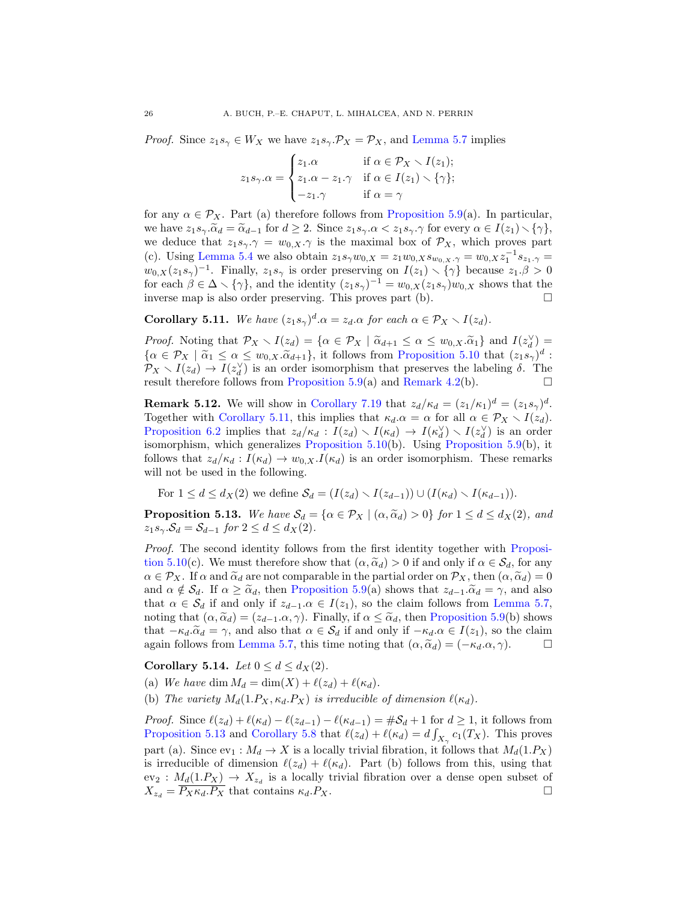*Proof.* Since  $z_1s_\gamma \in W_X$  we have  $z_1s_\gamma \cdot \mathcal{P}_X = \mathcal{P}_X$ , and [Lemma 5.7](#page-24-0) implies

$$
z_1 s_\gamma.\alpha = \begin{cases} z_1.\alpha & \text{if } \alpha \in \mathcal{P}_X \setminus I(z_1); \\ z_1.\alpha - z_1.\gamma & \text{if } \alpha \in I(z_1) \setminus \{\gamma\}; \\ -z_1.\gamma & \text{if } \alpha = \gamma \end{cases}
$$

for any  $\alpha \in \mathcal{P}_X$ . Part (a) therefore follows from [Proposition 5.9\(](#page-24-1)a). In particular, we have  $z_1s_\gamma.\widetilde{\alpha}_d = \widetilde{\alpha}_{d-1}$  for  $d \geq 2$ . Since  $z_1s_\gamma.\alpha < z_1s_\gamma.\gamma$  for every  $\alpha \in I(z_1) \setminus {\gamma}$ , we deduce that  $z_1s_\gamma$ .  $\gamma = w_{0,X}$ .  $\gamma$  is the maximal box of  $\mathcal{P}_X$ , which proves part (c). Using [Lemma 5.4](#page-23-2) we also obtain  $z_1 s_\gamma w_{0,X} = z_1 w_{0,X} s_{w_{0,X},\gamma} = w_{0,X} z_1^{-1} s_{z_1,\gamma} =$  $w_{0,X}(z_1s_\gamma)^{-1}$ . Finally,  $z_1s_\gamma$  is order preserving on  $I(z_1) \setminus {\gamma}$  because  $z_1.\beta > 0$ for each  $\beta \in \Delta \setminus {\gamma}$ , and the identity  $(z_1 s_{\gamma})^{-1} = w_{0,X}(z_1 s_{\gamma})w_{0,X}$  shows that the inverse map is also order preserving. This proves part (b).

<span id="page-25-0"></span>**Corollary 5.11.** We have  $(z_1 s_\gamma)^d \cdot \alpha = z_d \cdot \alpha$  for each  $\alpha \in \mathcal{P}_X \setminus I(z_d)$ .

Proof. Noting that  $\mathcal{P}_X \setminus I(z_d) = \{ \alpha \in \mathcal{P}_X \mid \tilde{\alpha}_{d+1} \leq \alpha \leq w_0, \tilde{\alpha}_1 \}$  and  $I(z_d^{\vee}) =$ <br> $\{ \alpha \in \mathcal{P}_{X} \mid \tilde{\alpha} \leq \alpha \leq w_0, \tilde{\alpha} \leq w_1 \}$  it follows from Proposition 5.10 that  $(z_d, \alpha)^d$ .  $\{\alpha \in \mathcal{P}_X \mid \tilde{\alpha}_1 \leq \alpha \leq w_{0,X} \cdot \tilde{\alpha}_{d+1}\}\,$ , it follows from [Proposition 5.10](#page-24-2) that  $(z_1 s_\gamma)^d$ :<br> $\mathcal{P}_{\alpha} \times I(z_1) \rightarrow I(z_2)$  is an order isomorphism that presentes the labeling  $\tilde{\delta}$ . The  $\mathcal{P}_X \setminus I(z_d) \to I(z_d^{\vee})$  is an order isomorphism that preserves the labeling  $\delta$ . The result therefore follows from [Proposition 5.9\(](#page-24-1)a) and [Remark 4.2\(](#page-16-1)b).  $\Box$ 

**Remark 5.12.** We will show in [Corollary 7.19](#page-41-0) that  $z_d/\kappa_d = (z_1/\kappa_1)^d = (z_1 s_\gamma)^d$ . Together with [Corollary 5.11,](#page-25-0) this implies that  $\kappa_d \alpha = \alpha$  for all  $\alpha \in \mathcal{P}_X \setminus I(z_d)$ . [Proposition 6.2](#page-31-1) implies that  $z_d/\kappa_d : I(z_d) \setminus I(\kappa_d) \to I(\kappa_d^{\vee}) \setminus I(z_d^{\vee})$  is an order isomorphism, which generalizes [Proposition 5.10\(](#page-24-2)b). Using [Proposition 5.9\(](#page-24-1)b), it follows that  $z_d/\kappa_d : I(\kappa_d) \to w_{0,X}.I(\kappa_d)$  is an order isomorphism. These remarks will not be used in the following.

For  $1 \leq d \leq d_X(2)$  we define  $\mathcal{S}_d = (I(z_d) \setminus I(z_{d-1})) \cup (I(\kappa_d) \setminus I(\kappa_{d-1})).$ 

<span id="page-25-1"></span>**Proposition 5.13.** We have  $S_d = \{ \alpha \in \mathcal{P}_X \mid (\alpha, \tilde{\alpha}_d) > 0 \}$  for  $1 \leq d \leq d_X(2)$ , and  $z_1s_\gamma.\mathcal{S}_d = \mathcal{S}_{d-1}$  for  $2 \leq d \leq d_X(2)$ .

Proof. The second identity follows from the first identity together with [Proposi](#page-24-2)[tion 5.10\(](#page-24-2)c). We must therefore show that  $(\alpha, \tilde{\alpha}_d) > 0$  if and only if  $\alpha \in \mathcal{S}_d$ , for any  $\alpha \in \mathcal{P}_X$ . If  $\alpha$  and  $\tilde{\alpha}_d$  are not comparable in the partial order on  $\mathcal{P}_X$ , then  $(\alpha, \tilde{\alpha}_d) = 0$ and  $\alpha \notin \mathcal{S}_d$ . If  $\alpha \geq \tilde{\alpha}_d$ , then [Proposition 5.9\(](#page-24-1)a) shows that  $z_{d-1} \tilde{\alpha}_d = \gamma$ , and also that  $\alpha \in \mathcal{S}_d$  if and only if  $z_{d-1} \alpha \in I(z_1)$ , so the claim follows from [Lemma 5.7,](#page-24-0) noting that  $(\alpha, \tilde{\alpha}_d) = (z_{d-1} \alpha, \gamma)$ . Finally, if  $\alpha \leq \tilde{\alpha}_d$ , then [Proposition 5.9\(](#page-24-1)b) shows that  $-\kappa_d \cdot \tilde{\alpha}_d = \gamma$ , and also that  $\alpha \in \mathcal{S}_d$  if and only if  $-\kappa_d \cdot \alpha \in I(z_1)$ , so the claim again follows from Lemma 5.7, this time noting that  $(\alpha, \tilde{\alpha}_d) = (-\kappa_d \cdot \alpha \cdot \gamma)$ . again follows from [Lemma 5.7,](#page-24-0) this time noting that  $(\alpha, \tilde{\alpha}_d) = (-\kappa_d \alpha, \gamma)$ .

<span id="page-25-2"></span>Corollary 5.14. Let  $0 \leq d \leq d_X(2)$ .

(a) We have dim  $M_d = \dim(X) + \ell(z_d) + \ell(\kappa_d)$ .

(b) The variety  $M_d(1.P_X, \kappa_d.P_X)$  is irreducible of dimension  $\ell(\kappa_d)$ .

*Proof.* Since  $\ell(z_d) + \ell(\kappa_d) - \ell(z_{d-1}) - \ell(\kappa_{d-1}) = \#\mathcal{S}_d + 1$  for  $d \geq 1$ , it follows from [Proposition 5.13](#page-25-1) and [Corollary 5.8](#page-24-3) that  $\ell(z_d) + \ell(\kappa_d) = d \int_{X_\gamma} c_1(T_X)$ . This proves part (a). Since  $ev_1 : M_d \to X$  is a locally trivial fibration, it follows that  $M_d(1.P_X)$ is irreducible of dimension  $\ell(z_d) + \ell(\kappa_d)$ . Part (b) follows from this, using that  $ev_2: M_d(1.P_X) \to X_{z_d}$  is a locally trivial fibration over a dense open subset of  $X_{z_d} = \overline{P_X \kappa_d P_X}$  that contains  $\kappa_d P_X$ .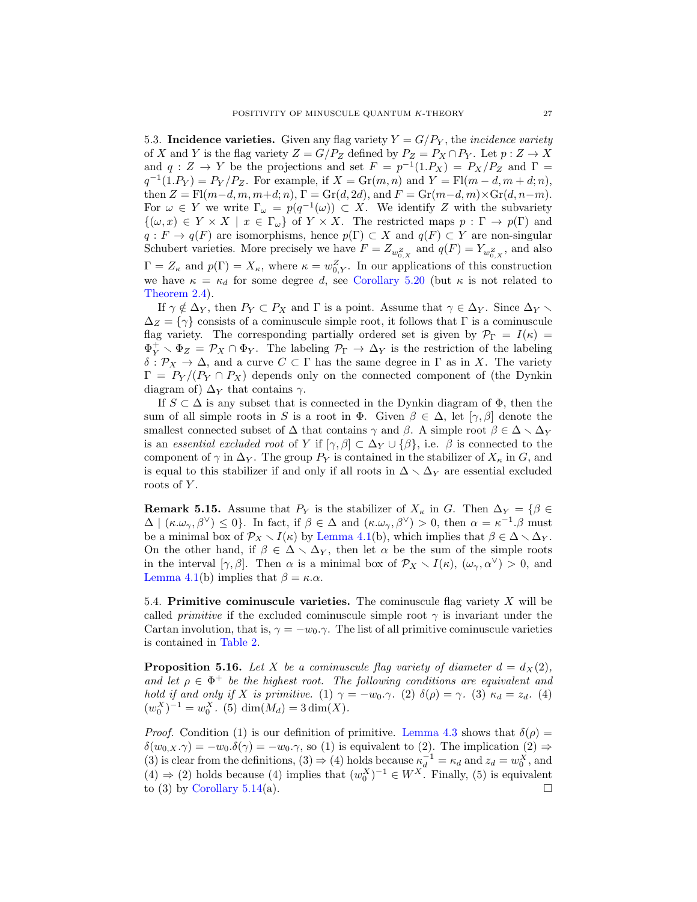5.3. Incidence varieties. Given any flag variety  $Y = G/P<sub>Y</sub>$ , the *incidence variety* of X and Y is the flag variety  $Z = G/P_Z$  defined by  $P_Z = P_X \cap P_Y$ . Let  $p: Z \to X$ and  $q: Z \to Y$  be the projections and set  $F = p^{-1}(1.P_X) = P_X/P_Z$  and  $\Gamma =$  $q^{-1}(1.P_Y) = P_Y/P_Z$ . For example, if  $X = \text{Gr}(m, n)$  and  $Y = \text{Fl}(m - d, m + d; n)$ , then  $Z = \mathrm{Fl}(m-d, m, m+d; n)$ ,  $\Gamma = \mathrm{Gr}(d, 2d)$ , and  $F = \mathrm{Gr}(m-d, m) \times \mathrm{Gr}(d, n-m)$ . For  $\omega \in Y$  we write  $\Gamma_{\omega} = p(q^{-1}(\omega)) \subset X$ . We identify Z with the subvariety  $\{(\omega, x) \in Y \times X \mid x \in \Gamma_{\omega}\}\$  of  $Y \times X$ . The restricted maps  $p : \Gamma \to p(\Gamma)$  and  $q: F \to q(F)$  are isomorphisms, hence  $p(\Gamma) \subset X$  and  $q(F) \subset Y$  are non-singular Schubert varieties. More precisely we have  $F = Z_{w_{0,X}^Z}$  and  $q(F) = Y_{w_{0,X}^Z}$ , and also  $\Gamma = Z_{\kappa}$  and  $p(\Gamma) = X_{\kappa}$ , where  $\kappa = w_{0,Y}^Z$ . In our applications of this construction we have  $\kappa = \kappa_d$  for some degree d, see [Corollary 5.20](#page-29-0) (but  $\kappa$  is not related to [Theorem 2.4\)](#page-10-0).

If  $\gamma \notin \Delta_Y$ , then  $P_Y \subset P_X$  and  $\Gamma$  is a point. Assume that  $\gamma \in \Delta_Y$ . Since  $\Delta_Y \setminus$  $\Delta_Z = \{\gamma\}$  consists of a cominuscule simple root, it follows that Γ is a cominuscule flag variety. The corresponding partially ordered set is given by  $\mathcal{P}_{\Gamma} = I(\kappa) =$  $\Phi_Y^+ \setminus \Phi_Z = \mathcal{P}_X \cap \Phi_Y$ . The labeling  $\mathcal{P}_\Gamma \to \Delta_Y$  is the restriction of the labeling  $\delta: \mathcal{P}_X \to \Delta$ , and a curve  $C \subset \Gamma$  has the same degree in  $\Gamma$  as in X. The variety  $\Gamma = P_Y/(P_Y \cap P_X)$  depends only on the connected component of (the Dynkin diagram of)  $\Delta_Y$  that contains  $\gamma$ .

If  $S \subset \Delta$  is any subset that is connected in the Dynkin diagram of  $\Phi$ , then the sum of all simple roots in S is a root in  $\Phi$ . Given  $\beta \in \Delta$ , let  $[\gamma, \beta]$  denote the smallest connected subset of  $\Delta$  that contains  $\gamma$  and  $\beta$ . A simple root  $\beta \in \Delta \setminus \Delta_Y$ is an essential excluded root of Y if  $[\gamma, \beta] \subset \Delta_Y \cup {\{\beta\}}$ , i.e.  $\beta$  is connected to the component of  $\gamma$  in  $\Delta_Y$ . The group  $P_Y$  is contained in the stabilizer of  $X_{\kappa}$  in G, and is equal to this stabilizer if and only if all roots in  $\Delta \setminus \Delta_Y$  are essential excluded roots of Y.

**Remark 5.15.** Assume that  $P_Y$  is the stabilizer of  $X_\kappa$  in G. Then  $\Delta_Y = \{\beta \in$  $\Delta \mid (\kappa.\omega_\gamma,\beta^\vee) \leq 0$ . In fact, if  $\beta \in \Delta$  and  $(\kappa.\omega_\gamma,\beta^\vee) > 0$ , then  $\alpha = \kappa^{-1}.\beta$  must be a minimal box of  $\mathcal{P}_X \setminus I(\kappa)$  by [Lemma 4.1\(](#page-16-0)b), which implies that  $\beta \in \Delta \setminus \Delta_Y$ . On the other hand, if  $\beta \in \Delta \setminus \Delta_Y$ , then let  $\alpha$  be the sum of the simple roots in the interval  $[\gamma, \beta]$ . Then  $\alpha$  is a minimal box of  $\mathcal{P}_X \setminus I(\kappa)$ ,  $(\omega_\gamma, \alpha^\vee) > 0$ , and [Lemma 4.1\(](#page-16-0)b) implies that  $\beta = \kappa \cdot \alpha$ .

<span id="page-26-0"></span>5.4. Primitive cominuscule varieties. The cominuscule flag variety  $X$  will be called *primitive* if the excluded cominuscule simple root  $\gamma$  is invariant under the Cartan involution, that is,  $\gamma = -w_0.\gamma$ . The list of all primitive cominuscule varieties is contained in [Table 2.](#page-27-0)

<span id="page-26-1"></span>**Proposition 5.16.** Let X be a cominuscule flag variety of diameter  $d = d_X(2)$ . and let  $\rho \in \Phi^+$  be the highest root. The following conditions are equivalent and hold if and only if X is primitive. (1)  $\gamma = -w_0.\gamma$ . (2)  $\delta(\rho) = \gamma$ . (3)  $\kappa_d = z_d$ . (4)  $(w_0^X)^{-1} = w_0^X$ . (5) dim $(M_d) = 3 \dim(X)$ .

*Proof.* Condition (1) is our definition of primitive. [Lemma 4.3](#page-18-2) shows that  $\delta(\rho)$  =  $\delta(w_{0,X}.\gamma) = -w_0.\delta(\gamma) = -w_0.\gamma$ , so (1) is equivalent to (2). The implication (2)  $\Rightarrow$ (3) is clear from the definitions, (3)  $\Rightarrow$  (4) holds because  $\kappa_d^{-1} = \kappa_d$  and  $z_d = w_0^X$ , and  $(4) \Rightarrow (2)$  holds because  $(4)$  implies that  $(w_0^X)^{-1} \in W^X$ . Finally,  $(5)$  is equivalent to (3) by [Corollary 5.14\(](#page-25-2)a).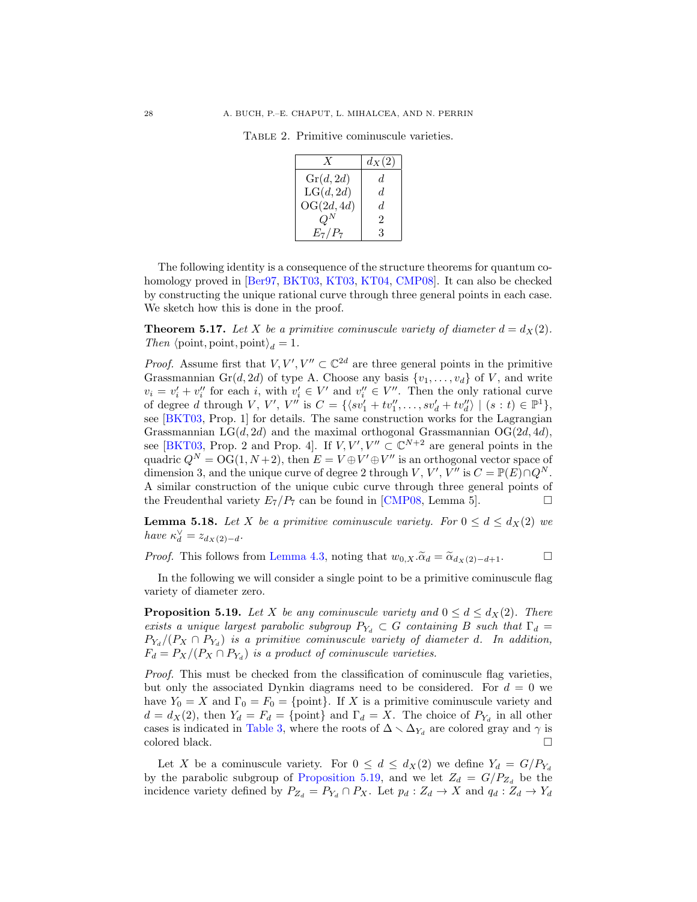TABLE 2. Primitive cominuscule varieties.

<span id="page-27-0"></span>

|                     | $d_X(2)$ |
|---------------------|----------|
| $\mathrm{Gr}(d,2d)$ | d.       |
| LG(d, 2d)           | d.       |
| OG(2d, 4d)          | d.       |
| $O^N$               | 2        |
| $E_7/P_7$           | 3        |

The following identity is a consequence of the structure theorems for quantum cohomology proved in [\[Ber97,](#page-62-18) [BKT03,](#page-62-8) [KT03,](#page-63-18) [KT04,](#page-63-19) [CMP08\]](#page-62-9). It can also be checked by constructing the unique rational curve through three general points in each case. We sketch how this is done in the proof.

<span id="page-27-2"></span>**Theorem 5.17.** Let X be a primitive cominuscule variety of diameter  $d = d_X(2)$ . Then  $\langle \text{point}, \text{point}, \text{point} \rangle_d = 1.$ 

*Proof.* Assume first that  $V, V', V'' \subset \mathbb{C}^{2d}$  are three general points in the primitive Grassmannian Gr(d, 2d) of type A. Choose any basis  $\{v_1, \ldots, v_d\}$  of V, and write  $v_i = v'_i + v''_i$  for each i, with  $v'_i \in V'$  and  $v''_i \in V''$ . Then the only rational curve of degree d through V, V', V'' is  $C = \{ \langle sv_1' + tv_1'', \ldots, sv_d' + tv_d'' \rangle \mid (s : t) \in \mathbb{P}^1 \},$ see [\[BKT03,](#page-62-8) Prop. 1] for details. The same construction works for the Lagrangian Grassmannian  $LG(d, 2d)$  and the maximal orthogonal Grassmannian  $OG(2d, 4d)$ , see [\[BKT03,](#page-62-8) Prop. 2 and Prop. 4]. If  $V, V', V'' \subset \mathbb{C}^{N+2}$  are general points in the quadric  $Q^N = \text{OG}(1, N+2)$ , then  $E = V \oplus V' \oplus V''$  is an orthogonal vector space of dimension 3, and the unique curve of degree 2 through V, V', V'' is  $C = \mathbb{P}(E) \cap Q^N$ . A similar construction of the unique cubic curve through three general points of the Freudenthal variety  $E_7/P_7$  can be found in [\[CMP08,](#page-62-9) Lemma 5].

<span id="page-27-3"></span>**Lemma 5.18.** Let X be a primitive cominuscule variety. For  $0 \le d \le d_X(2)$  we have  $\kappa_d^{\vee} = z_{d_X(2)-d}$ .

*Proof.* This follows from [Lemma 4.3,](#page-18-2) noting that  $w_{0,X} \cdot \tilde{\alpha}_d = \tilde{\alpha}_{d_X(2)-d+1}$ .

In the following we will consider a single point to be a primitive cominuscule flag variety of diameter zero.

<span id="page-27-1"></span>**Proposition 5.19.** Let X be any cominuscule variety and  $0 \leq d \leq d_X(2)$ . There exists a unique largest parabolic subgroup  $P_{Y_d} \subset G$  containing B such that  $\Gamma_d =$  $P_{Y_d}/(P_X \cap P_{Y_d})$  is a primitive cominuscule variety of diameter d. In addition,  $F_d = P_X/(P_X \cap P_{Y_d})$  is a product of cominuscule varieties.

Proof. This must be checked from the classification of cominuscule flag varieties, but only the associated Dynkin diagrams need to be considered. For  $d = 0$  we have  $Y_0 = X$  and  $\Gamma_0 = F_0 = \{\text{point}\}\$ . If X is a primitive cominuscule variety and  $d = d_X(2)$ , then  $Y_d = F_d = \{\text{point}\}\$ and  $\Gamma_d = X$ . The choice of  $P_{Y_d}$  in all other cases is indicated in [Table 3,](#page-28-0) where the roots of  $\Delta \setminus \Delta_{Y_d}$  are colored gray and  $\gamma$  is colored black.

Let X be a cominuscule variety. For  $0 \leq d \leq d_X(2)$  we define  $Y_d = G/P_{Y_d}$ by the parabolic subgroup of [Proposition 5.19,](#page-27-1) and we let  $Z_d = G/P_{Z_d}$  be the incidence variety defined by  $P_{Z_d} = P_{Y_d} \cap P_X$ . Let  $p_d : Z_d \to X$  and  $q_d : Z_d \to Y_d$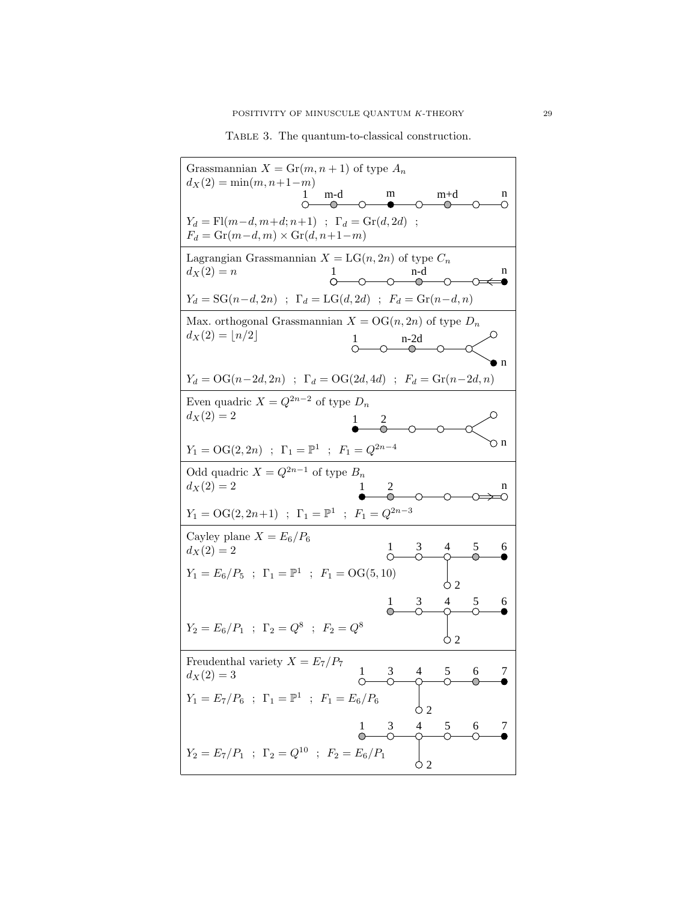<span id="page-28-0"></span>TABLE 3. The quantum-to-classical construction.

| Grassmannian $X = Gr(m, n + 1)$ of type $A_n$<br>$d_X(2) = \min(m, n+1-m)$                                                 |
|----------------------------------------------------------------------------------------------------------------------------|
| m<br>$m+d$<br>m-d<br>n<br>()                                                                                               |
| $Y_d = \text{Fl}(m-d, m+d; n+1)$ ; $\Gamma_d = \text{Gr}(d, 2d)$ ;<br>$F_d = \text{Gr}(m-d, m) \times \text{Gr}(d, n+1-m)$ |
| Lagrangian Grassmannian $X = LG(n, 2n)$ of type $C_n$<br>$d_X(2) = n$<br>n<br>$\overline{\circ}$                           |
| $Y_d = SG(n-d, 2n)$ ; $\Gamma_d = LG(d, 2d)$ ; $F_d = Gr(n-d, n)$                                                          |
| Max. orthogonal Grassmannian $X = OG(n, 2n)$ of type $D_n$<br>$d_X(2) = \lfloor n/2 \rfloor$<br>Ι.<br>$n-2d$<br>n          |
| $Y_d = \text{OG}(n-2d, 2n)$ ; $\Gamma_d = \text{OG}(2d, 4d)$ ; $F_d = \text{Gr}(n-2d, n)$                                  |
| Even quadric $X = Q^{2n-2}$ of type $D_n$<br>$d_X(2) = 2$                                                                  |
| ⊙ n<br>$Y_1 = \mathrm{OG}(2, 2n)$ ; $\Gamma_1 = \mathbb{P}^1$ ; $F_1 = Q^{2n-4}$                                           |
| Odd quadric $X = Q^{2n-1}$ of type $B_n$<br>$d_X(2) = 2$<br>2<br>n                                                         |
| $Y_1 = \mathrm{OG}(2, 2n+1)$ ; $\Gamma_1 = \mathbb{P}^1$ ; $F_1 = Q^{2n-3}$                                                |
| Cayley plane $X = E_6/P_6$<br>5<br>3<br>4<br>6<br>1.<br>$d_X(2) = 2$<br>↷                                                  |
| $Y_1 = E_6/P_5$ ; $\Gamma_1 = \mathbb{P}^1$ ; $F_1 = \text{OG}(5, 10)$<br>Ò 2                                              |
| 4<br>5<br>3<br>6<br>$\mathbf{I}$                                                                                           |
| $Y_2 = E_6/P_1$ ; $\Gamma_2 = Q^8$ ; $F_2 = Q^8$<br>О2                                                                     |
| Freudenthal variety $X = E_7/P_7$<br>6<br>$d_X(2) = 3$<br>$\overline{4}$                                                   |
| $Y_1 = E_7/P_6 \ \ ; \ \ \Gamma_1 = \mathbb{P}^1 \ \ ; \ \ F_1 = E_6/P_6$<br>Ò2                                            |
| $\begin{matrix} 1 & 3 & 4 \\ 0 & 0 & 0 \end{matrix}$<br>6<br>5<br>7                                                        |
| $Y_2 = E_7/P_1$ ; $\Gamma_2 = Q^{10}$ ; $F_2 = E_6/P_1$<br>φ2                                                              |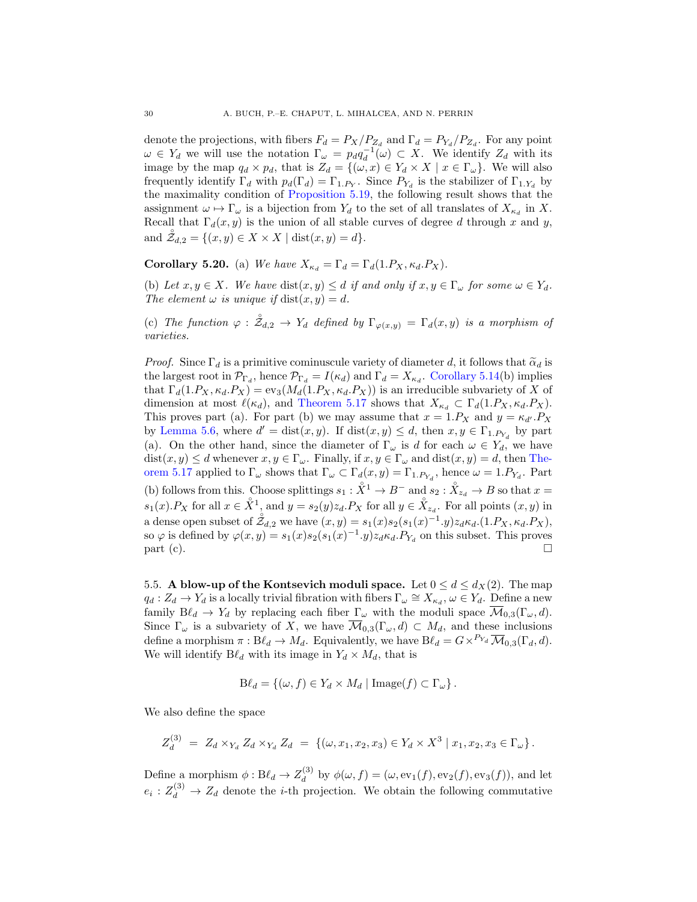denote the projections, with fibers  $F_d = P_X/P_{Z_d}$  and  $\Gamma_d = P_{Y_d}/P_{Z_d}$ . For any point  $\omega \in Y_d$  we will use the notation  $\Gamma_{\omega} = paq_d^{-1}(\omega) \subset X$ . We identify  $Z_d$  with its image by the map  $q_d \times p_d$ , that is  $Z_d = \{(\omega, x) \in Y_d \times X \mid x \in \Gamma_\omega\}$ . We will also frequently identify  $\Gamma_d$  with  $p_d(\Gamma_d) = \Gamma_{1.P_Y}$ . Since  $P_{Y_d}$  is the stabilizer of  $\Gamma_{1.Y_d}$  by the maximality condition of [Proposition 5.19,](#page-27-1) the following result shows that the assignment  $\omega \mapsto \Gamma_{\omega}$  is a bijection from  $Y_d$  to the set of all translates of  $X_{\kappa_d}$  in X. Recall that  $\Gamma_d(x, y)$  is the union of all stable curves of degree d through x and y, and  $\mathcal{Z}_{d,2} = \{(x, y) \in X \times X \mid \text{dist}(x, y) = d\}.$ 

<span id="page-29-0"></span>Corollary 5.20. (a) We have  $X_{\kappa_d} = \Gamma_d = \Gamma_d(1.P_X, \kappa_d.P_X)$ .

(b) Let  $x, y \in X$ . We have  $dist(x, y) \le d$  if and only if  $x, y \in \Gamma_\omega$  for some  $\omega \in Y_d$ . The element  $\omega$  is unique if  $dist(x, y) = d$ .

(c) The function  $\varphi : \mathring{\mathcal{Z}}_{d,2} \to Y_d$  defined by  $\Gamma_{\varphi(x,y)} = \Gamma_d(x,y)$  is a morphism of varieties.

*Proof.* Since  $\Gamma_d$  is a primitive cominuscule variety of diameter d, it follows that  $\tilde{\alpha}_d$  is the largest root in  $\mathcal{P}_{\Gamma_d}$ , hence  $\mathcal{P}_{\Gamma_d} = I(\kappa_d)$  and  $\Gamma_d = X_{\kappa_d}$ . [Corollary 5.14\(](#page-25-2)b) implies that  $\Gamma_d(1.P_X, \kappa_d.P_X) = \text{ev}_3(M_d(1.P_X, \kappa_d.P_X))$  is an irreducible subvariety of X of dimension at most  $\ell(\kappa_d)$ , and [Theorem 5.17](#page-27-2) shows that  $X_{\kappa_d} \subset \Gamma_d(1.P_X, \kappa_d.P_X)$ . This proves part (a). For part (b) we may assume that  $x = 1.P<sub>X</sub>$  and  $y = \kappa_{d'} P_X$ by [Lemma 5.6,](#page-23-3) where  $d' = \text{dist}(x, y)$ . If  $\text{dist}(x, y) \le d$ , then  $x, y \in \Gamma_{1.P_{Y_d}}$  by part (a). On the other hand, since the diameter of  $\Gamma_{\omega}$  is d for each  $\omega \in Y_d$ , we have  $dist(x, y) \le d$  whenever  $x, y \in \Gamma_{\omega}$ . Finally, if  $x, y \in \Gamma_{\omega}$  and  $dist(x, y) = d$ , then [The](#page-27-2)[orem 5.17](#page-27-2) applied to  $\Gamma_{\omega}$  shows that  $\Gamma_{\omega} \subset \Gamma_d(x, y) = \Gamma_{1.P_{Y_d}}$ , hence  $\omega = 1.P_{Y_d}$ . Part (b) follows from this. Choose splittings  $s_1 : \overset{\circ}{X}^1 \to B^-$  and  $s_2 : \overset{\circ}{X}_{z_d} \to B$  so that  $x =$  $s_1(x)$ . P<sub>X</sub> for all  $x \in \overset{\circ}{X}$ <sup>1</sup>, and  $y = s_2(y)z_d$ . P<sub>X</sub> for all  $y \in \overset{\circ}{X}_{z_d}$ . For all points  $(x, y)$  in a dense open subset of  $\overset{\circ}{\mathcal{Z}}_{d,2}$  we have  $(x,y) = s_1(x)s_2(s_1(x)^{-1}.y)z_d\kappa_d.(1.P_X,\kappa_d.P_X),$ so  $\varphi$  is defined by  $\varphi(x,y) = s_1(x)s_2(s_1(x)^{-1} \cdot y)z_d\kappa_d P_{Y_d}$  on this subset. This proves  $part (c).$ 

5.5. A blow-up of the Kontsevich moduli space. Let  $0 \le d \le d_X(2)$ . The map  $q_d: Z_d \to Y_d$  is a locally trivial fibration with fibers  $\Gamma_\omega \cong X_{\kappa_d}$ ,  $\omega \in Y_d$ . Define a new family  $B\ell_d \to Y_d$  by replacing each fiber  $\Gamma_\omega$  with the moduli space  $\overline{\mathcal{M}}_{0,3}(\Gamma_\omega, d)$ . Since  $\Gamma_{\omega}$  is a subvariety of X, we have  $\overline{\mathcal{M}}_{0,3}(\Gamma_{\omega}, d) \subset M_d$ , and these inclusions define a morphism  $\pi : B\ell_d \to M_d$ . Equivalently, we have  $B\ell_d = G \times^{P_{Y_d}} \overline{\mathcal{M}}_{0,3}(\Gamma_d, d)$ . We will identify  $B\ell_d$  with its image in  $Y_d \times M_d$ , that is

$$
\mathrm{B}\ell_d = \{(\omega, f) \in Y_d \times M_d \mid \mathrm{Image}(f) \subset \Gamma_\omega\}.
$$

We also define the space

$$
Z_d^{(3)} = Z_d \times_{Y_d} Z_d \times_{Y_d} Z_d = \{ (\omega, x_1, x_2, x_3) \in Y_d \times X^3 \mid x_1, x_2, x_3 \in \Gamma_\omega \}.
$$

Define a morphism  $\phi: B\ell_d \to Z_d^{(3)}$  $\phi_d^{(3)}$  by  $\phi(\omega, f) = (\omega, \text{ev}_1(f), \text{ev}_2(f), \text{ev}_3(f)),$  and let  $e_i: Z_d^{(3)} \to Z_d$  denote the *i*-th projection. We obtain the following commutative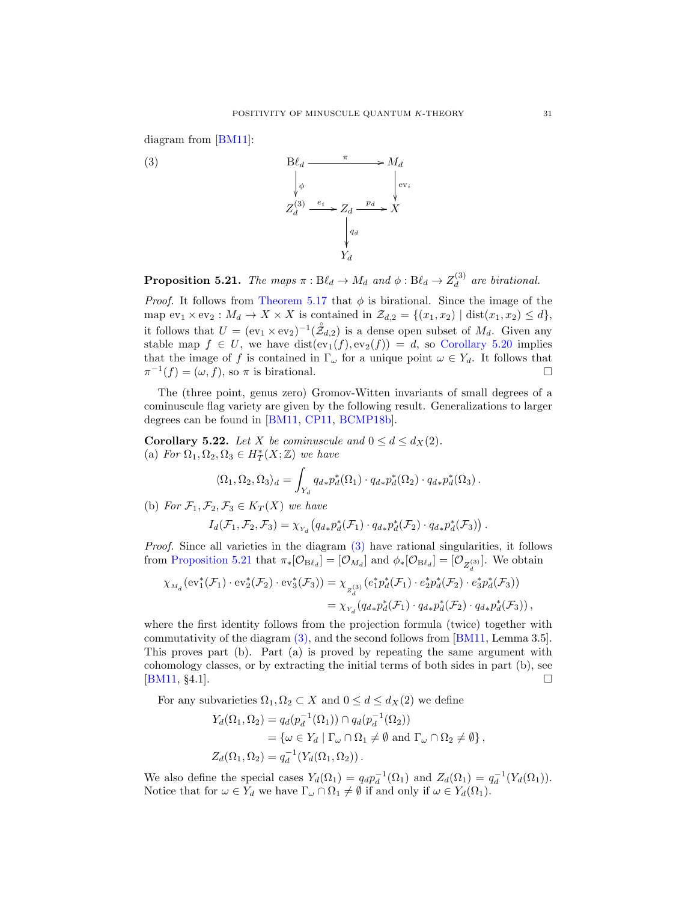diagram from [\[BM11\]](#page-62-0):



<span id="page-30-0"></span>

<span id="page-30-1"></span>**Proposition 5.21.** The maps  $\pi : B\ell_d \to M_d$  and  $\phi : B\ell_d \to Z_d^{(3)}$  $\frac{d^{(3)}}{d}$  are birational.

*Proof.* It follows from [Theorem 5.17](#page-27-2) that  $\phi$  is birational. Since the image of the map  $ev_1 \times ev_2$ :  $M_d \to X \times X$  is contained in  $\mathcal{Z}_{d,2} = \{(x_1, x_2) \mid dist(x_1, x_2) \leq d\},$ it follows that  $U = (ev_1 \times ev_2)^{-1}(\mathring{\mathcal{Z}}_{d,2})$  is a dense open subset of  $M_d$ . Given any stable map  $f \in U$ , we have  $dist(ev_1(f), ev_2(f)) = d$ , so [Corollary 5.20](#page-29-0) implies that the image of f is contained in  $\Gamma_{\omega}$  for a unique point  $\omega \in Y_d$ . It follows that  $\pi^{-1}(f) = (\omega, f)$ , so  $\pi$  is birational.

The (three point, genus zero) Gromov-Witten invariants of small degrees of a cominuscule flag variety are given by the following result. Generalizations to larger degrees can be found in [\[BM11,](#page-62-0) [CP11,](#page-62-10) [BCMP18b\]](#page-62-6).

<span id="page-30-2"></span>**Corollary 5.22.** Let X be cominuscule and  $0 \le d \le d_X(2)$ . (a) For  $\Omega_1, \Omega_2, \Omega_3 \in H_T^*(X; \mathbb{Z})$  we have

$$
\langle \Omega_1, \Omega_2, \Omega_3 \rangle_d = \int_{Y_d} q_{d*} p_d^* (\Omega_1) \cdot q_{d*} p_d^* (\Omega_2) \cdot q_{d*} p_d^* (\Omega_3).
$$

(b) For  $\mathcal{F}_1, \mathcal{F}_2, \mathcal{F}_3 \in K_T(X)$  we have

$$
I_d(\mathcal{F}_1, \mathcal{F}_2, \mathcal{F}_3) = \chi_{Y_d} \left( q_{d*} p_d^*(\mathcal{F}_1) \cdot q_{d*} p_d^*(\mathcal{F}_2) \cdot q_{d*} p_d^*(\mathcal{F}_3) \right)
$$

.

Proof. Since all varieties in the diagram [\(3\)](#page-30-0) have rational singularities, it follows from [Proposition 5.21](#page-30-1) that  $\pi_*[\mathcal{O}_{B\ell_d}] = [\mathcal{O}_{M_d}]$  and  $\phi_*[\mathcal{O}_{B\ell_d}] = [\mathcal{O}_{Z_d^{(3)}}]$ . We obtain

$$
\begin{split} \chi_{M_d} \big( \mathrm{ev}_1^*(\mathcal{F}_1) \cdot \mathrm{ev}_2^*(\mathcal{F}_2) \cdot \mathrm{ev}_3^*(\mathcal{F}_3) \big) &= \chi_{Z_d^{(3)}} \big( e_1^* p_d^*(\mathcal{F}_1) \cdot e_2^* p_d^*(\mathcal{F}_2) \cdot e_3^* p_d^*(\mathcal{F}_3) \big) \\ &= \chi_{Y_d} \big( q_{d*} p_d^*(\mathcal{F}_1) \cdot q_{d*} p_d^*(\mathcal{F}_2) \cdot q_{d*} p_d^*(\mathcal{F}_3) \big) \,, \end{split}
$$

where the first identity follows from the projection formula (twice) together with commutativity of the diagram [\(3\),](#page-30-0) and the second follows from [\[BM11,](#page-62-0) Lemma 3.5]. This proves part (b). Part (a) is proved by repeating the same argument with cohomology classes, or by extracting the initial terms of both sides in part (b), see [\[BM11,](#page-62-0) §4.1].

For any subvarieties  $\Omega_1, \Omega_2 \subset X$  and  $0 \le d \le d_X(2)$  we define

$$
Y_d(\Omega_1, \Omega_2) = q_d(p_d^{-1}(\Omega_1)) \cap q_d(p_d^{-1}(\Omega_2))
$$
  
=  $\{\omega \in Y_d \mid \Gamma_\omega \cap \Omega_1 \neq \emptyset \text{ and } \Gamma_\omega \cap \Omega_2 \neq \emptyset\},$   

$$
Z_d(\Omega_1, \Omega_2) = q_d^{-1}(Y_d(\Omega_1, \Omega_2)).
$$

We also define the special cases  $Y_d(\Omega_1) = q_d p_d^{-1}(\Omega_1)$  and  $Z_d(\Omega_1) = q_d^{-1}(Y_d(\Omega_1))$ . Notice that for  $\omega \in Y_d$  we have  $\Gamma_{\omega} \cap \Omega_1 \neq \emptyset$  if and only if  $\omega \in Y_d(\Omega_1)$ .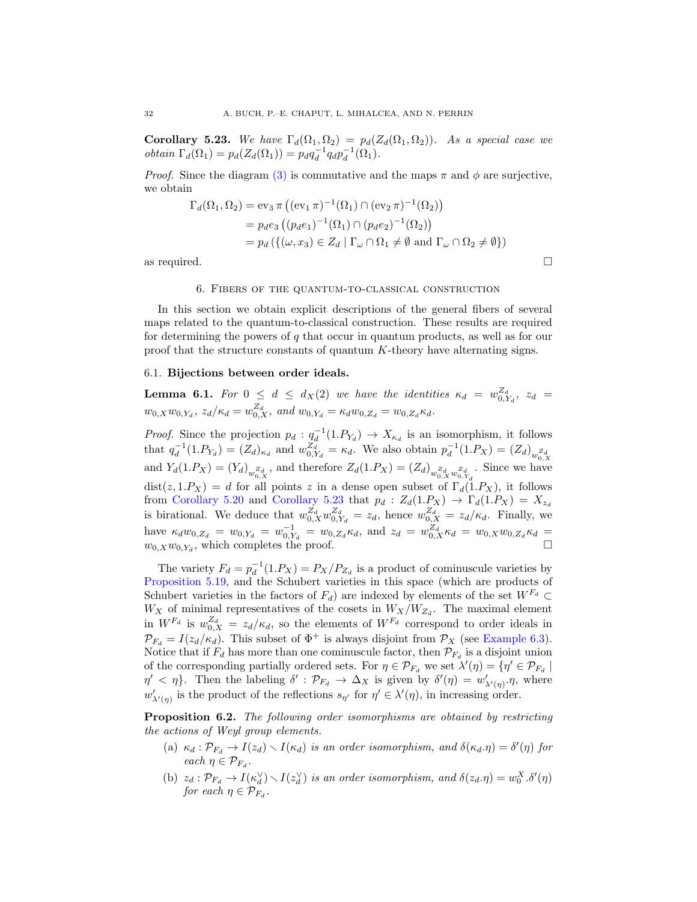<span id="page-31-2"></span>Corollary 5.23. We have  $\Gamma_d(\Omega_1, \Omega_2) = p_d(Z_d(\Omega_1, \Omega_2))$ . As a special case we obtain  $\Gamma_d(\Omega_1) = p_d(Z_d(\Omega_1)) = p_d q_d^{-1} q_d p_d^{-1}(\Omega_1).$ 

*Proof.* Since the diagram [\(3\)](#page-30-0) is commutative and the maps  $\pi$  and  $\phi$  are surjective, we obtain

$$
\Gamma_d(\Omega_1, \Omega_2) = \text{ev}_3 \,\pi \left( (\text{ev}_1 \,\pi)^{-1} (\Omega_1) \cap (\text{ev}_2 \,\pi)^{-1} (\Omega_2) \right)
$$
  
= 
$$
p_d e_3 \left( (p_d e_1)^{-1} (\Omega_1) \cap (p_d e_2)^{-1} (\Omega_2) \right)
$$
  
= 
$$
p_d \left( \{ (\omega, x_3) \in Z_d \mid \Gamma_\omega \cap \Omega_1 \neq \emptyset \text{ and } \Gamma_\omega \cap \Omega_2 \neq \emptyset \} \right)
$$

as required.  $\square$ 

## 6. Fibers of the quantum-to-classical construction

<span id="page-31-0"></span>In this section we obtain explicit descriptions of the general fibers of several maps related to the quantum-to-classical construction. These results are required for determining the powers of  $q$  that occur in quantum products, as well as for our proof that the structure constants of quantum K-theory have alternating signs.

# 6.1. Bijections between order ideals.

<span id="page-31-3"></span>**Lemma 6.1.** For  $0 \le d \le d_X(2)$  we have the identities  $\kappa_d = w_{0,Y_d}^{Z_d}$ ,  $z_d =$  $w_{0,X}w_{0,Y_d}, z_d/\kappa_d = w_{0,X}^{Z_d}, \text{ and } w_{0,Y_d} = \kappa_d w_{0,Z_d} = w_{0,Z_d} \kappa_d.$ 

*Proof.* Since the projection  $p_d: q_d^{-1}(1.P_{Y_d}) \to X_{\kappa_d}$  is an isomorphism, it follows that  $q_d^{-1}(1.P_{Y_d}) = (Z_d)_{\kappa_d}$  and  $w_{0,Y_d}^{Z_d} = \kappa_d$ . We also obtain  $p_d^{-1}(1.P_X) = (Z_d)_{w_{0,Y_d}^{Z_d}}$ and  $Y_d(1.P_X) = (Y_d)_{\substack{w_0, X \ w_0, X}}$ , and therefore  $Z_d(1.P_X) = (Z_d)_{\substack{z_d \ w_0, X \\ w_0, X}}$ . Since we have  $dist(z, 1.P_X) = d$  for all points z in a dense open subset of  $\Gamma_d(1.P_X)$ , it follows from [Corollary 5.20](#page-29-0) and [Corollary 5.23](#page-31-2) that  $p_d$  :  $Z_d(1.P_X) \rightarrow \Gamma_d(1.P_X) = X_{z_d}$ is birational. We deduce that  $w_{0,X}^{Z_d} w_{0,Y_d}^{Z_d} = z_d$ , hence  $w_{0,X}^{Z_d} = z_d/\kappa_d$ . Finally, we have  $\kappa_d w_{0,Z_d} = w_{0,Y_d} = w_{0,Z_d}^{-1} = w_{0,Z_d} \kappa_d$ , and  $z_d = w_{0,X}^Z \kappa_d = w_{0,X} w_{0,Z_d} \kappa_d = w_{0,X_d}$  $w_{0,X}w_{0,Y_d}$ , which completes the proof.

The variety  $F_d = p_d^{-1}(1.P_X) = P_X/P_{Z_d}$  is a product of cominuscule varieties by [Proposition 5.19,](#page-27-1) and the Schubert varieties in this space (which are products of Schubert varieties in the factors of  $F_d$ ) are indexed by elements of the set  $W^{F_d} \subset$  $W_X$  of minimal representatives of the cosets in  $W_X/W_{Z_d}$ . The maximal element in  $W^{F_d}$  is  $w_{0,X}^{Z_d} = z_d/\kappa_d$ , so the elements of  $W^{F_d}$  correspond to order ideals in  $\mathcal{P}_{F_d} = I(z_d/\kappa_d)$ . This subset of  $\Phi^+$  is always disjoint from  $\mathcal{P}_X$  (see [Example 6.3\)](#page-32-0). Notice that if  $F_d$  has more than one cominuscule factor, then  $\mathcal{P}_{F_d}$  is a disjoint union of the corresponding partially ordered sets. For  $\eta \in \mathcal{P}_{F_d}$  we set  $\lambda'(\eta) = \{\eta' \in \mathcal{P}_{F_d} \mid$  $\eta' < \eta$ . Then the labeling  $\delta' : \mathcal{P}_{F_d} \to \Delta_X$  is given by  $\delta'(\eta) = w'_{\lambda'(\eta)} \cdot \eta$ , where  $w'_{\lambda'(\eta)}$  is the product of the reflections  $s_{\eta'}$  for  $\eta' \in \lambda'(\eta)$ , in increasing order.

<span id="page-31-1"></span>**Proposition 6.2.** The following order isomorphisms are obtained by restricting the actions of Weyl group elements.

- (a)  $\kappa_d : \mathcal{P}_{F_d} \to I(z_d) \setminus I(\kappa_d)$  is an order isomorphism, and  $\delta(\kappa_d.\eta) = \delta'(\eta)$  for each  $\eta \in \mathcal{P}_{F_d}$ .
- (b)  $z_d : \mathcal{P}_{F_d} \to I(\kappa_d^{\vee}) \setminus I(z_d^{\vee})$  is an order isomorphism, and  $\delta(z_d.\eta) = w_0^X \cdot \delta'(\eta)$ for each  $\eta \in \mathcal{P}_{F_d}$ .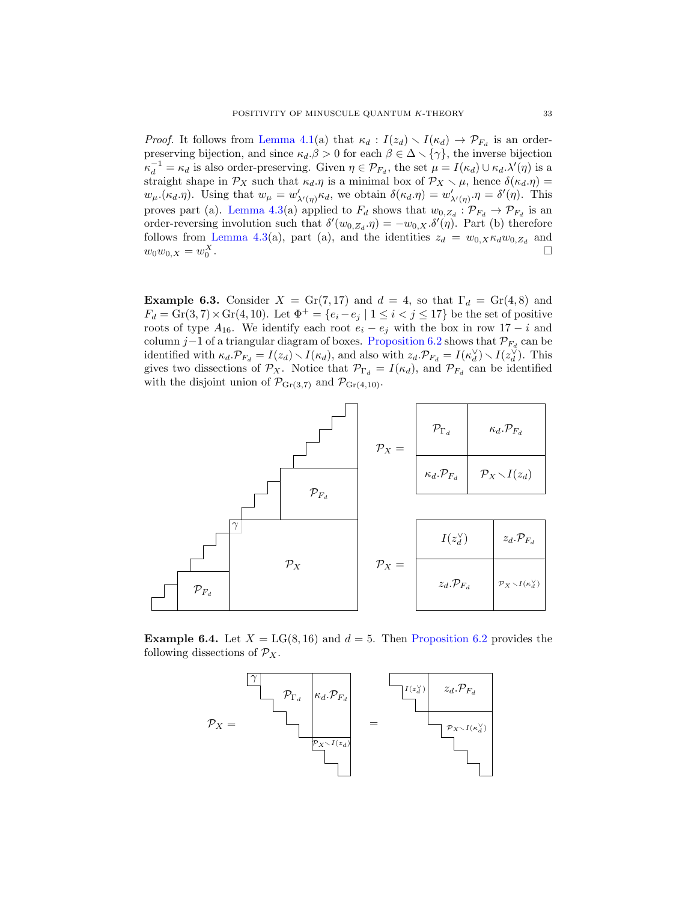*Proof.* It follows from [Lemma 4.1\(](#page-16-0)a) that  $\kappa_d : I(z_d) \setminus I(\kappa_d) \to \mathcal{P}_{F_d}$  is an orderpreserving bijection, and since  $\kappa_d \cdot \beta > 0$  for each  $\beta \in \Delta \setminus {\gamma}$ , the inverse bijection  $\kappa_d^{-1} = \kappa_d$  is also order-preserving. Given  $\eta \in \mathcal{P}_{F_d}$ , the set  $\mu = I(\kappa_d) \cup \kappa_d \cdot \lambda'(\eta)$  is a straight shape in  $\mathcal{P}_X$  such that  $\kappa_d.\eta$  is a minimal box of  $\mathcal{P}_X \setminus \mu$ , hence  $\delta(\kappa_d.\eta)$  =  $w_{\mu}(\kappa_d, \eta)$ . Using that  $w_{\mu} = w'_{\lambda'(\eta)} \kappa_d$ , we obtain  $\delta(\kappa_d, \eta) = w'_{\lambda'(\eta)} \cdot \eta = \delta'(\eta)$ . This proves part (a). [Lemma 4.3\(](#page-18-2)a) applied to  $F_d$  shows that  $w_{0,Z_d} : \mathcal{P}_{F_d} \to \mathcal{P}_{F_d}$  is an order-reversing involution such that  $\delta'(w_{0,Z_d}.\eta) = -w_{0,X}.\delta'(\eta)$ . Part (b) therefore follows from [Lemma 4.3\(](#page-18-2)a), part (a), and the identities  $z_d = w_{0,X} \kappa_d w_{0,Z_d}$  and  $w_0 w_{0,X} = w_0^X$ .

<span id="page-32-0"></span>Example 6.3. Consider  $X = \text{Gr}(7, 17)$  and  $d = 4$ , so that  $\Gamma_d = \text{Gr}(4, 8)$  and  $F_d = \text{Gr}(3, 7) \times \text{Gr}(4, 10)$ . Let  $\Phi^+ = \{e_i - e_j \mid 1 \leq i < j \leq 17\}$  be the set of positive roots of type  $A_{16}$ . We identify each root  $e_i - e_j$  with the box in row 17 – i and column j–1 of a triangular diagram of boxes. [Proposition 6.2](#page-31-1) shows that  $\mathcal{P}_{F_d}$  can be identified with  $\kappa_d \cdot \mathcal{P}_{F_d} = I(z_d) \setminus I(\kappa_d)$ , and also with  $z_d \cdot \mathcal{P}_{F_d} = I(\kappa_d^{\vee}) \setminus I(z_d^{\vee})$ . This gives two dissections of  $\mathcal{P}_X$ . Notice that  $\mathcal{P}_{\Gamma_d} = I(\kappa_d)$ , and  $\mathcal{P}_{F_d}$  can be identified with the disjoint union of  $\mathcal{P}_{\text{Gr}(3,7)}$  and  $\mathcal{P}_{\text{Gr}(4,10)}$ .



<span id="page-32-1"></span>**Example 6.4.** Let  $X = LG(8, 16)$  and  $d = 5$ . Then [Proposition 6.2](#page-31-1) provides the following dissections of  $\mathcal{P}_X$ .

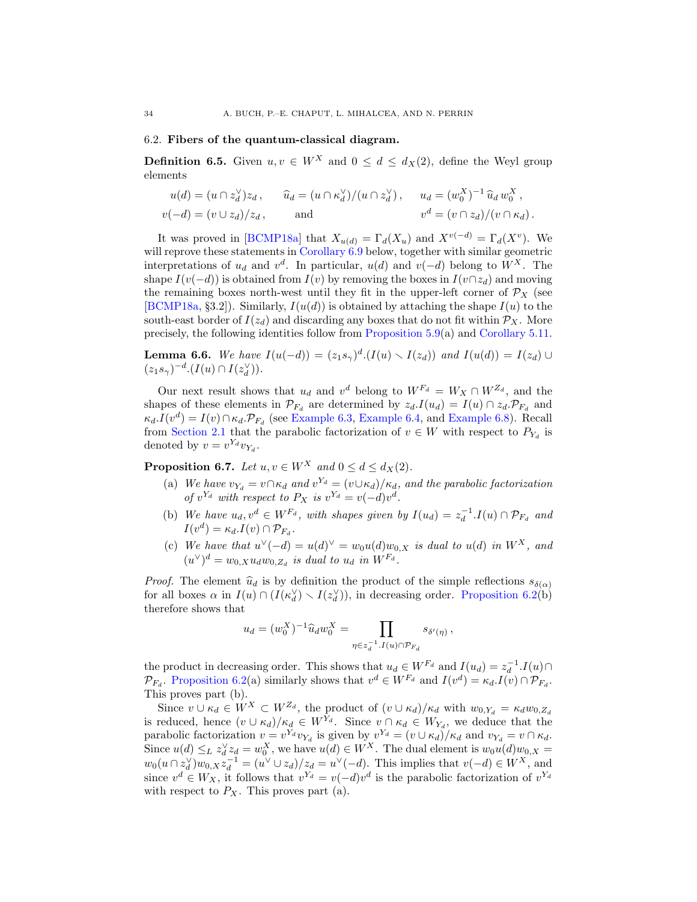## 6.2. Fibers of the quantum-classical diagram.

**Definition 6.5.** Given  $u, v \in W^X$  and  $0 \le d \le d_X(2)$ , define the Weyl group elements

$$
u(d) = (u \cap z_d^{\vee})z_d, \qquad \widehat{u}_d = (u \cap \kappa_d^{\vee})/(u \cap z_d^{\vee}), \qquad u_d = (w_0^X)^{-1} \widehat{u}_d w_0^X,
$$
  

$$
v(-d) = (v \cup z_d)/z_d, \qquad \text{and} \qquad v^d = (v \cap z_d)/(v \cap \kappa_d).
$$

It was proved in [\[BCMP18a\]](#page-62-1) that  $X_{u(d)} = \Gamma_d(X_u)$  and  $X^{v(-d)} = \Gamma_d(X^v)$ . We will reprove these statements in Corollary  $6.9$  below, together with similar geometric interpretations of  $u_d$  and  $v^d$ . In particular,  $u(d)$  and  $v(-d)$  belong to  $W^X$ . The shape  $I(v(-d))$  is obtained from  $I(v)$  by removing the boxes in  $I(v \cap z_d)$  and moving the remaining boxes north-west until they fit in the upper-left corner of  $\mathcal{P}_X$  (see [\[BCMP18a,](#page-62-1) §3.2]). Similarly,  $I(u(d))$  is obtained by attaching the shape  $I(u)$  to the south-east border of  $I(z_d)$  and discarding any boxes that do not fit within  $\mathcal{P}_X$ . More precisely, the following identities follow from [Proposition 5.9\(](#page-24-1)a) and [Corollary 5.11.](#page-25-0)

<span id="page-33-1"></span>**Lemma 6.6.** We have  $I(u(-d)) = (z_1s_\gamma)^d \cdot (I(u) \setminus I(z_d))$  and  $I(u(d)) = I(z_d) \cup I(z_d)$  $(z_1 s_\gamma)^{-d} \cdot (I(u) \cap I(z_d^{\vee})).$ 

Our next result shows that  $u_d$  and  $v^d$  belong to  $W^{F_d} = W_X \cap W^{Z_d}$ , and the shapes of these elements in  $\mathcal{P}_{F_d}$  are determined by  $z_d.I(u_d) = I(u) \cap z_d.\mathcal{P}_{F_d}$  and  $\kappa_d$ . $I(v^d) = I(v) \cap \kappa_d$ . $\mathcal{P}_{F_d}$  (see [Example 6.3,](#page-32-0) [Example 6.4,](#page-32-1) and [Example 6.8\)](#page-34-1). Recall from [Section 2.1](#page-7-0) that the parabolic factorization of  $v \in W$  with respect to  $P_{Y_d}$  is denoted by  $v = v^{Y_d} v_{Y_d}$ .

<span id="page-33-0"></span>**Proposition 6.7.** Let  $u, v \in W^X$  and  $0 \le d \le d_X(2)$ .

- (a) We have  $v_{Y_d} = v \cap \kappa_d$  and  $v^{Y_d} = (v \cup \kappa_d)/\kappa_d$ , and the parabolic factorization of  $v^{Y_d}$  with respect to  $P_X$  is  $v^{Y_d} = v(-d)v^d$ .
- (b) We have  $u_d, v^d \in W^{F_d}$ , with shapes given by  $I(u_d) = z_d^{-1}.I(u) \cap \mathcal{P}_{F_d}$  and  $I(v^d) = \kappa_d.I(v) \cap \mathcal{P}_{F_d}.$
- (c) We have that  $u^{\vee}(-d) = u(d)^{\vee} = w_0u(d)w_{0,X}$  is dual to  $u(d)$  in  $W^X$ , and  $(u^{\vee})^d = w_{0,X} u_d w_{0,Z_d}$  is dual to  $u_d$  in  $W^{F_d}$ .

*Proof.* The element  $\hat{u}_d$  is by definition the product of the simple reflections  $s_{\delta(\alpha)}$ for all boxes  $\alpha$  in  $I(u) \cap (I(\kappa_d^{\vee}) \setminus I(z_d^{\vee}))$ , in decreasing order. [Proposition 6.2\(](#page-31-1)b) therefore shows that

$$
u_d = (w_0^X)^{-1} \widehat{u}_d w_0^X = \prod_{\eta \in z_d^{-1}.I(u) \cap \mathcal{P}_{F_d}} s_{\delta'(\eta)},
$$

the product in decreasing order. This shows that  $u_d \in W^{F_d}$  and  $I(u_d) = z_d^{-1} \cdot I(u) \cap$  $\mathcal{P}_{F_d}$ . [Proposition 6.2\(](#page-31-1)a) similarly shows that  $v^d \in W^{F_d}$  and  $I(v^d) = \kappa_d \cdot I(v) \cap \mathcal{P}_{F_d}$ . This proves part (b).

Since  $v \cup \kappa_d \in W^X \subset W^{Z_d}$ , the product of  $(v \cup \kappa_d)/\kappa_d$  with  $w_{0,Y_d} = \kappa_d w_{0,Z_d}$ is reduced, hence  $(v \cup \kappa_d)/\kappa_d \in W^{Y_d}$ . Since  $v \cap \kappa_d \in W_{Y_d}$ , we deduce that the parabolic factorization  $v = v^{Y_d} v_{Y_d}$  is given by  $v^{Y_d} = (v \cup \kappa_d) / \kappa_d$  and  $v_{Y_d} = v \cap \kappa_d$ . Since  $u(d) \leq_L z_d^{\vee} z_d = w_0^X$ , we have  $u(d) \in W^X$ . The dual element is  $w_0 u(d) w_{0,X} =$  $w_0(u \cap z_d^{\vee})w_{0,X}z_d^{-1} = (u^{\vee} \cup z_d)/z_d = u^{\vee}(-d)$ . This implies that  $v(-d) \in W^X$ , and since  $v^d \in W_X$ , it follows that  $v^{Y_d} = v(-d)v^d$  is the parabolic factorization of  $v^{Y_d}$ with respect to  $P_X$ . This proves part (a).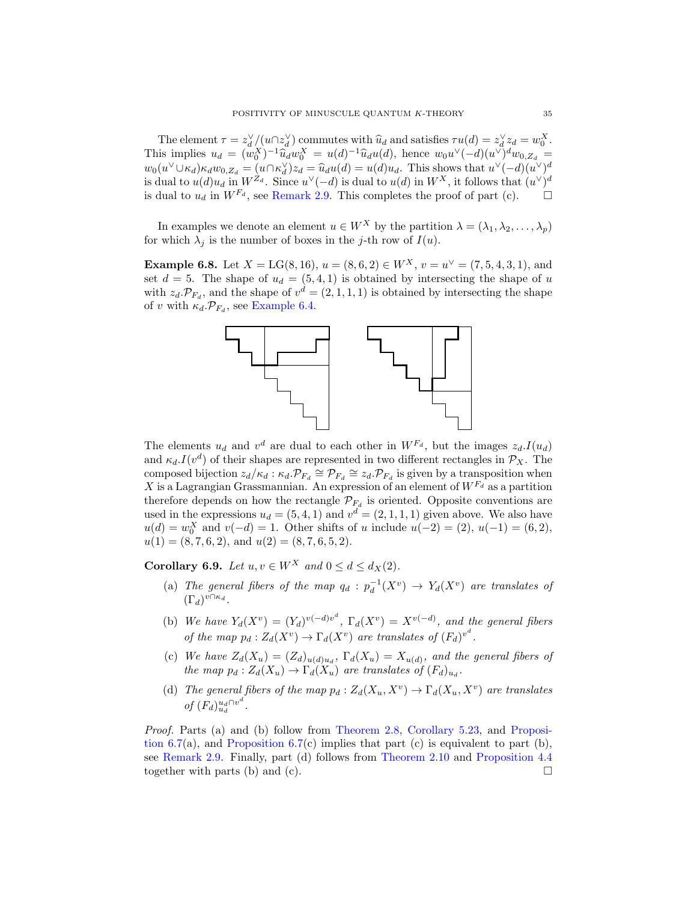The element  $\tau = z_d^{\vee}/(u \cap z_d^{\vee})$  commutes with  $\hat{u}_d$  and satisfies  $\tau u(d) = z_d^{\vee} z_d = w_d^X$ .<br>
is implies  $\psi = (w_d^X)^{-1} \hat{w}_d w_d^X = u(d)^{-1} \hat{w}_d (d)$ , honge  $w_d y_d^{\vee} (d) (d)^{\vee} w_d$ This implies  $u_d = (w_0^X)^{-1} \hat{u}_d w_0^X = u(d)^{-1} \hat{u}_d u(d)$ , hence  $w_0 u^{\vee} (-d)(u^{\vee})^d w_{0, Z_d} =$ <br> $w_0(x^{\vee} + x) = (w_0^{\vee} - x^{\vee})^d - w_0^{\vee} - w_0^{\vee} - w_0^{\vee})$  $w_0(u^{\vee} \cup \kappa_d) \kappa_d w_{0,Z_d} = (u \cap \kappa_d^{\vee}) z_d = \hat{u}_d u(d) = u(d) u_d$ . This shows that  $u^{\vee} (-d)(u^{\vee})^d$ <br>is dual to  $u(d) u$ , in  $W^{Z_d}$ . Since  $u^{\vee} (-d)$  is dual to  $u(d)$  in  $W^X$ , it follows that  $(u^{\vee})^d$ is dual to  $u(d)u_d$  in  $W^{Z_d}$ . Since  $u^{\vee}(-d)$  is dual to  $u(d)$  in  $W^X$ , it follows that  $(u^{\vee})^d$ is dual to  $u_d$  in  $W^{F_d}$ , see [Remark 2.9.](#page-12-1) This completes the proof of part (c).

In examples we denote an element  $u \in W^X$  by the partition  $\lambda = (\lambda_1, \lambda_2, \dots, \lambda_n)$ for which  $\lambda_i$  is the number of boxes in the j-th row of  $I(u)$ .

<span id="page-34-1"></span>**Example 6.8.** Let  $X = LG(8, 16)$ ,  $u = (8, 6, 2) \in W^X$ ,  $v = u^{\vee} = (7, 5, 4, 3, 1)$ , and set  $d = 5$ . The shape of  $u_d = (5, 4, 1)$  is obtained by intersecting the shape of u with  $z_d \mathcal{P}_{F_d}$ , and the shape of  $v^d = (2, 1, 1, 1)$  is obtained by intersecting the shape of v with  $\kappa_d \cdot \mathcal{P}_{F_d}$ , see [Example 6.4.](#page-32-1)



The elements  $u_d$  and  $v^d$  are dual to each other in  $W^{F_d}$ , but the images  $z_d$ .  $I(u_d)$ and  $\kappa_d I(v^d)$  of their shapes are represented in two different rectangles in  $\mathcal{P}_X$ . The composed bijection  $z_d/\kappa_d : \kappa_d \mathcal{P}_{F_d} \cong \mathcal{P}_{F_d} \cong z_d \mathcal{P}_{F_d}$  is given by a transposition when X is a Lagrangian Grassmannian. An expression of an element of  $W^{F_d}$  as a partition therefore depends on how the rectangle  $\mathcal{P}_{F_d}$  is oriented. Opposite conventions are used in the expressions  $u_d = (5, 4, 1)$  and  $v^d = (2, 1, 1, 1)$  given above. We also have  $u(d) = w_0^X$  and  $v(-d) = 1$ . Other shifts of u include  $u(-2) = (2), u(-1) = (6, 2),$  $u(1) = (8, 7, 6, 2), \text{ and } u(2) = (8, 7, 6, 5, 2).$ 

<span id="page-34-0"></span>Corollary 6.9. Let  $u, v \in W^X$  and  $0 \le d \le d_X(2)$ .

- (a) The general fibers of the map  $q_d$ :  $p_d^{-1}(X^v) \rightarrow Y_d(X^v)$  are translates of  $(\Gamma_d)^{v \cap \kappa_d}$ .
- (b) We have  $Y_d(X^v) = (Y_d)^{v(-d)v^d}$ ,  $\Gamma_d(X^v) = X^{v(-d)}$ , and the general fibers of the map  $p_d: Z_d(X^v) \to \Gamma_d(X^v)$  are translates of  $(F_d)^{v^d}$ .
- (c) We have  $Z_d(X_u) = (Z_d)_{u(d)u_d}$ ,  $\Gamma_d(X_u) = X_{u(d)}$ , and the general fibers of the map  $p_d: Z_d(X_u) \to \Gamma_d(X_u)$  are translates of  $(F_d)_{u_d}$ .
- (d) The general fibers of the map  $p_d: Z_d(X_u, X^v) \to \Gamma_d(X_u, X^v)$  are translates of  $(F_d)_{u_d}^{u_d \cap v^d}$ .

Proof. Parts (a) and (b) follow from [Theorem 2.8,](#page-11-0) [Corollary 5.23,](#page-31-2) and [Proposi](#page-33-0)tion  $6.7(a)$ , and Proposition  $6.7(c)$  implies that part (c) is equivalent to part (b), see [Remark 2.9.](#page-12-1) Finally, part (d) follows from [Theorem 2.10](#page-12-0) and [Proposition 4.4](#page-18-0) together with parts (b) and (c).  $\Box$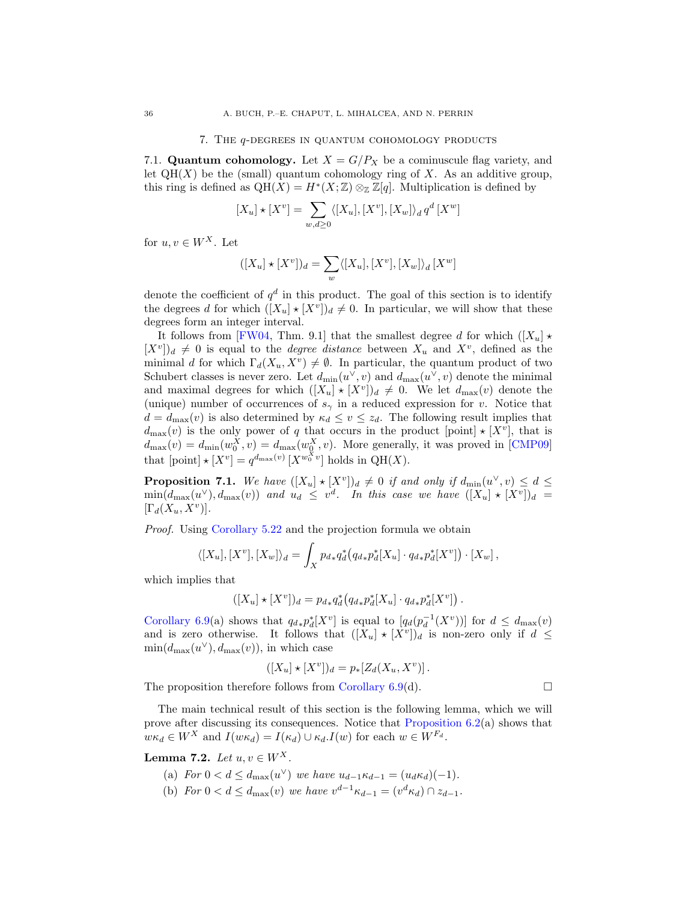#### 7. The q-degrees in quantum cohomology products

<span id="page-35-0"></span>7.1. Quantum cohomology. Let  $X = G/P_X$  be a cominuscule flag variety, and let  $QH(X)$  be the (small) quantum cohomology ring of X. As an additive group, this ring is defined as  $QH(X) = H^*(X;\mathbb{Z}) \otimes_{\mathbb{Z}} \mathbb{Z}[q]$ . Multiplication is defined by

$$
[X_u] \star [X^v] = \sum_{w,d \ge 0} \langle [X_u], [X^v], [X_w] \rangle_d q^d [X^w]
$$

for  $u, v \in W^X$ . Let

$$
([X_u] \star [X^v])_d = \sum_w \langle [X_u], [X^v], [X_w] \rangle_d [X^w]
$$

denote the coefficient of  $q^d$  in this product. The goal of this section is to identify the degrees d for which  $([X_u] \star [X^v])_d \neq 0$ . In particular, we will show that these degrees form an integer interval.

It follows from [\[FW04,](#page-63-7) Thm. 9.1] that the smallest degree d for which  $([X_u] \star$  $[X^v]_d \neq 0$  is equal to the *degree distance* between  $X_u$  and  $X^v$ , defined as the minimal d for which  $\Gamma_d(X_u, X_v) \neq \emptyset$ . In particular, the quantum product of two Schubert classes is never zero. Let  $d_{\min}(u^{\vee}, v)$  and  $d_{\max}(u^{\vee}, v)$  denote the minimal and maximal degrees for which  $([X_u] \star [X^v])_d \neq 0$ . We let  $d_{\text{max}}(v)$  denote the (unique) number of occurrences of  $s<sub>\gamma</sub>$  in a reduced expression for v. Notice that  $d = d_{\text{max}}(v)$  is also determined by  $\kappa_d \leq v \leq z_d$ . The following result implies that  $d_{\text{max}}(v)$  is the only power of q that occurs in the product [point]  $\star$  [X<sup>v</sup>], that is  $d_{\text{max}}(v) = d_{\text{min}}(w_0^X, v) = d_{\text{max}}(w_0^X, v)$ . More generally, it was proved in [\[CMP09\]](#page-62-4) that  $[point] \star [X^v] = q^{d_{\max}(v)} [X^{w_0^X v}]$  holds in QH(X).

<span id="page-35-2"></span>**Proposition 7.1.** We have  $([X_u] \star [X^v])_d \neq 0$  if and only if  $d_{\min}(u^{\vee}, v) \leq d \leq$  $\min(d_{\max}(u^{\vee}), d_{\max}(v))$  and  $u_d \leq v^d$ . In this case we have  $([X_u] \star [X^v])_d =$  $[\Gamma_d(X_u, X^v)].$ 

Proof. Using [Corollary 5.22](#page-30-2) and the projection formula we obtain

$$
\langle [X_u], [X^v], [X_w] \rangle_d = \int_X p_{d*} q_d^* \big( q_{d*} p_d^* [X_u] \cdot q_{d*} p_d^* [X^v] \big) \cdot [X_w],
$$

which implies that

$$
([X_u] \star [X^v])_d = p_{d*} q_d^* (q_{d*} p_d^* [X_u] \cdot q_{d*} p_d^* [X^v]) .
$$

[Corollary 6.9\(](#page-34-0)a) shows that  $q_{d*} p_d^*[X^v]$  is equal to  $[q_d(p_d^{-1}(X^v))]$  for  $d \leq d_{\max}(v)$ and is zero otherwise. It follows that  $([X_u] \star [X^v])_d$  is non-zero only if  $d \leq$  $min(d_{\text{max}}(u^{\vee}), d_{\text{max}}(v)),$  in which case

$$
([X_u \star [X^v])_d = p_*[Z_d(X_u, X^v)].
$$

The proposition therefore follows from [Corollary 6.9\(](#page-34-0)d).

The main technical result of this section is the following lemma, which we will prove after discussing its consequences. Notice that [Proposition 6.2\(](#page-31-1)a) shows that  $w\kappa_d \in W^X$  and  $I(w\kappa_d) = I(\kappa_d) \cup \kappa_d$ .  $I(w)$  for each  $w \in W^{F_d}$ .

<span id="page-35-1"></span>Lemma 7.2. Let  $u, v \in W^X$ .

- (a) For  $0 < d \le d_{\text{max}}(u^{\vee})$  we have  $u_{d-1} \kappa_{d-1} = (u_d \kappa_d)(-1)$ .
- (b) For  $0 < d \le d_{\text{max}}(v)$  we have  $v^{d-1} \kappa_{d-1} = (v^d \kappa_d) \cap z_{d-1}$ .

$$
\Box
$$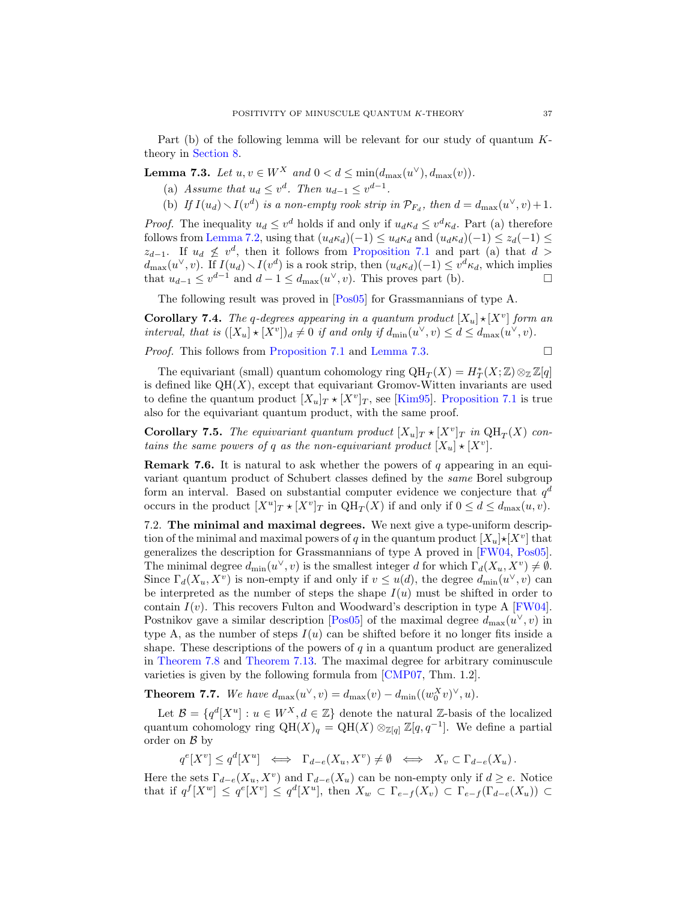Part (b) of the following lemma will be relevant for our study of quantum Ktheory in [Section 8.](#page-44-0)

<span id="page-36-1"></span>**Lemma 7.3.** Let  $u, v \in W^X$  and  $0 < d \le \min(d_{\max}(u^{\vee}), d_{\max}(v)).$ 

- (a) Assume that  $u_d \leq v^d$ . Then  $u_{d-1} \leq v^{d-1}$ .
- (b) If  $I(u_d) \setminus I(v^d)$  is a non-empty rook strip in  $\mathcal{P}_{F_d}$ , then  $d = d_{\max}(u^{\vee}, v) + 1$ .

*Proof.* The inequality  $u_d \leq v^d$  holds if and only if  $u_d \kappa_d \leq v^d \kappa_d$ . Part (a) therefore follows from [Lemma 7.2,](#page-35-1) using that  $(u_d \kappa_d)(-1) \leq u_d \kappa_d$  and  $(u_d \kappa_d)(-1) \leq z_d(-1) \leq$  $z_{d-1}$ . If  $u_d \not\leq v^d$ , then it follows from [Proposition 7.1](#page-35-2) and part (a) that  $d >$  $d_{\max}(u^{\vee}, v)$ . If  $I(u_d) \setminus I(v^d)$  is a rook strip, then  $(u_d \kappa_d)(-1) \leq v^d \kappa_d$ , which implies that  $u_{d-1} \le v^{d-1}$  and  $d-1 \le d_{\max}(u^{\vee}, v)$ . This proves part (b).

The following result was proved in [\[Pos05\]](#page-63-8) for Grassmannians of type A.

**Corollary 7.4.** The q-degrees appearing in a quantum product  $[X_u] \star [X^v]$  form an interval, that is  $([X_u] \star [X^v])_d \neq 0$  if and only if  $d_{\min}(u^{\vee}, v) \leq d \leq d_{\max}(u^{\vee}, v)$ .

Proof. This follows from [Proposition 7.1](#page-35-2) and [Lemma 7.3.](#page-36-1)

$$
\Box
$$

The equivariant (small) quantum cohomology ring  $\mathrm{QH}_{T}(X)=H_{T}^{\ast}(X;\mathbb{Z})\otimes_{\mathbb{Z}}\mathbb{Z}[q]$ is defined like  $QH(X)$ , except that equivariant Gromov-Witten invariants are used to define the quantum product  $[X_u]_T \star [X^v]_T$ , see [\[Kim95\]](#page-63-20). [Proposition 7.1](#page-35-2) is true also for the equivariant quantum product, with the same proof.

**Corollary 7.5.** The equivariant quantum product  $[X_u]_T \star [X^v]_T$  in  $QH_T(X)$  contains the same powers of q as the non-equivariant product  $[X_u] \star [X^v]$ .

**Remark 7.6.** It is natural to ask whether the powers of q appearing in an equivariant quantum product of Schubert classes defined by the same Borel subgroup form an interval. Based on substantial computer evidence we conjecture that  $q^d$ occurs in the product  $[X^u]_T \star [X^v]_T$  in  $QH_T(X)$  if and only if  $0 \le d \le d_{\max}(u, v)$ .

<span id="page-36-0"></span>7.2. The minimal and maximal degrees. We next give a type-uniform description of the minimal and maximal powers of q in the quantum product  $[X_u] \star [X^v]$  that generalizes the description for Grassmannians of type A proved in [\[FW04,](#page-63-7) [Pos05\]](#page-63-8). The minimal degree  $d_{\min}(u^{\vee}, v)$  is the smallest integer d for which  $\Gamma_d(X_u, X^v) \neq \emptyset$ . Since  $\Gamma_d(X_u, X^v)$  is non-empty if and only if  $v \leq u(d)$ , the degree  $d_{\min}(u^{\vee}, v)$  can be interpreted as the number of steps the shape  $I(u)$  must be shifted in order to contain  $I(v)$ . This recovers Fulton and Woodward's description in type A [\[FW04\]](#page-63-7). Postnikov gave a similar description [\[Pos05\]](#page-63-8) of the maximal degree  $d_{\text{max}}(u^{\vee}, v)$  in type A, as the number of steps  $I(u)$  can be shifted before it no longer fits inside a shape. These descriptions of the powers of  $q$  in a quantum product are generalized in [Theorem 7.8](#page-37-0) and [Theorem 7.13.](#page-39-0) The maximal degree for arbitrary cominuscule varieties is given by the following formula from [\[CMP07,](#page-62-19) Thm. 1.2].

<span id="page-36-2"></span>**Theorem 7.7.** We have  $d_{\max}(u^{\vee}, v) = d_{\max}(v) - d_{\min}((w_0^X v)^{\vee}, u)$ .

Let  $\mathcal{B} = \{q^d[X^u] : u \in W^X, d \in \mathbb{Z}\}\$  denote the natural Z-basis of the localized quantum cohomology ring  $QH(X)_{q} = QH(X) \otimes_{\mathbb{Z}[q]} \mathbb{Z}[q, q^{-1}]$ . We define a partial order on  $\beta$  by

 $q^{e}[X^{v}] \leq q^{d}[X^{u}] \iff \Gamma_{d-e}(X_{u}, X^{v}) \neq \emptyset \iff X_{v} \subset \Gamma_{d-e}(X_{u}).$ 

Here the sets  $\Gamma_{d-e}(X_u, X^v)$  and  $\Gamma_{d-e}(X_u)$  can be non-empty only if  $d \geq e$ . Notice that if  $q^f[X^w] \le q^e[X^v] \le q^d[X^u]$ , then  $X_w \subset \Gamma_{e-f}(X_v) \subset \Gamma_{e-f}(\Gamma_{d-e}(X_u)) \subset$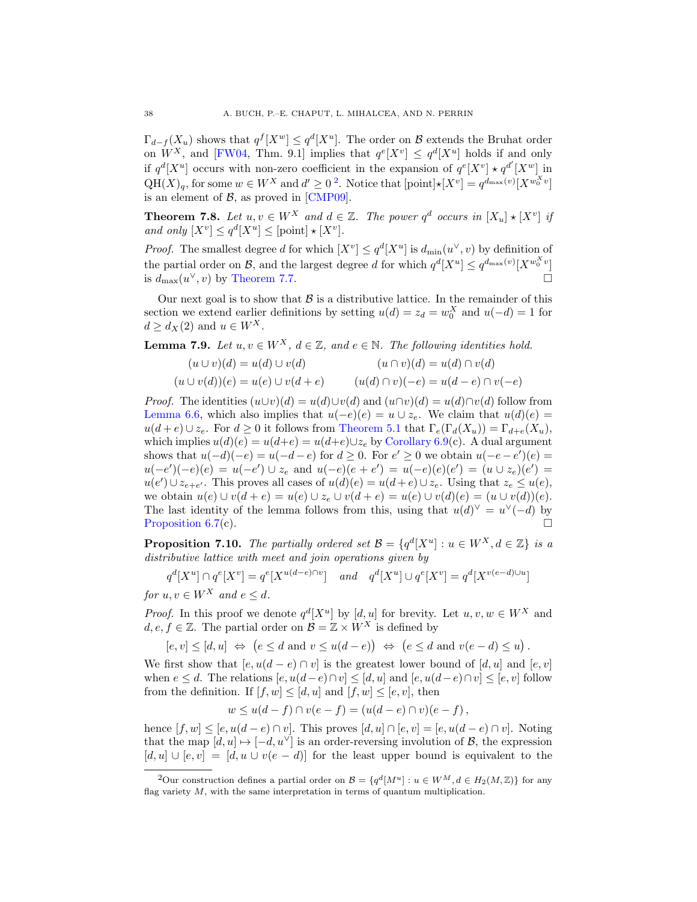$\Gamma_{d-f}(X_u)$  shows that  $q^f[X^w] \leq q^d[X^u]$ . The order on  $\mathcal B$  extends the Bruhat order on  $W^X$ , and [\[FW04,](#page-63-7) Thm. 9.1] implies that  $q^e[X^v] \leq q^d[X^u]$  holds if and only if  $q^d[X^u]$  occurs with non-zero coefficient in the expansion of  $q^e[X^v] \star q^{d'}[X^w]$  in  $QH(X)<sub>q</sub>$ , for some  $w \in W^X$  and  $d' \geq 0^2$  $d' \geq 0^2$ . Notice that  $[point] \star [X^v] = q^{d_{\max}(v)} [X^{w_0^X v}]$ is an element of  $\beta$ , as proved in [\[CMP09\]](#page-62-4).

<span id="page-37-0"></span>**Theorem 7.8.** Let  $u, v \in W^X$  and  $d \in \mathbb{Z}$ . The power  $q^d$  occurs in  $[X_u] \star [X^v]$  if and only  $[X^v] \leq q^d |X^u| \leq [\text{point}] \star [X^v].$ 

*Proof.* The smallest degree d for which  $[X^v] \leq q^d [X^u]$  is  $d_{\min}(u^{\vee}, v)$  by definition of the partial order on B, and the largest degree d for which  $q^d[X^u] \leq q^{d_{\text{max}}(v)}[X^{w_0^X v}]$ is  $d_{\text{max}}(u^{\vee}, v)$  by [Theorem 7.7.](#page-36-2)

Our next goal is to show that  $\beta$  is a distributive lattice. In the remainder of this section we extend earlier definitions by setting  $u(d) = z_d = w_0^X$  and  $u(-d) = 1$  for  $d \geq d_X(2)$  and  $u \in W^X$ .

<span id="page-37-2"></span>**Lemma 7.9.** Let  $u, v \in W^X$ ,  $d \in \mathbb{Z}$ , and  $e \in \mathbb{N}$ . The following identities hold.

$$
(u \cup v)(d) = u(d) \cup v(d)
$$
  
\n
$$
(u \cup v)(d) = u(e) \cup v(d + e)
$$
  
\n
$$
(u(d) \cap v)(-e) = u(d - e) \cap v(-e)
$$

*Proof.* The identities  $(u\cup v)(d) = u(d)\cup v(d)$  and  $(u\cap v)(d) = u(d)\cap v(d)$  follow from [Lemma 6.6,](#page-33-1) which also implies that  $u(-e)(e) = u \cup z_e$ . We claim that  $u(d)(e) =$  $u(d+e) \cup z_e$ . For  $d \geq 0$  it follows from [Theorem 5.1](#page-23-1) that  $\Gamma_e(\Gamma_d(X_u)) = \Gamma_{d+e}(X_u)$ , which implies  $u(d)(e) = u(d+e) = u(d+e) \cup z_e$  by [Corollary 6.9\(](#page-34-0)c). A dual argument shows that  $u(-d)(-e) = u(-d-e)$  for  $d \ge 0$ . For  $e' \ge 0$  we obtain  $u(-e-e')(e) =$  $u(-e')(-e)(e) = u(-e') \cup z_e$  and  $u(-e)(e + e') = u(-e)(e)(e') = (u \cup z_e)(e') =$  $u(e') \cup z_{e+e'}$ . This proves all cases of  $u(d)(e) = u(d+e) \cup z_e$ . Using that  $z_e \leq u(e)$ , we obtain  $u(e) \cup v(d + e) = u(e) \cup z_e \cup v(d + e) = u(e) \cup v(d)(e) = (u \cup v(d))(e)$ . The last identity of the lemma follows from this, using that  $u(d)^{\vee} = u^{\vee}(-d)$  by [Proposition 6.7\(](#page-33-0)c).

<span id="page-37-3"></span>**Proposition 7.10.** The partially ordered set  $\mathcal{B} = \{q^d[X^u] : u \in W^X, d \in \mathbb{Z}\}\$ is a distributive lattice with meet and join operations given by

$$
q^d[X^u] \cap q^e[X^v] = q^e[X^{u(d-e)\cap v}] \quad and \quad q^d[X^u] \cup q^e[X^v] = q^d[X^{v(e-d)\cup u}]
$$

for  $u, v \in W^X$  and  $e \leq d$ .

*Proof.* In this proof we denote  $q^d[X^u]$  by  $[d, u]$  for brevity. Let  $u, v, w \in W^X$  and  $d, e, f \in \mathbb{Z}$ . The partial order on  $\mathcal{B} = \mathbb{Z} \times W^X$  is defined by

$$
[e, v] \leq [d, u] \Leftrightarrow (e \leq d \text{ and } v \leq u(d - e)) \Leftrightarrow (e \leq d \text{ and } v(e - d) \leq u).
$$

We first show that  $[e, u(d - e) \cap v]$  is the greatest lower bound of  $[d, u]$  and  $[e, v]$ when  $e \leq d$ . The relations  $[e, u(d-e) \cap v] \leq [d, u]$  and  $[e, u(d-e) \cap v] \leq [e, v]$  follow from the definition. If  $[f, w] \leq [d, u]$  and  $[f, w] \leq [e, v]$ , then

$$
w \le u(d - f) \cap v(e - f) = (u(d - e) \cap v)(e - f)
$$
,

hence  $[f, w] \leq [e, u(d - e) \cap v]$ . This proves  $[d, u] \cap [e, v] = [e, u(d - e) \cap v]$ . Noting that the map  $[d, u] \mapsto [-d, u^{\vee}]$  is an order-reversing involution of  $\mathcal{B}$ , the expression  $[d, u] \cup [e, v] = [d, u \cup v(e - d)]$  for the least upper bound is equivalent to the

<span id="page-37-1"></span><sup>&</sup>lt;sup>2</sup>Our construction defines a partial order on  $\mathcal{B} = \{q^d[M^u] : u \in W^M, d \in H_2(M, \mathbb{Z})\}$  for any flag variety  $M$ , with the same interpretation in terms of quantum multiplication.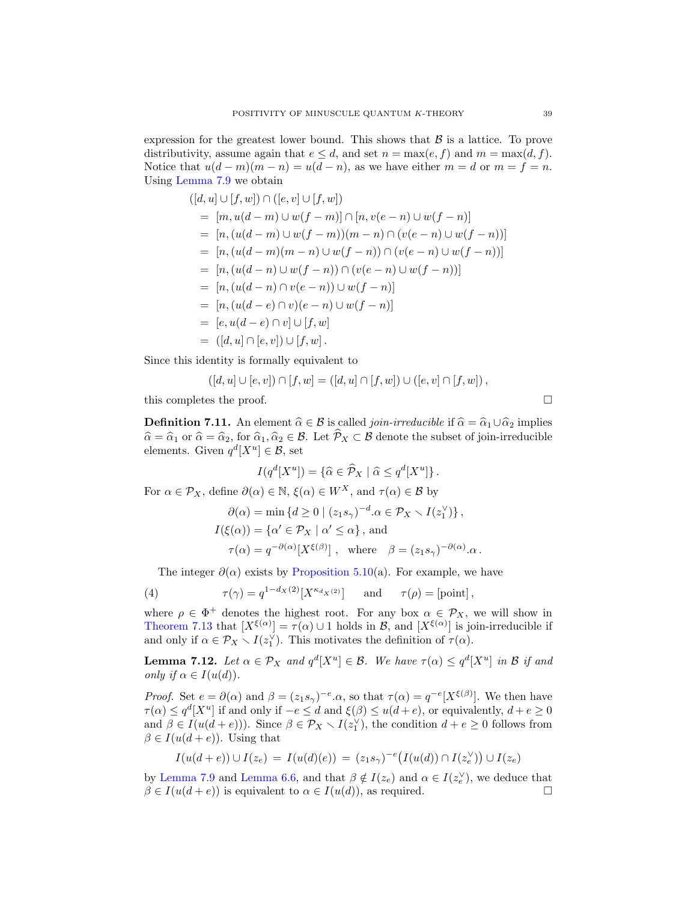expression for the greatest lower bound. This shows that  $\beta$  is a lattice. To prove distributivity, assume again that  $e \leq d$ , and set  $n = \max(e, f)$  and  $m = \max(d, f)$ . Notice that  $u(d-m)(m-n) = u(d-n)$ , as we have either  $m = d$  or  $m = f = n$ . Using [Lemma 7.9](#page-37-2) we obtain

$$
([d, u] \cup [f, w]) \cap ([e, v] \cup [f, w])
$$
  
= 
$$
[m, u(d-m) \cup w(f-m)] \cap [n, v(e-n) \cup w(f-n)]
$$
  
= 
$$
[n, (u(d-m) \cup w(f-m))(m-n) \cap (v(e-n) \cup w(f-n))]
$$
  
= 
$$
[n, (u(d-m)(m-n) \cup w(f-n)) \cap (v(e-n) \cup w(f-n))]
$$
  
= 
$$
[n, (u(d-n) \cap v(e-n)) \cup w(f-n)]
$$
  
= 
$$
[n, (u(d-n) \cap v(e-n)) \cup w(f-n)]
$$
  
= 
$$
[n, (u(d-e) \cap v)(e-n) \cup w(f-n)]
$$
  
= 
$$
[e, u(d-e) \cap v] \cup [f, w]
$$
  
= 
$$
([d, u] \cap [e, v]) \cup [f, w].
$$

Since this identity is formally equivalent to

$$
([d, u] \cup [e, v]) \cap [f, w] = ([d, u] \cap [f, w]) \cup ([e, v] \cap [f, w]),
$$

this completes the proof.

**Definition 7.11.** An element  $\hat{\alpha} \in \mathcal{B}$  is called *join-irreducible* if  $\hat{\alpha} = \hat{\alpha}_1 \cup \hat{\alpha}_2$  implies  $\hat{\alpha} = \hat{\alpha}_1$  or  $\hat{\alpha} = \hat{\alpha}_2$ , for  $\hat{\alpha}_1, \hat{\alpha}_2 \in \mathcal{B}$ . Let  $\hat{\mathcal{P}}_X \subset \mathcal{B}$  denote the subset of join-irreducible elements. Given  $q^d[X^u] \in \mathcal{B}$ , set

$$
I(q^d[X^u]) = \{ \widehat{\alpha} \in \widehat{\mathcal{P}}_X \mid \widehat{\alpha} \le q^d[X^u] \}.
$$

For  $\alpha \in \mathcal{P}_X$ , define  $\partial(\alpha) \in \mathbb{N}$ ,  $\xi(\alpha) \in W^X$ , and  $\tau(\alpha) \in \mathcal{B}$  by

$$
\partial(\alpha) = \min \{ d \ge 0 \mid (z_1 s_\gamma)^{-d}.\alpha \in \mathcal{P}_X \setminus I(z_1^\vee) \},
$$
  

$$
I(\xi(\alpha)) = \{ \alpha' \in \mathcal{P}_X \mid \alpha' \le \alpha \}, \text{ and}
$$
  

$$
\tau(\alpha) = q^{-\partial(\alpha)} [X^{\xi(\beta)}], \text{ where } \beta = (z_1 s_\gamma)^{-\partial(\alpha)}.\alpha.
$$

<span id="page-38-1"></span>The integer  $\partial(\alpha)$  exists by [Proposition 5.10\(](#page-24-2)a). For example, we have

(4) 
$$
\tau(\gamma) = q^{1-d_X(2)} [X^{\kappa_{d_X(2)}}] \quad \text{and} \quad \tau(\rho) = [\text{point}],
$$

where  $\rho \in \Phi^+$  denotes the highest root. For any box  $\alpha \in \mathcal{P}_X$ , we will show in [Theorem 7.13](#page-39-0) that  $[X^{\xi(\alpha)}] = \tau(\alpha) \cup 1$  holds in  $\mathcal{B}$ , and  $[X^{\xi(\alpha)}]$  is join-irreducible if and only if  $\alpha \in \mathcal{P}_X \setminus I(z_1^{\vee})$ . This motivates the definition of  $\tau(\alpha)$ .

<span id="page-38-0"></span>**Lemma 7.12.** Let  $\alpha \in \mathcal{P}_X$  and  $q^d[X^u] \in \mathcal{B}$ . We have  $\tau(\alpha) \leq q^d[X^u]$  in  $\mathcal{B}$  if and only if  $\alpha \in I(u(d)).$ 

*Proof.* Set  $e = \partial(\alpha)$  and  $\beta = (z_1 s_\gamma)^{-e} \cdot \alpha$ , so that  $\tau(\alpha) = q^{-e}[X^{\xi(\beta)}]$ . We then have  $\tau(\alpha) \leq q^d [X^u]$  if and only if  $-e \leq d$  and  $\xi(\beta) \leq u(d+e)$ , or equivalently,  $d+e \geq 0$ and  $\beta \in I(u(d+e))$ ). Since  $\beta \in \mathcal{P}_X \setminus I(z_1^{\vee})$ , the condition  $d+e \geq 0$  follows from  $\beta \in I(u(d+e))$ . Using that

$$
I(u(d+e)) \cup I(z_e) = I(u(d)(e)) = (z_1 s_\gamma)^{-e} \big(I(u(d)) \cap I(z_e^\vee)\big) \cup I(z_e)
$$

by [Lemma 7.9](#page-37-2) and [Lemma 6.6,](#page-33-1) and that  $\beta \notin I(z_e)$  and  $\alpha \in I(z_e^{\vee})$ , we deduce that  $\beta \in I(u(d+e))$  is equivalent to  $\alpha \in I(u(d))$ , as required.

$$
\Box
$$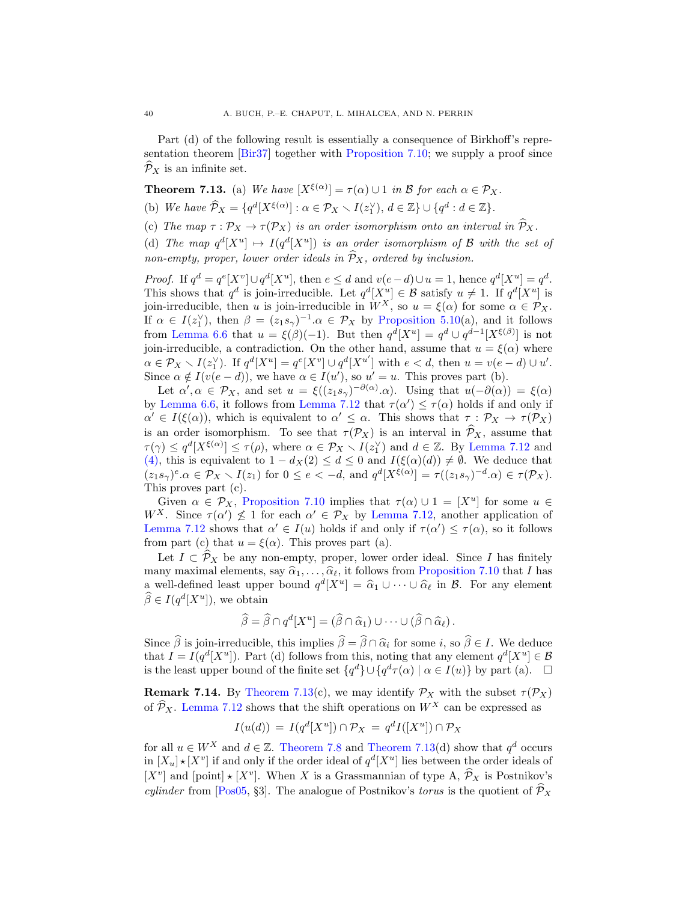Part (d) of the following result is essentially a consequence of Birkhoff's representation theorem [\[Bir37\]](#page-62-20) together with [Proposition 7.10;](#page-37-3) we supply a proof since  $\mathcal{P}_X$  is an infinite set.

<span id="page-39-0"></span>**Theorem 7.13.** (a) We have  $[X^{\xi(\alpha)}] = \tau(\alpha) \cup 1$  in B for each  $\alpha \in \mathcal{P}_X$ .

(b) We have  $\widehat{P}_X = \{q^d[X^{\xi(\alpha)}]: \alpha \in \mathcal{P}_X \setminus I(z_1^{\vee}), d \in \mathbb{Z}\} \cup \{q^d : d \in \mathbb{Z}\}.$ 

(c) The map  $\tau : \mathcal{P}_X \to \tau(\mathcal{P}_X)$  is an order isomorphism onto an interval in  $\widehat{\mathcal{P}}_X$ .

(d) The map  $q^d[X^u] \mapsto I(q^d[X^u])$  is an order isomorphism of B with the set of non-empty, proper, lower order ideals in  $\widehat{P}_X$ , ordered by inclusion.

*Proof.* If  $q^d = q^e[X^v] \cup q^d[X^u]$ , then  $e \leq d$  and  $v(e-d) \cup u = 1$ , hence  $q^d[X^u] = q^d$ . This shows that  $q^d$  is join-irreducible. Let  $q^d[X^u] \in \mathcal{B}$  satisfy  $u \neq 1$ . If  $q^d[X^u]$  is join-irreducible, then u is join-irreducible in  $W^X$ , so  $u = \xi(\alpha)$  for some  $\alpha \in \mathcal{P}_X$ . If  $\alpha \in I(z_1^{\vee})$ , then  $\beta = (z_1 s_{\gamma})^{-1}.\alpha \in \mathcal{P}_X$  by [Proposition 5.10\(](#page-24-2)a), and it follows from [Lemma 6.6](#page-33-1) that  $u = \xi(\beta)(-1)$ . But then  $q^d[X^u] = q^d \cup q^{d-1}[X^{\xi(\beta)}]$  is not join-irreducible, a contradiction. On the other hand, assume that  $u = \xi(\alpha)$  where  $\alpha \in \mathcal{P}_X \setminus I(z_1^{\vee})$ . If  $q^d[X^u] = q^e[X^v] \cup q^d[X^{u'}]$  with  $e < d$ , then  $u = v(e - d) \cup u'$ . Since  $\alpha \notin I(v(e-d))$ , we have  $\alpha \in I(u')$ , so  $u' = u$ . This proves part (b).

Let  $\alpha', \alpha \in \mathcal{P}_X$ , and set  $u = \xi((z_1 s_\gamma)^{-\partial(\alpha)} \cdot \alpha)$ . Using that  $u(-\partial(\alpha)) = \xi(\alpha)$ by [Lemma 6.6,](#page-33-1) it follows from [Lemma 7.12](#page-38-0) that  $\tau(\alpha') \leq \tau(\alpha)$  holds if and only if  $\alpha' \in I(\xi(\alpha))$ , which is equivalent to  $\alpha' \leq \alpha$ . This shows that  $\tau : \mathcal{P}_X \to \tau(\mathcal{P}_X)$ is an order isomorphism. To see that  $\tau(\mathcal{P}_X)$  is an interval in  $\widehat{\mathcal{P}}_X$ , assume that  $\tau(\gamma) \leq q^d[X^{\xi(\alpha)}] \leq \tau(\rho)$ , where  $\alpha \in \mathcal{P}_X \setminus I(z_1^{\vee})$  and  $d \in \mathbb{Z}$ . By [Lemma 7.12](#page-38-0) and [\(4\),](#page-38-1) this is equivalent to  $1 - d_X(2) \leq d \leq 0$  and  $I(\xi(\alpha)(d)) \neq \emptyset$ . We deduce that  $(z_1 s_\gamma)^e \alpha \in \mathcal{P}_X \setminus I(z_1)$  for  $0 \le e < -d$ , and  $q^d[X^{\xi(\alpha)}] = \tau((z_1 s_\gamma)^{-d} \alpha) \in \tau(\mathcal{P}_X)$ . This proves part (c).

Given  $\alpha \in \mathcal{P}_X$ , [Proposition 7.10](#page-37-3) implies that  $\tau(\alpha) \cup 1 = [X^u]$  for some  $u \in$ W<sup>X</sup>. Since  $\tau(\alpha') \nleq 1$  for each  $\alpha' \in \mathcal{P}_X$  by [Lemma 7.12,](#page-38-0) another application of [Lemma 7.12](#page-38-0) shows that  $\alpha' \in I(u)$  holds if and only if  $\tau(\alpha') \leq \tau(\alpha)$ , so it follows from part (c) that  $u = \xi(\alpha)$ . This proves part (a).

Let  $I \subset \widehat{P}_X$  be any non-empty, proper, lower order ideal. Since I has finitely many maximal elements, say  $\widehat{\alpha}_1, \ldots, \widehat{\alpha}_{\ell}$ , it follows from [Proposition 7.10](#page-37-3) that I has a well-defined least upper bound  $q^d[X^u] = \hat{\alpha}_1 \cup \cdots \cup \hat{\alpha}_\ell$  in  $\mathcal{B}$ . For any element  $\widehat{\beta} \in I(q^d[X^u]),$  we obtain

$$
\widehat{\beta} = \widehat{\beta} \cap q^d [X^u] = (\widehat{\beta} \cap \widehat{\alpha}_1) \cup \cdots \cup (\widehat{\beta} \cap \widehat{\alpha}_\ell).
$$

Since  $\beta$  is join-irreducible, this implies  $\beta = \beta \cap \hat{\alpha}_i$  for some i, so  $\beta \in I$ . We deduce that  $I = I(\alpha^d[V^u])$ . But (d) follows from this noting that any element  $\alpha^d[V^u] \subset \mathcal{B}$ that  $I = I(q^d | X^u|)$ . Part (d) follows from this, noting that any element  $q^d | X^u| \in \mathcal{B}$ is the least upper bound of the finite set  $\{q^d\} \cup \{q^d \tau(\alpha) \mid \alpha \in I(u)\}$  by part (a).  $\Box$ 

**Remark 7.14.** By [Theorem 7.13\(](#page-39-0)c), we may identify  $\mathcal{P}_X$  with the subset  $\tau(\mathcal{P}_X)$ of  $\widehat{\mathcal{P}}_X$ . [Lemma 7.12](#page-38-0) shows that the shift operations on  $W^X$  can be expressed as

$$
I(u(d)) = I(q^d[X^u]) \cap \mathcal{P}_X = q^d I([X^u]) \cap \mathcal{P}_X
$$

for all  $u \in W^X$  and  $d \in \mathbb{Z}$ . [Theorem 7.8](#page-37-0) and [Theorem 7.13\(](#page-39-0)d) show that  $q^d$  occurs in  $[X_u] \star [X^v]$  if and only if the order ideal of  $q^d [X^u]$  lies between the order ideals of  $[X^v]$  and  $[point] \star [X^v]$ . When X is a Grassmannian of type A,  $\hat{\mathcal{P}}_X$  is Postnikov's *culinder* from [\[Pos05,](#page-63-8) §3]. The analogue of Postnikov's *torus* is the quotient of  $\hat{\mathcal{P}}_X$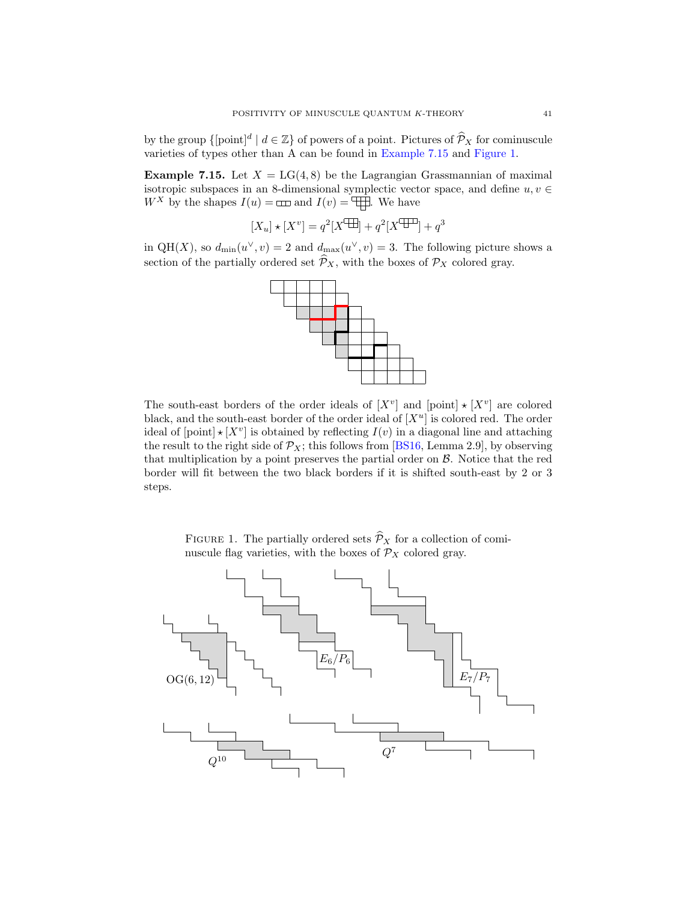by the group  $\{[\text{point}]^d \mid d \in \mathbb{Z}\}$  of powers of a point. Pictures of  $\widehat{\mathcal{P}}_X$  for cominuscule varieties of types other than A can be found in [Example 7.15](#page-40-0) and [Figure 1.](#page-40-1)

<span id="page-40-0"></span>**Example 7.15.** Let  $X = LG(4, 8)$  be the Lagrangian Grassmannian of maximal isotropic subspaces in an 8-dimensional symplectic vector space, and define  $u, v \in$  $W^X$  by the shapes  $I(u) = \Box \Box$  and  $I(v) = \Box \Box$ . We have

$$
[X_u] \star [X^v] = q^2 [X^{\text{op}}] + q^2 [X^{\text{op}}] + q^3
$$

in QH(X), so  $d_{\min}(u^{\vee}, v) = 2$  and  $d_{\max}(u^{\vee}, v) = 3$ . The following picture shows a section of the partially ordered set  $\widehat{\mathcal{P}}_X$ , with the boxes of  $\mathcal{P}_X$  colored gray.



The south-east borders of the order ideals of  $[X^v]$  and  $[point] \star [X^v]$  are colored black, and the south-east border of the order ideal of  $[X^u]$  is colored red. The order ideal of  $[point] \star [X^v]$  is obtained by reflecting  $I(v)$  in a diagonal line and attaching the result to the right side of  $\mathcal{P}_X$ ; this follows from [\[BS16,](#page-62-15) Lemma 2.9], by observing that multiplication by a point preserves the partial order on B. Notice that the red border will fit between the two black borders if it is shifted south-east by 2 or 3 steps.

<span id="page-40-1"></span>

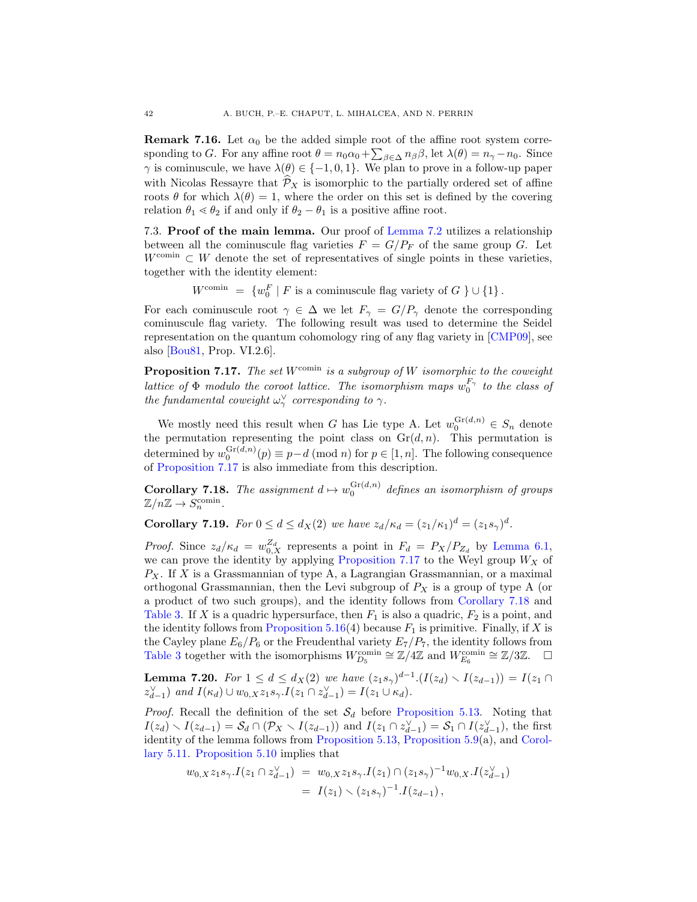**Remark 7.16.** Let  $\alpha_0$  be the added simple root of the affine root system corresponding to G. For any affine root  $\theta = n_0 \alpha_0 + \sum_{\beta \in \Delta} n_\beta \beta$ , let  $\lambda(\theta) = n_\gamma - n_0$ . Since  $\gamma$  is cominuscule, we have  $\lambda(\theta) \in \{-1, 0, 1\}$ . We plan to prove in a follow-up paper with Nicolas Ressayre that  $\hat{\mathcal{P}}_X$  is isomorphic to the partially ordered set of affine roots  $\theta$  for which  $\lambda(\theta) = 1$ , where the order on this set is defined by the covering relation  $\theta_1 \le \theta_2$  if and only if  $\theta_2 - \theta_1$  is a positive affine root.

7.3. Proof of the main lemma. Our proof of [Lemma 7.2](#page-35-1) utilizes a relationship between all the cominuscule flag varieties  $F = G/P_F$  of the same group G. Let  $W^{\text{comin}} \subset W$  denote the set of representatives of single points in these varieties, together with the identity element:

 $W^{\text{comin}} = \{w_0^F \mid F \text{ is a commuscule flag variety of } G \} \cup \{1\}.$ 

For each cominuscule root  $\gamma \in \Delta$  we let  $F_{\gamma} = G/P_{\gamma}$  denote the corresponding cominuscule flag variety. The following result was used to determine the Seidel representation on the quantum cohomology ring of any flag variety in [\[CMP09\]](#page-62-4), see also [\[Bou81,](#page-62-21) Prop. VI.2.6].

<span id="page-41-1"></span>**Proposition 7.17.** The set  $W^{\text{comin}}$  is a subgroup of W isomorphic to the coweight lattice of  $\Phi$  modulo the coroot lattice. The isomorphism maps  $w_0^{F_\gamma}$  to the class of the fundamental coweight  $\omega_{\gamma}^{\vee}$  corresponding to  $\gamma$ .

We mostly need this result when G has Lie type A. Let  $w_0^{\text{Gr}(d,n)} \in S_n$  denote the permutation representing the point class on  $\mathrm{Gr}(d, n)$ . This permutation is determined by  $w_0^{\text{Gr}(d,n)}(p) \equiv p-d \pmod{n}$  for  $p \in [1, n]$ . The following consequence of [Proposition 7.17](#page-41-1) is also immediate from this description.

<span id="page-41-2"></span>**Corollary 7.18.** The assignment  $d \mapsto w_0^{\text{Gr}(d,n)}$  defines an isomorphism of groups  $\mathbb{Z}/n\mathbb{Z} \to S_n^{\text{comin}}.$ 

<span id="page-41-0"></span>**Corollary 7.19.** For  $0 \le d \le d_X(2)$  we have  $z_d/\kappa_d = (z_1/\kappa_1)^d = (z_1s_\gamma)^d$ .

*Proof.* Since  $z_d/\kappa_d = w_{0,X}^{Z_d}$  represents a point in  $F_d = P_X/P_{Z_d}$  by [Lemma 6.1,](#page-31-3) we can prove the identity by applying [Proposition 7.17](#page-41-1) to the Weyl group  $W_X$  of  $P_X$ . If X is a Grassmannian of type A, a Lagrangian Grassmannian, or a maximal orthogonal Grassmannian, then the Levi subgroup of  $P_X$  is a group of type A (or a product of two such groups), and the identity follows from [Corollary 7.18](#page-41-2) and [Table 3.](#page-28-0) If X is a quadric hypersurface, then  $F_1$  is also a quadric,  $F_2$  is a point, and the identity follows from [Proposition 5.16\(](#page-26-1)4) because  $F_1$  is primitive. Finally, if X is the Cayley plane  $E_6/P_6$  or the Freudenthal variety  $E_7/P_7$ , the identity follows from [Table 3](#page-28-0) together with the isomorphisms  $W_{D_5}^{\text{comin}} \cong \mathbb{Z}/4\mathbb{Z}$  and  $W_{E_6}^{\text{comin}} \cong \mathbb{Z}/3\mathbb{Z}$ .  $\Box$ 

<span id="page-41-3"></span>**Lemma 7.20.** For  $1 \le d \le d_X(2)$  we have  $(z_1 s_\gamma)^{d-1} \cdot (I(z_d) \setminus I(z_{d-1})) = I(z_1 \cap I(z_d))$  $z_{d-1}^{\vee}$  and  $I(\kappa_d) \cup w_{0,X} z_1 s_{\gamma}. I(z_1 \cap z_{d-1}^{\vee}) = I(z_1 \cup \kappa_d).$ 

*Proof.* Recall the definition of the set  $S_d$  before [Proposition 5.13.](#page-25-1) Noting that  $I(z_d) \setminus I(z_{d-1}) = \mathcal{S}_d \cap (\mathcal{P}_X \setminus I(z_{d-1}))$  and  $I(z_1 \cap z_{d-1}^{\vee}) = \mathcal{S}_1 \cap I(z_{d-1}^{\vee})$ , the first identity of the lemma follows from [Proposition 5.13,](#page-25-1) [Proposition 5.9\(](#page-24-1)a), and [Corol](#page-25-0)[lary 5.11.](#page-25-0) [Proposition 5.10](#page-24-2) implies that

$$
w_{0,X}z_{1}s_{\gamma}.I(z_{1}\cap z_{d-1}^{\vee}) = w_{0,X}z_{1}s_{\gamma}.I(z_{1})\cap (z_{1}s_{\gamma})^{-1}w_{0,X}.I(z_{d-1}^{\vee})
$$
  
=  $I(z_{1})\smallsetminus (z_{1}s_{\gamma})^{-1}.I(z_{d-1}),$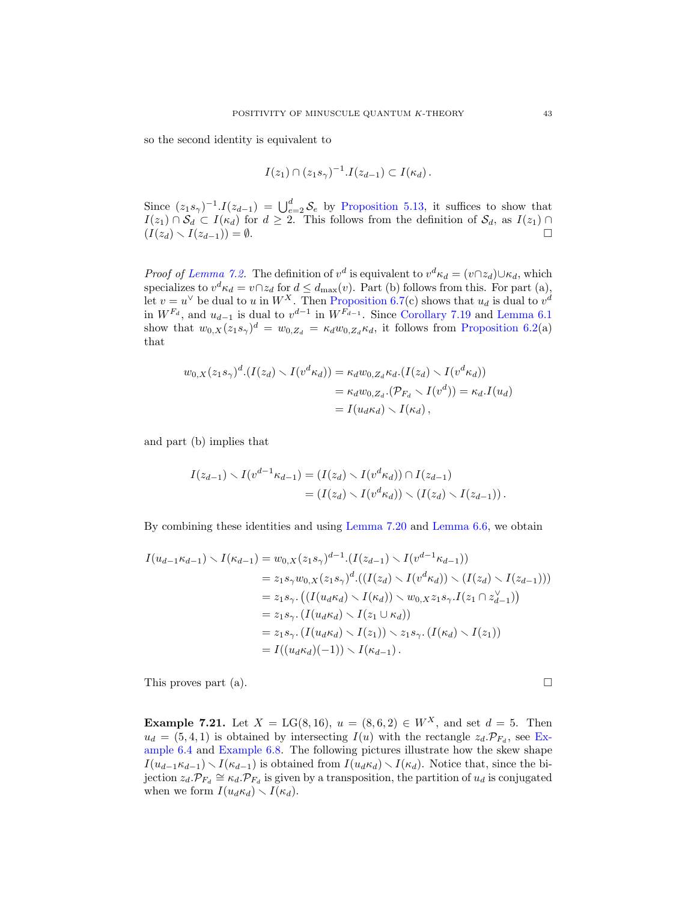so the second identity is equivalent to

$$
I(z_1) \cap (z_1 s_\gamma)^{-1} . I(z_{d-1}) \subset I(\kappa_d) .
$$

Since  $(z_1 s_\gamma)^{-1} I(z_{d-1}) = \bigcup_{e=2}^d \mathcal{S}_e$  by [Proposition 5.13,](#page-25-1) it suffices to show that  $I(z_1) \cap \mathcal{S}_d \subset I(\kappa_d)$  for  $d \geq 2$ . This follows from the definition of  $\mathcal{S}_d$ , as  $I(z_1) \cap$  $(I(z_d) \setminus I(z_{d-1})) = \emptyset.$ 

*Proof of [Lemma 7.2.](#page-35-1)* The definition of  $v^d$  is equivalent to  $v^d \kappa_d = (v \cap z_d) \cup \kappa_d$ , which specializes to  $v^d \kappa_d = v \cap z_d$  for  $d \leq d_{\text{max}}(v)$ . Part (b) follows from this. For part (a), let  $v = u^{\vee}$  be dual to u in  $W^X$ . Then [Proposition 6.7\(](#page-33-0)c) shows that  $u_d$  is dual to  $v^d$ in  $W^{F_d}$ , and  $u_{d-1}$  is dual to  $v^{d-1}$  in  $W^{F_{d-1}}$ . Since [Corollary 7.19](#page-41-0) and [Lemma 6.1](#page-31-3) show that  $w_{0,X}(z_1s_\gamma)^d = w_{0,Z_d} = \kappa_d w_{0,Z_d} \kappa_d$ , it follows from [Proposition 6.2\(](#page-31-1)a) that

$$
w_{0,X}(z_1s_{\gamma})^d \cdot (I(z_d) \setminus I(v^d \kappa_d)) = \kappa_d w_{0,Z_d} \kappa_d \cdot (I(z_d) \setminus I(v^d \kappa_d))
$$
  
=  $\kappa_d w_{0,Z_d} \cdot (\mathcal{P}_{F_d} \setminus I(v^d)) = \kappa_d \cdot I(u_d)$   
=  $I(u_d \kappa_d) \setminus I(\kappa_d)$ ,

and part (b) implies that

$$
I(z_{d-1}) \setminus I(v^{d-1} \kappa_{d-1}) = (I(z_d) \setminus I(v^d \kappa_d)) \cap I(z_{d-1})
$$
  
=  $(I(z_d) \setminus I(v^d \kappa_d)) \setminus (I(z_d) \setminus I(z_{d-1})).$ 

By combining these identities and using [Lemma 7.20](#page-41-3) and [Lemma 6.6,](#page-33-1) we obtain

$$
I(u_{d-1}\kappa_{d-1}) \setminus I(\kappa_{d-1}) = w_{0,X}(z_1s_{\gamma})^{d-1} \cdot (I(z_{d-1}) \setminus I(v^{d-1}\kappa_{d-1}))
$$
  
\n
$$
= z_1s_{\gamma}w_{0,X}(z_1s_{\gamma})^d \cdot ((I(z_d) \setminus I(v^d\kappa_d)) \setminus (I(z_d) \setminus I(z_{d-1})))
$$
  
\n
$$
= z_1s_{\gamma} \cdot ((I(u_d\kappa_d) \setminus I(\kappa_d)) \setminus w_{0,X} z_1s_{\gamma} \cdot I(z_1 \cap z_{d-1}^{\vee}))
$$
  
\n
$$
= z_1s_{\gamma} \cdot (I(u_d\kappa_d) \setminus I(z_1) \setminus z_1s_{\gamma} \cdot (I(\kappa_d) \setminus I(z_1))
$$
  
\n
$$
= z_1s_{\gamma} \cdot (I(u_d\kappa_d) \setminus I(z_1)) \setminus z_1s_{\gamma} \cdot (I(\kappa_d) \setminus I(z_1))
$$
  
\n
$$
= I((u_d\kappa_d)(-1)) \setminus I(\kappa_{d-1}).
$$

This proves part (a).  $\Box$ 

**Example 7.21.** Let  $X = LG(8, 16)$ ,  $u = (8, 6, 2) \in W^X$ , and set  $d = 5$ . Then  $u_d = (5, 4, 1)$  is obtained by intersecting  $I(u)$  with the rectangle  $z_d \cdot \mathcal{P}_{F_d}$ , see [Ex](#page-32-1)[ample 6.4](#page-32-1) and [Example 6.8.](#page-34-1) The following pictures illustrate how the skew shape  $I(u_{d-1}\kappa_{d-1})\setminus I(\kappa_{d-1})$  is obtained from  $I(u_d\kappa_d)\setminus I(\kappa_d)$ . Notice that, since the bijection  $z_d \cdot \mathcal{P}_{F_d} \cong \kappa_d \cdot \mathcal{P}_{F_d}$  is given by a transposition, the partition of  $u_d$  is conjugated when we form  $I(u_d \kappa_d) \setminus I(\kappa_d)$ .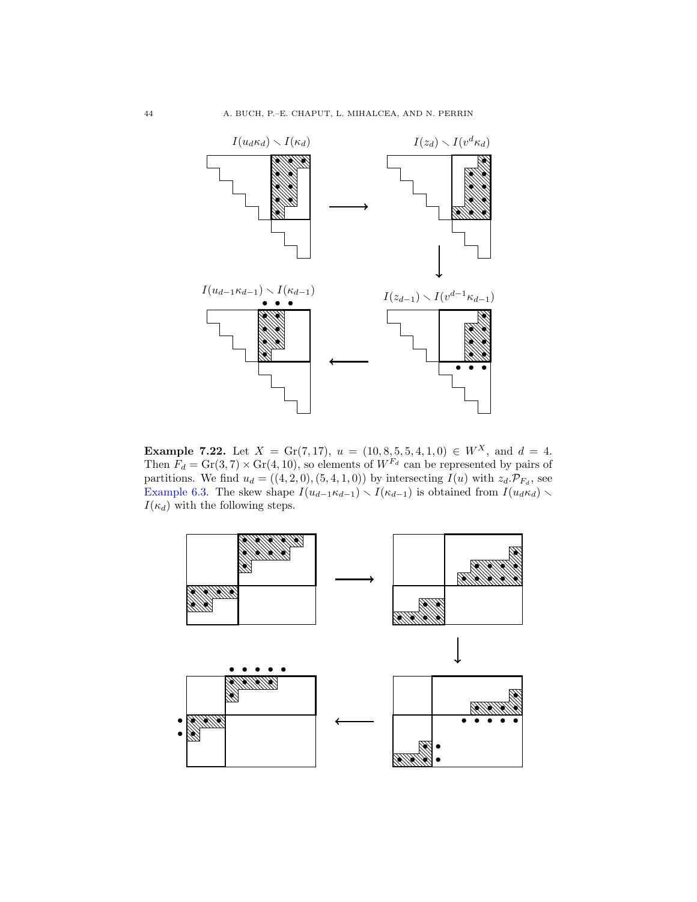

**Example 7.22.** Let  $X = \text{Gr}(7, 17), u = (10, 8, 5, 5, 4, 1, 0) \in W^X$ , and  $d = 4$ . Then  $F_d = \text{Gr}(3, 7) \times \text{Gr}(4, 10)$ , so elements of  $W^{F_d}$  can be represented by pairs of partitions. We find  $u_d = ((4, 2, 0), (5, 4, 1, 0))$  by intersecting  $I(u)$  with  $z_d \mathcal{P}_{F_d}$ , see [Example 6.3.](#page-32-0) The skew shape  $I(u_{d-1} \kappa_{d-1}) \setminus I(\kappa_{d-1})$  is obtained from  $I(u_d \kappa_d) \setminus I(\kappa_d)$  $I(\kappa_d)$  with the following steps.

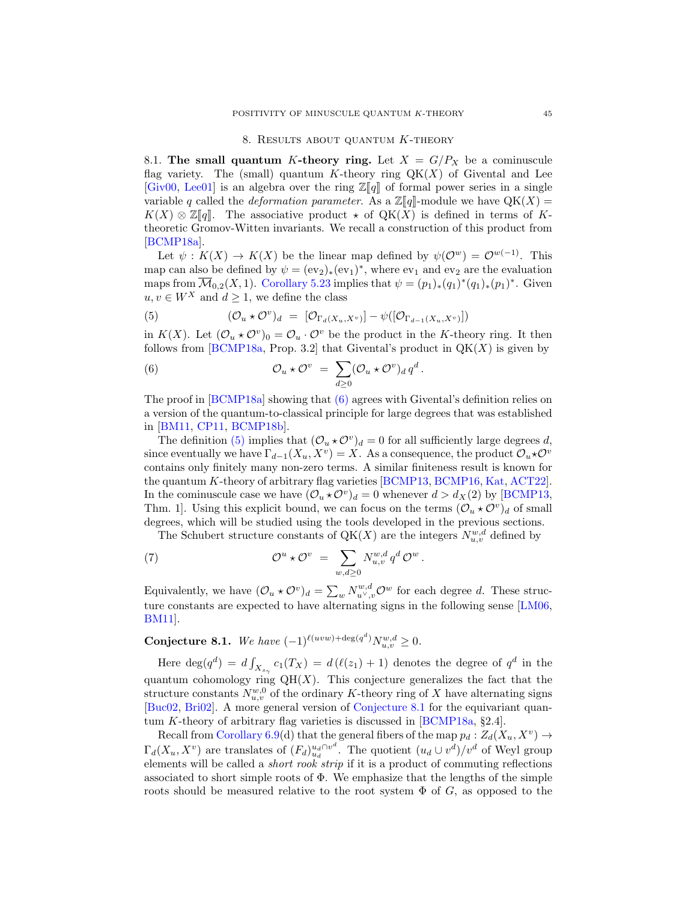#### 8. RESULTS ABOUT QUANTUM K-THEORY

<span id="page-44-0"></span>8.1. The small quantum K-theory ring. Let  $X = G/P_X$  be a cominuscule flag variety. The (small) quantum K-theory ring  $QK(X)$  of Givental and Lee [\[Giv00,](#page-63-0) [Lee01\]](#page-63-1) is an algebra over the ring  $\mathbb{Z}[\![q]\!]$  of formal power series in a single variable q called the *deformation parameter*. As a  $\mathbb{Z}[\![q]\!]$ -module we have  $QK(X)$  =  $K(X) \otimes \mathbb{Z}[\![q]\!]$ . The associative product  $\star$  of  $QK(X)$  is defined in terms of Ktheoretic Gromov-Witten invariants. We recall a construction of this product from [\[BCMP18a\]](#page-62-1).

Let  $\psi: K(X) \to K(X)$  be the linear map defined by  $\psi(\mathcal{O}^w) = \mathcal{O}^{w(-1)}$ . This map can also be defined by  $\psi = (ev_2)_*(ev_1)^*$ , where  $ev_1$  and  $ev_2$  are the evaluation maps from  $\overline{\mathcal{M}}_{0,2}(X,1)$ . [Corollary 5.23](#page-31-2) implies that  $\psi = (p_1)_*(q_1)^*(q_1)_*(p_1)^*$ . Given  $u, v \in W^X$  and  $d \geq 1$ , we define the class

<span id="page-44-2"></span>(5) 
$$
(\mathcal{O}_u \star \mathcal{O}^v)_d = [\mathcal{O}_{\Gamma_d(X_u, X^v)}] - \psi([\mathcal{O}_{\Gamma_{d-1}(X_u, X^v)}])
$$

in  $K(X)$ . Let  $(\mathcal{O}_u \star \mathcal{O}^v)_0 = \mathcal{O}_u \cdot \mathcal{O}^v$  be the product in the K-theory ring. It then follows from [\[BCMP18a,](#page-62-1) Prop. 3.2] that Givental's product in  $QK(X)$  is given by

<span id="page-44-1"></span>(6) 
$$
\mathcal{O}_u \star \mathcal{O}^v = \sum_{d \geq 0} (\mathcal{O}_u \star \mathcal{O}^v)_d q^d.
$$

The proof in [\[BCMP18a\]](#page-62-1) showing that [\(6\)](#page-44-1) agrees with Givental's definition relies on a version of the quantum-to-classical principle for large degrees that was established in [\[BM11,](#page-62-0) [CP11,](#page-62-10) [BCMP18b\]](#page-62-6).

The definition [\(5\)](#page-44-2) implies that  $(\mathcal{O}_u \star \mathcal{O}^v)_d = 0$  for all sufficiently large degrees d, since eventually we have  $\Gamma_{d-1}(X_u, X_v) = X$ . As a consequence, the product  $\mathcal{O}_u \star \mathcal{O}^v$ contains only finitely many non-zero terms. A similar finiteness result is known for the quantum K-theory of arbitrary flag varieties [\[BCMP13,](#page-61-2) [BCMP16,](#page-61-3) [Kat,](#page-63-9) [ACT22\]](#page-61-4). In the cominuscule case we have  $(\mathcal{O}_u \star \mathcal{O}^v)_d = 0$  whenever  $d > d_X(2)$  by [\[BCMP13,](#page-61-2) Thm. 1]. Using this explicit bound, we can focus on the terms  $(\mathcal{O}_u \star \mathcal{O}^v)_d$  of small degrees, which will be studied using the tools developed in the previous sections.

The Schubert structure constants of  $QK(X)$  are the integers  $N_{u,v}^{w,d}$  defined by

(7) 
$$
\mathcal{O}^u \star \mathcal{O}^v = \sum_{w,d \geq 0} N_{u,v}^{w,d} q^d \mathcal{O}^w.
$$

Equivalently, we have  $(\mathcal{O}_u \star \mathcal{O}^v)_d = \sum_w N_{u^\vee,v}^{w,d} \mathcal{O}^w$  for each degree d. These structure constants are expected to have alternating signs in the following sense [\[LM06,](#page-63-2) [BM11\]](#page-62-0).

<span id="page-44-3"></span>Conjecture 8.1. We have  $(-1)^{\ell(uvw)+\deg(q^d)} N_{u,v}^{w,d} \geq 0$ .

Here  $\deg(q^d) = d \int_{X_{s_\gamma}} c_1(T_X) = d (\ell(z_1) + 1)$  denotes the degree of  $q^d$  in the quantum cohomology ring  $QH(X)$ . This conjecture generalizes the fact that the structure constants  $N_{u,v}^{w,0}$  of the ordinary K-theory ring of X have alternating signs [\[Buc02,](#page-62-2) [Bri02\]](#page-62-3). A more general version of [Conjecture 8.1](#page-44-3) for the equivariant quantum K-theory of arbitrary flag varieties is discussed in [\[BCMP18a,](#page-62-1) §2.4].

Recall from [Corollary 6.9\(](#page-34-0)d) that the general fibers of the map  $p_d: Z_d(X_u, X^v) \to$  $\Gamma_d(X_u, X^v)$  are translates of  $(F_d)_{u_d}^{u_d \cap v^d}$ . The quotient  $(u_d \cup v^d)/v^d$  of Weyl group elements will be called a *short rook* strip if it is a product of commuting reflections associated to short simple roots of  $\Phi$ . We emphasize that the lengths of the simple roots should be measured relative to the root system  $\Phi$  of G, as opposed to the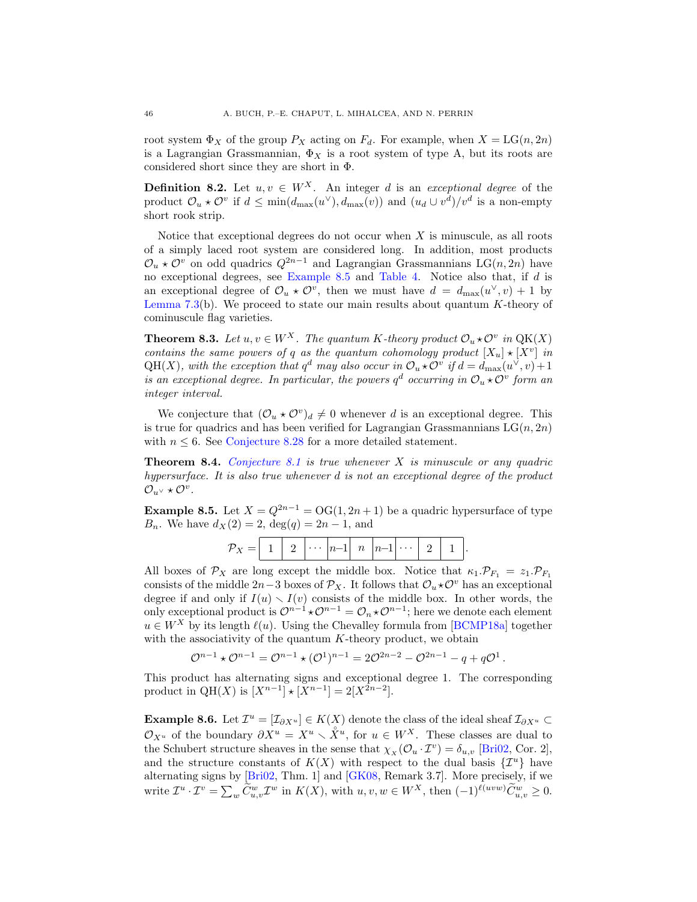root system  $\Phi_X$  of the group  $P_X$  acting on  $F_d$ . For example, when  $X = LG(n, 2n)$ is a Lagrangian Grassmannian,  $\Phi_X$  is a root system of type A, but its roots are considered short since they are short in Φ.

<span id="page-45-0"></span>**Definition 8.2.** Let  $u, v \in W^X$ . An integer d is an exceptional degree of the product  $\mathcal{O}_u \star \mathcal{O}^v$  if  $d \leq \min(d_{\max}(u^\vee), d_{\max}(v))$  and  $(u_d \cup v^d)/v^d$  is a non-empty short rook strip.

Notice that exceptional degrees do not occur when  $X$  is minuscule, as all roots of a simply laced root system are considered long. In addition, most products  $\mathcal{O}_u$  ★  $\mathcal{O}^v$  on odd quadrics  $Q^{2n-1}$  and Lagrangian Grassmannians LG(n, 2n) have no exceptional degrees, see [Example 8.5](#page-45-1) and [Table 4.](#page-46-0) Notice also that, if d is an exceptional degree of  $\mathcal{O}_u \star \mathcal{O}^v$ , then we must have  $d = d_{\max}(u^{\vee}, v) + 1$  by [Lemma 7.3\(](#page-36-1)b). We proceed to state our main results about quantum  $K$ -theory of cominuscule flag varieties.

<span id="page-45-2"></span>**Theorem 8.3.** Let  $u, v \in W^X$ . The quantum K-theory product  $\mathcal{O}_u \star \mathcal{O}^v$  in  $QK(X)$ contains the same powers of q as the quantum cohomology product  $[X_u] \star [X^v]$  in  $QH(X)$ , with the exception that  $q^d$  may also occur in  $\mathcal{O}_u \star \mathcal{O}^v$  if  $d = d_{\max}(u^{\vee}, v) + 1$ is an exceptional degree. In particular, the powers  $q^d$  occurring in  $\mathcal{O}_u \star \mathcal{O}^v$  form an integer interval.

We conjecture that  $(\mathcal{O}_u \star \mathcal{O}^v)_d \neq 0$  whenever d is an exceptional degree. This is true for quadrics and has been verified for Lagrangian Grassmannians  $LG(n, 2n)$ with  $n \leq 6$ . See [Conjecture 8.28](#page-53-1) for a more detailed statement.

<span id="page-45-3"></span>**Theorem 8.4.** [Conjecture 8.1](#page-44-3) is true whenever X is minuscule or any quadric hypersurface. It is also true whenever d is not an exceptional degree of the product  $\mathcal{O}_{u^{\vee}} * \mathcal{O}^v$ .

<span id="page-45-1"></span>**Example 8.5.** Let  $X = Q^{2n-1} = OG(1, 2n + 1)$  be a quadric hypersurface of type  $B_n$ . We have  $d_X(2) = 2$ ,  $deg(q) = 2n - 1$ , and

| $ n-1 $ $\cdots$ |
|------------------|
|------------------|

All boxes of  $\mathcal{P}_X$  are long except the middle box. Notice that  $\kappa_1 \cdot \mathcal{P}_{F_1} = z_1 \cdot \mathcal{P}_{F_1}$ consists of the middle 2n–3 boxes of  $\mathcal{P}_X$ . It follows that  $\mathcal{O}_u \star \mathcal{O}^v$  has an exceptional degree if and only if  $I(u) \setminus I(v)$  consists of the middle box. In other words, the only exceptional product is  $\mathcal{O}^{n-1} \star \mathcal{O}^{n-1} = \mathcal{O}_n \star \mathcal{O}^{n-1}$ ; here we denote each element  $u \in W^X$  by its length  $\ell(u)$ . Using the Chevalley formula from [\[BCMP18a\]](#page-62-1) together with the associativity of the quantum  $K$ -theory product, we obtain

$$
\mathcal{O}^{n-1} \star \mathcal{O}^{n-1} = \mathcal{O}^{n-1} \star (\mathcal{O}^1)^{n-1} = 2\mathcal{O}^{2n-2} - \mathcal{O}^{2n-1} - q + q\mathcal{O}^1.
$$

This product has alternating signs and exceptional degree 1. The corresponding product in QH(X) is  $[X^{n-1}] \star [X^{n-1}] = 2[X^{2n-2}]$ .

**Example 8.6.** Let  $\mathcal{I}^u = [\mathcal{I}_{\partial X^u}] \in K(X)$  denote the class of the ideal sheaf  $\mathcal{I}_{\partial X^u} \subset$  $\mathcal{O}_{X^u}$  of the boundary  $\partial X^u = X^u \setminus \mathring{X}^u$ , for  $u \in W^X$ . These classes are dual to the Schubert structure sheaves in the sense that  $\chi_x(\mathcal{O}_u \cdot \mathcal{I}^v) = \delta_{u,v}$  [\[Bri02,](#page-62-3) Cor. 2], and the structure constants of  $K(X)$  with respect to the dual basis  $\{\mathcal{I}^u\}$  have alternating signs by [\[Bri02,](#page-62-3) Thm. 1] and [\[GK08,](#page-63-21) Remark 3.7]. More precisely, if we write  $\mathcal{I}^u \cdot \mathcal{I}^v = \sum_w \widetilde{C}_{u,v}^w \mathcal{I}^w$  in  $K(X)$ , with  $u, v, w \in W^X$ , then  $(-1)^{\ell(uvw)} \widetilde{C}_{u,v}^w \ge 0$ .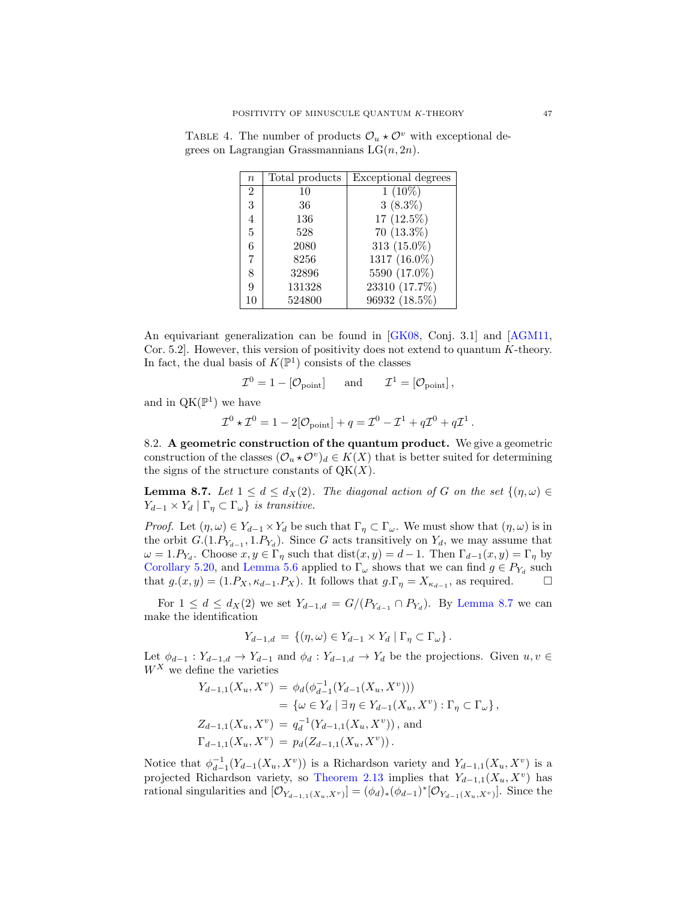<span id="page-46-0"></span>

| $\boldsymbol{n}$ | Total products | Exceptional degrees |
|------------------|----------------|---------------------|
| $\overline{2}$   | 10             | $1(10\%)$           |
| 3                | 36             | $3(8.3\%)$          |
| $\overline{4}$   | 136            | 17 (12.5%)          |
| 5                | 528            | $70(13.3\%)$        |
| 6                | 2080           | 313 (15.0%)         |
| 7                | 8256           | 1317 (16.0%)        |
| 8                | 32896          | 5590 (17.0%)        |
| 9                | 131328         | 23310 (17.7%)       |
| 10               | 524800         | 96932 (18.5%)       |

TABLE 4. The number of products  $\mathcal{O}_u \star \mathcal{O}^v$  with exceptional degrees on Lagrangian Grassmannians  $LG(n, 2n)$ .

An equivariant generalization can be found in [\[GK08,](#page-63-21) Conj. 3.1] and [\[AGM11,](#page-61-7) Cor. 5.2]. However, this version of positivity does not extend to quantum K-theory. In fact, the dual basis of  $K(\mathbb{P}^1)$  consists of the classes

$$
\mathcal{I}^0 = 1 - [\mathcal{O}_{\text{point}}] \quad \text{and} \quad \mathcal{I}^1 = [\mathcal{O}_{\text{point}}],
$$

and in  $QK(\mathbb{P}^1)$  we have

$$
\mathcal{I}^0 \star \mathcal{I}^0 = 1 - 2[\mathcal{O}_{\text{point}}] + q = \mathcal{I}^0 - \mathcal{I}^1 + q\mathcal{I}^0 + q\mathcal{I}^1.
$$

<span id="page-46-2"></span>8.2. A geometric construction of the quantum product. We give a geometric construction of the classes  $(\mathcal{O}_u \star \mathcal{O}^v)_d \in K(X)$  that is better suited for determining the signs of the structure constants of  $QK(X)$ .

<span id="page-46-1"></span>**Lemma 8.7.** Let  $1 \leq d \leq d_X(2)$ . The diagonal action of G on the set  $\{(\eta,\omega) \in$  $Y_{d-1} \times Y_d \mid \Gamma_\eta \subset \Gamma_\omega$  is transitive.

*Proof.* Let  $(\eta, \omega) \in Y_{d-1} \times Y_d$  be such that  $\Gamma_{\eta} \subset \Gamma_{\omega}$ . We must show that  $(\eta, \omega)$  is in the orbit  $G.(1.P_{Y_{d-1}}, 1.P_{Y_d})$ . Since G acts transitively on  $Y_d$ , we may assume that  $\omega = 1.P_{Y_d}$ . Choose  $x, y \in \Gamma_\eta$  such that  $dist(x, y) = d - 1$ . Then  $\Gamma_{d-1}(x, y) = \Gamma_\eta$  by [Corollary 5.20,](#page-29-0) and [Lemma 5.6](#page-23-3) applied to  $\Gamma_{\omega}$  shows that we can find  $g \in P_{Y_d}$  such that  $g.(x, y) = (1.P_X, \kappa_{d-1}.P_X)$ . It follows that  $g.\Gamma_\eta = X_{\kappa_{d-1}}$ , as required.  $\Box$ 

For  $1 \leq d \leq d_X(2)$  we set  $Y_{d-1,d} = G/(P_{Y_{d-1}} \cap P_{Y_d})$ . By [Lemma 8.7](#page-46-1) we can make the identification

$$
Y_{d-1,d} = \{ (\eta, \omega) \in Y_{d-1} \times Y_d \mid \Gamma_{\eta} \subset \Gamma_{\omega} \}.
$$

Let  $\phi_{d-1} : Y_{d-1,d} \to Y_{d-1}$  and  $\phi_d : Y_{d-1,d} \to Y_d$  be the projections. Given  $u, v \in$  $W^X$  we define the varieties

$$
Y_{d-1,1}(X_u, X^v) = \phi_d(\phi_{d-1}^{-1}(Y_{d-1}(X_u, X^v)))
$$
  
=  $\{\omega \in Y_d \mid \exists \eta \in Y_{d-1}(X_u, X^v) : \Gamma_\eta \subset \Gamma_\omega\},$   

$$
Z_{d-1,1}(X_u, X^v) = q_d^{-1}(Y_{d-1,1}(X_u, X^v)),
$$
 and  

$$
\Gamma_{d-1,1}(X_u, X^v) = p_d(Z_{d-1,1}(X_u, X^v)).
$$

Notice that  $\phi_{d-1}^{-1}(Y_{d-1}(X_u, X_v))$  is a Richardson variety and  $Y_{d-1,1}(X_u, X_v)$  is a projected Richardson variety, so [Theorem 2.13](#page-13-3) implies that  $Y_{d-1,1}(X_u, X^v)$  has rational singularities and  $[\mathcal{O}_{Y_{d-1,1}(X_u,X^v)}] = (\phi_d)_*(\phi_{d-1})^*[\mathcal{O}_{Y_{d-1}(X_u,X^v)}]$ . Since the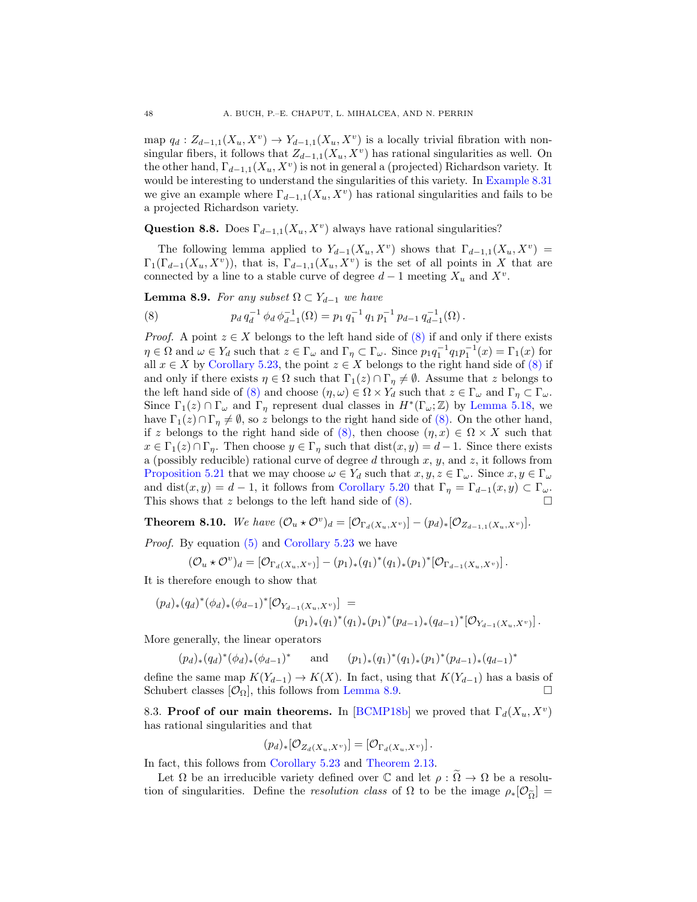map  $q_d: Z_{d-1,1}(X_u, X^v) \to Y_{d-1,1}(X_u, X^v)$  is a locally trivial fibration with nonsingular fibers, it follows that  $Z_{d-1,1}(X_u, X_v)$  has rational singularities as well. On the other hand,  $\Gamma_{d-1,1}(X_u, X_v)$  is not in general a (projected) Richardson variety. It would be interesting to understand the singularities of this variety. In [Example 8.31](#page-54-0) we give an example where  $\Gamma_{d-1,1}(X_u, X_v)$  has rational singularities and fails to be a projected Richardson variety.

Question 8.8. Does  $\Gamma_{d-1,1}(X_u, X_v)$  always have rational singularities?

The following lemma applied to  $Y_{d-1}(X_u, X^v)$  shows that  $\Gamma_{d-1,1}(X_u, X^v)$  =  $\Gamma_1(\Gamma_{d-1}(X_u, X^v))$ , that is,  $\Gamma_{d-1,1}(X_u, X^v)$  is the set of all points in X that are connected by a line to a stable curve of degree  $d-1$  meeting  $X_u$  and  $X^v$ .

<span id="page-47-1"></span>**Lemma 8.9.** For any subset  $\Omega \subset Y_{d-1}$  we have

<span id="page-47-0"></span>(8) 
$$
p_d q_d^{-1} \phi_d \phi_{d-1}^{-1}(\Omega) = p_1 q_1^{-1} q_1 p_1^{-1} p_{d-1} q_{d-1}^{-1}(\Omega).
$$

*Proof.* A point  $z \in X$  belongs to the left hand side of  $(8)$  if and only if there exists  $\eta \in \Omega$  and  $\omega \in Y_d$  such that  $z \in \Gamma_\omega$  and  $\Gamma_\eta \subset \Gamma_\omega$ . Since  $p_1 q_1^{-1} q_1 p_1^{-1}(x) = \Gamma_1(x)$  for all  $x \in X$  by [Corollary 5.23,](#page-31-2) the point  $z \in X$  belongs to the right hand side of [\(8\)](#page-47-0) if and only if there exists  $\eta \in \Omega$  such that  $\Gamma_1(z) \cap \Gamma_\eta \neq \emptyset$ . Assume that z belongs to the left hand side of [\(8\)](#page-47-0) and choose  $(\eta, \omega) \in \Omega \times Y_d$  such that  $z \in \Gamma_\omega$  and  $\Gamma_\eta \subset \Gamma_\omega$ . Since  $\Gamma_1(z) \cap \Gamma_\omega$  and  $\Gamma_\eta$  represent dual classes in  $H^*(\Gamma_\omega;\mathbb{Z})$  by [Lemma 5.18,](#page-27-3) we have  $\Gamma_1(z) \cap \Gamma_\eta \neq \emptyset$ , so z belongs to the right hand side of [\(8\).](#page-47-0) On the other hand, if z belongs to the right hand side of [\(8\),](#page-47-0) then choose  $(\eta, x) \in \Omega \times X$  such that  $x \in \Gamma_1(z) \cap \Gamma_n$ . Then choose  $y \in \Gamma_n$  such that  $dist(x, y) = d - 1$ . Since there exists a (possibly reducible) rational curve of degree  $d$  through  $x, y$ , and  $z$ , it follows from [Proposition 5.21](#page-30-1) that we may choose  $\omega \in Y_d$  such that  $x, y, z \in \Gamma_\omega$ . Since  $x, y \in \Gamma_\omega$ and dist $(x, y) = d - 1$ , it follows from [Corollary 5.20](#page-29-0) that  $\Gamma_{\eta} = \Gamma_{d-1}(x, y) \subset \Gamma_{\omega}$ . This shows that z belongs to the left hand side of  $(8)$ .

<span id="page-47-2"></span>**Theorem 8.10.** We have  $(\mathcal{O}_u \star \mathcal{O}^v)_d = [\mathcal{O}_{\Gamma_d(X_u,X^v)}] - (p_d)_*[\mathcal{O}_{Z_{d-1,1}(X_u,X^v)}].$ 

Proof. By equation [\(5\)](#page-44-2) and [Corollary 5.23](#page-31-2) we have

$$
(\mathcal{O}_u \star \mathcal{O}^v)_d = [\mathcal{O}_{\Gamma_d(X_u, X^v)}] - (p_1)_*(q_1)^*(q_1)_*(p_1)^*[\mathcal{O}_{\Gamma_{d-1}(X_u, X^v)}].
$$

It is therefore enough to show that

$$
(p_d)_*(q_d)^*(\phi_d)_*(\phi_{d-1})^*[\mathcal{O}_{Y_{d-1}(X_u,X^v)}] =
$$
  

$$
(p_1)_*(q_1)^*(q_1)_*(p_1)^*(p_{d-1})_*(q_{d-1})^*[\mathcal{O}_{Y_{d-1}(X_u,X^v)}].
$$

More generally, the linear operators

$$
(p_d)_*(q_d)^*(\phi_d)_*(\phi_{d-1})^*
$$
 and  $(p_1)_*(q_1)^*(q_1)_*(p_1)^*(p_{d-1})_*(q_{d-1})^*$ 

define the same map  $K(Y_{d-1}) \to K(X)$ . In fact, using that  $K(Y_{d-1})$  has a basis of Schubert classes  $[O_{\Omega}]$ , this follows from [Lemma 8.9.](#page-47-1)

8.3. Proof of our main theorems. In [\[BCMP18b\]](#page-62-6) we proved that  $\Gamma_d(X_u, X^v)$ has rational singularities and that

$$
(p_d)_*[\mathcal{O}_{Z_d(X_u,X^v)}] = [\mathcal{O}_{\Gamma_d(X_u,X^v)}].
$$

In fact, this follows from [Corollary 5.23](#page-31-2) and [Theorem 2.13.](#page-13-3)

Let  $\Omega$  be an irreducible variety defined over  $\mathbb C$  and let  $\rho : \Omega \to \Omega$  be a resolution of singularities. Define the *resolution class* of  $\Omega$  to be the image  $\rho_*[O_{\tilde{\Omega}}] =$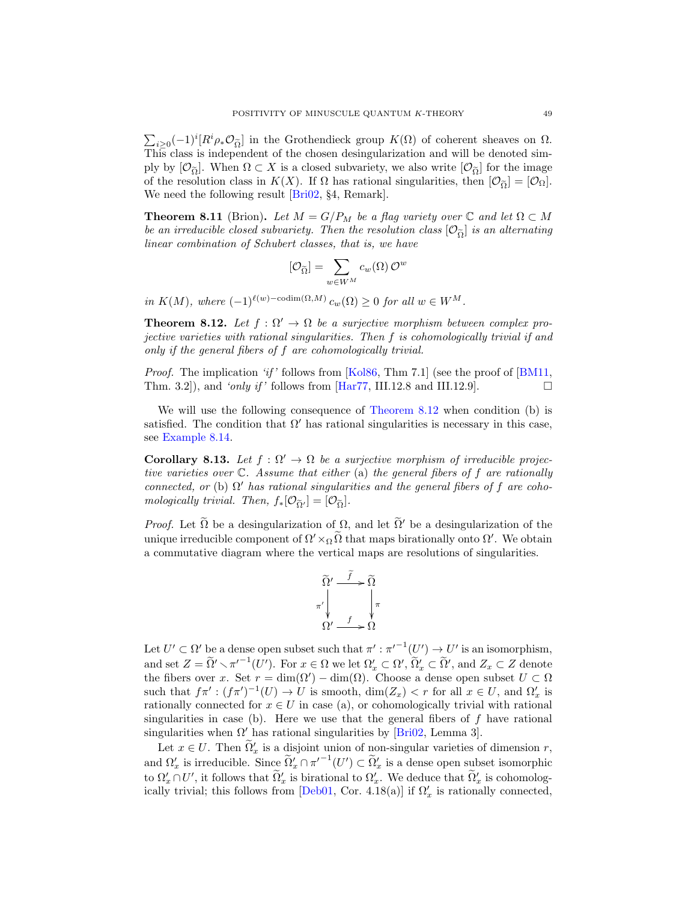$\sum_{i\geq 0}(-1)^i[R^i\rho_*\mathcal{O}_{\tilde{\Omega}}]$  in the Grothendieck group  $K(\Omega)$  of coherent sheaves on  $\Omega$ . This class is independent of the chosen desingularization and will be denoted simply by  $[O_{\tilde{Q}}]$ . When  $\Omega \subset X$  is a closed subvariety, we also write  $[O_{\tilde{Q}}]$  for the image of the resolution class in  $K(X)$ . If  $\Omega$  has rational singularities, then  $[O_{\tilde{Q}}] = [O_{\Omega}]$ . We need the following result **Bri02**, §4, Remark.

<span id="page-48-2"></span>**Theorem 8.11** (Brion). Let  $M = G/P_M$  be a flag variety over  $\mathbb C$  and let  $\Omega \subset M$ be an irreducible closed subvariety. Then the resolution class  $[O_{\tilde{O}}]$  is an alternating linear combination of Schubert classes, that is, we have

$$
[\mathcal{O}_{\widetilde{\Omega}}] = \sum_{w \in W^M} c_w(\Omega) \mathcal{O}^w
$$

in  $K(M)$ , where  $(-1)^{\ell(w)-\text{codim}(\Omega,M)} c_w(\Omega) \geq 0$  for all  $w \in W^M$ .

<span id="page-48-1"></span>**Theorem 8.12.** Let  $f : \Omega' \to \Omega$  be a surjective morphism between complex projective varieties with rational singularities. Then f is cohomologically trivial if and only if the general fibers of f are cohomologically trivial.

*Proof.* The implication 'if' follows from [\[Kol86,](#page-63-11) Thm 7.1] (see the proof of [\[BM11,](#page-62-0) Thm. 3.2), and 'only if' follows from  $\text{[Har77, III.12.8 and III.12.9]}$ .

We will use the following consequence of [Theorem 8.12](#page-48-1) when condition (b) is satisfied. The condition that  $\Omega'$  has rational singularities is necessary in this case, see [Example 8.14.](#page-49-0)

<span id="page-48-0"></span>**Corollary 8.13.** Let  $f : \Omega' \to \Omega$  be a surjective morphism of irreducible projective varieties over  $\mathbb C$ . Assume that either (a) the general fibers of f are rationally connected, or (b)  $\Omega'$  has rational singularities and the general fibers of f are cohomologically trivial. Then,  $f_*[O_{\tilde{Q}'}] = [O_{\tilde{Q}}]$ .

*Proof.* Let  $\tilde{\Omega}$  be a desingularization of  $\Omega$ , and let  $\tilde{\Omega}'$  be a desingularization of the unique irreducible component of  $\Omega' \times_{\Omega} \Omega$  that maps birationally onto  $\Omega'$ . We obtain a commutative diagram where the vertical maps are resolutions of singularities.



Let  $U' \subset \Omega'$  be a dense open subset such that  $\pi' : \pi'^{-1}(U') \to U'$  is an isomorphism, and set  $Z = \tilde{\Omega}' \setminus \pi'^{-1}(U')$ . For  $x \in \Omega$  we let  $\Omega'_x \subset \Omega'$ ,  $\tilde{\Omega}'_x \subset \tilde{\Omega}'$ , and  $Z_x \subset Z$  denote the fibers over x. Set  $r = \dim(\Omega') - \dim(\Omega)$ . Choose a dense open subset  $U \subset \Omega$ such that  $f\pi' : (f\pi')^{-1}(U) \to U$  is smooth,  $\dim(Z_x) < r$  for all  $x \in U$ , and  $\Omega'_x$  is rationally connected for  $x \in U$  in case (a), or cohomologically trivial with rational singularities in case (b). Here we use that the general fibers of  $f$  have rational singularities when  $\Omega'$  has rational singularities by [\[Bri02,](#page-62-3) Lemma 3].

Let  $x \in U$ . Then  $\tilde{\Omega}'_x$  is a disjoint union of non-singular varieties of dimension r, Let  $x \in U$ . Then  $\Omega'_x$  is a disjoint union of non-singular varieties of dimension  $\tau$ ,<br>and  $\Omega'_x$  is irreducible. Since  $\widetilde{\Omega}'_x \cap {\pi'}^{-1}(U') \subset \widetilde{\Omega}'_x$  is a dense open subset isomorphic to  $\Omega'_x \cap U'$ , it follows that  $\widetilde{\Omega}'_x$  is birational to  $\Omega'_x$ . We deduce that  $\widetilde{\Omega}'_x$  is cohomolog-ically trivial; this follows from [\[Deb01,](#page-62-22) Cor. 4.18(a)] if  $\Omega'_x$  is rationally connected,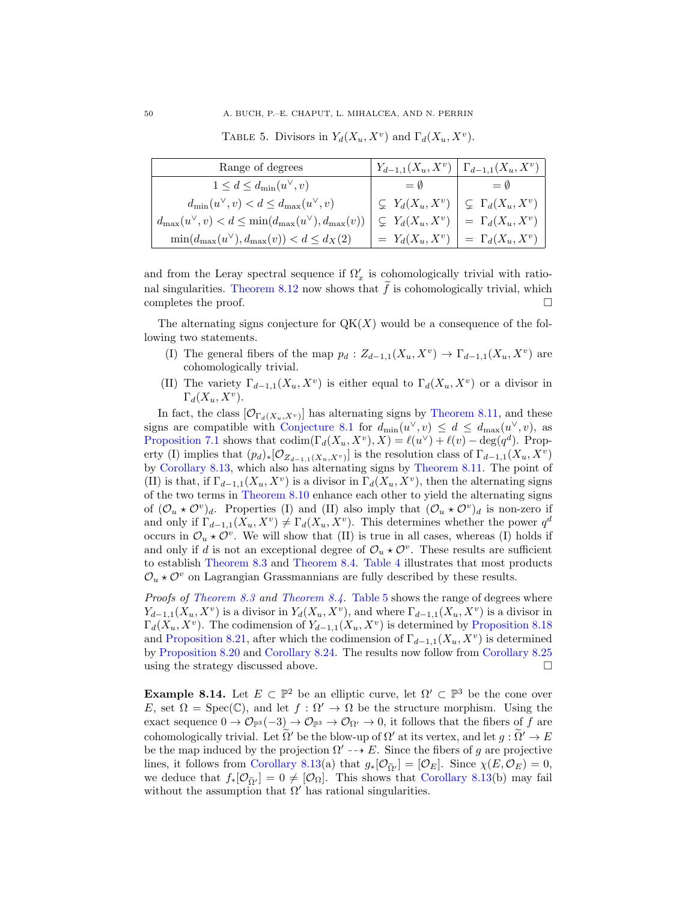<span id="page-49-1"></span>TABLE 5. Divisors in  $Y_d(X_u, X_v)$  and  $\Gamma_d(X_u, X_v)$ .

| Range of degrees                                                       |                         | $Y_{d-1,1}(X_u,X^v) \mid \Gamma_{d-1,1}(X_u,X^v)$ |
|------------------------------------------------------------------------|-------------------------|---------------------------------------------------|
| $1 \leq d \leq d_{\min}(u^{\vee}, v)$                                  | $=$ 0                   | $=$ 0                                             |
| $d_{\min}(u^{\vee}, v) < d \leq d_{\max}(u^{\vee}, v)$                 | $\subset Y_d(X_u, X^v)$ | $\subseteq \Gamma_d(X_u, X^v)$                    |
| $d_{\max}(u^{\vee}, v) < d \leq \min(d_{\max}(u^{\vee}), d_{\max}(v))$ | $\subset Y_d(X_u, X^v)$ | $=\Gamma_d(X_u,X^v)$                              |
| $\min(d_{\max}(u^{\vee}), d_{\max}(v)) < d \leq d_X(2)$                | $= Y_d(X_u, X^v)$       | $=\Gamma_d(X_u,X^v)$                              |

and from the Leray spectral sequence if  $\Omega'_x$  is cohomologically trivial with rational singularities. Theorem  $8.12$  now shows that f is cohomologically trivial, which completes the proof.

The alternating signs conjecture for  $QK(X)$  would be a consequence of the following two statements.

- (I) The general fibers of the map  $p_d: Z_{d-1,1}(X_u, X^v) \to \Gamma_{d-1,1}(X_u, X^v)$  are cohomologically trivial.
- (II) The variety  $\Gamma_{d-1,1}(X_u,X^v)$  is either equal to  $\Gamma_d(X_u,X^v)$  or a divisor in  $\Gamma_d(X_u, X^v)$ .

In fact, the class  $[\mathcal{O}_{\Gamma_d(X_u,X^v)}]$  has alternating signs by [Theorem 8.11,](#page-48-2) and these signs are compatible with [Conjecture 8.1](#page-44-3) for  $d_{\min}(u^{\vee}, v) \le d \le d_{\max}(u^{\vee}, v)$ , as [Proposition 7.1](#page-35-2) shows that  $\text{codim}(\Gamma_d(X_u, X^v), X) = \ell(u^\vee) + \ell(v) - \deg(q^d)$ . Property (I) implies that  $(p_d)_*[\mathcal{O}_{Z_{d-1,1}(X_u,X_v)}]$  is the resolution class of  $\Gamma_{d-1,1}(X_u,X_v)$ by [Corollary 8.13,](#page-48-0) which also has alternating signs by [Theorem 8.11.](#page-48-2) The point of (II) is that, if  $\Gamma_{d-1,1}(X_u, X_v)$  is a divisor in  $\Gamma_d(X_u, X_v)$ , then the alternating signs of the two terms in [Theorem 8.10](#page-47-2) enhance each other to yield the alternating signs of  $(\mathcal{O}_u \star \mathcal{O}^v)_d$ . Properties (I) and (II) also imply that  $(\mathcal{O}_u \star \mathcal{O}^v)_d$  is non-zero if and only if  $\Gamma_{d-1,1}(X_u, X^v) \neq \Gamma_d(X_u, X^v)$ . This determines whether the power  $q^d$ occurs in  $\mathcal{O}_u \star \mathcal{O}^v$ . We will show that (II) is true in all cases, whereas (I) holds if and only if d is not an exceptional degree of  $\mathcal{O}_u \star \mathcal{O}^v$ . These results are sufficient to establish [Theorem 8.3](#page-45-2) and [Theorem 8.4.](#page-45-3) [Table 4](#page-46-0) illustrates that most products  $\mathcal{O}_u \star \mathcal{O}^v$  on Lagrangian Grassmannians are fully described by these results.

*Proofs of [Theorem 8.3](#page-45-2) and [Theorem 8.4.](#page-45-3)* [Table 5](#page-49-1) shows the range of degrees where  $Y_{d-1,1}(X_u, X^v)$  is a divisor in  $Y_d(X_u, X^v)$ , and where  $\Gamma_{d-1,1}(X_u, X^v)$  is a divisor in  $\Gamma_d(X_u, X^v)$ . The codimension of  $Y_{d-1,1}(X_u, X^v)$  is determined by [Proposition 8.18](#page-51-0) and [Proposition 8.21,](#page-52-0) after which the codimension of  $\Gamma_{d-1,1}(X_u, X_v)$  is determined by [Proposition 8.20](#page-51-1) and [Corollary 8.24.](#page-52-1) The results now follow from [Corollary 8.25](#page-52-2) using the strategy discussed above.  $\Box$ 

<span id="page-49-0"></span>**Example 8.14.** Let  $E \subset \mathbb{P}^2$  be an elliptic curve, let  $\Omega' \subset \mathbb{P}^3$  be the cone over E, set  $\Omega = \text{Spec}(\mathbb{C})$ , and let  $f : \Omega' \to \Omega$  be the structure morphism. Using the exact sequence  $0 \to \mathcal{O}_{\mathbb{P}^3}(-3) \to \mathcal{O}_{\mathbb{P}^3} \to \mathcal{O}_{\Omega'} \to 0$ , it follows that the fibers of f are cohomologically trivial. Let  $\Omega'$  be the blow-up of  $\Omega'$  at its vertex, and let  $q : \Omega' \to E$ be the map induced by the projection  $\Omega' \dashrightarrow E$ . Since the fibers of g are projective lines, it follows from [Corollary 8.13\(](#page-48-0)a) that  $g_*[O_{\tilde{O}'}] = [O_E]$ . Since  $\chi(E, O_E) = 0$ , we deduce that  $f_*[\mathcal{O}_{\tilde{\Omega}}] = 0 \neq [\mathcal{O}_{\Omega}]$ . This shows that [Corollary 8.13\(](#page-48-0)b) may fail without the assumption that  $\Omega'$  has rational singularities.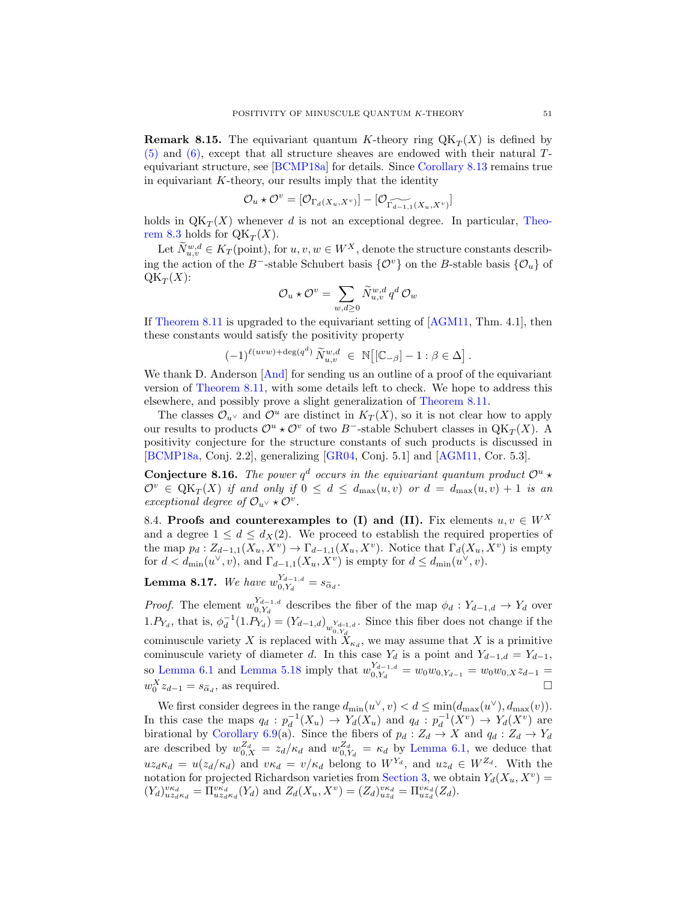**Remark 8.15.** The equivariant quantum K-theory ring  $QK_T(X)$  is defined by  $(5)$  and  $(6)$ , except that all structure sheaves are endowed with their natural Tequivariant structure, see [\[BCMP18a\]](#page-62-1) for details. Since [Corollary 8.13](#page-48-0) remains true in equivariant  $K$ -theory, our results imply that the identity

$$
\mathcal{O}_u \star \mathcal{O}^v = [\mathcal{O}_{\Gamma_d(X_u, X^v)}] - [\mathcal{O}_{\widetilde{\Gamma_{d-1,1}}(X_u, X^v)}]
$$

holds in  $QK_T(X)$  whenever d is not an exceptional degree. In particular, [Theo](#page-45-2)[rem 8.3](#page-45-2) holds for  $\mathbb{Q}K_T(X)$ .

Let  $\widetilde{N}_{u,v}^{w,d} \in K_T$  (point), for  $u, v, w \in W^X$ , denote the structure constants describing the action of the B<sup>-</sup>-stable Schubert basis  $\{\mathcal{O}^v\}$  on the B-stable basis  $\{\mathcal{O}_u\}$  of  $\operatorname{QK}_T(X)$ :

$$
\mathcal{O}_u\star\mathcal{O}^v=\sum_{w,d\geq 0}\widetilde{N}^{w,d}_{u,v}\,q^d\,\mathcal{O}_w
$$

If [Theorem 8.11](#page-48-2) is upgraded to the equivariant setting of [\[AGM11,](#page-61-7) Thm. 4.1], then these constants would satisfy the positivity property

$$
(-1)^{\ell(uvw)+\deg(q^d)}\widetilde{N}_{u,v}^{w,d}\ \in\ \mathbb{N}\big[[\mathbb{C}_{-\beta}]-1:\beta\in\Delta\big]\,.
$$

We thank D. Anderson  $[And]$  for sending us an outline of a proof of the equivariant version of [Theorem 8.11,](#page-48-2) with some details left to check. We hope to address this elsewhere, and possibly prove a slight generalization of [Theorem 8.11.](#page-48-2)

The classes  $\mathcal{O}_{u}$  and  $\mathcal{O}^u$  are distinct in  $K_T(X)$ , so it is not clear how to apply our results to products  $\mathcal{O}^u \star \mathcal{O}^v$  of two B<sup>-</sup>-stable Schubert classes in QK<sub>T</sub>(X). A positivity conjecture for the structure constants of such products is discussed in [\[BCMP18a,](#page-62-1) Conj. 2.2], generalizing [\[GR04,](#page-63-23) Conj. 5.1] and [\[AGM11,](#page-61-7) Cor. 5.3].

**Conjecture 8.16.** The power  $q^d$  occurs in the equivariant quantum product  $\mathcal{O}^u$   $\star$  $\mathcal{O}^v \in \mathcal{Q}\mathcal{K}_T(X)$  if and only if  $0 \leq d \leq d_{\max}(u, v)$  or  $d = d_{\max}(u, v) + 1$  is an exceptional degree of  $\mathcal{O}_{u^{\vee}} \star \mathcal{O}^v$ .

8.4. Proofs and counterexamples to (I) and (II). Fix elements  $u, v \in W^X$ and a degree  $1 \leq d \leq d_X(2)$ . We proceed to establish the required properties of the map  $p_d: Z_{d-1,1}(X_u, X_v) \to \Gamma_{d-1,1}(X_u, X_v)$ . Notice that  $\Gamma_d(X_u, X_v)$  is empty for  $d < d_{\min}(u^{\vee}, v)$ , and  $\Gamma_{d-1,1}(X_u, X_v)$  is empty for  $d \leq d_{\min}(u^{\vee}, v)$ .

<span id="page-50-0"></span>**Lemma 8.17.** We have  $w_{0 \, Y_1}^{Y_{d-1,d}}$  $\int_{0,Y_d}^{t_{d-1,d}} = s_{\widetilde{\alpha}_d}.$ 

*Proof.* The element  $w_0^{Y_{d-1,d}}$  $\int_{0,Y_d}^{t_{d-1},d}$  describes the fiber of the map  $\phi_d: Y_{d-1,d} \to Y_d$  over 1.  $P_{Y_d}$ , that is,  $\phi_d^{-1}(1.P_{Y_d}) = (Y_{d-1,d})_{w_{\alpha}Y_{d-1,d}}$ . Since this fiber does not change if the cominuscule variety X is replaced with  $\mathcal{X}_{\kappa_d}$ , we may assume that X is a primitive cominuscule variety of diameter d. In this case  $Y_d$  is a point and  $Y_{d-1,d} = Y_{d-1}$ , so [Lemma 6.1](#page-31-3) and [Lemma 5.18](#page-27-3) imply that  $w_0^{Y_{d-1,d}}$  $\frac{d^{d-1},d}{d^{d-1},d} = w_0w_{0,Y_{d-1}} = w_0w_{0,X}z_{d-1} =$  $w_0^X z_{d-1} = s_{\tilde{\alpha}_d}$ , as required.

We first consider degrees in the range  $d_{\min}(u^{\vee}, v) < d \leq \min(d_{\max}(u^{\vee}), d_{\max}(v)).$ In this case the maps  $q_d : p_d^{-1}(X_u) \to Y_d(X_u)$  and  $q_d : p_d^{-1}(X^v) \to Y_d(X^v)$  are birational by [Corollary 6.9\(](#page-34-0)a). Since the fibers of  $p_d : Z_d \to X$  and  $q_d : Z_d \to Y_d$ are described by  $w_{0,X}^{Z_d} = z_d/\kappa_d$  and  $w_{0,Y_d}^{Z_d} = \kappa_d$  by [Lemma 6.1,](#page-31-3) we deduce that  $uz_d\kappa_d = u(z_d/\kappa_d)$  and  $v\kappa_d = v/\kappa_d$  belong to  $W^{Y_d}$ , and  $uz_d \in W^{Z_d}$ . With the notation for projected Richardson varieties from [Section 3,](#page-13-0) we obtain  $Y_d(X_u, X_v) =$  $(Y_d)_{uz_d\kappa_d}^{v\kappa_d} = \Pi_{uz_d\kappa_d}^{v\kappa_d}(Y_d)$  and  $Z_d(X_u, X_v) = (Z_d)_{uz_d}^{v\kappa_d} = \Pi_{uz_d}^{v\kappa_d}(Z_d)$ .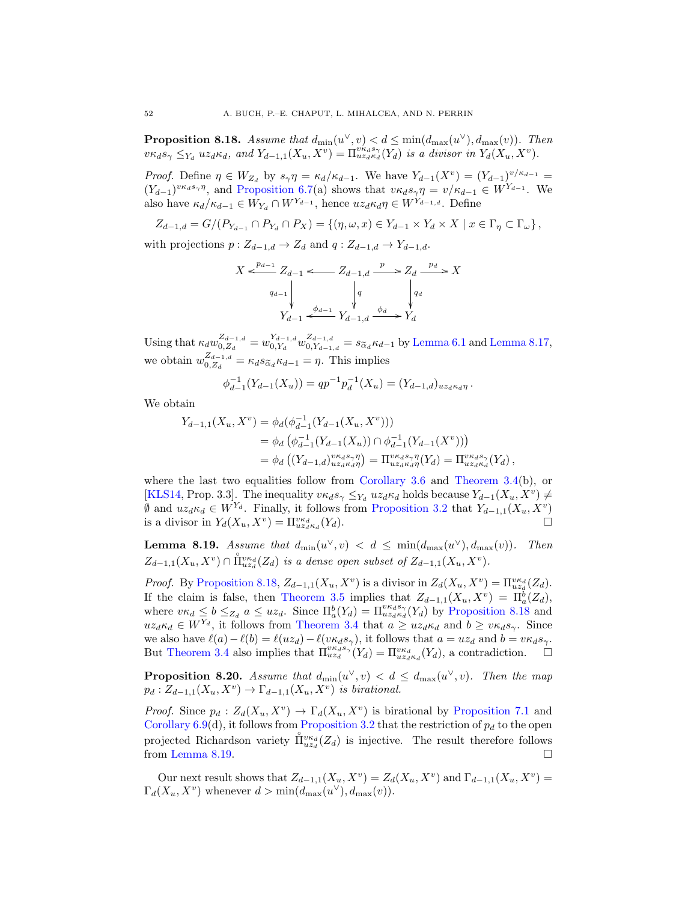<span id="page-51-0"></span>**Proposition 8.18.** Assume that  $d_{\min}(u^{\vee}, v) < d \leq \min(d_{\max}(u^{\vee}), d_{\max}(v))$ . Then  $v\kappa_d s_\gamma \leq Y_d$  uz<sub>d</sub> $\kappa_d$ , and  $Y_{d-1,1}(X_u, X^v) = \prod_{u \mid u \leq d}^{v \kappa_d s_\gamma}(\overline{Y_d})$  is a divisor in  $Y_d(X_u, X^v)$ .

*Proof.* Define  $\eta \in W_{Z_d}$  by  $s_\gamma \eta = \kappa_d/\kappa_{d-1}$ . We have  $Y_{d-1}(X^v) = (Y_{d-1})^{v/\kappa_{d-1}} =$  $(Y_{d-1})^{v\kappa_d s_{\gamma}}$ <sup>n</sup>, and [Proposition 6.7\(](#page-33-0)a) shows that  $v\kappa_d s_{\gamma} \eta = v/\kappa_{d-1} \in W^{Y_{d-1}}$ . We also have  $\kappa_d/\kappa_{d-1} \in W_{Y_d} \cap W^{Y_{d-1}}$ , hence  $uz_d \kappa_d \eta \in W^{Y_{d-1,d}}$ . Define

$$
Z_{d-1,d}=G/(P_{Y_{d-1}}\cap P_{Y_d}\cap P_X)=\{(\eta,\omega,x)\in Y_{d-1}\times Y_d\times X\mid x\in\Gamma_\eta\subset\Gamma_\omega\},\
$$

with projections  $p: Z_{d-1,d} \to Z_d$  and  $q: Z_{d-1,d} \to Y_{d-1,d}$ .

$$
X \xleftarrow{p_{d-1}} Z_{d-1} \xleftarrow{q_{d-1,d}} Z_{d-1,d} \xrightarrow{p} Z_d \xrightarrow{p_d} X
$$
  
\n
$$
q_{d-1} \downarrow \qquad \qquad q_q \downarrow \qquad \qquad q_d
$$
  
\n
$$
Y_{d-1} \xleftarrow{\phi_{d-1}} Y_{d-1,d} \xrightarrow{\phi_d} Y_d
$$

Using that  $\kappa_d w_{0,Z_d}^{Z_{d-1,d}}$  $\frac{Z_{d-1,d}}{0,Z_d} = w_{0,Y_d}^{Y_{d-1,d}}$  $\frac{Y_{d-1,d}}{0,Y_d}$   $w^{Z_{d-1,d}}_{0,Y_{d-1}}$  $\sum_{0, Y_{d-1, d}}^{Z_{d-1, d}} = s_{\widetilde{\alpha}_d} \kappa_{d-1}$  by [Lemma 6.1](#page-31-3) and [Lemma 8.17,](#page-50-0) we obtain  $w_0^{Z_{d-1,d}}$  $\mathcal{L}_{d-1,d}^{Z_{d-1},d} = \kappa_d s_{\widetilde{\alpha}_d} \kappa_{d-1} = \eta$ . This implies

$$
\phi_{d-1}^{-1}(Y_{d-1}(X_u)) = qp^{-1}p_d^{-1}(X_u) = (Y_{d-1,d})_{uz_d \kappa_d \eta}.
$$

We obtain

$$
Y_{d-1,1}(X_u, X^v) = \phi_d(\phi_{d-1}^{-1}(Y_{d-1}(X_u, X^v)))
$$
  
=  $\phi_d(\phi_{d-1}^{-1}(Y_{d-1}(X_u)) \cap \phi_{d-1}^{-1}(Y_{d-1}(X^v)))$   
=  $\phi_d((Y_{d-1,d})_{u_{z_d\kappa_d\eta}^{v_{k_d\kappa_d\eta}}}) = \Pi_{u_{z_d\kappa_d\eta}^{v_{k_d\kappa_d\eta}}(Y_d) = \Pi_{u_{z_d\kappa_d}^{v_{k_d\kappa_d\eta}}(Y_d)$ ,

where the last two equalities follow from [Corollary 3.6](#page-15-2) and [Theorem 3.4\(](#page-14-1)b), or [\[KLS14,](#page-63-10) Prop. 3.3]. The inequality  $v\kappa_d s_\gamma \leq Y_d u z_d \kappa_d$  holds because  $Y_{d-1}(X_u, X_v) \neq$  $\emptyset$  and  $uz_d \kappa_d \in W^{Y_d}$ . Finally, it follows from [Proposition 3.2](#page-14-0) that  $Y_{d-1,1}(X_u, X_v)$ is a divisor in  $Y_d(X_u, X^v) = \prod_{u \cdot z_d \kappa_d}^{v \kappa_d}$  $(Y_d)$ .

<span id="page-51-2"></span>**Lemma 8.19.** Assume that  $d_{\min}(u^{\vee}, v) < d \leq \min(d_{\max}(u^{\vee}), d_{\max}(v))$ . Then  $Z_{d-1,1}(X_u,X^v) \cap \mathring{\Pi}^{v \kappa_d}_{uz_d}(Z_d)$  is a dense open subset of  $Z_{d-1,1}(X_u,X^v)$ .

*Proof.* By [Proposition 8.18,](#page-51-0)  $Z_{d-1,1}(X_u, X_v)$  is a divisor in  $Z_d(X_u, X_v) = \prod_{u \mid z_d}^{\nu \mid \kappa_d} (Z_d)$ . If the claim is false, then [Theorem 3.5](#page-15-1) implies that  $Z_{d-1,1}(X_u, X_v) = \Pi_a^b(Z_d)$ , where  $v\kappa_d \leq b \leq Z_d$  a  $\leq uz_d$ . Since  $\Pi_a^b(Y_d) = \Pi_{uz_d\kappa_d}^{v\kappa_d s_{\gamma}}(Y_d)$  by [Proposition 8.18](#page-51-0) and  $uz_{d} \in W^{\overline{Y}_d}$ , it follows from [Theorem 3.4](#page-14-1) that  $a \geq uz_{d} \kappa_d$  and  $b \geq v \kappa_d s_{\gamma}$ . Since we also have  $\ell(a)-\ell(b) = \ell(uz_d)-\ell(v\kappa_d s_\gamma)$ , it follows that  $a = uz_d$  and  $b = v\kappa_d s_\gamma$ . But [Theorem 3.4](#page-14-1) also implies that  $\Pi_{uz_d}^{\nu\kappa_d s_{\gamma}}(Y_d) = \Pi_{uz_d\kappa_d}^{\nu\kappa_d}(Y_d)$ , a contradiction.

<span id="page-51-1"></span>**Proposition 8.20.** Assume that  $d_{\min}(u^{\vee}, v) < d \leq d_{\max}(u^{\vee}, v)$ . Then the map  $p_d: Z_{d-1,1}(X_u, X^v) \to \Gamma_{d-1,1}(X_u, X^v)$  is birational.

*Proof.* Since  $p_d$ :  $Z_d(X_u, X_v) \to \Gamma_d(X_u, X_v)$  is birational by [Proposition 7.1](#page-35-2) and [Corollary 6.9\(](#page-34-0)d), it follows from [Proposition 3.2](#page-14-0) that the restriction of  $p_d$  to the open projected Richardson variety  $\mathring{\Pi}^{v\kappa_d}_{uz_d}(Z_d)$  is injective. The result therefore follows from [Lemma 8.19.](#page-51-2)  $\Box$ 

Our next result shows that  $Z_{d-1,1}(X_u, X^v) = Z_d(X_u, X^v)$  and  $\Gamma_{d-1,1}(X_u, X^v) =$  $\Gamma_d(X_u, X^v)$  whenever  $d > \min(d_{\max}(u^{\vee}), d_{\max}(v)).$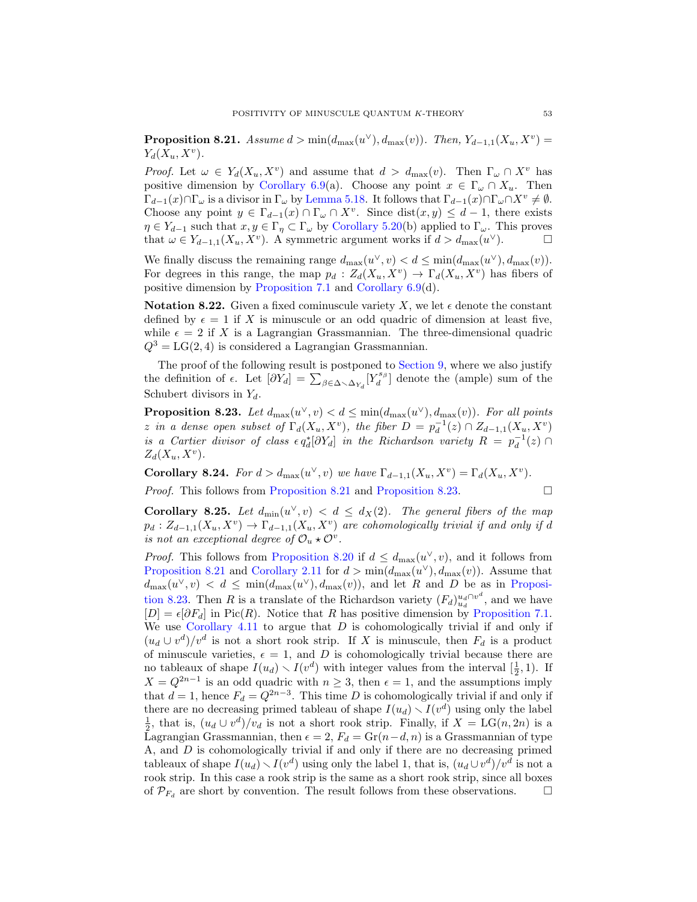<span id="page-52-0"></span>**Proposition 8.21.** Assume  $d > min(d_{max}(u^{\vee}), d_{max}(v))$ . Then,  $Y_{d-1,1}(X_u, X_v)$  $Y_d(X_u, X^v)$ .

*Proof.* Let  $\omega \in Y_d(X_u, X^v)$  and assume that  $d > d_{\text{max}}(v)$ . Then  $\Gamma_\omega \cap X^v$  has positive dimension by [Corollary 6.9\(](#page-34-0)a). Choose any point  $x \in \Gamma_\omega \cap X_u$ . Then  $\Gamma_{d-1}(x)\cap\Gamma_\omega$  is a divisor in  $\Gamma_\omega$  by [Lemma 5.18.](#page-27-3) It follows that  $\Gamma_{d-1}(x)\cap\Gamma_\omega\cap X^v\neq\emptyset$ . Choose any point  $y \in \Gamma_{d-1}(x) \cap \Gamma_{\omega} \cap X^v$ . Since  $dist(x, y) \leq d-1$ , there exists  $\eta \in Y_{d-1}$  such that  $x, y \in \Gamma_{\eta} \subset \Gamma_{\omega}$  by [Corollary 5.20\(](#page-29-0)b) applied to  $\Gamma_{\omega}$ . This proves that  $\omega \in Y_{d-1,1}(X_u, X^v)$ . A symmetric argument works if  $d > d_{\max}(u^{\vee})$ .

We finally discuss the remaining range  $d_{\max}(u^{\vee}, v) < d \leq \min(d_{\max}(u^{\vee}), d_{\max}(v)).$ For degrees in this range, the map  $p_d: Z_d(X_u, X^v) \to \Gamma_d(X_u, X^v)$  has fibers of positive dimension by [Proposition 7.1](#page-35-2) and [Corollary 6.9\(](#page-34-0)d).

<span id="page-52-4"></span>**Notation 8.22.** Given a fixed cominuscule variety X, we let  $\epsilon$  denote the constant defined by  $\epsilon = 1$  if X is minuscule or an odd quadric of dimension at least five, while  $\epsilon = 2$  if X is a Lagrangian Grassmannian. The three-dimensional quadric  $Q^3 = LG(2, 4)$  is considered a Lagrangian Grassmannian.

The proof of the following result is postponed to [Section 9,](#page-55-0) where we also justify the definition of  $\epsilon$ . Let  $[\partial Y_d] = \sum_{\beta \in \Delta \setminus \Delta_{Y_d}} [Y_d^{s_{\beta}}]$  denote the (ample) sum of the Schubert divisors in  $Y_d$ .

<span id="page-52-3"></span>**Proposition 8.23.** Let  $d_{\max}(u^{\vee}, v) < d \leq \min(d_{\max}(u^{\vee}), d_{\max}(v))$ . For all points z in a dense open subset of  $\Gamma_d(X_u, X^v)$ , the fiber  $D = p_d^{-1}(z) \cap Z_{d-1,1}(X_u, X^v)$ is a Cartier divisor of class  $\epsilon q_d^*[\partial Y_d]$  in the Richardson variety  $R = p_d^{-1}(z) \cap$  $Z_d(X_u, X^v)$ .

<span id="page-52-1"></span>**Corollary 8.24.** For  $d > d_{\text{max}}(u^{\vee}, v)$  we have  $\Gamma_{d-1,1}(X_u, X^v) = \Gamma_d(X_u, X^v)$ .

*Proof.* This follows from [Proposition 8.21](#page-52-0) and [Proposition 8.23.](#page-52-3)  $\Box$ 

<span id="page-52-2"></span>**Corollary 8.25.** Let  $d_{\min}(u^{\vee}, v) < d \leq d_X(2)$ . The general fibers of the map  $p_d: Z_{d-1,1}(X_u, X_v) \to \Gamma_{d-1,1}(X_u, X_v)$  are cohomologically trivial if and only if d is not an exceptional degree of  $\mathcal{O}_u \star \mathcal{O}^v$ .

*Proof.* This follows from [Proposition 8.20](#page-51-1) if  $d \leq d_{\text{max}}(u^{\vee}, v)$ , and it follows from [Proposition 8.21](#page-52-0) and [Corollary 2.11](#page-13-4) for  $d > min(d_{max}(u^{\vee}), d_{max}(v))$ . Assume that  $d_{\max}(u^{\vee}, v) < d \leq \min(d_{\max}(u^{\vee}), d_{\max}(v)),$  and let R and D be as in [Proposi](#page-52-3)[tion 8.23.](#page-52-3) Then R is a translate of the Richardson variety  $(F_d)_{u_d}^{u_d \cap v^d}$ , and we have  $[D] = \epsilon[\partial F_d]$  in Pic(R). Notice that R has positive dimension by [Proposition 7.1.](#page-35-2) We use [Corollary 4.11](#page-21-1) to argue that  $D$  is cohomologically trivial if and only if  $(u_d \cup v^d)/v^d$  is not a short rook strip. If X is minuscule, then  $F_d$  is a product of minuscule varieties,  $\epsilon = 1$ , and D is cohomologically trivial because there are no tableaux of shape  $I(u_d) \setminus I(v^d)$  with integer values from the interval  $[\frac{1}{2}, 1)$ . If  $X = Q^{2n-1}$  is an odd quadric with  $n \geq 3$ , then  $\epsilon = 1$ , and the assumptions imply that  $d = 1$ , hence  $F_d = Q^{2n-3}$ . This time D is cohomologically trivial if and only if there are no decreasing primed tableau of shape  $I(u_d) \setminus I(v^d)$  using only the label  $\frac{1}{2}$ , that is,  $(u_d \cup v^d)/v_d$  is not a short rook strip. Finally, if  $X = LG(n, 2n)$  is a Lagrangian Grassmannian, then  $\epsilon = 2$ ,  $F_d = \text{Gr}(n-d, n)$  is a Grassmannian of type A, and D is cohomologically trivial if and only if there are no decreasing primed tableaux of shape  $I(u_d) \setminus I(v^d)$  using only the label 1, that is,  $(u_d \cup v^d)/v^d$  is not a rook strip. In this case a rook strip is the same as a short rook strip, since all boxes of  $\mathcal{P}_{F_d}$  are short by convention. The result follows from these observations.  $\Box$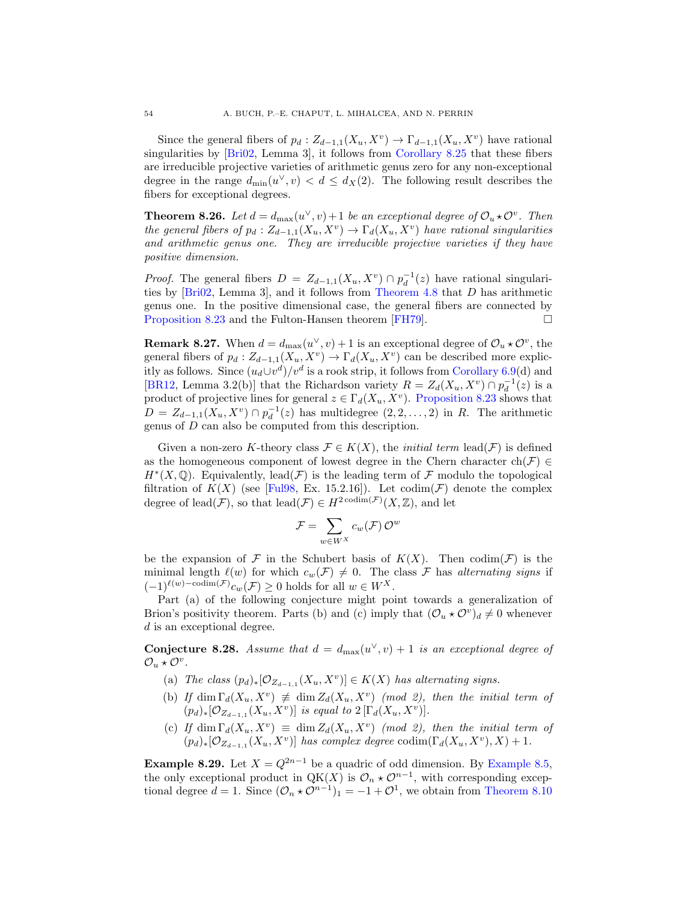Since the general fibers of  $p_d: Z_{d-1,1}(X_u, X_v) \to \Gamma_{d-1,1}(X_u, X_v)$  have rational singularities by [\[Bri02,](#page-62-3) Lemma 3], it follows from [Corollary 8.25](#page-52-2) that these fibers are irreducible projective varieties of arithmetic genus zero for any non-exceptional degree in the range  $d_{\min}(u^{\vee}, v) < d \leq d_X(2)$ . The following result describes the fibers for exceptional degrees.

<span id="page-53-0"></span>**Theorem 8.26.** Let  $d = d_{\text{max}}(u^{\vee}, v) + 1$  be an exceptional degree of  $\mathcal{O}_u \star \mathcal{O}^v$ . Then the general fibers of  $p_d: Z_{d-1,1}(X_u, X_v) \to \Gamma_d(X_u, X_v)$  have rational singularities and arithmetic genus one. They are irreducible projective varieties if they have positive dimension.

*Proof.* The general fibers  $D = Z_{d-1,1}(X_u, X_v) \cap p_d^{-1}(z)$  have rational singularities by [\[Bri02,](#page-62-3) Lemma 3], and it follows from [Theorem 4.8](#page-20-0) that D has arithmetic genus one. In the positive dimensional case, the general fibers are connected by [Proposition 8.23](#page-52-3) and the Fulton-Hansen theorem [\[FH79\]](#page-62-23).

**Remark 8.27.** When  $d = d_{\text{max}}(u^{\vee}, v) + 1$  is an exceptional degree of  $\mathcal{O}_u * \mathcal{O}^v$ , the general fibers of  $p_d: Z_{d-1,1}(X_u, X_v) \to \Gamma_d(X_u, X_v)$  can be described more explicitly as follows. Since  $(u_d \cup v^d)/v^d$  is a rook strip, it follows from [Corollary 6.9\(](#page-34-0)d) and [\[BR12,](#page-62-14) Lemma 3.2(b)] that the Richardson variety  $R = Z_d(X_u, X^v) \cap p_d^{-1}(z)$  is a product of projective lines for general  $z \in \Gamma_d(X_u, X^v)$ . [Proposition 8.23](#page-52-3) shows that  $D = Z_{d-1,1}(X_u, X_v) \cap p_d^{-1}(z)$  has multidegree  $(2, 2, ..., 2)$  in R. The arithmetic genus of D can also be computed from this description.

Given a non-zero K-theory class  $\mathcal{F} \in K(X)$ , the *initial term* lead( $\mathcal{F}$ ) is defined as the homogeneous component of lowest degree in the Chern character ch( $\mathcal{F}$ ) ∈  $H^*(X,\mathbb{Q})$ . Equivalently, lead(F) is the leading term of F modulo the topological filtration of  $K(X)$  (see [\[Ful98,](#page-62-24) Ex. 15.2.16]). Let  $\text{codim}(\mathcal{F})$  denote the complex degree of lead( $\mathcal{F}$ ), so that lead( $\mathcal{F}$ )  $\in H^{2 \text{ codim}(\mathcal{F})}(X,\mathbb{Z})$ , and let

$$
\mathcal{F} = \sum_{w \in W^X} c_w(\mathcal{F}) \, \mathcal{O}^w
$$

be the expansion of F in the Schubert basis of  $K(X)$ . Then codim(F) is the minimal length  $\ell(w)$  for which  $c_w(\mathcal{F}) \neq 0$ . The class F has alternating signs if  $(-1)^{\ell(w)-\mathrm{codim}(\mathcal{F})}c_w(\mathcal{F}) \geq 0$  holds for all  $w \in W^X$ .

Part (a) of the following conjecture might point towards a generalization of Brion's positivity theorem. Parts (b) and (c) imply that  $(\mathcal{O}_u \star \mathcal{O}^v)_d \neq 0$  whenever d is an exceptional degree.

<span id="page-53-1"></span>**Conjecture 8.28.** Assume that  $d = d_{\text{max}}(u^{\vee}, v) + 1$  is an exceptional degree of  $\mathcal{O}_u \star \mathcal{O}^v$ .

- (a) The class  $(p_d)_*[\mathcal{O}_{Z_{d-1,1}}(X_u,X^v)] \in K(X)$  has alternating signs.
- (b) If  $\dim \Gamma_d(X_u, X^v) \neq \dim Z_d(X_u, X^v)$  (mod 2), then the initial term of  $(p_d)_*[\mathcal{O}_{Z_{d-1,1}}(X_u,X^v)]$  is equal to  $2[\Gamma_d(X_u,X^v)]$ .
- (c) If dim  $\Gamma_d(X_u, X^v) \equiv \dim Z_d(X_u, X^v)$  (mod 2), then the initial term of  $(p_d)_*[\mathcal{O}_{Z_{d-1,1}}(X_u,X^v)]$  has complex degree  $\text{codim}(\Gamma_d(X_u,X^v),X)+1$ .

**Example 8.29.** Let  $X = Q^{2n-1}$  be a quadric of odd dimension. By [Example 8.5,](#page-45-1) the only exceptional product in QK(X) is  $\mathcal{O}_n \star \mathcal{O}^{n-1}$ , with corresponding exceptional degree  $d = 1$ . Since  $(\mathcal{O}_n \star \mathcal{O}^{n-1})_1 = -1 + \mathcal{O}^1$ , we obtain from [Theorem 8.10](#page-47-2)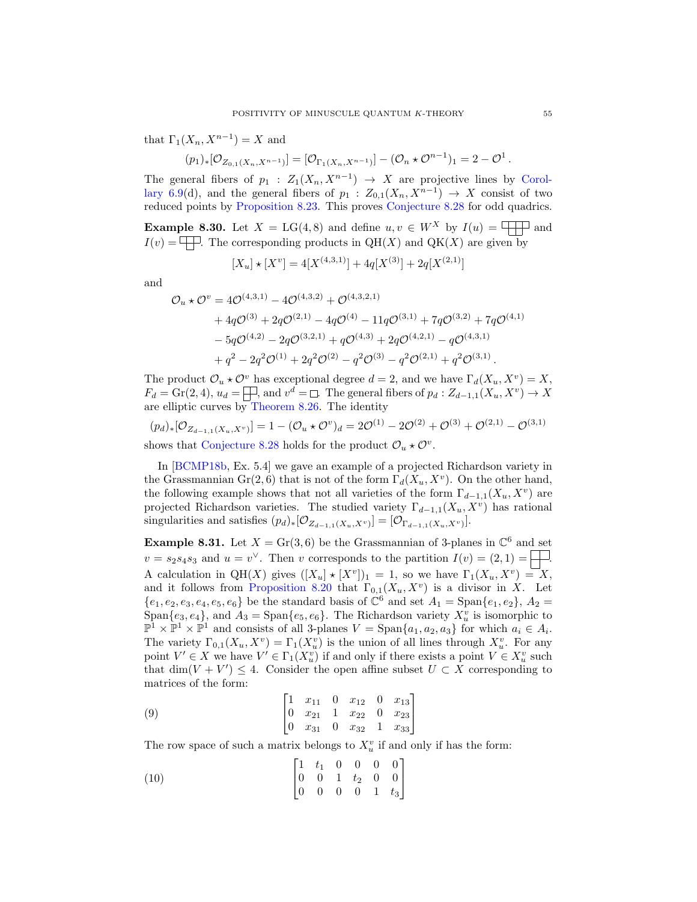that  $\Gamma_1(X_n, X^{n-1}) = X$  and

$$
(p_1)_*[\mathcal{O}_{Z_{0,1}(X_n,X^{n-1})}] = [\mathcal{O}_{\Gamma_1(X_n,X^{n-1})}] - (\mathcal{O}_n \star \mathcal{O}^{n-1})_1 = 2 - \mathcal{O}^1.
$$

The general fibers of  $p_1 : Z_1(X_n, X^{n-1}) \to X$  are projective lines by [Corol](#page-34-0)[lary 6.9\(](#page-34-0)d), and the general fibers of  $p_1: Z_{0,1}(X_n, X^{n-1}) \to X$  consist of two reduced points by [Proposition 8.23.](#page-52-3) This proves [Conjecture 8.28](#page-53-1) for odd quadrics.

**Example 8.30.** Let  $X = LG(4, 8)$  and define  $u, v \in W^X$  by  $I(u) = \Box \Box$  and  $I(v) = \Box$  The corresponding products in QH(X) and QK(X) are given by

$$
[X_u] \star [X^v] = 4[X^{(4,3,1)}] + 4q[X^{(3)}] + 2q[X^{(2,1)}]
$$

and

$$
\mathcal{O}_u \star \mathcal{O}^v = 4\mathcal{O}^{(4,3,1)} - 4\mathcal{O}^{(4,3,2)} + \mathcal{O}^{(4,3,2,1)} \n+ 4q\mathcal{O}^{(3)} + 2q\mathcal{O}^{(2,1)} - 4q\mathcal{O}^{(4)} - 11q\mathcal{O}^{(3,1)} + 7q\mathcal{O}^{(3,2)} + 7q\mathcal{O}^{(4,1)} \n- 5q\mathcal{O}^{(4,2)} - 2q\mathcal{O}^{(3,2,1)} + q\mathcal{O}^{(4,3)} + 2q\mathcal{O}^{(4,2,1)} - q\mathcal{O}^{(4,3,1)} \n+ q^2 - 2q^2\mathcal{O}^{(1)} + 2q^2\mathcal{O}^{(2)} - q^2\mathcal{O}^{(3)} - q^2\mathcal{O}^{(2,1)} + q^2\mathcal{O}^{(3,1)}.
$$

The product  $\mathcal{O}_u \star \mathcal{O}^v$  has exceptional degree  $d = 2$ , and we have  $\Gamma_d(X_u, X^v) = X$ ,  $F_d = \text{Gr}(2, 4), u_d = \Box$ , and  $v^d = \Box$ . The general fibers of  $p_d : Z_{d-1,1}(X_u, X_v) \to X$ are elliptic curves by [Theorem 8.26.](#page-53-0) The identity

$$
(p_d)_*[\mathcal{O}_{Z_{d-1,1}(X_u,X^v)}] = 1 - (\mathcal{O}_u \star \mathcal{O}^v)_d = 2\mathcal{O}^{(1)} - 2\mathcal{O}^{(2)} + \mathcal{O}^{(3)} + \mathcal{O}^{(2,1)} - \mathcal{O}^{(3,1)}
$$
shows that Conjecture 8.28 holds for the product  $\mathcal{O}_u \star \mathcal{O}^v$ .

In [\[BCMP18b,](#page-62-6) Ex. 5.4] we gave an example of a projected Richardson variety in the Grassmannian  $Gr(2, 6)$  that is not of the form  $\Gamma_d(X_u, X^v)$ . On the other hand, the following example shows that not all varieties of the form  $\Gamma_{d-1,1}(X_u, X_v)$  are projected Richardson varieties. The studied variety  $\Gamma_{d-1,1}(X_u, X_v)$  has rational singularities and satisfies  $(p_d)_*[\mathcal{O}_{Z_{d-1,1}(X_u,X_v)}] = [\mathcal{O}_{\Gamma_{d-1,1}(X_u,X_v)}].$ 

<span id="page-54-0"></span>**Example 8.31.** Let  $X = Gr(3, 6)$  be the Grassmannian of 3-planes in  $\mathbb{C}^6$  and set  $v = s_2 s_4 s_3$  and  $u = v^{\vee}$ . Then v corresponds to the partition  $I(v) = (2, 1) = \begin{array}{|c|c|} \hline \end{array}$ . A calculation in QH(X) gives  $([X_u] \star [X^v])_1 = 1$ , so we have  $\Gamma_1(X_u, X^v) = X$ , and it follows from [Proposition 8.20](#page-51-1) that  $\Gamma_{0,1}(X_u, X_v)$  is a divisor in X. Let  ${e_1, e_2, e_3, e_4, e_5, e_6}$  be the standard basis of  $\mathbb{C}^6$  and set  $A_1 = \text{Span}\{e_1, e_2\}$ ,  $A_2 =$ Span $\{e_3, e_4\}$ , and  $A_3 =$  Span $\{e_5, e_6\}$ . The Richardson variety  $X_u^v$  is isomorphic to  $\mathbb{P}^1 \times \mathbb{P}^1 \times \mathbb{P}^1$  and consists of all 3-planes  $V = \text{Span}\{a_1, a_2, a_3\}$  for which  $a_i \in A_i$ . The variety  $\Gamma_{0,1}(X_u, X_v) = \Gamma_1(X_u^v)$  is the union of all lines through  $X_u^v$ . For any point  $V' \in X$  we have  $V' \in \Gamma_1(X_u^v)$  if and only if there exists a point  $V \in X_u^v$  such that dim $(V + V') \leq 4$ . Consider the open affine subset  $U \subset X$  corresponding to matrices of the form:

<span id="page-54-1"></span>(9) 
$$
\begin{bmatrix} 1 & x_{11} & 0 & x_{12} & 0 & x_{13} \\ 0 & x_{21} & 1 & x_{22} & 0 & x_{23} \\ 0 & x_{31} & 0 & x_{32} & 1 & x_{33} \end{bmatrix}
$$

The row space of such a matrix belongs to  $X_u^v$  if and only if has the form:

<span id="page-54-2"></span>(10) 
$$
\begin{bmatrix} 1 & t_1 & 0 & 0 & 0 & 0 \\ 0 & 0 & 1 & t_2 & 0 & 0 \\ 0 & 0 & 0 & 0 & 1 & t_3 \end{bmatrix}
$$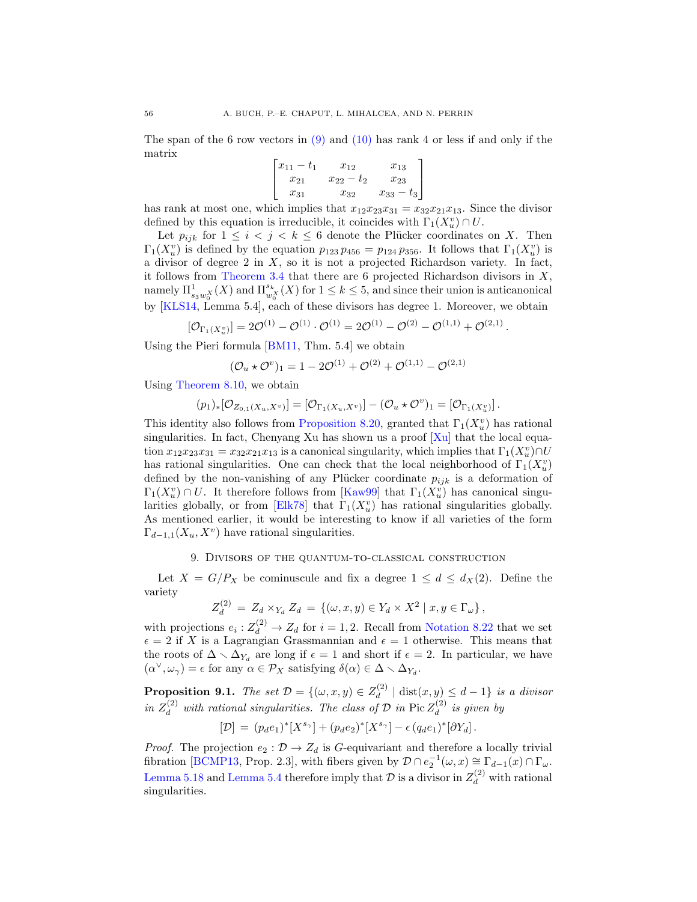The span of the 6 row vectors in  $(9)$  and  $(10)$  has rank 4 or less if and only if the matrix

$$
\begin{bmatrix} x_{11} - t_1 & x_{12} & x_{13} \ x_{21} & x_{22} - t_2 & x_{23} \ x_{31} & x_{32} & x_{33} - t_3 \end{bmatrix}
$$

has rank at most one, which implies that  $x_{12}x_{23}x_{31} = x_{32}x_{21}x_{13}$ . Since the divisor defined by this equation is irreducible, it coincides with  $\Gamma_1(X_u^v) \cap U$ .

Let  $p_{ijk}$  for  $1 \leq i \leq j \leq k \leq 6$  denote the Plücker coordinates on X. Then  $\Gamma_1(X_u^v)$  is defined by the equation  $p_{123} p_{456} = p_{124} p_{356}$ . It follows that  $\Gamma_1(X_u^v)$  is a divisor of degree  $2$  in  $X$ , so it is not a projected Richardson variety. In fact, it follows from [Theorem 3.4](#page-14-1) that there are 6 projected Richardson divisors in  $X$ , namely  $\Pi^1_{s_3w_0^X}(X)$  and  $\Pi^{s_k}_{w_0^X}(X)$  for  $1 \leq k \leq 5$ , and since their union is anticanonical by [\[KLS14,](#page-63-10) Lemma 5.4], each of these divisors has degree 1. Moreover, we obtain

$$
[\mathcal{O}_{\Gamma_1(X_u^v)}] = 2\mathcal{O}^{(1)} - \mathcal{O}^{(1)} \cdot \mathcal{O}^{(1)} = 2\mathcal{O}^{(1)} - \mathcal{O}^{(2)} - \mathcal{O}^{(1,1)} + \mathcal{O}^{(2,1)}.
$$

Using the Pieri formula [\[BM11,](#page-62-0) Thm. 5.4] we obtain

$$
(\mathcal{O}_u \star \mathcal{O}^v)_1 = 1 - 2\mathcal{O}^{(1)} + \mathcal{O}^{(2)} + \mathcal{O}^{(1,1)} - \mathcal{O}^{(2,1)}
$$

Using [Theorem 8.10,](#page-47-2) we obtain

$$
(p_1)_*[\mathcal{O}_{Z_{0,1}(X_u,X^v)}] = [\mathcal{O}_{\Gamma_1(X_u,X^v)}] - (\mathcal{O}_u \star \mathcal{O}^v)_1 = [\mathcal{O}_{\Gamma_1(X_u^v)}].
$$

This identity also follows from [Proposition 8.20,](#page-51-1) granted that  $\Gamma_1(X_u^v)$  has rational singularities. In fact, Chenyang Xu has shown us a proof  $[X_u]$  that the local equation  $x_{12}x_{23}x_{31} = x_{32}x_{21}x_{13}$  is a canonical singularity, which implies that  $\Gamma_1(X_u^v) \cap U$ has rational singularities. One can check that the local neighborhood of  $\Gamma_1(X_u^v)$ defined by the non-vanishing of any Plücker coordinate  $p_{ijk}$  is a deformation of  $\Gamma_1(X_u^v) \cap U$ . It therefore follows from [\[Kaw99\]](#page-63-24) that  $\Gamma_1(X_u^v)$  has canonical singu-larities globally, or from [\[Elk78\]](#page-62-25) that  $\Gamma_1(X_u^v)$  has rational singularities globally. As mentioned earlier, it would be interesting to know if all varieties of the form  $\Gamma_{d-1,1}(X_u, X_v)$  have rational singularities.

#### 9. Divisors of the quantum-to-classical construction

<span id="page-55-0"></span>Let  $X = G/P_X$  be cominuscule and fix a degree  $1 \leq d \leq d_X(2)$ . Define the variety

$$
Z_d^{(2)} = Z_d \times_{Y_d} Z_d = \{ (\omega, x, y) \in Y_d \times X^2 \mid x, y \in \Gamma_\omega \},
$$

with projections  $e_i: Z_d^{(2)} \to Z_d$  for  $i = 1, 2$ . Recall from [Notation 8.22](#page-52-4) that we set  $\epsilon = 2$  if X is a Lagrangian Grassmannian and  $\epsilon = 1$  otherwise. This means that the roots of  $\Delta \setminus \Delta_{Y_d}$  are long if  $\epsilon = 1$  and short if  $\epsilon = 2$ . In particular, we have  $(\alpha^{\vee}, \omega_{\gamma}) = \epsilon$  for any  $\alpha \in \mathcal{P}_X$  satisfying  $\delta(\alpha) \in \Delta \setminus \Delta_{Y_d}$ .

<span id="page-55-1"></span>**Proposition 9.1.** The set  $\mathcal{D} = \{(\omega, x, y) \in Z_d^{(2)}\}$  $\frac{d}{d}(|d| \operatorname{dist}(x, y) \leq d - 1$  is a divisor in  $Z_d^{(2)}$  with rational singularities. The class of  $D$  in  $Pic Z_d^{(2)}$  $\frac{d^{(2)}}{d}$  is given by

$$
[\mathcal{D}] \, = \, (p_d e_1)^* [X^{s_{\gamma}}] + (p_d e_2)^* [X^{s_{\gamma}}] - \epsilon \, (q_d e_1)^* [\partial Y_d] \, .
$$

*Proof.* The projection  $e_2$ :  $\mathcal{D} \to Z_d$  is G-equivariant and therefore a locally trivial fibration [\[BCMP13,](#page-61-2) Prop. 2.3], with fibers given by  $\mathcal{D} \cap e_2^{-1}(\omega, x) \cong \Gamma_{d-1}(x) \cap \Gamma_{\omega}$ . [Lemma 5.18](#page-27-3) and [Lemma 5.4](#page-23-2) therefore imply that  $\mathcal{D}$  is a divisor in  $Z_d^{(2)}$  with rational singularities.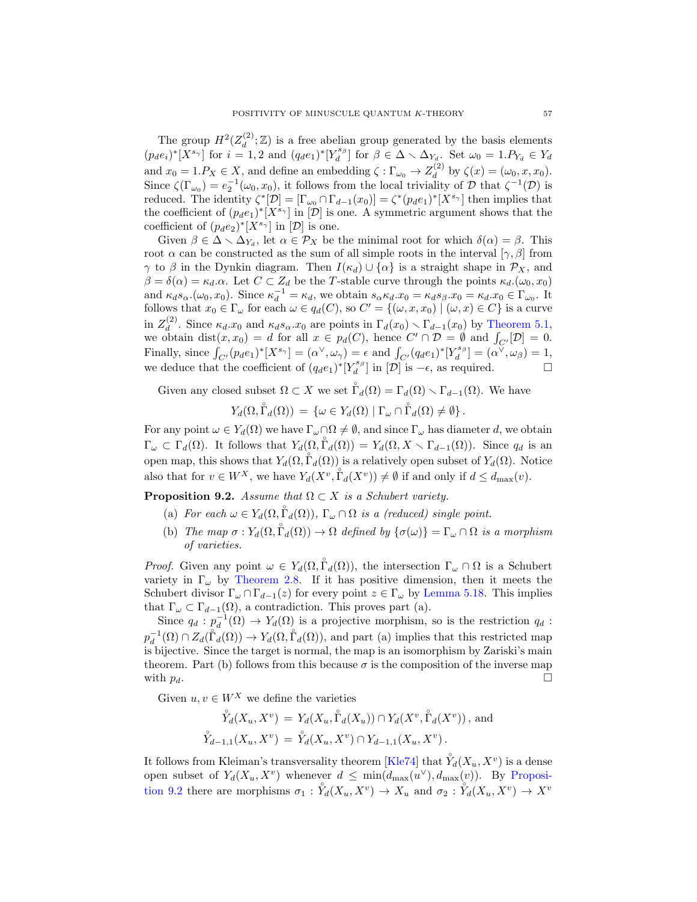The group  $H^2(Z_d^{(2)})$  $\mathcal{L}_d^{(2)}$ ;  $\mathbb{Z}$ ) is a free abelian group generated by the basis elements  $(p_d e_i)^* [X^{s_{\gamma}}]$  for  $i = 1, 2$  and  $(q_d e_1)^* [Y_d^{s_{\beta}}]$  for  $\beta \in \Delta \setminus \Delta_{Y_d}$ . Set  $\omega_0 = 1.P_{Y_d} \in Y_d$ and  $x_0 = 1.P_X \in X$ , and define an embedding  $\zeta : \Gamma_{\omega_0} \to Z_d^{(2)}$  $d_d^{(2)}$  by  $\zeta(x) = (\omega_0, x, x_0).$ Since  $\zeta(\Gamma_{\omega_0}) = e_2^{-1}(\omega_0, x_0)$ , it follows from the local triviality of  $\mathcal D$  that  $\zeta^{-1}(\mathcal D)$  is reduced. The identity  $\zeta^*[\mathcal{D}] = [\Gamma_{\omega_0} \cap \Gamma_{d-1}(x_0)] = \zeta^*(p_d e_1)^*[X^{s_{\gamma}}]$  then implies that the coefficient of  $(p_d e_1)^*[X^{s_{\gamma}}]$  in  $[\mathcal{D}]$  is one. A symmetric argument shows that the coefficient of  $(p_d e_2)^*[X^{s_{\gamma}}]$  in  $[\mathcal{D}]$  is one.

Given  $\beta \in \Delta \setminus \Delta_{Y_d}$ , let  $\alpha \in \mathcal{P}_X$  be the minimal root for which  $\delta(\alpha) = \beta$ . This root  $\alpha$  can be constructed as the sum of all simple roots in the interval  $[\gamma, \beta]$  from  $\gamma$  to  $\beta$  in the Dynkin diagram. Then  $I(\kappa_d) \cup {\alpha}$  is a straight shape in  $\mathcal{P}_X$ , and  $\beta = \delta(\alpha) = \kappa_d \alpha$ . Let  $C \subset Z_d$  be the T-stable curve through the points  $\kappa_d(\omega_0, x_0)$ and  $\kappa_d s_\alpha$ .( $\omega_0, x_0$ ). Since  $\kappa_d^{-1} = \kappa_d$ , we obtain  $s_\alpha \kappa_d \cdot x_0 = \kappa_d s_\beta \cdot x_0 = \kappa_d \cdot x_0 \in \Gamma_{\omega_0}$ . It follows that  $x_0 \in \Gamma_\omega$  for each  $\omega \in q_d(C)$ , so  $C' = \{(\omega, x, x_0) \mid (\omega, x) \in C\}$  is a curve in  $Z_d^{(2)}$ <sup>(2)</sup>. Since  $\kappa_d.x_0$  and  $\kappa_d s_\alpha.x_0$  are points in  $\Gamma_d(x_0) \setminus \Gamma_{d-1}(x_0)$  by [Theorem 5.1,](#page-23-1) we obtain  $dist(x, x_0) = d$  for all  $x \in p_d(C)$ , hence  $C' \cap \mathcal{D} = \emptyset$  and  $\int_{C'}[\mathcal{D}] = 0$ . Finally, since  $\int_{C'} (p_d e_1)^* [X^{s_{\gamma}}] = (\alpha^{\vee}, \omega_{\gamma}) = \epsilon$  and  $\int_{C'} (q_d e_1)^* [Y^{s_{\beta}}_d] = (\alpha^{\vee}, \omega_{\beta}) = 1$ , we deduce that the coefficient of  $(q_d e_1)^*[Y_d^{s_\beta}]$  in  $[\mathcal{D}]$  is  $-\epsilon$ , as required.

Given any closed subset  $\Omega \subset X$  we set  $\mathring{\Gamma}_d(\Omega) = \Gamma_d(\Omega) \setminus \Gamma_{d-1}(\Omega)$ . We have

 $Y_d(\Omega, \mathring{\Gamma}_d(\Omega)) = \{ \omega \in Y_d(\Omega) \mid \Gamma_{\omega} \cap \mathring{\Gamma}_d(\Omega) \neq \emptyset \}.$ 

For any point  $\omega \in Y_d(\Omega)$  we have  $\Gamma_\omega \cap \Omega \neq \emptyset$ , and since  $\Gamma_\omega$  has diameter d, we obtain  $\Gamma_{\omega} \subset \Gamma_d(\Omega)$ . It follows that  $Y_d(\Omega, \mathring{\Gamma}_d(\Omega)) = Y_d(\Omega, X \setminus \Gamma_{d-1}(\Omega))$ . Since  $q_d$  is an open map, this shows that  $Y_d(\Omega, \mathring{\Gamma}_d(\Omega))$  is a relatively open subset of  $Y_d(\Omega)$ . Notice also that for  $v \in W^X$ , we have  $Y_d(X^v, \hat{\Gamma}_d(X^v)) \neq \emptyset$  if and only if  $d \leq d_{\max}(v)$ .

<span id="page-56-0"></span>**Proposition 9.2.** Assume that  $\Omega \subset X$  is a Schubert variety.

- (a) For each  $\omega \in Y_d(\Omega, \mathring{\Gamma}_d(\Omega))$ ,  $\Gamma_{\omega} \cap \Omega$  is a (reduced) single point.
- (b) The map  $\sigma: Y_d(\Omega, \mathring{\Gamma}_d(\Omega)) \to \Omega$  defined by  $\{\sigma(\omega)\} = \Gamma_{\omega} \cap \Omega$  is a morphism of varieties.

*Proof.* Given any point  $\omega \in Y_d(\Omega, \mathring{\Gamma}_d(\Omega))$ , the intersection  $\Gamma_{\omega} \cap \Omega$  is a Schubert variety in  $\Gamma_{\omega}$  by [Theorem 2.8.](#page-11-0) If it has positive dimension, then it meets the Schubert divisor  $\Gamma_{\omega} \cap \Gamma_{d-1}(z)$  for every point  $z \in \Gamma_{\omega}$  by [Lemma 5.18.](#page-27-3) This implies that  $\Gamma_{\omega} \subset \Gamma_{d-1}(\Omega)$ , a contradiction. This proves part (a).

Since  $q_d : p_d^{-1}(\Omega) \to Y_d(\Omega)$  is a projective morphism, so is the restriction  $q_d$ :  $p_d^{-1}(\Omega) \cap Z_d(\tilde{\Gamma}_d(\Omega)) \to Y_d(\Omega, \tilde{\Gamma}_d(\Omega))$ , and part (a) implies that this restricted map is bijective. Since the target is normal, the map is an isomorphism by Zariski's main theorem. Part (b) follows from this because  $\sigma$  is the composition of the inverse map with  $p_d$ .

Given  $u, v \in W^X$  we define the varieties

$$
\mathring{Y}_d(X_u, X^v) = Y_d(X_u, \mathring{\Gamma}_d(X_u)) \cap Y_d(X^v, \mathring{\Gamma}_d(X^v)),
$$
 and  
 $\mathring{Y}_{d-1,1}(X_u, X^v) = \mathring{Y}_d(X_u, X^v) \cap Y_{d-1,1}(X_u, X^v).$ 

It follows from Kleiman's transversality theorem [\[Kle74\]](#page-63-25) that  $\overset{\circ}{Y}_d(X_u, X_v)$  is a dense open subset of  $Y_d(X_u, X_v)$  whenever  $d \leq \min(d_{\max}(u^{\vee}), d_{\max}(v))$ . By [Proposi](#page-56-0)[tion 9.2](#page-56-0) there are morphisms  $\sigma_1 : \overset{\circ}{Y}_d(X_u, X^v) \to X_u$  and  $\sigma_2 : \overset{\circ}{Y}_d(X_u, X^v) \to X^v$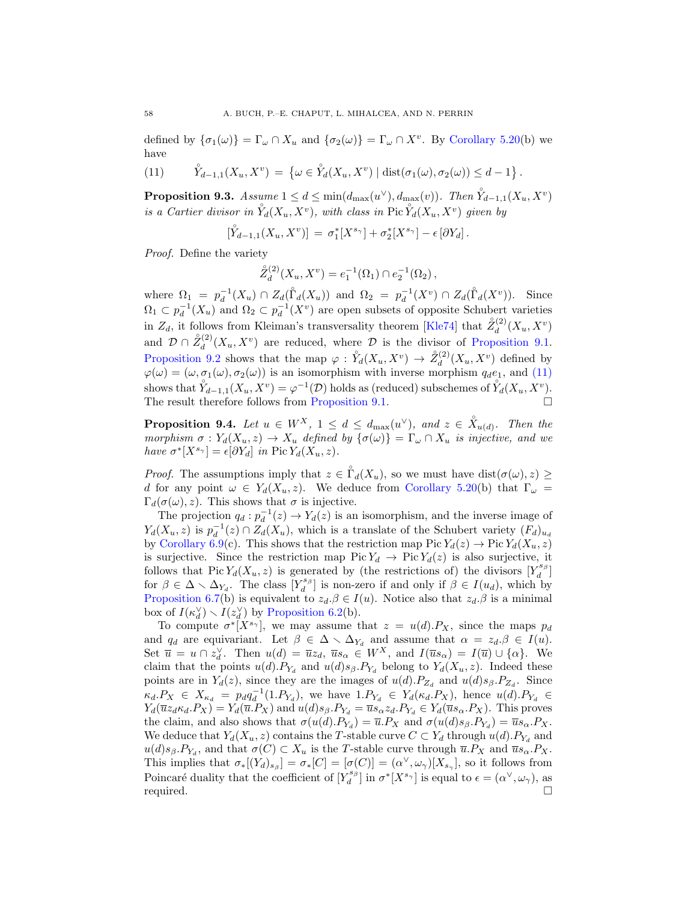defined by  $\{\sigma_1(\omega)\} = \Gamma_{\omega} \cap X_u$  and  $\{\sigma_2(\omega)\} = \Gamma_{\omega} \cap X^v$ . By [Corollary 5.20\(](#page-29-0)b) we have

<span id="page-57-0"></span>(11) 
$$
\hat{Y}_{d-1,1}(X_u, X^v) = \{ \omega \in \mathring{Y}_d(X_u, X^v) \mid \text{dist}(\sigma_1(\omega), \sigma_2(\omega)) \leq d - 1 \}.
$$

<span id="page-57-1"></span>**Proposition 9.3.** Assume  $1 \le d \le \min(d_{\max}(u^{\vee}), d_{\max}(v))$ . Then  $\overset{\circ}{Y}_{d-1,1}(X_u, X_v)$ is a Cartier divisor in  $\mathring{Y}_d(X_u, X_v)$ , with class in Pic  $\mathring{Y}_d(X_u, X_v)$  given by

$$
[\mathring{Y}_{d-1,1}(X_u,X^v)]\,=\,\sigma_1^*[X^{s_{\gamma}}]+\sigma_2^*[X^{s_{\gamma}}]-\epsilon\left[\partial Y_d\right].
$$

Proof. Define the variety

$$
\mathring{Z}_{d}^{(2)}(X_{u}, X^{v}) = e_{1}^{-1}(\Omega_{1}) \cap e_{2}^{-1}(\Omega_{2}),
$$

where  $\Omega_1 = p_d^{-1}(X_u) \cap Z_d(\mathring{\Gamma}_d(X_u))$  and  $\Omega_2 = p_d^{-1}(X^v) \cap Z_d(\mathring{\Gamma}_d(X^v))$ . Since  $\Omega_1 \subset p_d^{-1}(X_u)$  and  $\Omega_2 \subset p_d^{-1}(X^v)$  are open subsets of opposite Schubert varieties in  $Z_d$ , it follows from Kleiman's transversality theorem [\[Kle74\]](#page-63-25) that  $\mathring{Z}_d^{(2)}$  $\chi_d^{(2)}(X_u,X^v)$ and  $\mathcal{D} \cap \mathring{Z}_d^{(2)}$  $\mathcal{L}_d^{(2)}(X_u, X^v)$  are reduced, where D is the divisor of [Proposition 9.1.](#page-55-1) [Proposition 9.2](#page-56-0) shows that the map  $\varphi : \overset{\circ}{Y}_d(X_u, X^v) \to \overset{\circ}{Z}_d^{(2)}$  $\frac{d^{(2)}(X_u,X^v)}{d}$  defined by  $\varphi(\omega) = (\omega, \sigma_1(\omega), \sigma_2(\omega))$  is an isomorphism with inverse morphism  $q_d e_1$ , and [\(11\)](#page-57-0) shows that  $\overset{\circ}{Y}_{d-1,1}(X_u, X^v) = \varphi^{-1}(\mathcal{D})$  holds as (reduced) subschemes of  $\overset{\circ}{Y}_d(X_u, X^v)$ . The result therefore follows from [Proposition 9.1.](#page-55-1)

<span id="page-57-2"></span>**Proposition 9.4.** Let  $u \in W^X$ ,  $1 \leq d \leq d_{\max}(u^{\vee})$ , and  $z \in \overset{\circ}{X}_{u(d)}$ . Then the morphism  $\sigma: Y_d(X_u, z) \to X_u$  defined by  $\{\sigma(\omega)\} = \Gamma_{\omega} \cap X_u$  is injective, and we have  $\sigma^*[X^{s_{\gamma}}] = \epsilon[\partial Y_d]$  in Pic  $Y_d(X_u, z)$ .

*Proof.* The assumptions imply that  $z \in \mathring{\Gamma}_d(X_u)$ , so we must have  $dist(\sigma(\omega), z) \geq$ d for any point  $\omega \in Y_d(X_u, z)$ . We deduce from [Corollary 5.20\(](#page-29-0)b) that  $\Gamma_\omega =$  $\Gamma_d(\sigma(\omega), z)$ . This shows that  $\sigma$  is injective.

The projection  $q_d : p_d^{-1}(z) \to Y_d(z)$  is an isomorphism, and the inverse image of  $Y_d(X_u, z)$  is  $p_d^{-1}(z) \cap Z_d(X_u)$ , which is a translate of the Schubert variety  $(F_d)_{u_d}$ by [Corollary 6.9\(](#page-34-0)c). This shows that the restriction map Pic  $Y_d(z) \to \text{Pic } Y_d(X_u, z)$ is surjective. Since the restriction map Pic  $Y_d \to Pic Y_d(z)$  is also surjective, it follows that Pic  $Y_d(X_u, z)$  is generated by (the restrictions of) the divisors  $[Y_d^{s_\beta}]$ for  $\beta \in \Delta \setminus \Delta_{Y_d}$ . The class  $[Y_d^{s_{\beta}}]$  is non-zero if and only if  $\beta \in I(u_d)$ , which by [Proposition 6.7\(](#page-33-0)b) is equivalent to  $z_d \beta \in I(u)$ . Notice also that  $z_d \beta$  is a minimal box of  $I(\kappa_d^{\vee}) \setminus I(z_d^{\vee})$  by [Proposition 6.2\(](#page-31-1)b).

To compute  $\sigma^*[X^{s_{\gamma}}]$ , we may assume that  $z = u(d).P_X$ , since the maps  $p_d$ and  $q_d$  are equivariant. Let  $\beta \in \Delta \setminus \Delta_{Y_d}$  and assume that  $\alpha = z_d.\beta \in I(u)$ . Set  $\overline{u} = u \cap z_d^{\vee}$ . Then  $u(d) = \overline{u}z_d$ ,  $\overline{u}s_{\alpha} \in W^X$ , and  $I(\overline{u}s_{\alpha}) = I(\overline{u}) \cup {\alpha}$ . We claim that the points  $u(d)$ .  $P_{Y_d}$  and  $u(d)s_{\beta}$ .  $P_{Y_d}$  belong to  $Y_d(X_u, z)$ . Indeed these points are in  $Y_d(z)$ , since they are the images of  $u(d).P_{Z_d}$  and  $u(d)s_\beta.P_{Z_d}$ . Since  $\kappa_d.P_X \in X_{\kappa_d} = p_d q_d^{-1}(1.P_{Y_d})$ , we have  $1.P_{Y_d} \in Y_d(\kappa_d.P_X)$ , hence  $u(d).P_{Y_d} \in Y_d$  $Y_d(\overline{u}z_d\kappa_d.P_X) = Y_d(\overline{u}.P_X)$  and  $u(d)s_\beta.P_{Y_d} = \overline{u}s_\alpha z_d.P_{Y_d} \in Y_d(\overline{u}s_\alpha.P_X)$ . This proves the claim, and also shows that  $\sigma(u(d).P_{Y_d}) = \overline{u}.P_X$  and  $\sigma(u(d)s_\beta.P_{Y_d}) = \overline{u}s_\alpha.P_X$ . We deduce that  $Y_d(X_u, z)$  contains the T-stable curve  $C \subset Y_d$  through  $u(d)$ .  $P_{Y_d}$  and  $u(d)s_{\beta}P_{Y_d}$ , and that  $\sigma(C) \subset X_u$  is the T-stable curve through  $\overline{u}.P_X$  and  $\overline{u}s_{\alpha}P_X$ . This implies that  $\sigma_*[(Y_d)_{s_{\beta}}] = \sigma_*[C] = [\sigma(C)] = (\alpha^{\vee}, \omega_{\gamma})[X_{s_{\gamma}}]$ , so it follows from Poincaré duality that the coefficient of  $[Y_d^{s_\beta}]$  in  $\sigma^*[X^{s_\gamma}]$  is equal to  $\epsilon = (\alpha^\vee, \omega_\gamma)$ , as required.  $\Box$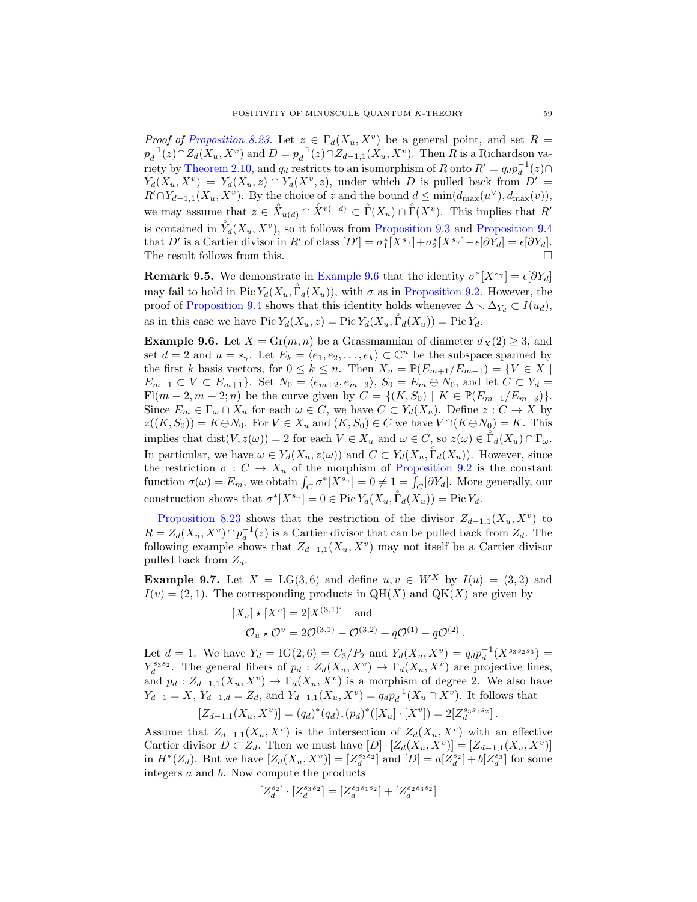*Proof of [Proposition 8.23.](#page-52-3)* Let  $z \in \Gamma_d(X_u, X_v)$  be a general point, and set  $R =$  $p_d^{-1}(z) \cap Z_d(X_u, X^v)$  and  $D = p_d^{-1}(z) \cap Z_{d-1,1}(X_u, X^v)$ . Then R is a Richardson va-riety by [Theorem 2.10,](#page-12-0) and  $q_d$  restricts to an isomorphism of R onto  $R' = q_d p_d^{-1}(z) \cap$  $Y_d(X_u, X^v) = Y_d(X_u, z) \cap Y_d(X^v, z)$ , under which D is pulled back from  $D' =$  $R' \cap Y_{d-1,1}(X_u, X^v)$ . By the choice of z and the bound  $d \le \min(d_{\max}(u^{\vee}), d_{\max}(v)),$ we may assume that  $z \in \overset{\circ}{X}_{u(d)} \cap \overset{\circ}{X}{}^{v(-d)} \subset \overset{\circ}{\Gamma}(X_u) \cap \overset{\circ}{\Gamma}(X^v)$ . This implies that  $R'$ is contained in  $\mathring{Y}_d(X_u, X_v)$ , so it follows from [Proposition 9.3](#page-57-1) and [Proposition 9.4](#page-57-2) that D' is a Cartier divisor in R' of class  $[D'] = \sigma_1^*[X^{s_{\gamma}}] + \sigma_2^*[X^{s_{\gamma}}] - \epsilon[\partial Y_d] = \epsilon[\partial Y_d].$ The result follows from this.

**Remark 9.5.** We demonstrate in [Example 9.6](#page-58-0) that the identity  $\sigma^*[X^{s_{\gamma}}] = \epsilon[\partial Y_d]$ may fail to hold in Pic  $Y_d(X_u, \mathring{\Gamma}_d(X_u))$ , with  $\sigma$  as in [Proposition 9.2.](#page-56-0) However, the proof of [Proposition 9.4](#page-57-2) shows that this identity holds whenever  $\Delta \setminus \Delta_{Y_d} \subset I(u_d)$ , as in this case we have  $Pic Y_d(X_u, z) = Pic Y_d(X_u, \mathring{\Gamma}_d(X_u)) = Pic Y_d$ .

<span id="page-58-0"></span>**Example 9.6.** Let  $X = Gr(m, n)$  be a Grassmannian of diameter  $d_X(2) \geq 3$ , and set  $d = 2$  and  $u = s_{\gamma}$ . Let  $E_k = \langle e_1, e_2, \ldots, e_k \rangle \subset \mathbb{C}^n$  be the subspace spanned by the first k basis vectors, for  $0 \leq k \leq n$ . Then  $X_u = \mathbb{P}(E_{m+1}/E_{m-1}) = \{V \in X \mid$  $E_{m-1} \subset V \subset E_{m+1}$ . Set  $N_0 = \langle e_{m+2}, e_{m+3} \rangle$ ,  $S_0 = E_m \oplus N_0$ , and let  $C \subset Y_d$ Fl(m – 2, m + 2; n) be the curve given by  $C = \{(K, S_0) | K \in \mathbb{P}(E_{m-1}/E_{m-3})\}.$ Since  $E_m \in \Gamma_\omega \cap X_u$  for each  $\omega \in C$ , we have  $C \subset Y_d(X_u)$ . Define  $z : C \to X$  by  $z((K, S_0)) = K \oplus N_0$ . For  $V \in X_u$  and  $(K, S_0) \in C$  we have  $V \cap (K \oplus N_0) = K$ . This implies that  $dist(V, z(\omega)) = 2$  for each  $V \in X_u$  and  $\omega \in C$ , so  $z(\omega) \in \mathring{\Gamma}_d(X_u) \cap \Gamma_\omega$ . In particular, we have  $\omega \in Y_d(X_u, z(\omega))$  and  $C \subset Y_d(X_u, \mathring{\Gamma}_d(X_u))$ . However, since the restriction  $\sigma : C \to X_u$  of the morphism of [Proposition 9.2](#page-56-0) is the constant function  $\sigma(\omega) = E_m$ , we obtain  $\int_C \sigma^*[X^{s_{\gamma}}] = 0 \neq 1 = \int_C [\partial Y_d]$ . More generally, our construction shows that  $\sigma^*[X^{s_{\gamma}}] = 0 \in \text{Pic}\, Y_d(X_u, \overset{\circ}{\Gamma}_d(X_u)) = \text{Pic}\, Y_d$ .

[Proposition 8.23](#page-52-3) shows that the restriction of the divisor  $Z_{d-1,1}(X_u, X^v)$  to  $R = Z_d(X_u, X^v) \cap p_d^{-1}(z)$  is a Cartier divisor that can be pulled back from  $Z_d$ . The following example shows that  $Z_{d-1,1}(X_u, X_v)$  may not itself be a Cartier divisor pulled back from  $Z_d$ .

**Example 9.7.** Let  $X = LG(3, 6)$  and define  $u, v \in W^X$  by  $I(u) = (3, 2)$  and  $I(v) = (2, 1)$ . The corresponding products in QH(X) and QK(X) are given by

$$
[X_u] \star [X^v] = 2[X^{(3,1)}]
$$
 and  
\n $\mathcal{O}_u \star \mathcal{O}^v = 2\mathcal{O}^{(3,1)} - \mathcal{O}^{(3,2)} + q\mathcal{O}^{(1)} - q\mathcal{O}^{(2)}$ .

Let  $d = 1$ . We have  $Y_d = IG(2, 6) = C_3/P_2$  and  $Y_d(X_u, X_v) = q_d p_d^{-1}(X^{s_3 s_2 s_3}) =$  $Y_d^{s_3s_2}$ . The general fibers of  $p_d: Z_d(X_u, X^v) \to \Gamma_d(X_u, X^v)$  are projective lines, and  $p_d: Z_{d-1,1}(X_u, X_v) \to \Gamma_d(X_u, X_v)$  is a morphism of degree 2. We also have  $Y_{d-1} = X$ ,  $Y_{d-1,d} = Z_d$ , and  $Y_{d-1,1}(X_u, X_v) = q_d p_d^{-1}(X_u \cap X_v)$ . It follows that

$$
[Z_{d-1,1}(X_u,X^v)] = (q_d)^*(q_d)_*(p_d)^*([X_u] \cdot [X^v]) = 2[Z_d^{s_3s_1s_2}].
$$

Assume that  $Z_{d-1,1}(X_u,X_v)$  is the intersection of  $Z_d(X_u,X_v)$  with an effective Cartier divisor  $D \subset Z_d$ . Then we must have  $[D] \cdot [Z_d(X_u, X^v)] = [Z_{d-1,1}(X_u, X^v)]$ in  $H^*(Z_d)$ . But we have  $[Z_d(X_u, X^v)] = [Z_d^{s_3 s_2}]$  and  $[D] = a[Z_d^{s_2}] + b[Z_d^{s_3}]$  for some integers a and b. Now compute the products

$$
[Z_d^{s_2}] \cdot [Z_d^{s_3s_2}] = [Z_d^{s_3s_1s_2}] + [Z_d^{s_2s_3s_2}]
$$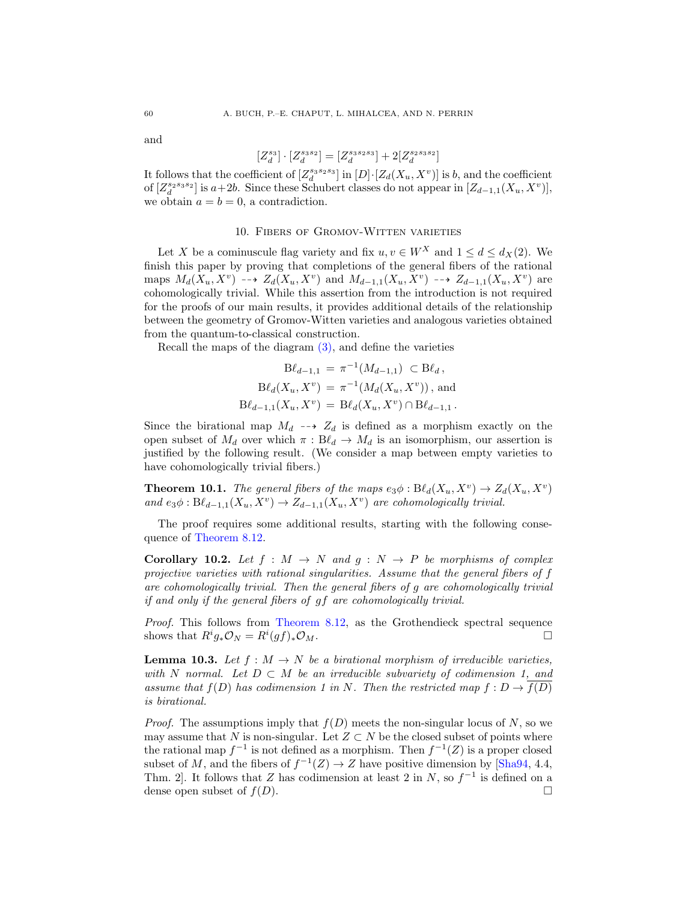and

$$
[Z_d^{s_3}]\cdot[Z_d^{s_3s_2}]=[Z_d^{s_3s_2s_3}]+2[Z_d^{s_2s_3s_2}]
$$

It follows that the coefficient of  $[Z_d^{s_3s_2s_3}]$  in  $[D]$   $[Z_d(X_u, X^v)]$  is b, and the coefficient of  $[Z_d^{s_2s_3s_2}]$  is  $a+2b$ . Since these Schubert classes do not appear in  $[Z_{d-1,1}(X_u, X^v)]$ , we obtain  $a = b = 0$ , a contradiction.

# 10. Fibers of Gromov-Witten varieties

<span id="page-59-0"></span>Let X be a cominuscule flag variety and fix  $u, v \in W^X$  and  $1 \le d \le d_X(2)$ . We finish this paper by proving that completions of the general fibers of the rational maps  $M_d(X_u, X^v) \dashrightarrow Z_d(X_u, X^v)$  and  $M_{d-1,1}(X_u, X^v) \dashrightarrow Z_{d-1,1}(X_u, X^v)$  are cohomologically trivial. While this assertion from the introduction is not required for the proofs of our main results, it provides additional details of the relationship between the geometry of Gromov-Witten varieties and analogous varieties obtained from the quantum-to-classical construction.

Recall the maps of the diagram [\(3\),](#page-30-0) and define the varieties

$$
B\ell_{d-1,1} = \pi^{-1}(M_{d-1,1}) \subset B\ell_d,
$$
  
\n
$$
B\ell_d(X_u, X^v) = \pi^{-1}(M_d(X_u, X^v)),
$$
 and  
\n
$$
B\ell_{d-1,1}(X_u, X^v) = B\ell_d(X_u, X^v) \cap B\ell_{d-1,1}.
$$

Since the birational map  $M_d \dashrightarrow Z_d$  is defined as a morphism exactly on the open subset of  $M_d$  over which  $\pi : B\ell_d \to M_d$  is an isomorphism, our assertion is justified by the following result. (We consider a map between empty varieties to have cohomologically trivial fibers.)

<span id="page-59-2"></span>**Theorem 10.1.** The general fibers of the maps  $e_3\phi : B\ell_d(X_u, X^v) \to Z_d(X_u, X^v)$ and  $e_3\phi: B\ell_{d-1,1}(X_u, X^v) \to Z_{d-1,1}(X_u, X^v)$  are cohomologically trivial.

The proof requires some additional results, starting with the following consequence of [Theorem 8.12.](#page-48-1)

<span id="page-59-3"></span>**Corollary 10.2.** Let  $f : M \to N$  and  $g : N \to P$  be morphisms of complex projective varieties with rational singularities. Assume that the general fibers of f are cohomologically trivial. Then the general fibers of g are cohomologically trivial if and only if the general fibers of gf are cohomologically trivial.

Proof. This follows from [Theorem 8.12,](#page-48-1) as the Grothendieck spectral sequence shows that  $R^i g_* \mathcal{O}_N = R^i (gf)_* \mathcal{O}_M$ .

<span id="page-59-1"></span>**Lemma 10.3.** Let  $f : M \to N$  be a birational morphism of irreducible varieties, with N normal. Let  $D \subset M$  be an irreducible subvariety of codimension 1, and assume that  $f(D)$  has codimension 1 in N. Then the restricted map  $f: D \to f(D)$ is birational.

*Proof.* The assumptions imply that  $f(D)$  meets the non-singular locus of N, so we may assume that N is non-singular. Let  $Z \subset N$  be the closed subset of points where the rational map  $f^{-1}$  is not defined as a morphism. Then  $f^{-1}(Z)$  is a proper closed subset of M, and the fibers of  $f^{-1}(Z) \to Z$  have positive dimension by [\[Sha94,](#page-63-26) 4.4, Thm. 2. It follows that Z has codimension at least 2 in  $N$ , so  $f^{-1}$  is defined on a dense open subset of  $f(D)$ .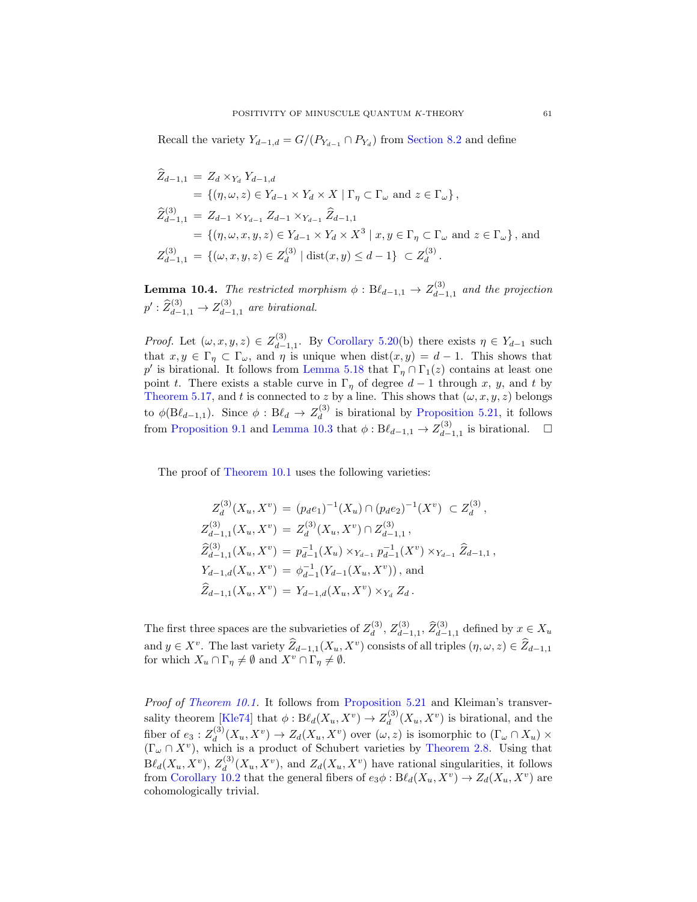Recall the variety  $Y_{d-1,d} = G/(P_{Y_{d-1}} \cap P_{Y_d})$  from [Section 8.2](#page-46-2) and define

$$
\widehat{Z}_{d-1,1} = Z_d \times_{Y_d} Y_{d-1,d}
$$
\n
$$
= \{ (\eta, \omega, z) \in Y_{d-1} \times Y_d \times X \mid \Gamma_{\eta} \subset \Gamma_{\omega} \text{ and } z \in \Gamma_{\omega} \},
$$
\n
$$
\widehat{Z}_{d-1,1}^{(3)} = Z_{d-1} \times_{Y_{d-1}} Z_{d-1} \times_{Y_{d-1}} \widehat{Z}_{d-1,1}
$$
\n
$$
= \{ (\eta, \omega, x, y, z) \in Y_{d-1} \times Y_d \times X^3 \mid x, y \in \Gamma_{\eta} \subset \Gamma_{\omega} \text{ and } z \in \Gamma_{\omega} \}, \text{ and }
$$
\n
$$
Z_{d-1,1}^{(3)} = \{ (\omega, x, y, z) \in Z_d^{(3)} \mid \text{dist}(x, y) \le d - 1 \} \subset Z_d^{(3)}.
$$

<span id="page-60-0"></span>**Lemma 10.4.** The restricted morphism  $\phi : B\ell_{d-1,1} \to Z_{d-1}^{(3)}$  $\binom{3}{d-1,1}$  and the projection  $p': \widehat{Z}_{d-1,1}^{(3)} \to Z_{d-}^{(3)}$  $\int_{d-1,1}^{(3)}$  are birational.

*Proof.* Let  $(\omega, x, y, z) \in Z_{d-}^{(3)}$  $d_{d-1,1}^{(3)}$ . By [Corollary 5.20\(](#page-29-0)b) there exists  $\eta \in Y_{d-1}$  such that  $x, y \in \Gamma_{\eta} \subset \Gamma_{\omega}$ , and  $\eta$  is unique when  $dist(x, y) = d - 1$ . This shows that p' is birational. It follows from [Lemma 5.18](#page-27-3) that  $\Gamma_{\eta} \cap \Gamma_1(z)$  contains at least one point t. There exists a stable curve in  $\Gamma_{\eta}$  of degree  $d-1$  through x, y, and t by [Theorem 5.17,](#page-27-2) and t is connected to z by a line. This shows that  $(\omega, x, y, z)$  belongs to  $\phi(\mathrm{B}\ell_{d-1,1})$ . Since  $\phi: \mathrm{B}\ell_d \to Z_d^{(3)}$  $\frac{d^{(3)}}{d}$  is birational by [Proposition 5.21,](#page-30-1) it follows from [Proposition 9.1](#page-55-1) and [Lemma 10.3](#page-59-1) that  $\phi: B\ell_{d-1,1} \to Z_{d-1}^{(3)}$  $\bigcup_{d=1,1}^{(3)}$  is birational.  $\Box$ 

The proof of [Theorem 10.1](#page-59-2) uses the following varieties:

$$
Z_d^{(3)}(X_u, X^v) = (p_d e_1)^{-1}(X_u) \cap (p_d e_2)^{-1}(X^v) \subset Z_d^{(3)},
$$
  
\n
$$
Z_{d-1,1}^{(3)}(X_u, X^v) = Z_d^{(3)}(X_u, X^v) \cap Z_{d-1,1}^{(3)},
$$
  
\n
$$
\widehat{Z}_{d-1,1}^{(3)}(X_u, X^v) = p_{d-1}^{-1}(X_u) \times_{Y_{d-1}} p_{d-1}^{-1}(X^v) \times_{Y_{d-1}} \widehat{Z}_{d-1,1},
$$
  
\n
$$
Y_{d-1,d}(X_u, X^v) = \phi_{d-1}^{-1}(Y_{d-1}(X_u, X^v)),
$$
 and  
\n
$$
\widehat{Z}_{d-1,1}(X_u, X^v) = Y_{d-1,d}(X_u, X^v) \times_{Y_d} Z_d.
$$

The first three spaces are the subvarieties of  $Z_d^{(3)}$  $Z_d^{(3)}$ ,  $Z_{d-}^{(3)}$  $\widetilde{Z}_{d-1,1}^{(3)}$ ,  $\widehat{Z}_{d-1,1}^{(3)}$  defined by  $x \in X_u$ and  $y \in X^v$ . The last variety  $\widehat{Z}_{d-1,1}(X_u, X^v)$  consists of all triples  $(\eta, \omega, z) \in \widehat{Z}_{d-1,1}$ for which  $X_u \cap \Gamma_\eta \neq \emptyset$  and  $X_v \cap \Gamma_\eta \neq \emptyset$ .

Proof of [Theorem 10.1.](#page-59-2) It follows from [Proposition 5.21](#page-30-1) and Kleiman's transver-sality theorem [\[Kle74\]](#page-63-25) that  $\phi: B\ell_d(X_u, X^v) \to Z_d^{(3)}$  $\chi_d^{(3)}(X_u, X^v)$  is birational, and the fiber of  $e_3:Z_d^{(3)}$  $d_d^{(3)}(X_u, X^v) \to Z_d(X_u, X^v)$  over  $(\omega, z)$  is isomorphic to  $(\Gamma_\omega \cap X_u) \times$  $(\Gamma_{\omega} \cap X^{\nu})$ , which is a product of Schubert varieties by [Theorem 2.8.](#page-11-0) Using that  ${\mathrm B\ell}_d(X_u,X^v),\,Z_d^{(3)}$  $d_d^{(3)}(X_u, X_v)$ , and  $Z_d(X_u, X_v)$  have rational singularities, it follows from [Corollary 10.2](#page-59-3) that the general fibers of  $e_3\phi : \mathbf{B}\ell_d(X_u, X_v) \to Z_d(X_u, X_v)$  are cohomologically trivial.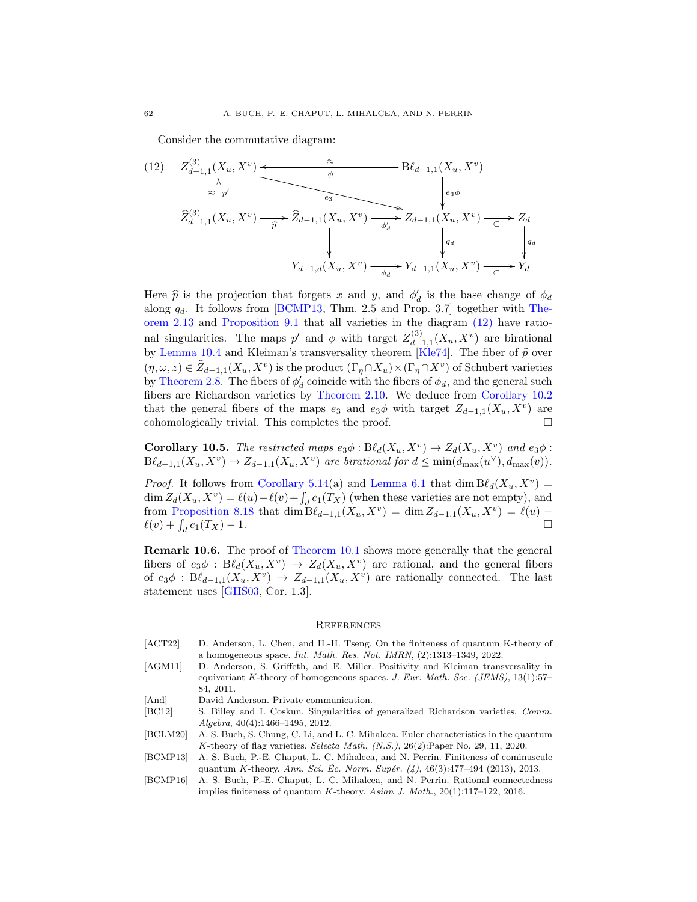<span id="page-61-9"></span>Consider the commutative diagram:

(12) 
$$
Z_{d-1,1}^{(3)}(X_u, X^v)
$$
  
\n $\approx$   $\uparrow$   $\uparrow$   
\n $\hat{Z}_{d-1,1}^{(3)}(X_u, X^v)$   
\n $\hat{Z}_{d-1,1}^{(3)}(X_u, X^v)$   
\n $\hat{Z}_{d-1,1}^{(3)}(X_u, X^v)$   
\n $\hat{Z}_{d-1,1}^{(3)}(X_u, X^v)$   
\n $\uparrow$   $\uparrow$   $\uparrow$   
\n $\downarrow$   
\n $Y_{d-1,d}(X_u, X^v)$   
\n $\downarrow$   $Y_{d-1,1}(X_u, X^v)$   
\n $\downarrow$   $\downarrow$   
\n $\downarrow$   
\n $\downarrow$   
\n $\downarrow$   
\n $\downarrow$   
\n $\downarrow$   
\n $\downarrow$   
\n $\downarrow$   
\n $\downarrow$   
\n $\downarrow$   
\n $\downarrow$   
\n $\downarrow$   
\n $\downarrow$   
\n $\downarrow$   
\n $\downarrow$   
\n $\downarrow$   
\n $\downarrow$   
\n $\downarrow$   
\n $\downarrow$   
\n $\downarrow$   
\n $\downarrow$   
\n $\downarrow$   
\n $\downarrow$   
\n $\downarrow$   
\n $\downarrow$   
\n $\downarrow$   
\n $\downarrow$   
\n $\downarrow$   
\n $\downarrow$   
\n $\downarrow$   
\n $\downarrow$   
\n $\downarrow$   
\n $\downarrow$   
\n $\downarrow$   
\n $\downarrow$   
\n $\downarrow$   
\n $\downarrow$   
\n $\downarrow$   
\n $\downarrow$   
\n $\downarrow$   
\n $\downarrow$   
\n $\downarrow$   
\n $\downarrow$   
\n $\downarrow$   
\n $\downarrow$ 

Here  $\hat{p}$  is the projection that forgets x and y, and  $\phi_d$  is the base change of  $\phi_d$ <br>along  $a_i$ . It follows from [BCMP13, Thm, 2.5 and Prop. 3.7] together with The along  $q_d$ . It follows from [\[BCMP13,](#page-61-2) Thm. 2.5 and Prop. 3.7] together with [The](#page-13-3)[orem 2.13](#page-13-3) and [Proposition 9.1](#page-55-1) that all varieties in the diagram [\(12\)](#page-61-9) have rational singularities. The maps p' and  $\phi$  with target  $Z_{d-}^{(3)}$  $\chi_{d-1,1}^{(3)}(X_u,X_v)$  are birational by [Lemma 10.4](#page-60-0) and Kleiman's transversality theorem [\[Kle74\]](#page-63-25). The fiber of  $\hat{p}$  over  $(\eta, \omega, z) \in \widehat{Z}_{d-1,1}(X_u, X^v)$  is the product  $(\Gamma_\eta \cap X_u) \times (\Gamma_\eta \cap X^v)$  of Schubert varieties by [Theorem 2.8.](#page-11-0) The fibers of  $\phi_d$  coincide with the fibers of  $\phi_d$ , and the general such fibers are Richardson varieties by [Theorem 2.10.](#page-12-0) We deduce from [Corollary 10.2](#page-59-3) that the general fibers of the maps  $e_3$  and  $e_3\phi$  with target  $Z_{d-1,1}(X_u, X_v)$  are cohomologically trivial. This completes the proof.

<span id="page-61-6"></span>**Corollary 10.5.** The restricted maps  $e_3\phi : B\ell_d(X_u, X_v) \to Z_d(X_u, X_v)$  and  $e_3\phi$ :  $B\ell_{d-1,1}(X_u, X^v) \to Z_{d-1,1}(X_u, X^v)$  are birational for  $d \leq \min(d_{\max}(u^{\vee}), d_{\max}(v)).$ 

*Proof.* It follows from [Corollary 5.14\(](#page-25-2)a) and [Lemma 6.1](#page-31-3) that dim  $B\ell_d(X_u, X^v) =$  $\dim Z_d(X_u, X^v) = \ell(u) - \ell(v) + \int_d c_1(T_X)$  (when these varieties are not empty), and from [Proposition 8.18](#page-51-0) that  $\dim \mathrm{B}\ell_{d-1,1}(X_u, X_v) = \dim Z_{d-1,1}(X_u, X_v) = \ell(u) - \ell(u)$  $\ell(v) + \int_d$  $c_1(T_X) - 1.$ 

Remark 10.6. The proof of [Theorem 10.1](#page-59-2) shows more generally that the general fibers of  $e_3\phi$ :  $B\ell_d(X_u, X^v) \to Z_d(X_u, X^v)$  are rational, and the general fibers of  $e_3\phi$ :  $B\ell_{d-1,1}(X_u, X_v) \to Z_{d-1,1}(X_u, X_v)$  are rationally connected. The last statement uses [\[GHS03,](#page-63-27) Cor. 1.3].

#### <span id="page-61-0"></span>**REFERENCES**

- <span id="page-61-4"></span>[ACT22] D. Anderson, L. Chen, and H.-H. Tseng. On the finiteness of quantum K-theory of a homogeneous space. Int. Math. Res. Not. IMRN, (2):1313–1349, 2022.
- <span id="page-61-7"></span>[AGM11] D. Anderson, S. Griffeth, and E. Miller. Positivity and Kleiman transversality in equivariant K-theory of homogeneous spaces. J. Eur. Math. Soc. (JEMS), 13(1):57– 84, 2011.
- <span id="page-61-8"></span>[And] David Anderson. Private communication.
- <span id="page-61-5"></span>[BC12] S. Billey and I. Coskun. Singularities of generalized Richardson varieties. Comm. Algebra, 40(4):1466–1495, 2012.
- <span id="page-61-1"></span>[BCLM20] A. S. Buch, S. Chung, C. Li, and L. C. Mihalcea. Euler characteristics in the quantum K-theory of flag varieties. Selecta Math. (N.S.), 26(2):Paper No. 29, 11, 2020.
- <span id="page-61-2"></span>[BCMP13] A. S. Buch, P.-E. Chaput, L. C. Mihalcea, and N. Perrin. Finiteness of cominuscule quantum K-theory. Ann. Sci. Éc. Norm. Supér.  $(4)$ , 46(3):477–494 (2013), 2013.
- <span id="page-61-3"></span>[BCMP16] A. S. Buch, P.-E. Chaput, L. C. Mihalcea, and N. Perrin. Rational connectedness implies finiteness of quantum K-theory. Asian J. Math.,  $20(1)$ :117–122, 2016.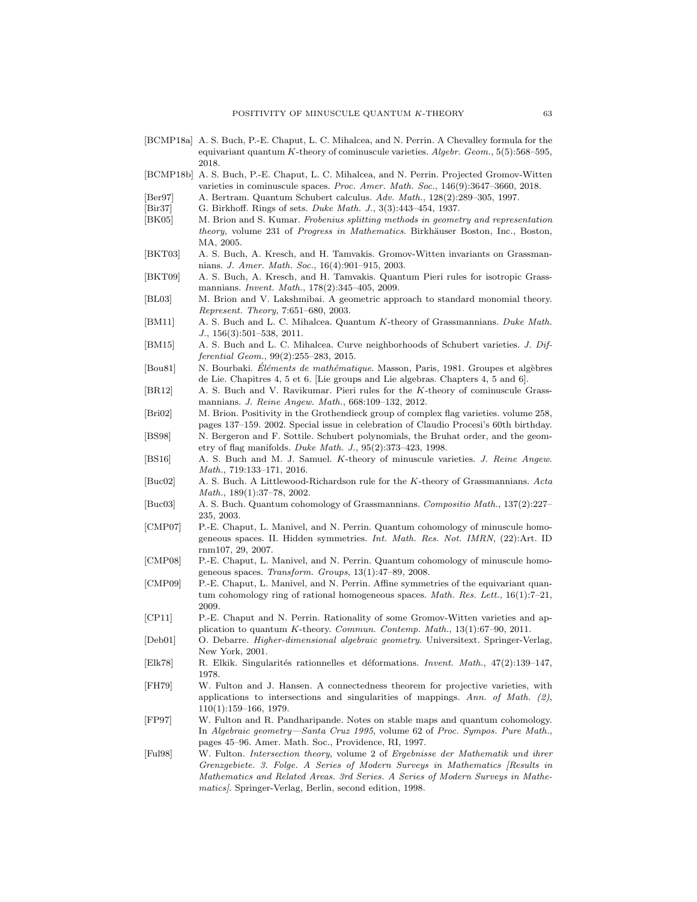- <span id="page-62-1"></span>[BCMP18a] A. S. Buch, P.-E. Chaput, L. C. Mihalcea, and N. Perrin. A Chevalley formula for the equivariant quantum K-theory of cominuscule varieties. Algebr. Geom., 5(5):568–595, 2018.
- <span id="page-62-6"></span>[BCMP18b] A. S. Buch, P.-E. Chaput, L. C. Mihalcea, and N. Perrin. Projected Gromov-Witten varieties in cominuscule spaces. Proc. Amer. Math. Soc., 146(9):3647–3660, 2018.
- <span id="page-62-18"></span>[Ber97] A. Bertram. Quantum Schubert calculus. Adv. Math., 128(2):289–305, 1997.
- <span id="page-62-20"></span>[Bir37] G. Birkhoff. Rings of sets. *Duke Math. J.*, 3(3):443-454, 1937.
- <span id="page-62-13"></span>[BK05] M. Brion and S. Kumar. Frobenius splitting methods in geometry and representation theory, volume 231 of Progress in Mathematics. Birkhäuser Boston, Inc., Boston, MA, 2005.
- <span id="page-62-8"></span>[BKT03] A. S. Buch, A. Kresch, and H. Tamvakis. Gromov-Witten invariants on Grassmannians. J. Amer. Math. Soc., 16(4):901–915, 2003.
- <span id="page-62-17"></span>[BKT09] A. S. Buch, A. Kresch, and H. Tamvakis. Quantum Pieri rules for isotropic Grassmannians. Invent. Math., 178(2):345–405, 2009.
- <span id="page-62-16"></span>[BL03] M. Brion and V. Lakshmibai. A geometric approach to standard monomial theory. Represent. Theory, 7:651–680, 2003.
- <span id="page-62-0"></span>[BM11] A. S. Buch and L. C. Mihalcea. Quantum K-theory of Grassmannians. Duke Math. J., 156(3):501–538, 2011.
- <span id="page-62-11"></span>[BM15] A. S. Buch and L. C. Mihalcea. Curve neighborhoods of Schubert varieties. J. Differential Geom., 99(2):255–283, 2015.
- <span id="page-62-21"></span>[Bou81] N. Bourbaki. Éléments de mathématique. Masson, Paris, 1981. Groupes et algèbres de Lie. Chapitres 4, 5 et 6. [Lie groups and Lie algebras. Chapters 4, 5 and 6].
- <span id="page-62-14"></span>[BR12] A. S. Buch and V. Ravikumar. Pieri rules for the K-theory of cominuscule Grassmannians. J. Reine Angew. Math., 668:109–132, 2012.
- <span id="page-62-3"></span>[Bri02] M. Brion. Positivity in the Grothendieck group of complex flag varieties. volume 258, pages 137–159. 2002. Special issue in celebration of Claudio Procesi's 60th birthday.
- <span id="page-62-12"></span>[BS98] N. Bergeron and F. Sottile. Schubert polynomials, the Bruhat order, and the geometry of flag manifolds. Duke Math. J., 95(2):373–423, 1998.
- <span id="page-62-15"></span>[BS16] A. S. Buch and M. J. Samuel. K-theory of minuscule varieties. J. Reine Angew. Math., 719:133–171, 2016.
- <span id="page-62-2"></span>[Buc02] A. S. Buch. A Littlewood-Richardson rule for the K-theory of Grassmannians. Acta Math., 189(1):37–78, 2002.
- <span id="page-62-7"></span>[Buc03] A. S. Buch. Quantum cohomology of Grassmannians. Compositio Math., 137(2):227– 235, 2003.
- <span id="page-62-19"></span>[CMP07] P.-E. Chaput, L. Manivel, and N. Perrin. Quantum cohomology of minuscule homogeneous spaces. II. Hidden symmetries. Int. Math. Res. Not. IMRN, (22):Art. ID rnm107, 29, 2007.
- <span id="page-62-9"></span>[CMP08] P.-E. Chaput, L. Manivel, and N. Perrin. Quantum cohomology of minuscule homogeneous spaces. Transform. Groups, 13(1):47–89, 2008.
- <span id="page-62-4"></span>[CMP09] P.-E. Chaput, L. Manivel, and N. Perrin. Affine symmetries of the equivariant quantum cohomology ring of rational homogeneous spaces. Math. Res. Lett., 16(1):7-21, 2009.
- <span id="page-62-10"></span>[CP11] P.-E. Chaput and N. Perrin. Rationality of some Gromov-Witten varieties and application to quantum K-theory. Commun. Contemp. Math., 13(1):67–90, 2011.
- <span id="page-62-22"></span>[Deb01] O. Debarre. Higher-dimensional algebraic geometry. Universitext. Springer-Verlag, New York, 2001.
- <span id="page-62-25"></span>[Elk78] R. Elkik. Singularités rationnelles et déformations. Invent. Math., 47(2):139–147, 1978.
- <span id="page-62-23"></span>[FH79] W. Fulton and J. Hansen. A connectedness theorem for projective varieties, with applications to intersections and singularities of mappings. Ann. of Math.  $(2)$ , 110(1):159–166, 1979.
- <span id="page-62-5"></span>[FP97] W. Fulton and R. Pandharipande. Notes on stable maps and quantum cohomology. In Algebraic geometry—Santa Cruz 1995, volume 62 of Proc. Sympos. Pure Math., pages 45–96. Amer. Math. Soc., Providence, RI, 1997.
- <span id="page-62-24"></span>[Ful98] W. Fulton. Intersection theory, volume 2 of Ergebnisse der Mathematik und ihrer Grenzgebiete. 3. Folge. A Series of Modern Surveys in Mathematics [Results in Mathematics and Related Areas. 3rd Series. A Series of Modern Surveys in Mathematics]. Springer-Verlag, Berlin, second edition, 1998.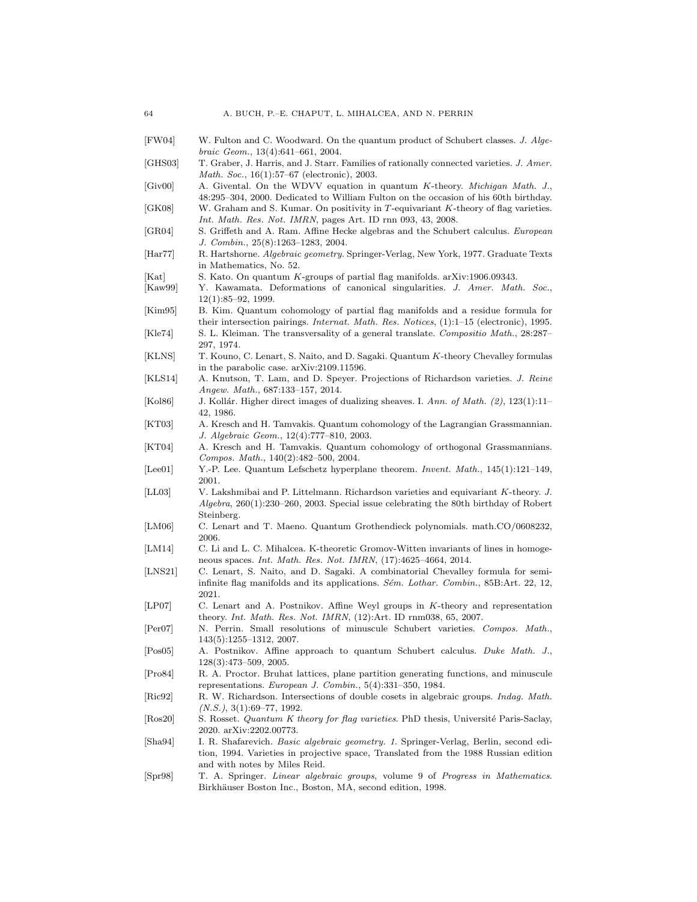<span id="page-63-27"></span><span id="page-63-26"></span><span id="page-63-25"></span><span id="page-63-24"></span><span id="page-63-23"></span><span id="page-63-22"></span><span id="page-63-21"></span><span id="page-63-20"></span><span id="page-63-19"></span><span id="page-63-18"></span><span id="page-63-17"></span><span id="page-63-16"></span><span id="page-63-15"></span><span id="page-63-14"></span><span id="page-63-13"></span><span id="page-63-12"></span><span id="page-63-11"></span><span id="page-63-10"></span><span id="page-63-9"></span><span id="page-63-8"></span><span id="page-63-7"></span><span id="page-63-6"></span><span id="page-63-5"></span><span id="page-63-4"></span><span id="page-63-3"></span><span id="page-63-2"></span><span id="page-63-1"></span><span id="page-63-0"></span>

| FW04                        | W. Fulton and C. Woodward. On the quantum product of Schubert classes. J. Alge-<br><i>braic Geom.</i> , $13(4):641-661$ , $2004$ .                                                                                   |
|-----------------------------|----------------------------------------------------------------------------------------------------------------------------------------------------------------------------------------------------------------------|
| GHS03                       | T. Graber, J. Harris, and J. Starr. Families of rationally connected varieties. J. Amer.<br><i>Math. Soc.</i> , 16(1):57–67 (electronic), 2003.                                                                      |
| $ {\rm{Giv}}00 $            | A. Givental. On the WDVV equation in quantum K-theory. Michigan Math. J.,<br>48:295–304, 2000. Dedicated to William Fulton on the occasion of his 60th birthday.                                                     |
| [GK08]                      | W. Graham and S. Kumar. On positivity in T-equivariant K-theory of flag varieties.<br>Int. Math. Res. Not. IMRN, pages Art. ID rnn 093, 43, 2008.                                                                    |
| $ {\rm GR}04 $              | S. Griffeth and A. Ram. Affine Hecke algebras and the Schubert calculus. European<br>J. Combin., 25(8):1263-1283, 2004.                                                                                              |
| $[\text{Har}77]$            | R. Hartshorne. <i>Algebraic geometry</i> . Springer-Verlag, New York, 1977. Graduate Texts<br>in Mathematics, No. 52.                                                                                                |
| $ $ Kat $ $                 | S. Kato. On quantum K-groups of partial flag manifolds. arXiv:1906.09343.                                                                                                                                            |
| $ $ Kaw99                   | Y. Kawamata. Deformations of canonical singularities. J. Amer. Math. Soc.,<br>$12(1):85-92, 1999.$                                                                                                                   |
| Kim95                       | B. Kim. Quantum cohomology of partial flag manifolds and a residue formula for<br>their intersection pairings. <i>Internat. Math. Res. Notices</i> , $(1)$ :1-15 (electronic), 1995.                                 |
| Kle74                       | S. L. Kleiman. The transversality of a general translate. Compositio Math., 28:287–<br>297, 1974.                                                                                                                    |
| KLNS                        | T. Kouno, C. Lenart, S. Naito, and D. Sagaki. Quantum K-theory Chevalley formulas<br>in the parabolic case. arXiv:2109.11596.                                                                                        |
| KLS14                       | A. Knutson, T. Lam, and D. Speyer. Projections of Richardson varieties. J. Reine<br>Angew. Math., 687:133-157, 2014.                                                                                                 |
| Kol86                       | J. Kollár. Higher direct images of dualizing sheaves. I. Ann. of Math. (2), 123(1):11-<br>42, 1986.                                                                                                                  |
| $ {\rm KT03} $              | A. Kresch and H. Tamvakis. Quantum cohomology of the Lagrangian Grassmannian.<br>J. Algebraic Geom., 12(4):777-810, 2003.                                                                                            |
| $\left[$ KT04 $\right]$     | A. Kresch and H. Tamvakis. Quantum cohomology of orthogonal Grassmannians.<br>Compos. Math., $140(2):482-500$ , $2004$ .                                                                                             |
| Lee01                       | Y.-P. Lee. Quantum Lefschetz hyperplane theorem. Invent. Math., $145(1):121-149$ ,<br>2001.                                                                                                                          |
| [LL03]                      | V. Lakshmibai and P. Littelmann. Richardson varieties and equivariant K-theory. J.<br>$Algebra$ , 260(1):230–260, 2003. Special issue celebrating the 80th birthday of Robert<br>Steinberg.                          |
| LM06                        | C. Lenart and T. Maeno. Quantum Grothendieck polynomials. math.CO/0608232,<br>2006.                                                                                                                                  |
| LM14                        | C. Li and L. C. Mihalcea. K-theoretic Gromov-Witten invariants of lines in homoge-<br>neous spaces. <i>Int. Math. Res. Not. IMRN</i> , $(17):4625-4664$ , 2014.                                                      |
| [LNS21]                     | C. Lenart, S. Naito, and D. Sagaki. A combinatorial Chevalley formula for semi-<br>infinite flag manifolds and its applications. Sém. Lothar. Combin., 85B:Art. 22, 12,<br>2021.                                     |
| [LP07]                      | C. Lenart and A. Postnikov. Affine Weyl groups in K-theory and representation<br>theory. Int. Math. Res. Not. IMRN, $(12)$ :Art. ID rnm038, 65, 2007.                                                                |
| Per07                       | N. Perrin. Small resolutions of minuscule Schubert varieties. Compos. Math.,<br>143(5):1255–1312, 2007.                                                                                                              |
| Pos05                       | A. Postnikov. Affine approach to quantum Schubert calculus. Duke Math. J.,<br>$128(3)$ : 473-509, 2005.                                                                                                              |
| $\left[\text{Pro84}\right]$ | R. A. Proctor. Bruhat lattices, plane partition generating functions, and minuscule<br>representations. European J. Combin., $5(4):331-350$ , 1984.                                                                  |
| [Ric92]                     | R. W. Richardson. Intersections of double cosets in algebraic groups. <i>Indag. Math.</i><br>$(N.S.), 3(1):69-77, 1992.$                                                                                             |
| $ {\rm Ros20} $             | S. Rosset. <i>Quantum K theory for flag varieties</i> . PhD thesis, Université Paris-Saclay,<br>2020. arXiv:2202.00773.                                                                                              |
| $[\text{Sha}94]$            | I. R. Shafarevich. <i>Basic algebraic geometry. 1</i> . Springer-Verlag, Berlin, second edi-<br>tion, 1994. Varieties in projective space, Translated from the 1988 Russian edition<br>and with notes by Miles Reid. |
| $ {\rm Spr98} $             | T. A. Springer. Linear algebraic groups, volume 9 of Progress in Mathematics.<br>Birkhäuser Boston Inc., Boston, MA, second edition, 1998.                                                                           |